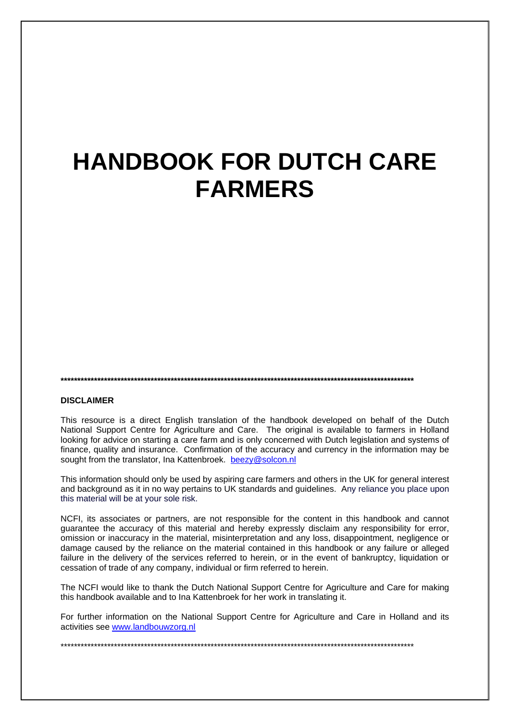# **HANDBOOK FOR DUTCH CARE FARMERS**

**\*\*\*\*\*\*\*\*\*\*\*\*\*\*\*\*\*\*\*\*\*\*\*\*\*\*\*\*\*\*\*\*\*\*\*\*\*\*\*\*\*\*\*\*\*\*\*\*\*\*\*\*\*\*\*\*\*\*\*\*\*\*\*\*\*\*\*\*\*\*\*\*\*\*\*\*\*\*\*\*\*\*\*\*\*\*\*\*\*\*\*\*\*\*\*\*\*\*\*\*\*\*\*\*\*\*** 

#### **DISCLAIMER**

This resource is a direct English translation of the handbook developed on behalf of the Dutch National Support Centre for Agriculture and Care. The original is available to farmers in Holland looking for advice on starting a care farm and is only concerned with Dutch legislation and systems of finance, quality and insurance. Confirmation of the accuracy and currency in the information may be sought from the translator, Ina Kattenbroek. beezy@solcon.nl

This information should only be used by aspiring care farmers and others in the UK for general interest and background as it in no way pertains to UK standards and guidelines. Any reliance you place upon this material will be at your sole risk.

NCFI, its associates or partners, are not responsible for the content in this handbook and cannot guarantee the accuracy of this material and hereby expressly disclaim any responsibility for error, omission or inaccuracy in the material, misinterpretation and any loss, disappointment, negligence or damage caused by the reliance on the material contained in this handbook or any failure or alleged failure in the delivery of the services referred to herein, or in the event of bankruptcy, liquidation or cessation of trade of any company, individual or firm referred to herein.

The NCFI would like to thank the Dutch National Support Centre for Agriculture and Care for making this handbook available and to Ina Kattenbroek for her work in translating it.

For further information on the National Support Centre for Agriculture and Care in Holland and its activities see www.landbouwzorg.nl

\*\*\*\*\*\*\*\*\*\*\*\*\*\*\*\*\*\*\*\*\*\*\*\*\*\*\*\*\*\*\*\*\*\*\*\*\*\*\*\*\*\*\*\*\*\*\*\*\*\*\*\*\*\*\*\*\*\*\*\*\*\*\*\*\*\*\*\*\*\*\*\*\*\*\*\*\*\*\*\*\*\*\*\*\*\*\*\*\*\*\*\*\*\*\*\*\*\*\*\*\*\*\*\*\*\*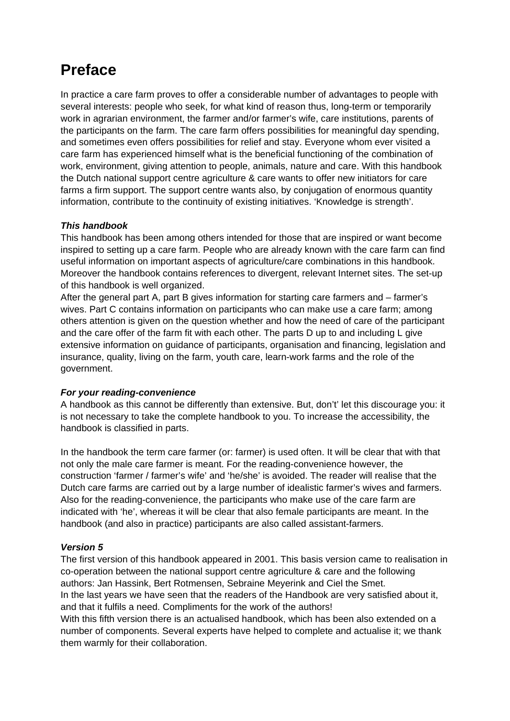# **Preface**

In practice a care farm proves to offer a considerable number of advantages to people with several interests: people who seek, for what kind of reason thus, long-term or temporarily work in agrarian environment, the farmer and/or farmer's wife, care institutions, parents of the participants on the farm. The care farm offers possibilities for meaningful day spending, and sometimes even offers possibilities for relief and stay. Everyone whom ever visited a care farm has experienced himself what is the beneficial functioning of the combination of work, environment, giving attention to people, animals, nature and care. With this handbook the Dutch national support centre agriculture & care wants to offer new initiators for care farms a firm support. The support centre wants also, by conjugation of enormous quantity information, contribute to the continuity of existing initiatives. 'Knowledge is strength'.

#### *This handbook*

This handbook has been among others intended for those that are inspired or want become inspired to setting up a care farm. People who are already known with the care farm can find useful information on important aspects of agriculture/care combinations in this handbook. Moreover the handbook contains references to divergent, relevant Internet sites. The set-up of this handbook is well organized.

After the general part A, part B gives information for starting care farmers and – farmer's wives. Part C contains information on participants who can make use a care farm; among others attention is given on the question whether and how the need of care of the participant and the care offer of the farm fit with each other. The parts D up to and including L give extensive information on guidance of participants, organisation and financing, legislation and insurance, quality, living on the farm, youth care, learn-work farms and the role of the government.

#### *For your reading-convenience*

A handbook as this cannot be differently than extensive. But, don't' let this discourage you: it is not necessary to take the complete handbook to you. To increase the accessibility, the handbook is classified in parts.

In the handbook the term care farmer (or: farmer) is used often. It will be clear that with that not only the male care farmer is meant. For the reading-convenience however, the construction 'farmer / farmer's wife' and 'he/she' is avoided. The reader will realise that the Dutch care farms are carried out by a large number of idealistic farmer's wives and farmers. Also for the reading-convenience, the participants who make use of the care farm are indicated with 'he', whereas it will be clear that also female participants are meant. In the handbook (and also in practice) participants are also called assistant-farmers.

#### *Version 5*

The first version of this handbook appeared in 2001. This basis version came to realisation in co-operation between the national support centre agriculture & care and the following authors: Jan Hassink, Bert Rotmensen, Sebraine Meyerink and Ciel the Smet. In the last years we have seen that the readers of the Handbook are very satisfied about it, and that it fulfils a need. Compliments for the work of the authors!

With this fifth version there is an actualised handbook, which has been also extended on a number of components. Several experts have helped to complete and actualise it; we thank them warmly for their collaboration.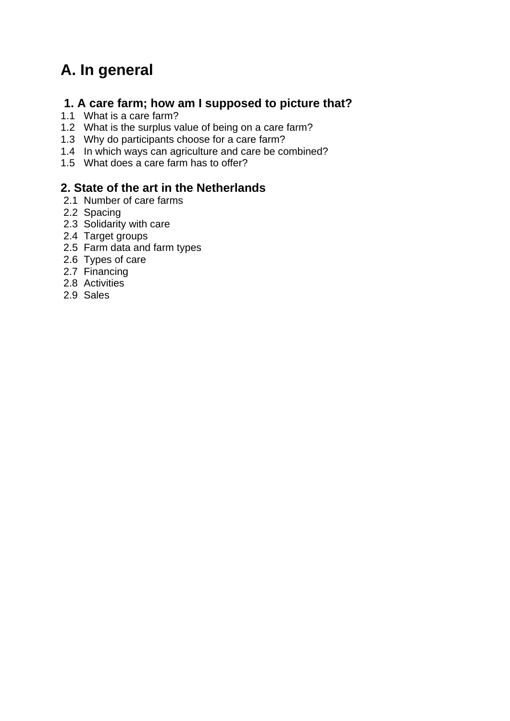# **A. In general**

# **1. A care farm; how am I supposed to picture that?**

- 1.1 What is a care farm?
- 1.2 What is the surplus value of being on a care farm?
- 1.3 Why do participants choose for a care farm?
- 1.4 In which ways can agriculture and care be combined?
- 1.5 What does a care farm has to offer?

### **2. State of the art in the Netherlands**

- 2.1 Number of care farms
- 2.2 Spacing
- 2.3 Solidarity with care
- 2.4 Target groups
- 2.5 Farm data and farm types
- 2.6 Types of care
- 2.7 Financing
- 2.8 Activities
- 2.9 Sales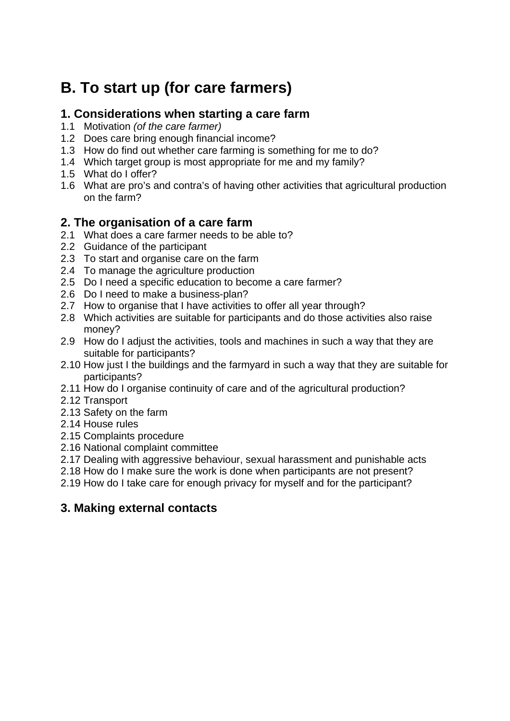# **B. To start up (for care farmers)**

## **1. Considerations when starting a care farm**

- 1.1 Motivation *(of the care farmer)*
- 1.2 Does care bring enough financial income?
- 1.3 How do find out whether care farming is something for me to do?
- 1.4 Which target group is most appropriate for me and my family?
- 1.5 What do I offer?
- 1.6 What are pro's and contra's of having other activities that agricultural production on the farm?

## **2. The organisation of a care farm**

- 2.1 What does a care farmer needs to be able to?
- 2.2 Guidance of the participant
- 2.3 To start and organise care on the farm
- 2.4 To manage the agriculture production
- 2.5 Do I need a specific education to become a care farmer?
- 2.6 Do I need to make a business-plan?
- 2.7 How to organise that I have activities to offer all year through?
- 2.8 Which activities are suitable for participants and do those activities also raise money?
- 2.9 How do I adjust the activities, tools and machines in such a way that they are suitable for participants?
- 2.10 How just I the buildings and the farmyard in such a way that they are suitable for participants?
- 2.11 How do I organise continuity of care and of the agricultural production?
- 2.12 Transport
- 2.13 Safety on the farm
- 2.14 House rules
- 2.15 Complaints procedure
- 2.16 National complaint committee
- 2.17 Dealing with aggressive behaviour, sexual harassment and punishable acts
- 2.18 How do I make sure the work is done when participants are not present?
- 2.19 How do I take care for enough privacy for myself and for the participant?

## **3. Making external contacts**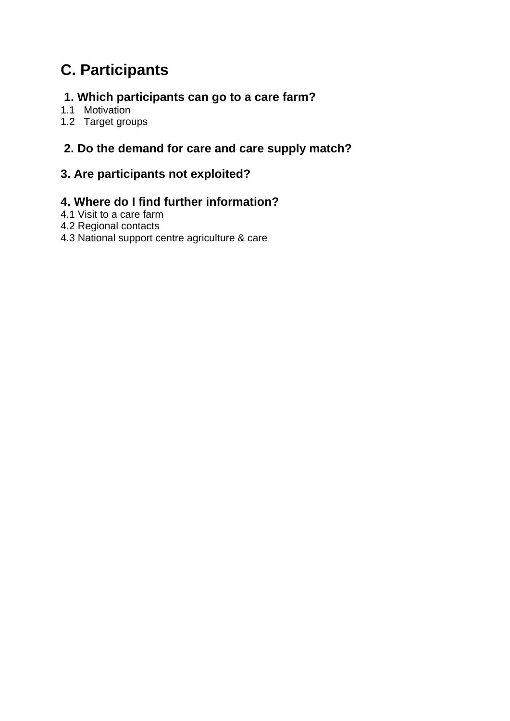# **C. Participants**

# **1. Which participants can go to a care farm?**

- 1.1 Motivation
- 1.2 Target groups

# **2. Do the demand for care and care supply match?**

## **3. Are participants not exploited?**

## **4. Where do I find further information?**

- 4.1 Visit to a care farm
- 4.2 Regional contacts
- 4.3 National support centre agriculture & care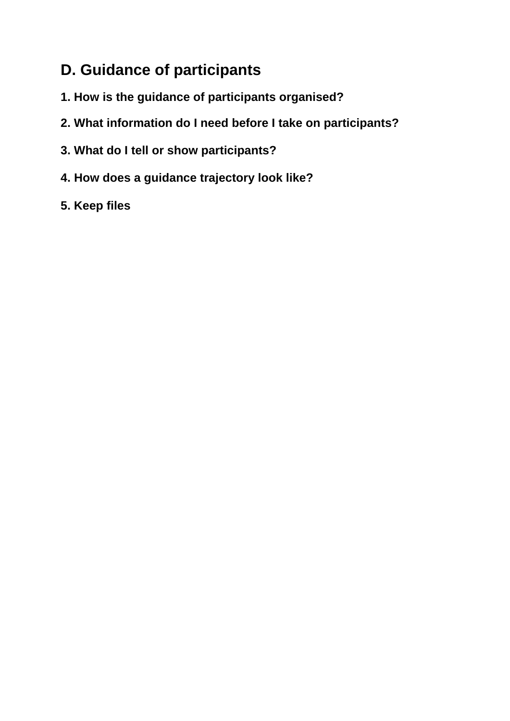# **D. Guidance of participants**

- **1. How is the guidance of participants organised?**
- **2. What information do I need before I take on participants?**
- **3. What do I tell or show participants?**
- **4. How does a guidance trajectory look like?**
- **5. Keep files**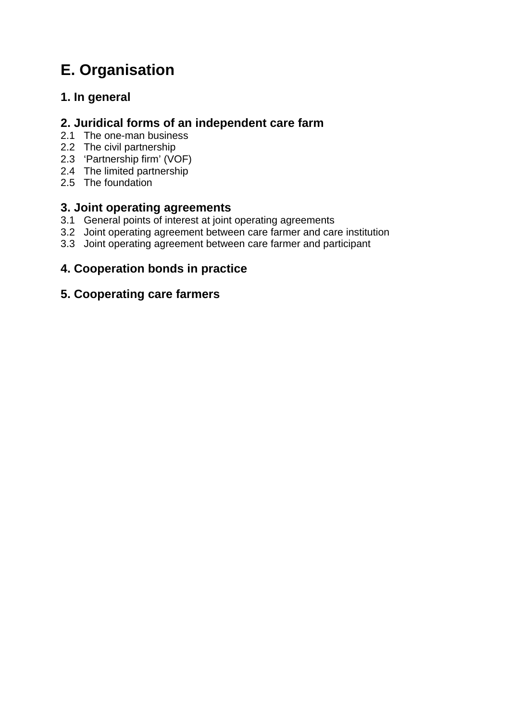# **E. Organisation**

# **1. In general**

## **2. Juridical forms of an independent care farm**

- 2.1 The one-man business
- 2.2 The civil partnership
- 2.3 'Partnership firm' (VOF)
- 2.4 The limited partnership
- 2.5 The foundation

## **3. Joint operating agreements**

- 3.1 General points of interest at joint operating agreements
- 3.2 Joint operating agreement between care farmer and care institution
- 3.3 Joint operating agreement between care farmer and participant

# **4. Cooperation bonds in practice**

## **5. Cooperating care farmers**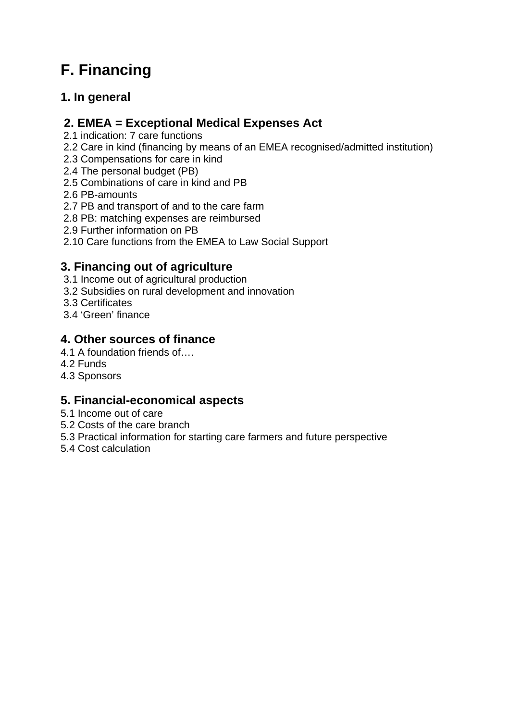# **F. Financing**

# **1. In general**

## **2. EMEA = Exceptional Medical Expenses Act**

2.1 indication: 7 care functions

2.2 Care in kind (financing by means of an EMEA recognised/admitted institution)

- 2.3 Compensations for care in kind
- 2.4 The personal budget (PB)
- 2.5 Combinations of care in kind and PB
- 2.6 PB-amounts
- 2.7 PB and transport of and to the care farm
- 2.8 PB: matching expenses are reimbursed
- 2.9 Further information on PB
- 2.10 Care functions from the EMEA to Law Social Support

## **3. Financing out of agriculture**

- 3.1 Income out of agricultural production
- 3.2 Subsidies on rural development and innovation
- 3.3 Certificates
- 3.4 'Green' finance

## **4. Other sources of finance**

- 4.1 A foundation friends of….
- 4.2 Funds
- 4.3 Sponsors

# **5. Financial-economical aspects**

- 5.1 Income out of care
- 5.2 Costs of the care branch
- 5.3 Practical information for starting care farmers and future perspective
- 5.4 Cost calculation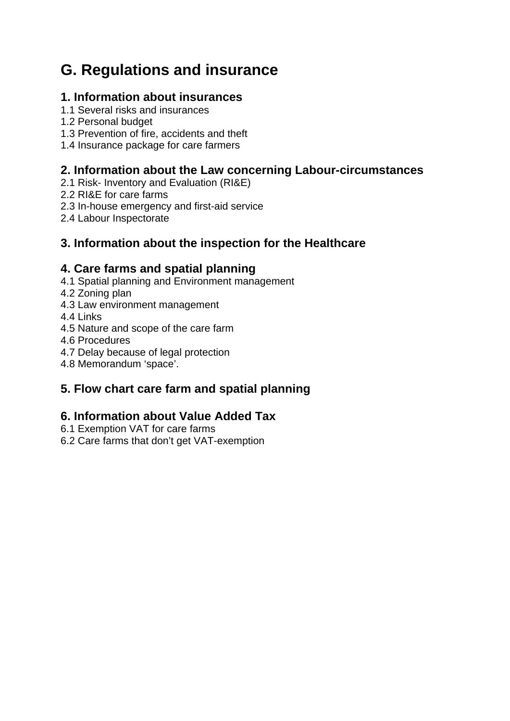# **G. Regulations and insurance**

## **1. Information about insurances**

- 1.1 Several risks and insurances
- 1.2 Personal budget
- 1.3 Prevention of fire, accidents and theft
- 1.4 Insurance package for care farmers

## **2. Information about the Law concerning Labour-circumstances**

- 2.1 Risk- Inventory and Evaluation (RI&E)
- 2.2 RI&E for care farms
- 2.3 In-house emergency and first-aid service
- 2.4 Labour Inspectorate

## **3. Information about the inspection for the Healthcare**

## **4. Care farms and spatial planning**

- 4.1 Spatial planning and Environment management
- 4.2 Zoning plan
- 4.3 Law environment management
- 4.4 Links
- 4.5 Nature and scope of the care farm
- 4.6 Procedures
- 4.7 Delay because of legal protection
- 4.8 Memorandum 'space'.

# **5. Flow chart care farm and spatial planning**

# **6. Information about Value Added Tax**

- 6.1 Exemption VAT for care farms
- 6.2 Care farms that don't get VAT-exemption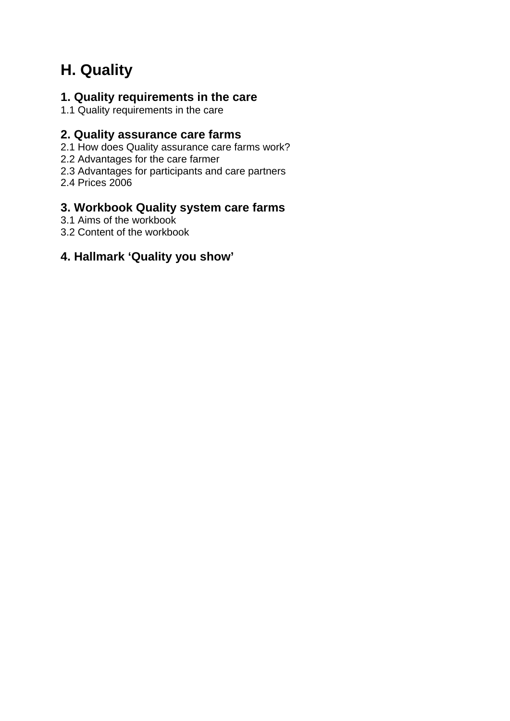# **H. Quality**

## **1. Quality requirements in the care**

1.1 Quality requirements in the care

### **2. Quality assurance care farms**

2.1 How does Quality assurance care farms work?

- 2.2 Advantages for the care farmer
- 2.3 Advantages for participants and care partners
- 2.4 Prices 2006

## **3. Workbook Quality system care farms**

- 3.1 Aims of the workbook
- 3.2 Content of the workbook

### **4. Hallmark 'Quality you show'**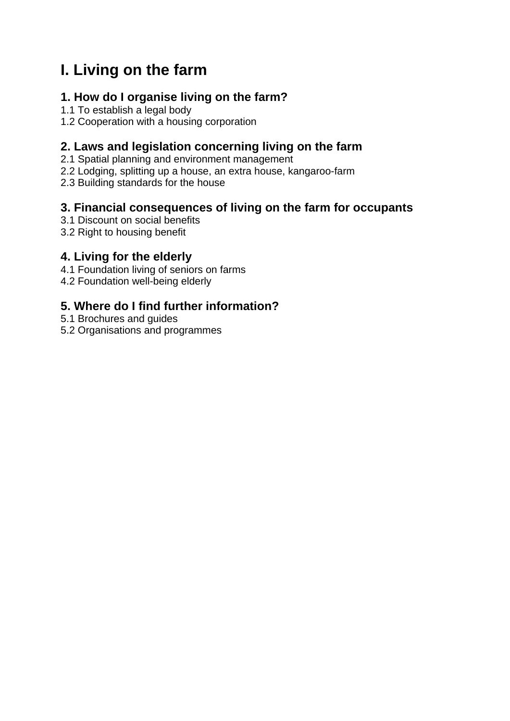# **I. Living on the farm**

# **1. How do I organise living on the farm?**

- 1.1 To establish a legal body
- 1.2 Cooperation with a housing corporation

## **2. Laws and legislation concerning living on the farm**

- 2.1 Spatial planning and environment management
- 2.2 Lodging, splitting up a house, an extra house, kangaroo-farm
- 2.3 Building standards for the house

## **3. Financial consequences of living on the farm for occupants**

- 3.1 Discount on social benefits
- 3.2 Right to housing benefit

## **4. Living for the elderly**

- 4.1 Foundation living of seniors on farms
- 4.2 Foundation well-being elderly

# **5. Where do I find further information?**

- 5.1 Brochures and guides
- 5.2 Organisations and programmes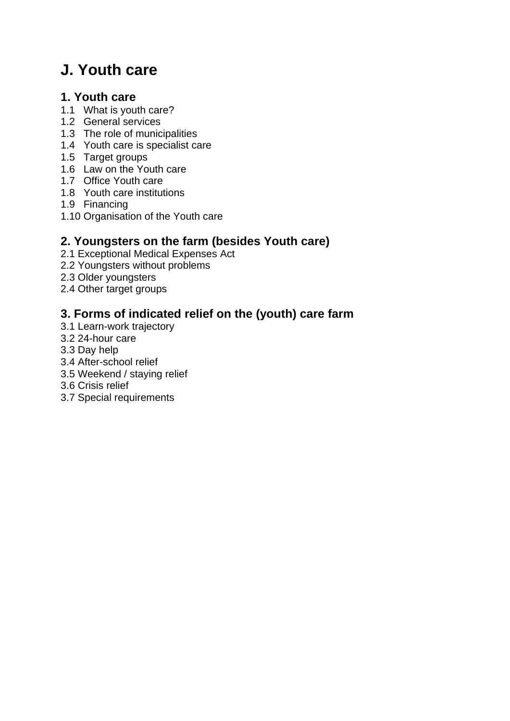# **J. Youth care**

### **1. Youth care**

- 1.1 What is youth care?
- 1.2 General services
- 1.3 The role of municipalities
- 1.4 Youth care is specialist care
- 1.5 Target groups
- 1.6 Law on the Youth care
- 1.7 Office Youth care
- 1.8 Youth care institutions
- 1.9 Financing
- 1.10 Organisation of the Youth care

# **2. Youngsters on the farm (besides Youth care)**

- 2.1 Exceptional Medical Expenses Act
- 2.2 Youngsters without problems
- 2.3 Older youngsters
- 2.4 Other target groups

# **3. Forms of indicated relief on the (youth) care farm**

- 3.1 Learn-work trajectory
- 3.2 24-hour care
- 3.3 Day help
- 3.4 After-school relief
- 3.5 Weekend / staying relief
- 3.6 Crisis relief
- 3.7 Special requirements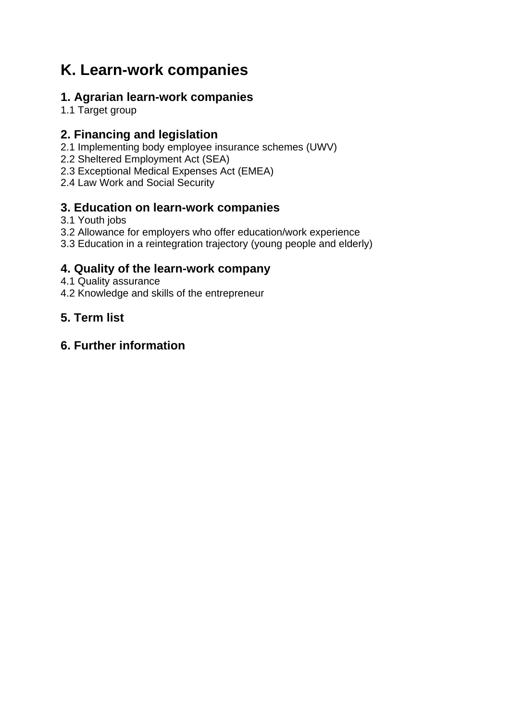# **K. Learn-work companies**

# **1. Agrarian learn-work companies**

1.1 Target group

## **2. Financing and legislation**

- 2.1 Implementing body employee insurance schemes (UWV)
- 2.2 Sheltered Employment Act (SEA)
- 2.3 Exceptional Medical Expenses Act (EMEA)
- 2.4 Law Work and Social Security

## **3. Education on learn-work companies**

- 3.1 Youth jobs
- 3.2 Allowance for employers who offer education/work experience
- 3.3 Education in a reintegration trajectory (young people and elderly)

## **4. Quality of the learn-work company**

- 4.1 Quality assurance
- 4.2 Knowledge and skills of the entrepreneur

# **5. Term list**

## **6. Further information**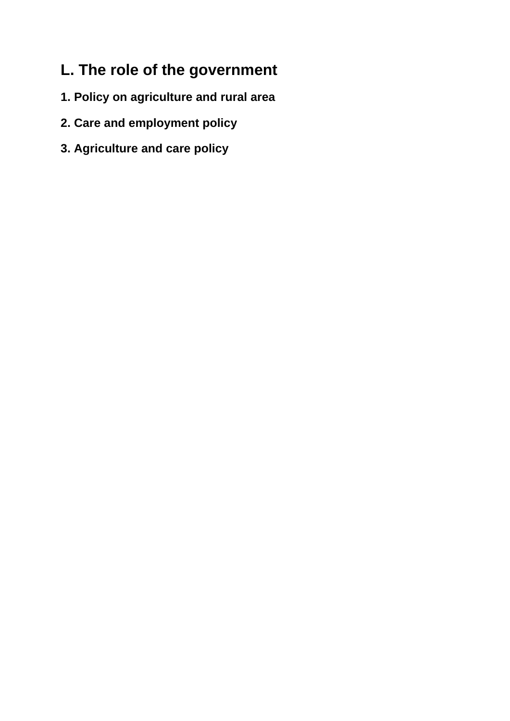# **L. The role of the government**

- **1. Policy on agriculture and rural area**
- **2. Care and employment policy**
- **3. Agriculture and care policy**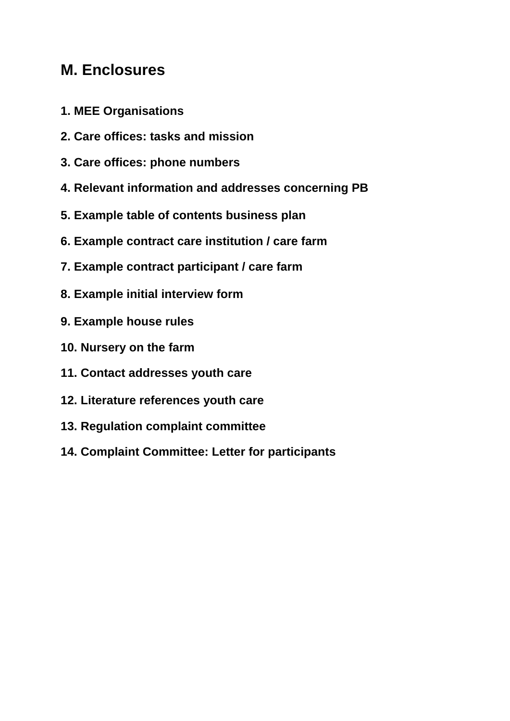# **M. Enclosures**

- **1. MEE Organisations**
- **2. Care offices: tasks and mission**
- **3. Care offices: phone numbers**
- **4. Relevant information and addresses concerning PB**
- **5. Example table of contents business plan**
- **6. Example contract care institution / care farm**
- **7. Example contract participant / care farm**
- **8. Example initial interview form**
- **9. Example house rules**
- **10. Nursery on the farm**
- **11. Contact addresses youth care**
- **12. Literature references youth care**
- **13. Regulation complaint committee**
- **14. Complaint Committee: Letter for participants**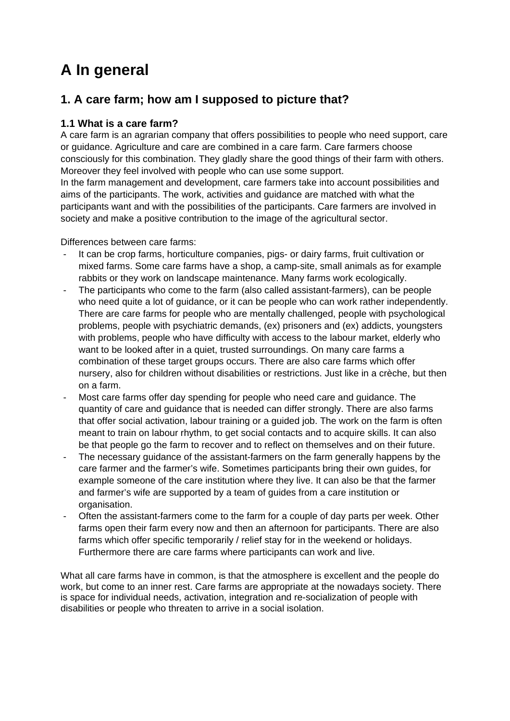# **A In general**

# **1. A care farm; how am I supposed to picture that?**

### **1.1 What is a care farm?**

A care farm is an agrarian company that offers possibilities to people who need support, care or guidance. Agriculture and care are combined in a care farm. Care farmers choose consciously for this combination. They gladly share the good things of their farm with others. Moreover they feel involved with people who can use some support.

In the farm management and development, care farmers take into account possibilities and aims of the participants. The work, activities and guidance are matched with what the participants want and with the possibilities of the participants. Care farmers are involved in society and make a positive contribution to the image of the agricultural sector.

Differences between care farms:

- It can be crop farms, horticulture companies, pigs- or dairy farms, fruit cultivation or mixed farms. Some care farms have a shop, a camp-site, small animals as for example rabbits or they work on landscape maintenance. Many farms work ecologically.
- The participants who come to the farm (also called assistant-farmers), can be people who need quite a lot of guidance, or it can be people who can work rather independently. There are care farms for people who are mentally challenged, people with psychological problems, people with psychiatric demands, (ex) prisoners and (ex) addicts, youngsters with problems, people who have difficulty with access to the labour market, elderly who want to be looked after in a quiet, trusted surroundings. On many care farms a combination of these target groups occurs. There are also care farms which offer nursery, also for children without disabilities or restrictions. Just like in a crèche, but then on a farm.
- Most care farms offer day spending for people who need care and guidance. The quantity of care and guidance that is needed can differ strongly. There are also farms that offer social activation, labour training or a guided job. The work on the farm is often meant to train on labour rhythm, to get social contacts and to acquire skills. It can also be that people go the farm to recover and to reflect on themselves and on their future.
- The necessary guidance of the assistant-farmers on the farm generally happens by the care farmer and the farmer's wife. Sometimes participants bring their own guides, for example someone of the care institution where they live. It can also be that the farmer and farmer's wife are supported by a team of guides from a care institution or organisation.
- Often the assistant-farmers come to the farm for a couple of day parts per week. Other farms open their farm every now and then an afternoon for participants. There are also farms which offer specific temporarily / relief stay for in the weekend or holidays. Furthermore there are care farms where participants can work and live.

What all care farms have in common, is that the atmosphere is excellent and the people do work, but come to an inner rest. Care farms are appropriate at the nowadays society. There is space for individual needs, activation, integration and re-socialization of people with disabilities or people who threaten to arrive in a social isolation.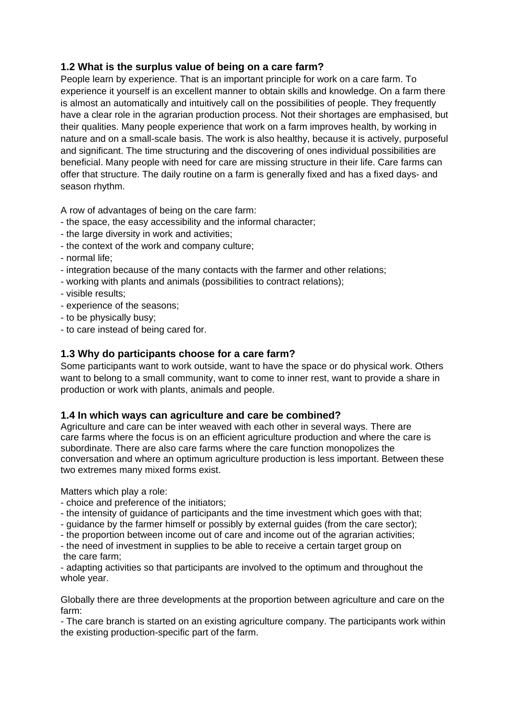#### **1.2 What is the surplus value of being on a care farm?**

People learn by experience. That is an important principle for work on a care farm. To experience it yourself is an excellent manner to obtain skills and knowledge. On a farm there is almost an automatically and intuitively call on the possibilities of people. They frequently have a clear role in the agrarian production process. Not their shortages are emphasised, but their qualities. Many people experience that work on a farm improves health, by working in nature and on a small-scale basis. The work is also healthy, because it is actively, purposeful and significant. The time structuring and the discovering of ones individual possibilities are beneficial. Many people with need for care are missing structure in their life. Care farms can offer that structure. The daily routine on a farm is generally fixed and has a fixed days- and season rhythm.

A row of advantages of being on the care farm:

- the space, the easy accessibility and the informal character;
- the large diversity in work and activities;
- the context of the work and company culture;
- normal life;
- integration because of the many contacts with the farmer and other relations;
- working with plants and animals (possibilities to contract relations);
- visible results;
- experience of the seasons;
- to be physically busy;
- to care instead of being cared for.

#### **1.3 Why do participants choose for a care farm?**

Some participants want to work outside, want to have the space or do physical work. Others want to belong to a small community, want to come to inner rest, want to provide a share in production or work with plants, animals and people.

#### **1.4 In which ways can agriculture and care be combined?**

Agriculture and care can be inter weaved with each other in several ways. There are care farms where the focus is on an efficient agriculture production and where the care is subordinate. There are also care farms where the care function monopolizes the conversation and where an optimum agriculture production is less important. Between these two extremes many mixed forms exist.

Matters which play a role:

- choice and preference of the initiators;
- the intensity of guidance of participants and the time investment which goes with that;
- guidance by the farmer himself or possibly by external guides (from the care sector);
- the proportion between income out of care and income out of the agrarian activities;

- the need of investment in supplies to be able to receive a certain target group on the care farm;

- adapting activities so that participants are involved to the optimum and throughout the whole year.

Globally there are three developments at the proportion between agriculture and care on the farm:

- The care branch is started on an existing agriculture company. The participants work within the existing production-specific part of the farm.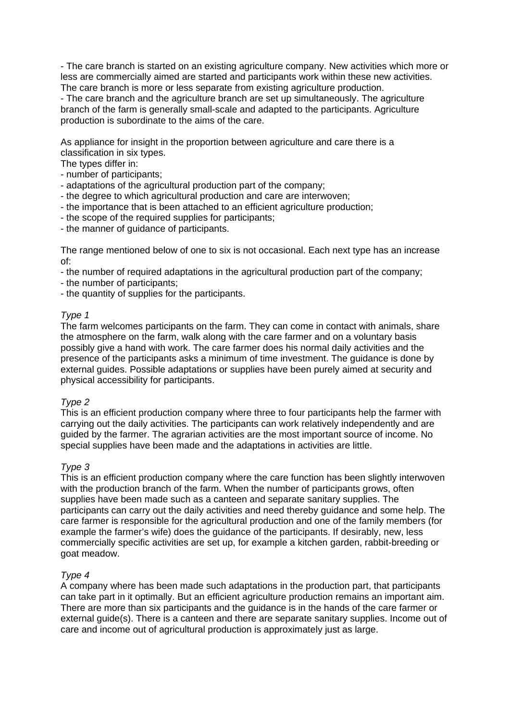- The care branch is started on an existing agriculture company. New activities which more or less are commercially aimed are started and participants work within these new activities. The care branch is more or less separate from existing agriculture production.

- The care branch and the agriculture branch are set up simultaneously. The agriculture branch of the farm is generally small-scale and adapted to the participants. Agriculture production is subordinate to the aims of the care.

As appliance for insight in the proportion between agriculture and care there is a classification in six types.

The types differ in:

- number of participants;
- adaptations of the agricultural production part of the company;
- the degree to which agricultural production and care are interwoven;
- the importance that is been attached to an efficient agriculture production;
- the scope of the required supplies for participants;
- the manner of guidance of participants.

The range mentioned below of one to six is not occasional. Each next type has an increase of:

- the number of required adaptations in the agricultural production part of the company;
- the number of participants;
- the quantity of supplies for the participants.

#### *Type 1*

The farm welcomes participants on the farm. They can come in contact with animals, share the atmosphere on the farm, walk along with the care farmer and on a voluntary basis possibly give a hand with work. The care farmer does his normal daily activities and the presence of the participants asks a minimum of time investment. The guidance is done by external guides. Possible adaptations or supplies have been purely aimed at security and physical accessibility for participants.

#### *Type 2*

This is an efficient production company where three to four participants help the farmer with carrying out the daily activities. The participants can work relatively independently and are guided by the farmer. The agrarian activities are the most important source of income. No special supplies have been made and the adaptations in activities are little.

#### *Type 3*

This is an efficient production company where the care function has been slightly interwoven with the production branch of the farm. When the number of participants grows, often supplies have been made such as a canteen and separate sanitary supplies. The participants can carry out the daily activities and need thereby guidance and some help. The care farmer is responsible for the agricultural production and one of the family members (for example the farmer's wife) does the guidance of the participants. If desirably, new, less commercially specific activities are set up, for example a kitchen garden, rabbit-breeding or goat meadow.

#### *Type 4*

A company where has been made such adaptations in the production part, that participants can take part in it optimally. But an efficient agriculture production remains an important aim. There are more than six participants and the guidance is in the hands of the care farmer or external guide(s). There is a canteen and there are separate sanitary supplies. Income out of care and income out of agricultural production is approximately just as large.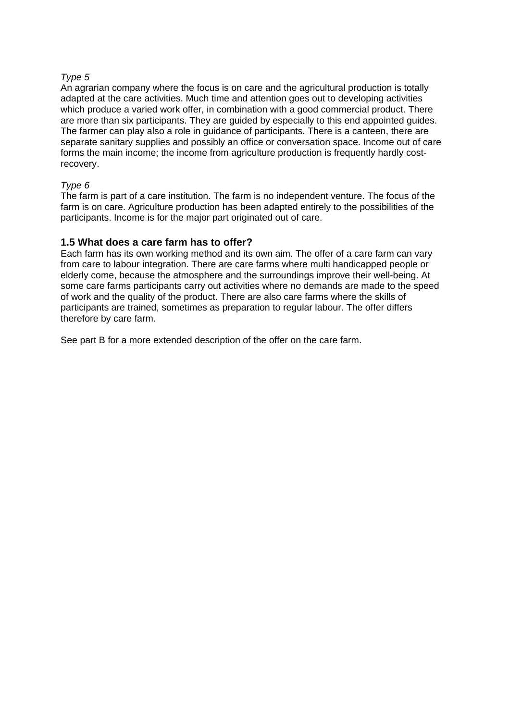#### *Type 5*

An agrarian company where the focus is on care and the agricultural production is totally adapted at the care activities. Much time and attention goes out to developing activities which produce a varied work offer, in combination with a good commercial product. There are more than six participants. They are guided by especially to this end appointed guides. The farmer can play also a role in guidance of participants. There is a canteen, there are separate sanitary supplies and possibly an office or conversation space. Income out of care forms the main income; the income from agriculture production is frequently hardly costrecovery.

#### *Type 6*

The farm is part of a care institution. The farm is no independent venture. The focus of the farm is on care. Agriculture production has been adapted entirely to the possibilities of the participants. Income is for the major part originated out of care.

#### **1.5 What does a care farm has to offer?**

Each farm has its own working method and its own aim. The offer of a care farm can vary from care to labour integration. There are care farms where multi handicapped people or elderly come, because the atmosphere and the surroundings improve their well-being. At some care farms participants carry out activities where no demands are made to the speed of work and the quality of the product. There are also care farms where the skills of participants are trained, sometimes as preparation to regular labour. The offer differs therefore by care farm.

See part B for a more extended description of the offer on the care farm.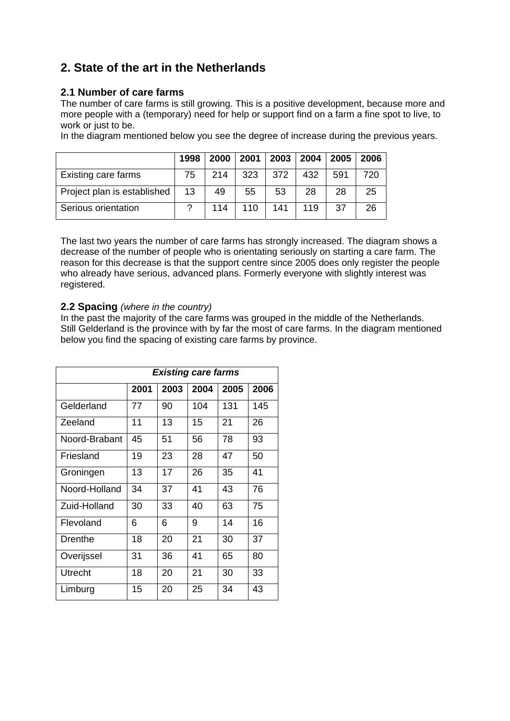# **2. State of the art in the Netherlands**

#### **2.1 Number of care farms**

The number of care farms is still growing. This is a positive development, because more and more people with a (temporary) need for help or support find on a farm a fine spot to live, to work or just to be.

In the diagram mentioned below you see the degree of increase during the previous years.

|                             | 1998 | 2000 | 2001 2003 |     | 2004 | 2005 | 2006 |
|-----------------------------|------|------|-----------|-----|------|------|------|
| Existing care farms         | 75   | 214  | 323       | 372 | 432  | 591  | 720  |
| Project plan is established | 13   | 49   | 55        | 53  | 28   | 28   | 25   |
| Serious orientation         |      | 114  | 110       | 141 | 119  | 37   | 26   |

The last two years the number of care farms has strongly increased. The diagram shows a decrease of the number of people who is orientating seriously on starting a care farm. The reason for this decrease is that the support centre since 2005 does only register the people who already have serious, advanced plans. Formerly everyone with slightly interest was registered.

#### **2.2 Spacing** *(where in the country)*

In the past the majority of the care farms was grouped in the middle of the Netherlands. Still Gelderland is the province with by far the most of care farms. In the diagram mentioned below you find the spacing of existing care farms by province.

|               | <b>Existing care farms</b> |      |      |      |      |  |  |  |
|---------------|----------------------------|------|------|------|------|--|--|--|
|               | 2001                       | 2003 | 2004 | 2005 | 2006 |  |  |  |
| Gelderland    | 77                         | 90   | 104  | 131  | 145  |  |  |  |
| Zeeland       | 11                         | 13   | 15   | 21   | 26   |  |  |  |
| Noord-Brabant | 45                         | 51   | 56   | 78   | 93   |  |  |  |
| Friesland     | 19                         | 23   | 28   | 47   | 50   |  |  |  |
| Groningen     | 13                         | 17   | 26   | 35   | 41   |  |  |  |
| Noord-Holland | 34                         | 37   | 41   | 43   | 76   |  |  |  |
| Zuid-Holland  | 30                         | 33   | 40   | 63   | 75   |  |  |  |
| Flevoland     | 6                          | 6    | 9    | 14   | 16   |  |  |  |
| Drenthe       | 18                         | 20   | 21   | 30   | 37   |  |  |  |
| Overijssel    | 31                         | 36   | 41   | 65   | 80   |  |  |  |
| Utrecht       | 18                         | 20   | 21   | 30   | 33   |  |  |  |
| Limburg       | 15                         | 20   | 25   | 34   | 43   |  |  |  |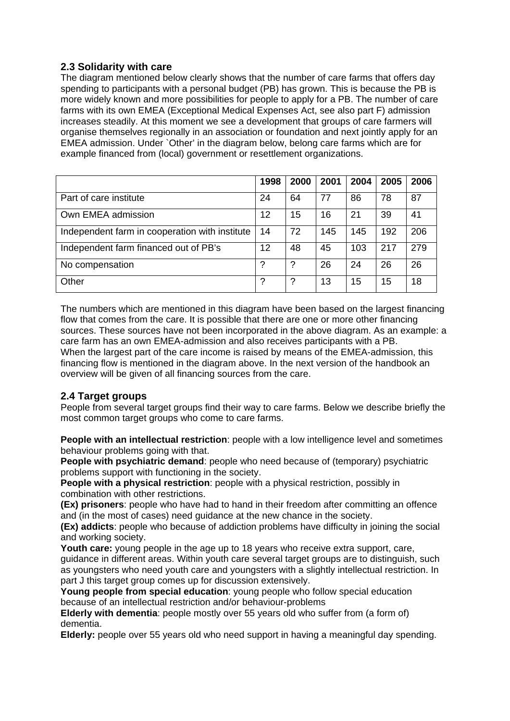#### **2.3 Solidarity with care**

The diagram mentioned below clearly shows that the number of care farms that offers day spending to participants with a personal budget (PB) has grown. This is because the PB is more widely known and more possibilities for people to apply for a PB. The number of care farms with its own EMEA (Exceptional Medical Expenses Act, see also part F) admission increases steadily. At this moment we see a development that groups of care farmers will organise themselves regionally in an association or foundation and next jointly apply for an EMEA admission. Under `Other' in the diagram below, belong care farms which are for example financed from (local) government or resettlement organizations.

|                                                | 1998 | 2000 | 2001 | 2004 | 2005 | 2006 |
|------------------------------------------------|------|------|------|------|------|------|
| Part of care institute                         | 24   | 64   | 77   | 86   | 78   | 87   |
| Own EMEA admission                             | 12   | 15   | 16   | 21   | 39   | 41   |
| Independent farm in cooperation with institute | 14   | 72   | 145  | 145  | 192  | 206  |
| Independent farm financed out of PB's          | 12   | 48   | 45   | 103  | 217  | 279  |
| No compensation                                | ?    | ?    | 26   | 24   | 26   | 26   |
| Other                                          | ?    | ?    | 13   | 15   | 15   | 18   |

The numbers which are mentioned in this diagram have been based on the largest financing flow that comes from the care. It is possible that there are one or more other financing sources. These sources have not been incorporated in the above diagram. As an example: a care farm has an own EMEA-admission and also receives participants with a PB. When the largest part of the care income is raised by means of the EMEA-admission, this financing flow is mentioned in the diagram above. In the next version of the handbook an overview will be given of all financing sources from the care.

#### **2.4 Target groups**

People from several target groups find their way to care farms. Below we describe briefly the most common target groups who come to care farms.

**People with an intellectual restriction**: people with a low intelligence level and sometimes behaviour problems going with that.

**People with psychiatric demand**: people who need because of (temporary) psychiatric problems support with functioning in the society.

**People with a physical restriction**: people with a physical restriction, possibly in combination with other restrictions.

**(Ex) prisoners**: people who have had to hand in their freedom after committing an offence and (in the most of cases) need guidance at the new chance in the society.

**(Ex) addicts**: people who because of addiction problems have difficulty in joining the social and working society.

**Youth care:** young people in the age up to 18 years who receive extra support, care, guidance in different areas. Within youth care several target groups are to distinguish, such as youngsters who need youth care and youngsters with a slightly intellectual restriction. In part J this target group comes up for discussion extensively.

**Young people from special education**: young people who follow special education because of an intellectual restriction and/or behaviour-problems

**Elderly with dementia**: people mostly over 55 years old who suffer from (a form of) dementia.

**Elderly:** people over 55 years old who need support in having a meaningful day spending.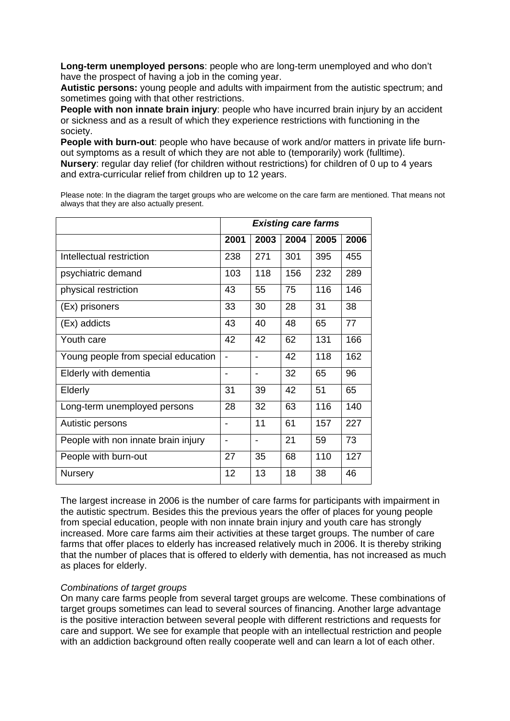**Long-term unemployed persons**: people who are long-term unemployed and who don't have the prospect of having a job in the coming year.

**Autistic persons:** young people and adults with impairment from the autistic spectrum; and sometimes going with that other restrictions.

**People with non innate brain injury**: people who have incurred brain injury by an accident or sickness and as a result of which they experience restrictions with functioning in the society.

**People with burn-out**: people who have because of work and/or matters in private life burnout symptoms as a result of which they are not able to (temporarily) work (fulltime). **Nursery**: regular day relief (for children without restrictions) for children of 0 up to 4 years and extra-curricular relief from children up to 12 years.

Please note: In the diagram the target groups who are welcome on the care farm are mentioned. That means not always that they are also actually present.

|                                     | <b>Existing care farms</b> |                |      |      |      |  |
|-------------------------------------|----------------------------|----------------|------|------|------|--|
|                                     | 2001                       | 2003           | 2004 | 2005 | 2006 |  |
| Intellectual restriction            | 238                        | 271            | 301  | 395  | 455  |  |
| psychiatric demand                  | 103                        | 118            | 156  | 232  | 289  |  |
| physical restriction                | 43                         | 55             | 75   | 116  | 146  |  |
| (Ex) prisoners                      | 33                         | 30             | 28   | 31   | 38   |  |
| (Ex) addicts                        | 43                         | 40             | 48   | 65   | 77   |  |
| Youth care                          | 42                         | 42             | 62   | 131  | 166  |  |
| Young people from special education | $\overline{a}$             |                | 42   | 118  | 162  |  |
| Elderly with dementia               | -                          |                | 32   | 65   | 96   |  |
| Elderly                             | 31                         | 39             | 42   | 51   | 65   |  |
| Long-term unemployed persons        | 28                         | 32             | 63   | 116  | 140  |  |
| Autistic persons                    |                            | 11             | 61   | 157  | 227  |  |
| People with non innate brain injury | $\overline{\phantom{0}}$   | $\blacksquare$ | 21   | 59   | 73   |  |
| People with burn-out                | 27                         | 35             | 68   | 110  | 127  |  |
| <b>Nursery</b>                      | 12                         | 13             | 18   | 38   | 46   |  |

The largest increase in 2006 is the number of care farms for participants with impairment in the autistic spectrum. Besides this the previous years the offer of places for young people from special education, people with non innate brain injury and youth care has strongly increased. More care farms aim their activities at these target groups. The number of care farms that offer places to elderly has increased relatively much in 2006. It is thereby striking that the number of places that is offered to elderly with dementia, has not increased as much as places for elderly.

#### *Combinations of target groups*

On many care farms people from several target groups are welcome. These combinations of target groups sometimes can lead to several sources of financing. Another large advantage is the positive interaction between several people with different restrictions and requests for care and support. We see for example that people with an intellectual restriction and people with an addiction background often really cooperate well and can learn a lot of each other.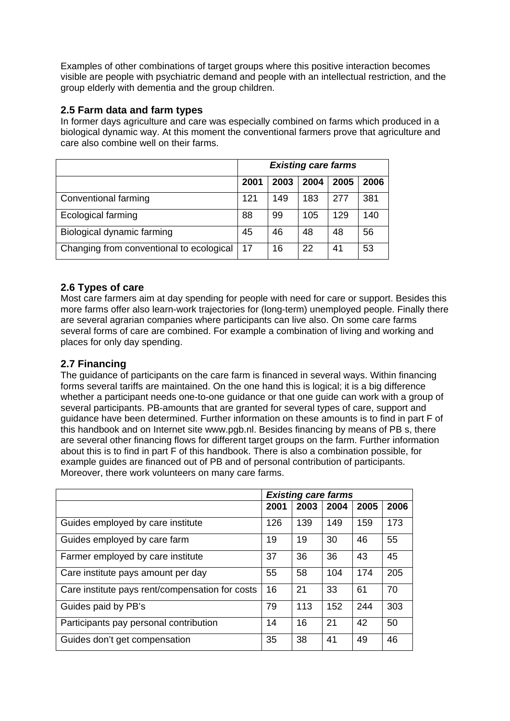Examples of other combinations of target groups where this positive interaction becomes visible are people with psychiatric demand and people with an intellectual restriction, and the group elderly with dementia and the group children.

#### **2.5 Farm data and farm types**

In former days agriculture and care was especially combined on farms which produced in a biological dynamic way. At this moment the conventional farmers prove that agriculture and care also combine well on their farms.

|                                          | <b>Existing care farms</b> |      |      |      |      |  |
|------------------------------------------|----------------------------|------|------|------|------|--|
|                                          | 2001                       | 2003 | 2004 | 2005 | 2006 |  |
| Conventional farming                     | 121                        | 149  | 183  | 277  | 381  |  |
| <b>Ecological farming</b>                | 88                         | 99   | 105  | 129  | 140  |  |
| Biological dynamic farming               | 45                         | 46   | 48   | 48   | 56   |  |
| Changing from conventional to ecological | -17                        | 16   | 22   | 41   | 53   |  |

#### **2.6 Types of care**

Most care farmers aim at day spending for people with need for care or support. Besides this more farms offer also learn-work trajectories for (long-term) unemployed people. Finally there are several agrarian companies where participants can live also. On some care farms several forms of care are combined. For example a combination of living and working and places for only day spending.

#### **2.7 Financing**

The guidance of participants on the care farm is financed in several ways. Within financing forms several tariffs are maintained. On the one hand this is logical; it is a big difference whether a participant needs one-to-one guidance or that one guide can work with a group of several participants. PB-amounts that are granted for several types of care, support and guidance have been determined. Further information on these amounts is to find in part F of this handbook and on Internet site www.pgb.nl. Besides financing by means of PB s, there are several other financing flows for different target groups on the farm. Further information about this is to find in part F of this handbook. There is also a combination possible, for example guides are financed out of PB and of personal contribution of participants. Moreover, there work volunteers on many care farms.

|                                                 | <b>Existing care farms</b> |      |      |      |      |
|-------------------------------------------------|----------------------------|------|------|------|------|
|                                                 | 2001                       | 2003 | 2004 | 2005 | 2006 |
| Guides employed by care institute               | 126                        | 139  | 149  | 159  | 173  |
| Guides employed by care farm                    | 19                         | 19   | 30   | 46   | 55   |
| Farmer employed by care institute               | 37                         | 36   | 36   | 43   | 45   |
| Care institute pays amount per day              | 55                         | 58   | 104  | 174  | 205  |
| Care institute pays rent/compensation for costs | 16                         | 21   | 33   | 61   | 70   |
| Guides paid by PB's                             | 79                         | 113  | 152  | 244  | 303  |
| Participants pay personal contribution          | 14                         | 16   | 21   | 42   | 50   |
| Guides don't get compensation                   | 35                         | 38   | 41   | 49   | 46   |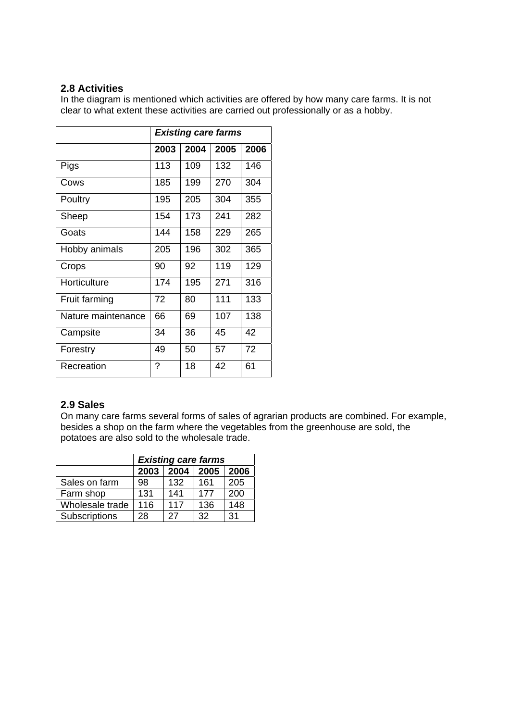#### **2.8 Activities**

In the diagram is mentioned which activities are offered by how many care farms. It is not clear to what extent these activities are carried out professionally or as a hobby.

|                    |      | <b>Existing care farms</b> |      |      |
|--------------------|------|----------------------------|------|------|
|                    | 2003 | 2004                       | 2005 | 2006 |
| Pigs               | 113  | 109                        | 132  | 146  |
| Cows               | 185  | 199                        | 270  | 304  |
| Poultry            | 195  | 205                        | 304  | 355  |
| Sheep              | 154  | 173                        | 241  | 282  |
| Goats              | 144  | 158                        | 229  | 265  |
| Hobby animals      | 205  | 196                        | 302  | 365  |
| Crops              | 90   | 92                         | 119  | 129  |
| Horticulture       | 174  | 195                        | 271  | 316  |
| Fruit farming      | 72   | 80                         | 111  | 133  |
| Nature maintenance | 66   | 69                         | 107  | 138  |
| Campsite           | 34   | 36                         | 45   | 42   |
| Forestry           | 49   | 50                         | 57   | 72   |
| Recreation         | ?    | 18                         | 42   | 61   |

#### **2.9 Sales**

On many care farms several forms of sales of agrarian products are combined. For example, besides a shop on the farm where the vegetables from the greenhouse are sold, the potatoes are also sold to the wholesale trade.

|                 | <b>Existing care farms</b> |      |     |     |  |  |  |  |
|-----------------|----------------------------|------|-----|-----|--|--|--|--|
|                 | 2003                       | 2006 |     |     |  |  |  |  |
| Sales on farm   | 98                         | 132  | 161 | 205 |  |  |  |  |
| Farm shop       | 131                        | 141  | 177 | 200 |  |  |  |  |
| Wholesale trade | 116                        | 117  | 136 | 148 |  |  |  |  |
| Subscriptions   | 28                         | 27   | 32  | 31  |  |  |  |  |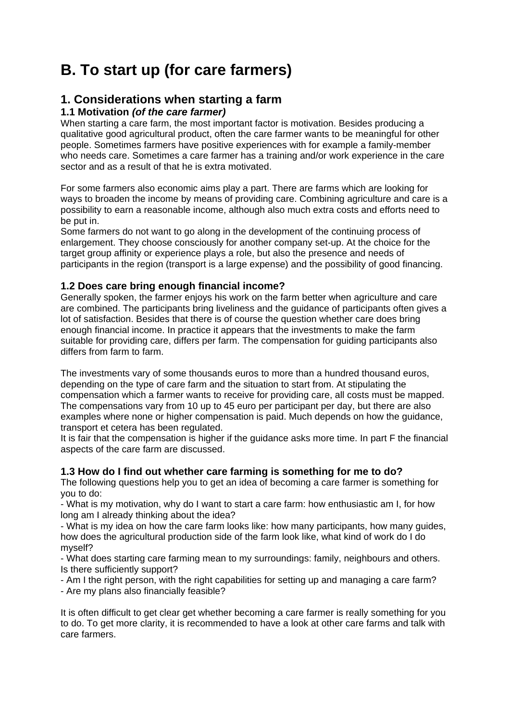# **B. To start up (for care farmers)**

## **1. Considerations when starting a farm**

#### **1.1 Motivation** *(of the care farmer)*

When starting a care farm, the most important factor is motivation. Besides producing a qualitative good agricultural product, often the care farmer wants to be meaningful for other people. Sometimes farmers have positive experiences with for example a family-member who needs care. Sometimes a care farmer has a training and/or work experience in the care sector and as a result of that he is extra motivated.

For some farmers also economic aims play a part. There are farms which are looking for ways to broaden the income by means of providing care. Combining agriculture and care is a possibility to earn a reasonable income, although also much extra costs and efforts need to be put in.

Some farmers do not want to go along in the development of the continuing process of enlargement. They choose consciously for another company set-up. At the choice for the target group affinity or experience plays a role, but also the presence and needs of participants in the region (transport is a large expense) and the possibility of good financing.

#### **1.2 Does care bring enough financial income?**

Generally spoken, the farmer enjoys his work on the farm better when agriculture and care are combined. The participants bring liveliness and the guidance of participants often gives a lot of satisfaction. Besides that there is of course the question whether care does bring enough financial income. In practice it appears that the investments to make the farm suitable for providing care, differs per farm. The compensation for guiding participants also differs from farm to farm.

The investments vary of some thousands euros to more than a hundred thousand euros, depending on the type of care farm and the situation to start from. At stipulating the compensation which a farmer wants to receive for providing care, all costs must be mapped. The compensations vary from 10 up to 45 euro per participant per day, but there are also examples where none or higher compensation is paid. Much depends on how the guidance, transport et cetera has been regulated.

It is fair that the compensation is higher if the guidance asks more time. In part F the financial aspects of the care farm are discussed.

#### **1.3 How do I find out whether care farming is something for me to do?**

The following questions help you to get an idea of becoming a care farmer is something for you to do:

- What is my motivation, why do I want to start a care farm: how enthusiastic am I, for how long am I already thinking about the idea?

- What is my idea on how the care farm looks like: how many participants, how many guides, how does the agricultural production side of the farm look like, what kind of work do I do myself?

- What does starting care farming mean to my surroundings: family, neighbours and others. Is there sufficiently support?

- Am I the right person, with the right capabilities for setting up and managing a care farm? - Are my plans also financially feasible?

It is often difficult to get clear get whether becoming a care farmer is really something for you to do. To get more clarity, it is recommended to have a look at other care farms and talk with care farmers.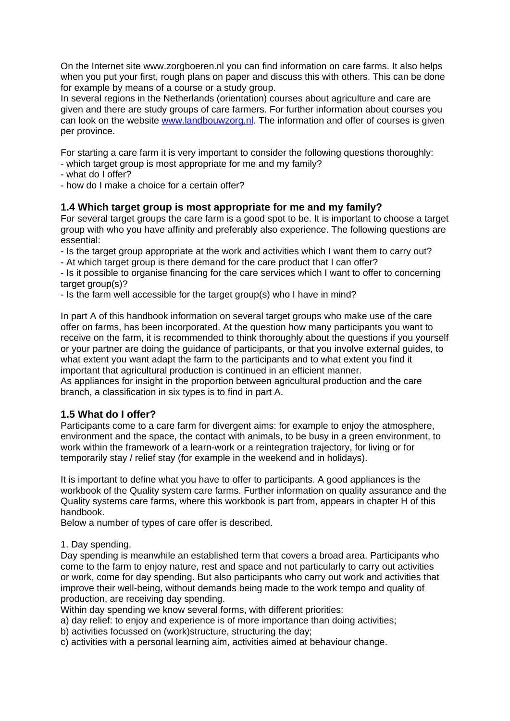On the Internet site www.zorgboeren.nl you can find information on care farms. It also helps when you put your first, rough plans on paper and discuss this with others. This can be done for example by means of a course or a study group.

In several regions in the Netherlands (orientation) courses about agriculture and care are given and there are study groups of care farmers. For further information about courses you can look on the website www.landbouwzorg.nl. The information and offer of courses is given per province.

For starting a care farm it is very important to consider the following questions thoroughly:

- which target group is most appropriate for me and my family?
- what do I offer?
- how do I make a choice for a certain offer?

#### **1.4 Which target group is most appropriate for me and my family?**

For several target groups the care farm is a good spot to be. It is important to choose a target group with who you have affinity and preferably also experience. The following questions are essential:

- Is the target group appropriate at the work and activities which I want them to carry out?

- At which target group is there demand for the care product that I can offer?

- Is it possible to organise financing for the care services which I want to offer to concerning  $t$ arget group $(s)$ ?

- Is the farm well accessible for the target group(s) who I have in mind?

In part A of this handbook information on several target groups who make use of the care offer on farms, has been incorporated. At the question how many participants you want to receive on the farm, it is recommended to think thoroughly about the questions if you yourself or your partner are doing the guidance of participants, or that you involve external guides, to what extent you want adapt the farm to the participants and to what extent you find it important that agricultural production is continued in an efficient manner.

As appliances for insight in the proportion between agricultural production and the care branch, a classification in six types is to find in part A.

#### **1.5 What do I offer?**

Participants come to a care farm for divergent aims: for example to enjoy the atmosphere, environment and the space, the contact with animals, to be busy in a green environment, to work within the framework of a learn-work or a reintegration trajectory, for living or for temporarily stay / relief stay (for example in the weekend and in holidays).

It is important to define what you have to offer to participants. A good appliances is the workbook of the Quality system care farms. Further information on quality assurance and the Quality systems care farms, where this workbook is part from, appears in chapter H of this handbook.

Below a number of types of care offer is described.

#### 1. Day spending.

Day spending is meanwhile an established term that covers a broad area. Participants who come to the farm to enjoy nature, rest and space and not particularly to carry out activities or work, come for day spending. But also participants who carry out work and activities that improve their well-being, without demands being made to the work tempo and quality of production, are receiving day spending.

Within day spending we know several forms, with different priorities:

a) day relief: to enjoy and experience is of more importance than doing activities;

b) activities focussed on (work)structure, structuring the day;

c) activities with a personal learning aim, activities aimed at behaviour change.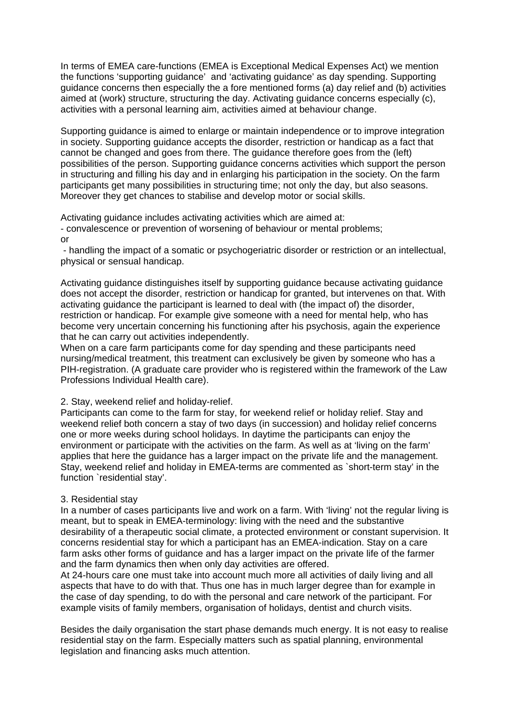In terms of EMEA care-functions (EMEA is Exceptional Medical Expenses Act) we mention the functions 'supporting guidance' and 'activating guidance' as day spending. Supporting guidance concerns then especially the a fore mentioned forms (a) day relief and (b) activities aimed at (work) structure, structuring the day. Activating guidance concerns especially (c), activities with a personal learning aim, activities aimed at behaviour change.

Supporting guidance is aimed to enlarge or maintain independence or to improve integration in society. Supporting guidance accepts the disorder, restriction or handicap as a fact that cannot be changed and goes from there. The guidance therefore goes from the (left) possibilities of the person. Supporting guidance concerns activities which support the person in structuring and filling his day and in enlarging his participation in the society. On the farm participants get many possibilities in structuring time; not only the day, but also seasons. Moreover they get chances to stabilise and develop motor or social skills.

Activating guidance includes activating activities which are aimed at:

- convalescence or prevention of worsening of behaviour or mental problems; or

 - handling the impact of a somatic or psychogeriatric disorder or restriction or an intellectual, physical or sensual handicap.

Activating guidance distinguishes itself by supporting guidance because activating guidance does not accept the disorder, restriction or handicap for granted, but intervenes on that. With activating guidance the participant is learned to deal with (the impact of) the disorder, restriction or handicap. For example give someone with a need for mental help, who has become very uncertain concerning his functioning after his psychosis, again the experience that he can carry out activities independently.

When on a care farm participants come for day spending and these participants need nursing/medical treatment, this treatment can exclusively be given by someone who has a PIH-registration. (A graduate care provider who is registered within the framework of the Law Professions Individual Health care).

#### 2. Stay, weekend relief and holiday-relief.

Participants can come to the farm for stay, for weekend relief or holiday relief. Stay and weekend relief both concern a stay of two days (in succession) and holiday relief concerns one or more weeks during school holidays. In daytime the participants can enjoy the environment or participate with the activities on the farm. As well as at 'living on the farm' applies that here the guidance has a larger impact on the private life and the management. Stay, weekend relief and holiday in EMEA-terms are commented as `short-term stay' in the function `residential stay'.

#### 3. Residential stay

In a number of cases participants live and work on a farm. With 'living' not the regular living is meant, but to speak in EMEA-terminology: living with the need and the substantive desirability of a therapeutic social climate, a protected environment or constant supervision. It concerns residential stay for which a participant has an EMEA-indication. Stay on a care farm asks other forms of guidance and has a larger impact on the private life of the farmer and the farm dynamics then when only day activities are offered.

At 24-hours care one must take into account much more all activities of daily living and all aspects that have to do with that. Thus one has in much larger degree than for example in the case of day spending, to do with the personal and care network of the participant. For example visits of family members, organisation of holidays, dentist and church visits.

Besides the daily organisation the start phase demands much energy. It is not easy to realise residential stay on the farm. Especially matters such as spatial planning, environmental legislation and financing asks much attention.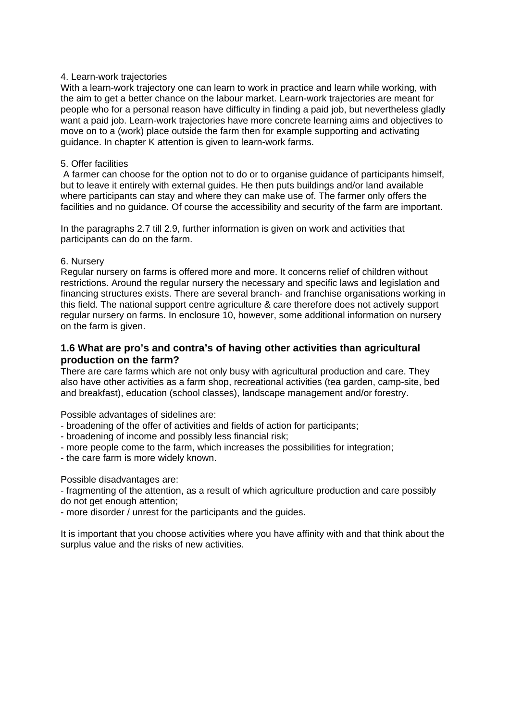#### 4. Learn-work trajectories

With a learn-work trajectory one can learn to work in practice and learn while working, with the aim to get a better chance on the labour market. Learn-work trajectories are meant for people who for a personal reason have difficulty in finding a paid job, but nevertheless gladly want a paid job. Learn-work trajectories have more concrete learning aims and objectives to move on to a (work) place outside the farm then for example supporting and activating guidance. In chapter K attention is given to learn-work farms.

#### 5. Offer facilities

 A farmer can choose for the option not to do or to organise guidance of participants himself, but to leave it entirely with external guides. He then puts buildings and/or land available where participants can stay and where they can make use of. The farmer only offers the facilities and no guidance. Of course the accessibility and security of the farm are important.

In the paragraphs 2.7 till 2.9, further information is given on work and activities that participants can do on the farm.

#### 6. Nursery

Regular nursery on farms is offered more and more. It concerns relief of children without restrictions. Around the regular nursery the necessary and specific laws and legislation and financing structures exists. There are several branch- and franchise organisations working in this field. The national support centre agriculture & care therefore does not actively support regular nursery on farms. In enclosure 10, however, some additional information on nursery on the farm is given.

#### **1.6 What are pro's and contra's of having other activities than agricultural production on the farm?**

There are care farms which are not only busy with agricultural production and care. They also have other activities as a farm shop, recreational activities (tea garden, camp-site, bed and breakfast), education (school classes), landscape management and/or forestry.

Possible advantages of sidelines are:

- broadening of the offer of activities and fields of action for participants;
- broadening of income and possibly less financial risk;
- more people come to the farm, which increases the possibilities for integration;
- the care farm is more widely known.

Possible disadvantages are:

- fragmenting of the attention, as a result of which agriculture production and care possibly do not get enough attention;

- more disorder / unrest for the participants and the guides.

It is important that you choose activities where you have affinity with and that think about the surplus value and the risks of new activities.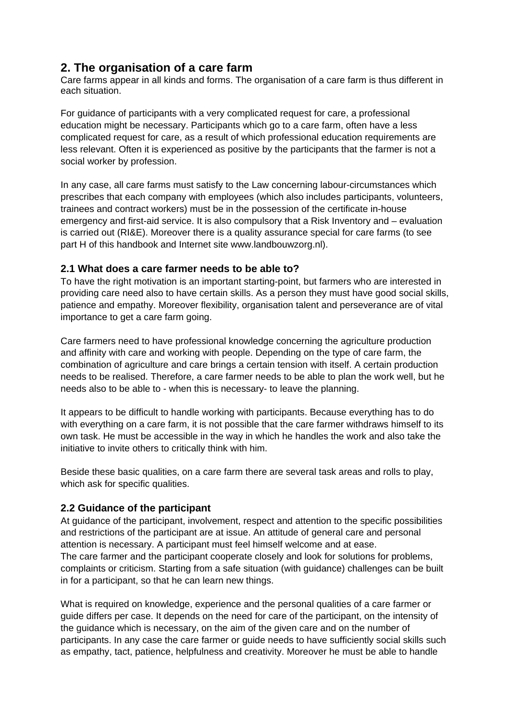### **2. The organisation of a care farm**

Care farms appear in all kinds and forms. The organisation of a care farm is thus different in each situation.

For guidance of participants with a very complicated request for care, a professional education might be necessary. Participants which go to a care farm, often have a less complicated request for care, as a result of which professional education requirements are less relevant. Often it is experienced as positive by the participants that the farmer is not a social worker by profession.

In any case, all care farms must satisfy to the Law concerning labour-circumstances which prescribes that each company with employees (which also includes participants, volunteers, trainees and contract workers) must be in the possession of the certificate in-house emergency and first-aid service. It is also compulsory that a Risk Inventory and – evaluation is carried out (RI&E). Moreover there is a quality assurance special for care farms (to see part H of this handbook and Internet site www.landbouwzorg.nl).

#### **2.1 What does a care farmer needs to be able to?**

To have the right motivation is an important starting-point, but farmers who are interested in providing care need also to have certain skills. As a person they must have good social skills, patience and empathy. Moreover flexibility, organisation talent and perseverance are of vital importance to get a care farm going.

Care farmers need to have professional knowledge concerning the agriculture production and affinity with care and working with people. Depending on the type of care farm, the combination of agriculture and care brings a certain tension with itself. A certain production needs to be realised. Therefore, a care farmer needs to be able to plan the work well, but he needs also to be able to - when this is necessary- to leave the planning.

It appears to be difficult to handle working with participants. Because everything has to do with everything on a care farm, it is not possible that the care farmer withdraws himself to its own task. He must be accessible in the way in which he handles the work and also take the initiative to invite others to critically think with him.

Beside these basic qualities, on a care farm there are several task areas and rolls to play, which ask for specific qualities.

#### **2.2 Guidance of the participant**

At guidance of the participant, involvement, respect and attention to the specific possibilities and restrictions of the participant are at issue. An attitude of general care and personal attention is necessary. A participant must feel himself welcome and at ease. The care farmer and the participant cooperate closely and look for solutions for problems, complaints or criticism. Starting from a safe situation (with guidance) challenges can be built in for a participant, so that he can learn new things.

What is required on knowledge, experience and the personal qualities of a care farmer or guide differs per case. It depends on the need for care of the participant, on the intensity of the guidance which is necessary, on the aim of the given care and on the number of participants. In any case the care farmer or guide needs to have sufficiently social skills such as empathy, tact, patience, helpfulness and creativity. Moreover he must be able to handle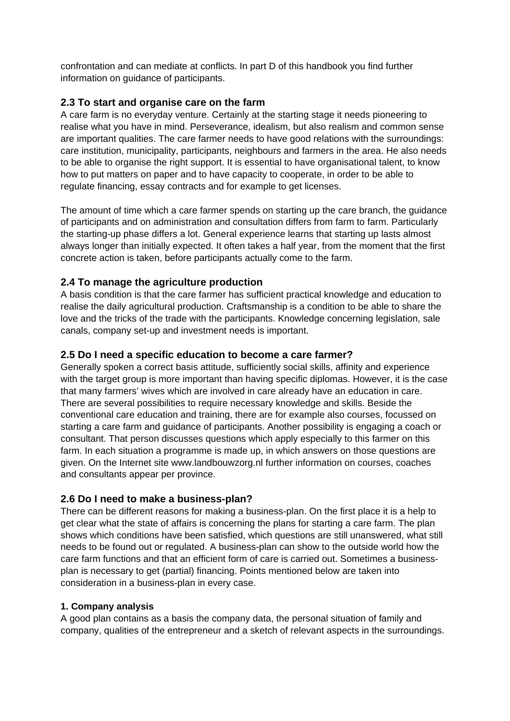confrontation and can mediate at conflicts. In part D of this handbook you find further information on guidance of participants.

#### **2.3 To start and organise care on the farm**

A care farm is no everyday venture. Certainly at the starting stage it needs pioneering to realise what you have in mind. Perseverance, idealism, but also realism and common sense are important qualities. The care farmer needs to have good relations with the surroundings: care institution, municipality, participants, neighbours and farmers in the area. He also needs to be able to organise the right support. It is essential to have organisational talent, to know how to put matters on paper and to have capacity to cooperate, in order to be able to regulate financing, essay contracts and for example to get licenses.

The amount of time which a care farmer spends on starting up the care branch, the guidance of participants and on administration and consultation differs from farm to farm. Particularly the starting-up phase differs a lot. General experience learns that starting up lasts almost always longer than initially expected. It often takes a half year, from the moment that the first concrete action is taken, before participants actually come to the farm.

#### **2.4 To manage the agriculture production**

A basis condition is that the care farmer has sufficient practical knowledge and education to realise the daily agricultural production. Craftsmanship is a condition to be able to share the love and the tricks of the trade with the participants. Knowledge concerning legislation, sale canals, company set-up and investment needs is important.

#### **2.5 Do I need a specific education to become a care farmer?**

Generally spoken a correct basis attitude, sufficiently social skills, affinity and experience with the target group is more important than having specific diplomas. However, it is the case that many farmers' wives which are involved in care already have an education in care. There are several possibilities to require necessary knowledge and skills. Beside the conventional care education and training, there are for example also courses, focussed on starting a care farm and guidance of participants. Another possibility is engaging a coach or consultant. That person discusses questions which apply especially to this farmer on this farm. In each situation a programme is made up, in which answers on those questions are given. On the Internet site www.landbouwzorg.nl further information on courses, coaches and consultants appear per province.

#### **2.6 Do I need to make a business-plan?**

There can be different reasons for making a business-plan. On the first place it is a help to get clear what the state of affairs is concerning the plans for starting a care farm. The plan shows which conditions have been satisfied, which questions are still unanswered, what still needs to be found out or regulated. A business-plan can show to the outside world how the care farm functions and that an efficient form of care is carried out. Sometimes a businessplan is necessary to get (partial) financing. Points mentioned below are taken into consideration in a business-plan in every case.

#### **1. Company analysis**

A good plan contains as a basis the company data, the personal situation of family and company, qualities of the entrepreneur and a sketch of relevant aspects in the surroundings.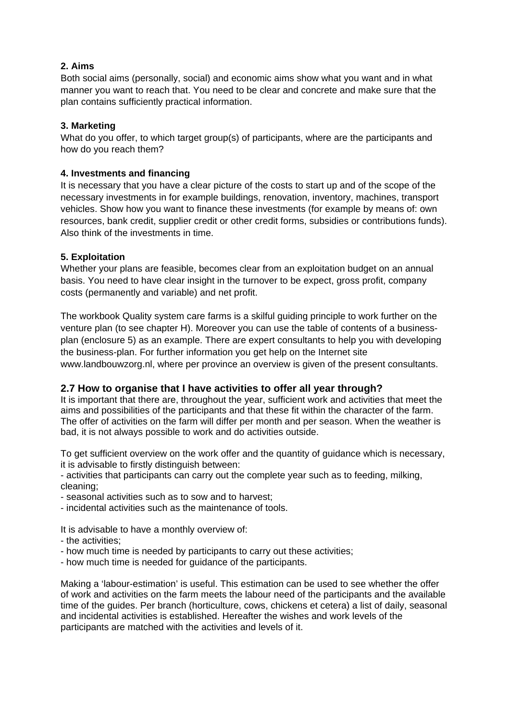#### **2. Aims**

Both social aims (personally, social) and economic aims show what you want and in what manner you want to reach that. You need to be clear and concrete and make sure that the plan contains sufficiently practical information.

#### **3. Marketing**

What do you offer, to which target group(s) of participants, where are the participants and how do you reach them?

#### **4. Investments and financing**

It is necessary that you have a clear picture of the costs to start up and of the scope of the necessary investments in for example buildings, renovation, inventory, machines, transport vehicles. Show how you want to finance these investments (for example by means of: own resources, bank credit, supplier credit or other credit forms, subsidies or contributions funds). Also think of the investments in time.

#### **5. Exploitation**

Whether your plans are feasible, becomes clear from an exploitation budget on an annual basis. You need to have clear insight in the turnover to be expect, gross profit, company costs (permanently and variable) and net profit.

The workbook Quality system care farms is a skilful guiding principle to work further on the venture plan (to see chapter H). Moreover you can use the table of contents of a businessplan (enclosure 5) as an example. There are expert consultants to help you with developing the business-plan. For further information you get help on the Internet site www.landbouwzorg.nl, where per province an overview is given of the present consultants.

#### **2.7 How to organise that I have activities to offer all year through?**

It is important that there are, throughout the year, sufficient work and activities that meet the aims and possibilities of the participants and that these fit within the character of the farm. The offer of activities on the farm will differ per month and per season. When the weather is bad, it is not always possible to work and do activities outside.

To get sufficient overview on the work offer and the quantity of guidance which is necessary, it is advisable to firstly distinguish between:

- activities that participants can carry out the complete year such as to feeding, milking, cleaning;

- seasonal activities such as to sow and to harvest;

- incidental activities such as the maintenance of tools.

It is advisable to have a monthly overview of:

- the activities;
- how much time is needed by participants to carry out these activities;
- how much time is needed for guidance of the participants.

Making a 'labour-estimation' is useful. This estimation can be used to see whether the offer of work and activities on the farm meets the labour need of the participants and the available time of the guides. Per branch (horticulture, cows, chickens et cetera) a list of daily, seasonal and incidental activities is established. Hereafter the wishes and work levels of the participants are matched with the activities and levels of it.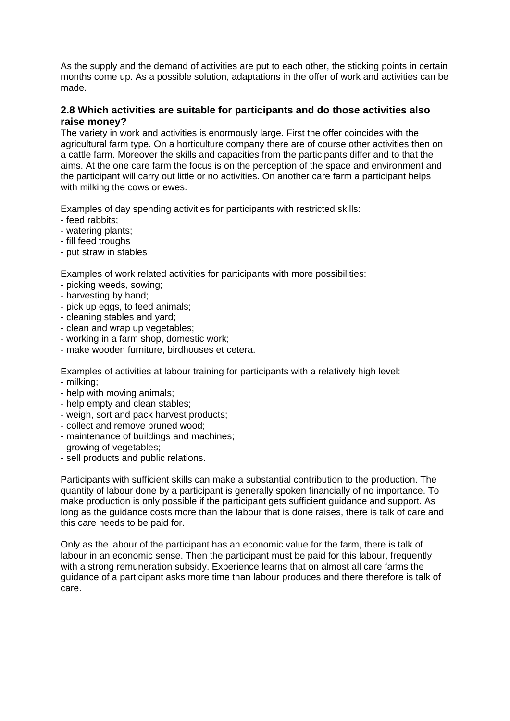As the supply and the demand of activities are put to each other, the sticking points in certain months come up. As a possible solution, adaptations in the offer of work and activities can be made.

#### **2.8 Which activities are suitable for participants and do those activities also raise money?**

The variety in work and activities is enormously large. First the offer coincides with the agricultural farm type. On a horticulture company there are of course other activities then on a cattle farm. Moreover the skills and capacities from the participants differ and to that the aims. At the one care farm the focus is on the perception of the space and environment and the participant will carry out little or no activities. On another care farm a participant helps with milking the cows or ewes.

Examples of day spending activities for participants with restricted skills:

- feed rabbits;
- watering plants:
- fill feed troughs
- put straw in stables

Examples of work related activities for participants with more possibilities:

- picking weeds, sowing;
- harvesting by hand;
- pick up eggs, to feed animals;
- cleaning stables and yard;
- clean and wrap up vegetables;
- working in a farm shop, domestic work;
- make wooden furniture, birdhouses et cetera.

Examples of activities at labour training for participants with a relatively high level:

- milking;
- help with moving animals;
- help empty and clean stables;
- weigh, sort and pack harvest products;
- collect and remove pruned wood;
- maintenance of buildings and machines;
- growing of vegetables;
- sell products and public relations.

Participants with sufficient skills can make a substantial contribution to the production. The quantity of labour done by a participant is generally spoken financially of no importance. To make production is only possible if the participant gets sufficient guidance and support. As long as the guidance costs more than the labour that is done raises, there is talk of care and this care needs to be paid for.

Only as the labour of the participant has an economic value for the farm, there is talk of labour in an economic sense. Then the participant must be paid for this labour, frequently with a strong remuneration subsidy. Experience learns that on almost all care farms the guidance of a participant asks more time than labour produces and there therefore is talk of care.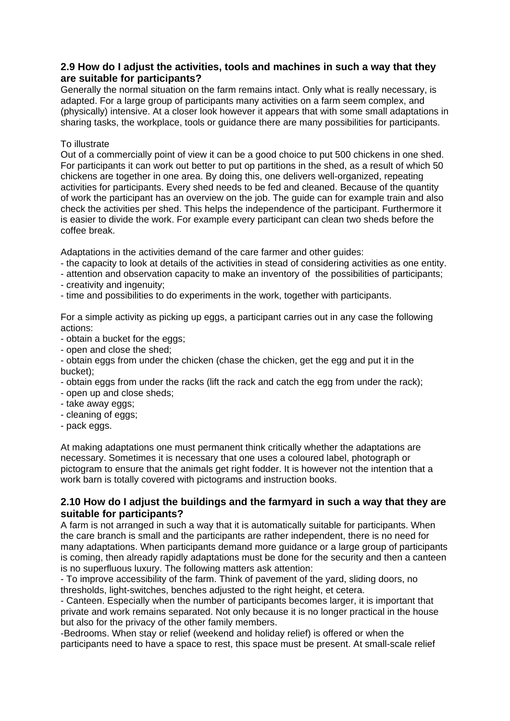#### **2.9 How do I adjust the activities, tools and machines in such a way that they are suitable for participants?**

Generally the normal situation on the farm remains intact. Only what is really necessary, is adapted. For a large group of participants many activities on a farm seem complex, and (physically) intensive. At a closer look however it appears that with some small adaptations in sharing tasks, the workplace, tools or guidance there are many possibilities for participants.

#### To illustrate

Out of a commercially point of view it can be a good choice to put 500 chickens in one shed. For participants it can work out better to put op partitions in the shed, as a result of which 50 chickens are together in one area. By doing this, one delivers well-organized, repeating activities for participants. Every shed needs to be fed and cleaned. Because of the quantity of work the participant has an overview on the job. The guide can for example train and also check the activities per shed. This helps the independence of the participant. Furthermore it is easier to divide the work. For example every participant can clean two sheds before the coffee break.

Adaptations in the activities demand of the care farmer and other guides:

- the capacity to look at details of the activities in stead of considering activities as one entity.

- attention and observation capacity to make an inventory of the possibilities of participants;

- creativity and ingenuity;
- time and possibilities to do experiments in the work, together with participants.

For a simple activity as picking up eggs, a participant carries out in any case the following actions:

- obtain a bucket for the eggs;
- open and close the shed;

- obtain eggs from under the chicken (chase the chicken, get the egg and put it in the bucket);

- obtain eggs from under the racks (lift the rack and catch the egg from under the rack);
- open up and close sheds;
- take away eggs;
- cleaning of eggs;
- pack eggs.

At making adaptations one must permanent think critically whether the adaptations are necessary. Sometimes it is necessary that one uses a coloured label, photograph or pictogram to ensure that the animals get right fodder. It is however not the intention that a work barn is totally covered with pictograms and instruction books.

#### **2.10 How do I adjust the buildings and the farmyard in such a way that they are suitable for participants?**

A farm is not arranged in such a way that it is automatically suitable for participants. When the care branch is small and the participants are rather independent, there is no need for many adaptations. When participants demand more guidance or a large group of participants is coming, then already rapidly adaptations must be done for the security and then a canteen is no superfluous luxury. The following matters ask attention:

- To improve accessibility of the farm. Think of pavement of the yard, sliding doors, no thresholds, light-switches, benches adjusted to the right height, et cetera.

- Canteen. Especially when the number of participants becomes larger, it is important that private and work remains separated. Not only because it is no longer practical in the house but also for the privacy of the other family members.

-Bedrooms. When stay or relief (weekend and holiday relief) is offered or when the participants need to have a space to rest, this space must be present. At small-scale relief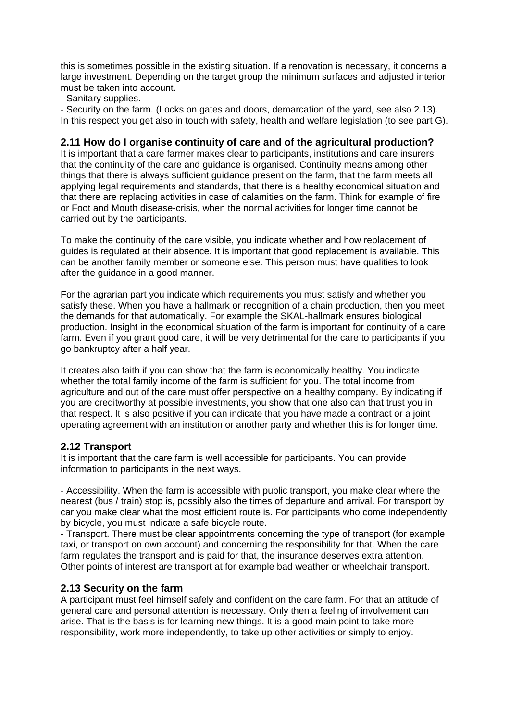this is sometimes possible in the existing situation. If a renovation is necessary, it concerns a large investment. Depending on the target group the minimum surfaces and adjusted interior must be taken into account.

- Sanitary supplies.

- Security on the farm. (Locks on gates and doors, demarcation of the yard, see also 2.13). In this respect you get also in touch with safety, health and welfare legislation (to see part G).

#### **2.11 How do I organise continuity of care and of the agricultural production?**

It is important that a care farmer makes clear to participants, institutions and care insurers that the continuity of the care and guidance is organised. Continuity means among other things that there is always sufficient guidance present on the farm, that the farm meets all applying legal requirements and standards, that there is a healthy economical situation and that there are replacing activities in case of calamities on the farm. Think for example of fire or Foot and Mouth disease-crisis, when the normal activities for longer time cannot be carried out by the participants.

To make the continuity of the care visible, you indicate whether and how replacement of guides is regulated at their absence. It is important that good replacement is available. This can be another family member or someone else. This person must have qualities to look after the guidance in a good manner.

For the agrarian part you indicate which requirements you must satisfy and whether you satisfy these. When you have a hallmark or recognition of a chain production, then you meet the demands for that automatically. For example the SKAL-hallmark ensures biological production. Insight in the economical situation of the farm is important for continuity of a care farm. Even if you grant good care, it will be very detrimental for the care to participants if you go bankruptcy after a half year.

It creates also faith if you can show that the farm is economically healthy. You indicate whether the total family income of the farm is sufficient for you. The total income from agriculture and out of the care must offer perspective on a healthy company. By indicating if you are creditworthy at possible investments, you show that one also can that trust you in that respect. It is also positive if you can indicate that you have made a contract or a joint operating agreement with an institution or another party and whether this is for longer time.

#### **2.12 Transport**

It is important that the care farm is well accessible for participants. You can provide information to participants in the next ways.

- Accessibility. When the farm is accessible with public transport, you make clear where the nearest (bus / train) stop is, possibly also the times of departure and arrival. For transport by car you make clear what the most efficient route is. For participants who come independently by bicycle, you must indicate a safe bicycle route.

- Transport. There must be clear appointments concerning the type of transport (for example taxi, or transport on own account) and concerning the responsibility for that. When the care farm regulates the transport and is paid for that, the insurance deserves extra attention. Other points of interest are transport at for example bad weather or wheelchair transport.

#### **2.13 Security on the farm**

A participant must feel himself safely and confident on the care farm. For that an attitude of general care and personal attention is necessary. Only then a feeling of involvement can arise. That is the basis is for learning new things. It is a good main point to take more responsibility, work more independently, to take up other activities or simply to enjoy.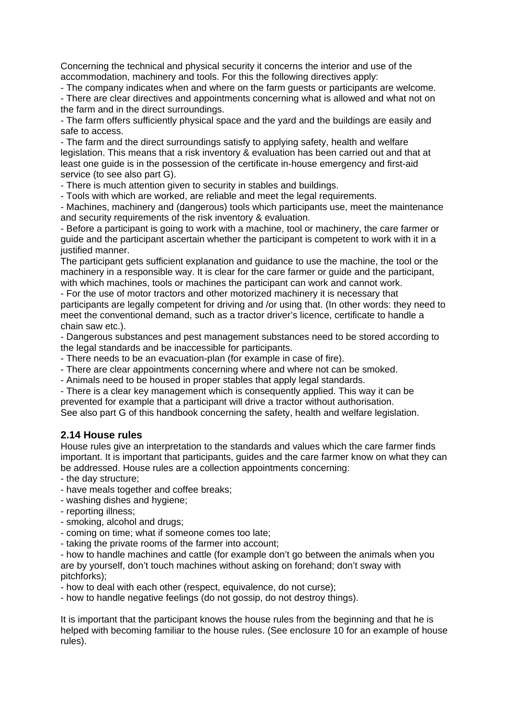Concerning the technical and physical security it concerns the interior and use of the accommodation, machinery and tools. For this the following directives apply:

- The company indicates when and where on the farm guests or participants are welcome.

- There are clear directives and appointments concerning what is allowed and what not on the farm and in the direct surroundings.

- The farm offers sufficiently physical space and the yard and the buildings are easily and safe to access.

- The farm and the direct surroundings satisfy to applying safety, health and welfare legislation. This means that a risk inventory & evaluation has been carried out and that at least one guide is in the possession of the certificate in-house emergency and first-aid service (to see also part G).

- There is much attention given to security in stables and buildings.

- Tools with which are worked, are reliable and meet the legal requirements.

- Machines, machinery and (dangerous) tools which participants use, meet the maintenance and security requirements of the risk inventory & evaluation.

- Before a participant is going to work with a machine, tool or machinery, the care farmer or guide and the participant ascertain whether the participant is competent to work with it in a justified manner.

The participant gets sufficient explanation and guidance to use the machine, the tool or the machinery in a responsible way. It is clear for the care farmer or guide and the participant, with which machines, tools or machines the participant can work and cannot work.

- For the use of motor tractors and other motorized machinery it is necessary that participants are legally competent for driving and /or using that. (In other words: they need to meet the conventional demand, such as a tractor driver's licence, certificate to handle a chain saw etc.).

- Dangerous substances and pest management substances need to be stored according to the legal standards and be inaccessible for participants.

- There needs to be an evacuation-plan (for example in case of fire).
- There are clear appointments concerning where and where not can be smoked.
- Animals need to be housed in proper stables that apply legal standards.

- There is a clear key management which is consequently applied. This way it can be prevented for example that a participant will drive a tractor without authorisation. See also part G of this handbook concerning the safety, health and welfare legislation.

#### **2.14 House rules**

House rules give an interpretation to the standards and values which the care farmer finds important. It is important that participants, guides and the care farmer know on what they can be addressed. House rules are a collection appointments concerning:

- the day structure;
- have meals together and coffee breaks;
- washing dishes and hygiene;
- reporting illness;
- smoking, alcohol and drugs;
- coming on time; what if someone comes too late;
- taking the private rooms of the farmer into account;

- how to handle machines and cattle (for example don't go between the animals when you are by yourself, don't touch machines without asking on forehand; don't sway with pitchforks);

- how to deal with each other (respect, equivalence, do not curse);

- how to handle negative feelings (do not gossip, do not destroy things).

It is important that the participant knows the house rules from the beginning and that he is helped with becoming familiar to the house rules. (See enclosure 10 for an example of house rules).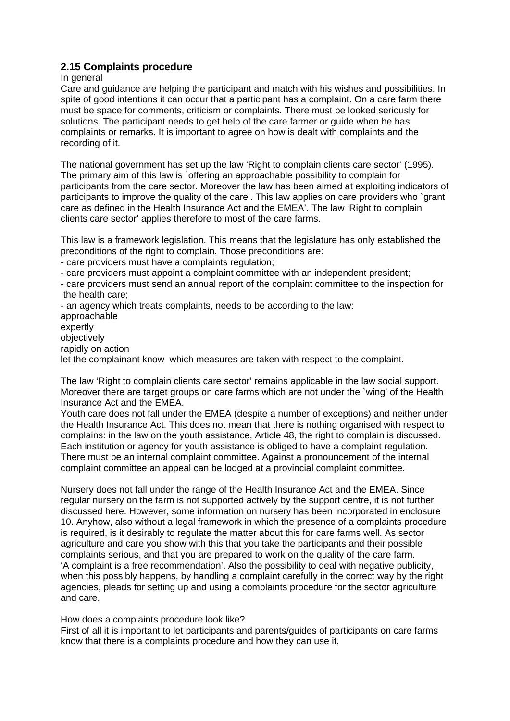#### **2.15 Complaints procedure**

#### In general

Care and guidance are helping the participant and match with his wishes and possibilities. In spite of good intentions it can occur that a participant has a complaint. On a care farm there must be space for comments, criticism or complaints. There must be looked seriously for solutions. The participant needs to get help of the care farmer or guide when he has complaints or remarks. It is important to agree on how is dealt with complaints and the recording of it.

The national government has set up the law 'Right to complain clients care sector' (1995). The primary aim of this law is `offering an approachable possibility to complain for participants from the care sector. Moreover the law has been aimed at exploiting indicators of participants to improve the quality of the care'. This law applies on care providers who `grant care as defined in the Health Insurance Act and the EMEA'. The law 'Right to complain clients care sector' applies therefore to most of the care farms.

This law is a framework legislation. This means that the legislature has only established the preconditions of the right to complain. Those preconditions are:

- care providers must have a complaints regulation;

- care providers must appoint a complaint committee with an independent president;

- care providers must send an annual report of the complaint committee to the inspection for the health care;

- an agency which treats complaints, needs to be according to the law: approachable expertly objectively rapidly on action

let the complainant know which measures are taken with respect to the complaint.

The law 'Right to complain clients care sector' remains applicable in the law social support. Moreover there are target groups on care farms which are not under the `wing' of the Health Insurance Act and the EMEA.

Youth care does not fall under the EMEA (despite a number of exceptions) and neither under the Health Insurance Act. This does not mean that there is nothing organised with respect to complains: in the law on the youth assistance, Article 48, the right to complain is discussed. Each institution or agency for youth assistance is obliged to have a complaint regulation. There must be an internal complaint committee. Against a pronouncement of the internal complaint committee an appeal can be lodged at a provincial complaint committee.

Nursery does not fall under the range of the Health Insurance Act and the EMEA. Since regular nursery on the farm is not supported actively by the support centre, it is not further discussed here. However, some information on nursery has been incorporated in enclosure 10. Anyhow, also without a legal framework in which the presence of a complaints procedure is required, is it desirably to regulate the matter about this for care farms well. As sector agriculture and care you show with this that you take the participants and their possible complaints serious, and that you are prepared to work on the quality of the care farm. 'A complaint is a free recommendation'. Also the possibility to deal with negative publicity, when this possibly happens, by handling a complaint carefully in the correct way by the right agencies, pleads for setting up and using a complaints procedure for the sector agriculture and care.

How does a complaints procedure look like?

First of all it is important to let participants and parents/guides of participants on care farms know that there is a complaints procedure and how they can use it.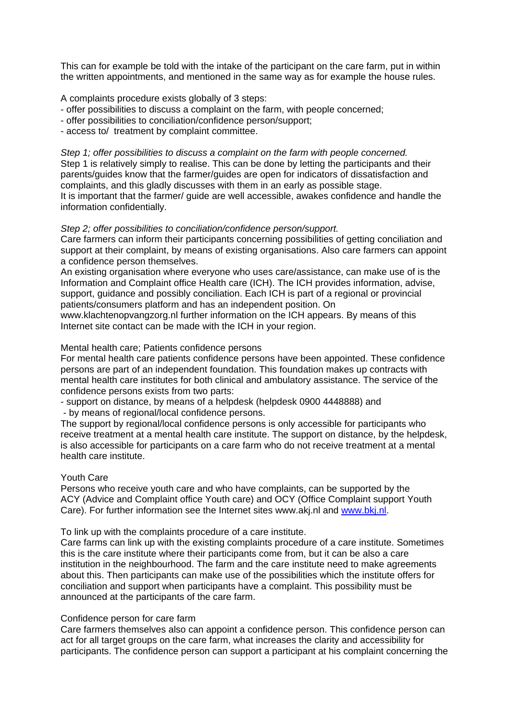This can for example be told with the intake of the participant on the care farm, put in within the written appointments, and mentioned in the same way as for example the house rules.

A complaints procedure exists globally of 3 steps:

- offer possibilities to discuss a complaint on the farm, with people concerned;
- offer possibilities to conciliation/confidence person/support;
- access to/ treatment by complaint committee.

*Step 1; offer possibilities to discuss a complaint on the farm with people concerned.*  Step 1 is relatively simply to realise. This can be done by letting the participants and their parents/guides know that the farmer/guides are open for indicators of dissatisfaction and complaints, and this gladly discusses with them in an early as possible stage. It is important that the farmer/ guide are well accessible, awakes confidence and handle the information confidentially.

#### *Step 2; offer possibilities to conciliation/confidence person/support.*

Care farmers can inform their participants concerning possibilities of getting conciliation and support at their complaint, by means of existing organisations. Also care farmers can appoint a confidence person themselves.

An existing organisation where everyone who uses care/assistance, can make use of is the Information and Complaint office Health care (ICH). The ICH provides information, advise, support, guidance and possibly conciliation. Each ICH is part of a regional or provincial patients/consumers platform and has an independent position. On

www.klachtenopvangzorg.nl further information on the ICH appears. By means of this Internet site contact can be made with the ICH in your region.

#### Mental health care; Patients confidence persons

For mental health care patients confidence persons have been appointed. These confidence persons are part of an independent foundation. This foundation makes up contracts with mental health care institutes for both clinical and ambulatory assistance. The service of the confidence persons exists from two parts:

- support on distance, by means of a helpdesk (helpdesk 0900 4448888) and

- by means of regional/local confidence persons.

The support by regional/local confidence persons is only accessible for participants who receive treatment at a mental health care institute. The support on distance, by the helpdesk, is also accessible for participants on a care farm who do not receive treatment at a mental health care institute.

#### Youth Care

Persons who receive youth care and who have complaints, can be supported by the ACY (Advice and Complaint office Youth care) and OCY (Office Complaint support Youth Care). For further information see the Internet sites www.akj.nl and www.bkj.nl.

To link up with the complaints procedure of a care institute.

Care farms can link up with the existing complaints procedure of a care institute. Sometimes this is the care institute where their participants come from, but it can be also a care institution in the neighbourhood. The farm and the care institute need to make agreements about this. Then participants can make use of the possibilities which the institute offers for conciliation and support when participants have a complaint. This possibility must be announced at the participants of the care farm.

#### Confidence person for care farm

Care farmers themselves also can appoint a confidence person. This confidence person can act for all target groups on the care farm, what increases the clarity and accessibility for participants. The confidence person can support a participant at his complaint concerning the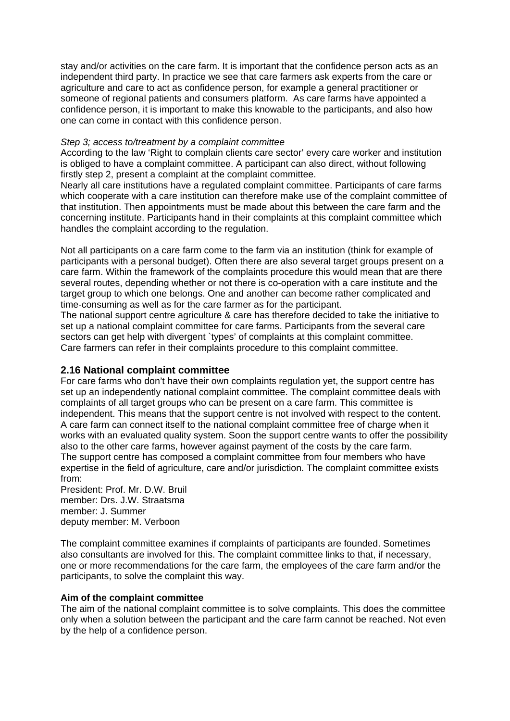stay and/or activities on the care farm. It is important that the confidence person acts as an independent third party. In practice we see that care farmers ask experts from the care or agriculture and care to act as confidence person, for example a general practitioner or someone of regional patients and consumers platform. As care farms have appointed a confidence person, it is important to make this knowable to the participants, and also how one can come in contact with this confidence person.

#### *Step 3; access to/treatment by a complaint committee*

According to the law 'Right to complain clients care sector' every care worker and institution is obliged to have a complaint committee. A participant can also direct, without following firstly step 2, present a complaint at the complaint committee.

Nearly all care institutions have a regulated complaint committee. Participants of care farms which cooperate with a care institution can therefore make use of the complaint committee of that institution. Then appointments must be made about this between the care farm and the concerning institute. Participants hand in their complaints at this complaint committee which handles the complaint according to the regulation.

Not all participants on a care farm come to the farm via an institution (think for example of participants with a personal budget). Often there are also several target groups present on a care farm. Within the framework of the complaints procedure this would mean that are there several routes, depending whether or not there is co-operation with a care institute and the target group to which one belongs. One and another can become rather complicated and time-consuming as well as for the care farmer as for the participant.

The national support centre agriculture & care has therefore decided to take the initiative to set up a national complaint committee for care farms. Participants from the several care sectors can get help with divergent `types' of complaints at this complaint committee. Care farmers can refer in their complaints procedure to this complaint committee.

# **2.16 National complaint committee**

For care farms who don't have their own complaints regulation yet, the support centre has set up an independently national complaint committee. The complaint committee deals with complaints of all target groups who can be present on a care farm. This committee is independent. This means that the support centre is not involved with respect to the content. A care farm can connect itself to the national complaint committee free of charge when it works with an evaluated quality system. Soon the support centre wants to offer the possibility also to the other care farms, however against payment of the costs by the care farm. The support centre has composed a complaint committee from four members who have expertise in the field of agriculture, care and/or jurisdiction. The complaint committee exists from:

President: Prof. Mr. D.W. Bruil member: Drs. J.W. Straatsma member: J. Summer deputy member: M. Verboon

The complaint committee examines if complaints of participants are founded. Sometimes also consultants are involved for this. The complaint committee links to that, if necessary, one or more recommendations for the care farm, the employees of the care farm and/or the participants, to solve the complaint this way.

#### **Aim of the complaint committee**

The aim of the national complaint committee is to solve complaints. This does the committee only when a solution between the participant and the care farm cannot be reached. Not even by the help of a confidence person.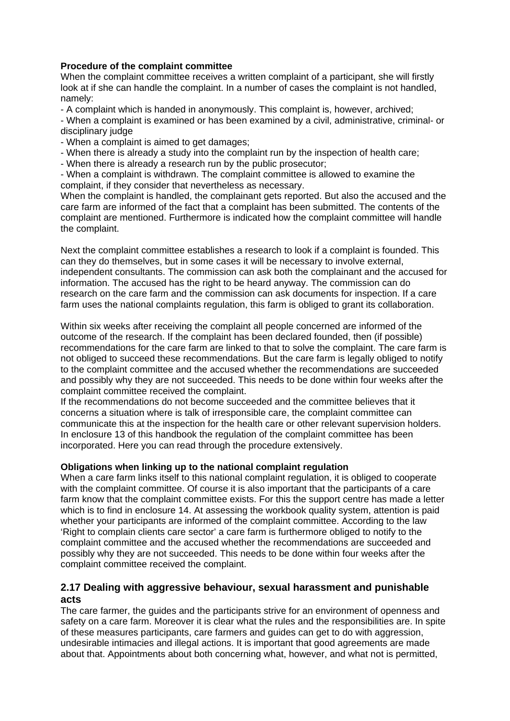#### **Procedure of the complaint committee**

When the complaint committee receives a written complaint of a participant, she will firstly look at if she can handle the complaint. In a number of cases the complaint is not handled, namely:

- A complaint which is handed in anonymously. This complaint is, however, archived;

- When a complaint is examined or has been examined by a civil, administrative, criminal- or disciplinary judge

- When a complaint is aimed to get damages;
- When there is already a study into the complaint run by the inspection of health care;
- When there is already a research run by the public prosecutor;

- When a complaint is withdrawn. The complaint committee is allowed to examine the complaint, if they consider that nevertheless as necessary.

When the complaint is handled, the complainant gets reported. But also the accused and the care farm are informed of the fact that a complaint has been submitted. The contents of the complaint are mentioned. Furthermore is indicated how the complaint committee will handle the complaint.

Next the complaint committee establishes a research to look if a complaint is founded. This can they do themselves, but in some cases it will be necessary to involve external, independent consultants. The commission can ask both the complainant and the accused for information. The accused has the right to be heard anyway. The commission can do research on the care farm and the commission can ask documents for inspection. If a care farm uses the national complaints regulation, this farm is obliged to grant its collaboration.

Within six weeks after receiving the complaint all people concerned are informed of the outcome of the research. If the complaint has been declared founded, then (if possible) recommendations for the care farm are linked to that to solve the complaint. The care farm is not obliged to succeed these recommendations. But the care farm is legally obliged to notify to the complaint committee and the accused whether the recommendations are succeeded and possibly why they are not succeeded. This needs to be done within four weeks after the complaint committee received the complaint.

If the recommendations do not become succeeded and the committee believes that it concerns a situation where is talk of irresponsible care, the complaint committee can communicate this at the inspection for the health care or other relevant supervision holders. In enclosure 13 of this handbook the regulation of the complaint committee has been incorporated. Here you can read through the procedure extensively.

#### **Obligations when linking up to the national complaint regulation**

When a care farm links itself to this national complaint regulation, it is obliged to cooperate with the complaint committee. Of course it is also important that the participants of a care farm know that the complaint committee exists. For this the support centre has made a letter which is to find in enclosure 14. At assessing the workbook quality system, attention is paid whether your participants are informed of the complaint committee. According to the law 'Right to complain clients care sector' a care farm is furthermore obliged to notify to the complaint committee and the accused whether the recommendations are succeeded and possibly why they are not succeeded. This needs to be done within four weeks after the complaint committee received the complaint.

### **2.17 Dealing with aggressive behaviour, sexual harassment and punishable acts**

The care farmer, the guides and the participants strive for an environment of openness and safety on a care farm. Moreover it is clear what the rules and the responsibilities are. In spite of these measures participants, care farmers and guides can get to do with aggression, undesirable intimacies and illegal actions. It is important that good agreements are made about that. Appointments about both concerning what, however, and what not is permitted,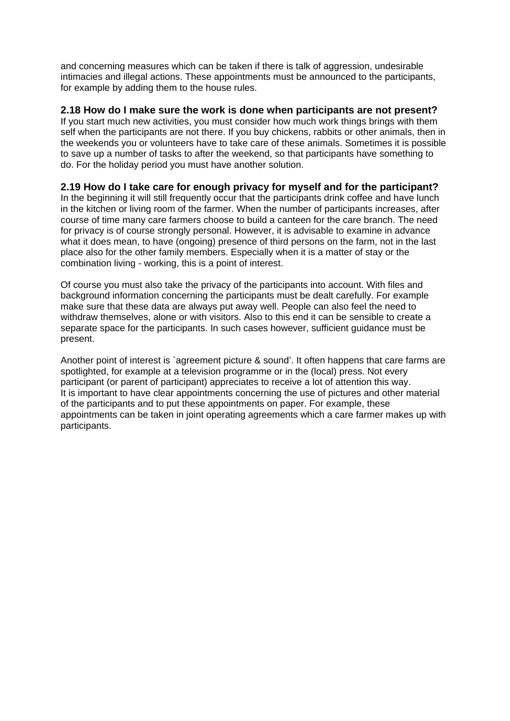and concerning measures which can be taken if there is talk of aggression, undesirable intimacies and illegal actions. These appointments must be announced to the participants, for example by adding them to the house rules.

### **2.18 How do I make sure the work is done when participants are not present?**

If you start much new activities, you must consider how much work things brings with them self when the participants are not there. If you buy chickens, rabbits or other animals, then in the weekends you or volunteers have to take care of these animals. Sometimes it is possible to save up a number of tasks to after the weekend, so that participants have something to do. For the holiday period you must have another solution.

# **2.19 How do I take care for enough privacy for myself and for the participant?**

In the beginning it will still frequently occur that the participants drink coffee and have lunch in the kitchen or living room of the farmer. When the number of participants increases, after course of time many care farmers choose to build a canteen for the care branch. The need for privacy is of course strongly personal. However, it is advisable to examine in advance what it does mean, to have (ongoing) presence of third persons on the farm, not in the last place also for the other family members. Especially when it is a matter of stay or the combination living - working, this is a point of interest.

Of course you must also take the privacy of the participants into account. With files and background information concerning the participants must be dealt carefully. For example make sure that these data are always put away well. People can also feel the need to withdraw themselves, alone or with visitors. Also to this end it can be sensible to create a separate space for the participants. In such cases however, sufficient guidance must be present.

Another point of interest is `agreement picture & sound'. It often happens that care farms are spotlighted, for example at a television programme or in the (local) press. Not every participant (or parent of participant) appreciates to receive a lot of attention this way. It is important to have clear appointments concerning the use of pictures and other material of the participants and to put these appointments on paper. For example, these appointments can be taken in joint operating agreements which a care farmer makes up with participants.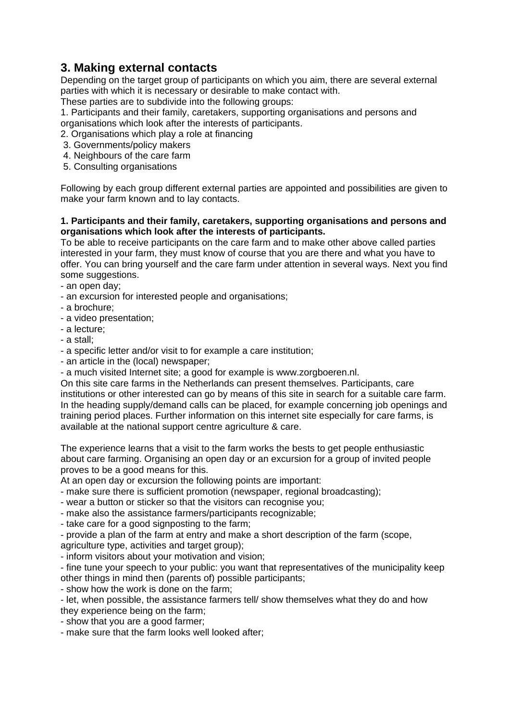# **3. Making external contacts**

Depending on the target group of participants on which you aim, there are several external parties with which it is necessary or desirable to make contact with. These parties are to subdivide into the following groups:

1. Participants and their family, caretakers, supporting organisations and persons and organisations which look after the interests of participants.

2. Organisations which play a role at financing

- 3. Governments/policy makers
- 4. Neighbours of the care farm
- 5. Consulting organisations

Following by each group different external parties are appointed and possibilities are given to make your farm known and to lay contacts.

#### **1. Participants and their family, caretakers, supporting organisations and persons and organisations which look after the interests of participants.**

To be able to receive participants on the care farm and to make other above called parties interested in your farm, they must know of course that you are there and what you have to offer. You can bring yourself and the care farm under attention in several ways. Next you find some suggestions.

- an open day;
- an excursion for interested people and organisations;
- a brochure;
- a video presentation;
- a lecture;
- a stall;
- a specific letter and/or visit to for example a care institution;
- an article in the (local) newspaper;
- a much visited Internet site; a good for example is www.zorgboeren.nl.

On this site care farms in the Netherlands can present themselves. Participants, care institutions or other interested can go by means of this site in search for a suitable care farm. In the heading supply/demand calls can be placed, for example concerning job openings and training period places. Further information on this internet site especially for care farms, is available at the national support centre agriculture & care.

The experience learns that a visit to the farm works the bests to get people enthusiastic about care farming. Organising an open day or an excursion for a group of invited people proves to be a good means for this.

At an open day or excursion the following points are important:

- make sure there is sufficient promotion (newspaper, regional broadcasting);
- wear a button or sticker so that the visitors can recognise you;
- make also the assistance farmers/participants recognizable;
- take care for a good signposting to the farm;

- provide a plan of the farm at entry and make a short description of the farm (scope,

agriculture type, activities and target group);

- inform visitors about your motivation and vision;

- fine tune your speech to your public: you want that representatives of the municipality keep other things in mind then (parents of) possible participants;

- show how the work is done on the farm;

- let, when possible, the assistance farmers tell/ show themselves what they do and how they experience being on the farm;

- show that you are a good farmer;

- make sure that the farm looks well looked after;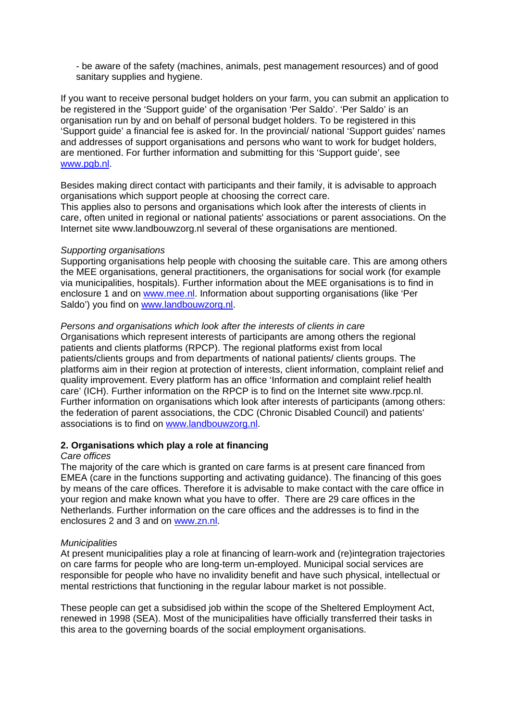- be aware of the safety (machines, animals, pest management resources) and of good sanitary supplies and hygiene.

If you want to receive personal budget holders on your farm, you can submit an application to be registered in the 'Support guide' of the organisation 'Per Saldo'. 'Per Saldo' is an organisation run by and on behalf of personal budget holders. To be registered in this 'Support guide' a financial fee is asked for. In the provincial/ national 'Support guides' names and addresses of support organisations and persons who want to work for budget holders, are mentioned. For further information and submitting for this 'Support guide', see www.pgb.nl.

Besides making direct contact with participants and their family, it is advisable to approach organisations which support people at choosing the correct care.

This applies also to persons and organisations which look after the interests of clients in care, often united in regional or national patients' associations or parent associations. On the Internet site www.landbouwzorg.nl several of these organisations are mentioned.

#### *Supporting organisations*

Supporting organisations help people with choosing the suitable care. This are among others the MEE organisations, general practitioners, the organisations for social work (for example via municipalities, hospitals). Further information about the MEE organisations is to find in enclosure 1 and on www.mee.nl. Information about supporting organisations (like 'Per Saldo') you find on www.landbouwzorg.nl.

#### *Persons and organisations which look after the interests of clients in care*

Organisations which represent interests of participants are among others the regional patients and clients platforms (RPCP). The regional platforms exist from local patients/clients groups and from departments of national patients/ clients groups. The platforms aim in their region at protection of interests, client information, complaint relief and quality improvement. Every platform has an office 'Information and complaint relief health care' (ICH). Further information on the RPCP is to find on the Internet site www.rpcp.nl. Further information on organisations which look after interests of participants (among others: the federation of parent associations, the CDC (Chronic Disabled Council) and patients' associations is to find on www.landbouwzorg.nl.

#### **2. Organisations which play a role at financing**

#### *Care offices*

The majority of the care which is granted on care farms is at present care financed from EMEA (care in the functions supporting and activating guidance). The financing of this goes by means of the care offices. Therefore it is advisable to make contact with the care office in your region and make known what you have to offer. There are 29 care offices in the Netherlands. Further information on the care offices and the addresses is to find in the enclosures 2 and 3 and on www.zn.nl.

#### *Municipalities*

At present municipalities play a role at financing of learn-work and (re)integration trajectories on care farms for people who are long-term un-employed. Municipal social services are responsible for people who have no invalidity benefit and have such physical, intellectual or mental restrictions that functioning in the regular labour market is not possible.

These people can get a subsidised job within the scope of the Sheltered Employment Act, renewed in 1998 (SEA). Most of the municipalities have officially transferred their tasks in this area to the governing boards of the social employment organisations.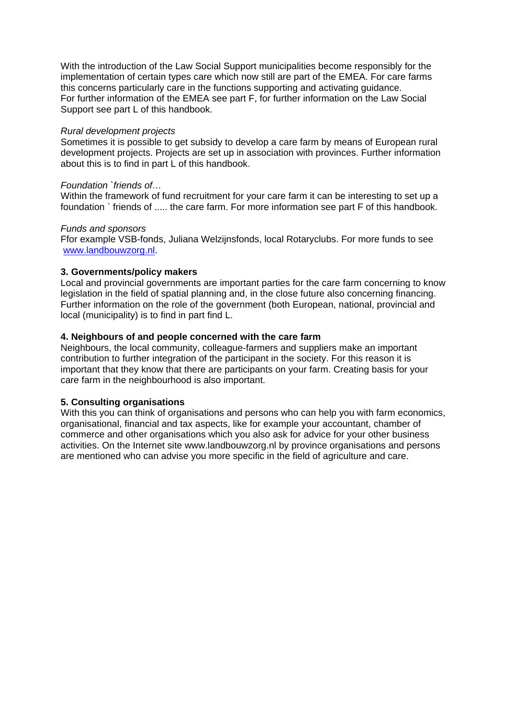With the introduction of the Law Social Support municipalities become responsibly for the implementation of certain types care which now still are part of the EMEA. For care farms this concerns particularly care in the functions supporting and activating guidance. For further information of the EMEA see part F, for further information on the Law Social Support see part L of this handbook.

#### *Rural development projects*

Sometimes it is possible to get subsidy to develop a care farm by means of European rural development projects. Projects are set up in association with provinces. Further information about this is to find in part L of this handbook.

#### *Foundation `friends of…*

Within the framework of fund recruitment for your care farm it can be interesting to set up a foundation ` friends of ..... the care farm. For more information see part F of this handbook.

#### *Funds and sponsors*

Ffor example VSB-fonds, Juliana Welzijnsfonds, local Rotaryclubs. For more funds to see www.landbouwzorg.nl.

#### **3. Governments/policy makers**

Local and provincial governments are important parties for the care farm concerning to know legislation in the field of spatial planning and, in the close future also concerning financing. Further information on the role of the government (both European, national, provincial and local (municipality) is to find in part find L.

#### **4. Neighbours of and people concerned with the care farm**

Neighbours, the local community, colleague-farmers and suppliers make an important contribution to further integration of the participant in the society. For this reason it is important that they know that there are participants on your farm. Creating basis for your care farm in the neighbourhood is also important.

#### **5. Consulting organisations**

With this you can think of organisations and persons who can help you with farm economics, organisational, financial and tax aspects, like for example your accountant, chamber of commerce and other organisations which you also ask for advice for your other business activities. On the Internet site www.landbouwzorg.nl by province organisations and persons are mentioned who can advise you more specific in the field of agriculture and care.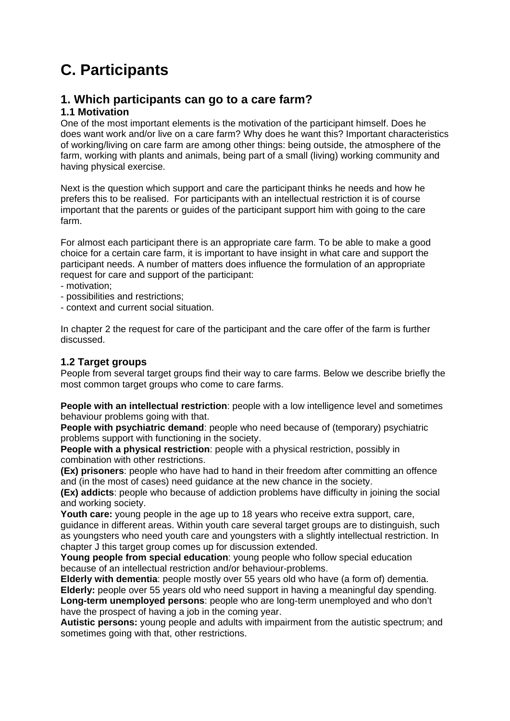# **C. Participants**

# **1. Which participants can go to a care farm?**

# **1.1 Motivation**

One of the most important elements is the motivation of the participant himself. Does he does want work and/or live on a care farm? Why does he want this? Important characteristics of working/living on care farm are among other things: being outside, the atmosphere of the farm, working with plants and animals, being part of a small (living) working community and having physical exercise.

Next is the question which support and care the participant thinks he needs and how he prefers this to be realised. For participants with an intellectual restriction it is of course important that the parents or guides of the participant support him with going to the care farm.

For almost each participant there is an appropriate care farm. To be able to make a good choice for a certain care farm, it is important to have insight in what care and support the participant needs. A number of matters does influence the formulation of an appropriate request for care and support of the participant:

- motivation;
- possibilities and restrictions;
- context and current social situation.

In chapter 2 the request for care of the participant and the care offer of the farm is further discussed.

# **1.2 Target groups**

People from several target groups find their way to care farms. Below we describe briefly the most common target groups who come to care farms.

**People with an intellectual restriction**: people with a low intelligence level and sometimes behaviour problems going with that.

**People with psychiatric demand:** people who need because of (temporary) psychiatric problems support with functioning in the society.

**People with a physical restriction**: people with a physical restriction, possibly in combination with other restrictions.

**(Ex) prisoners**: people who have had to hand in their freedom after committing an offence and (in the most of cases) need guidance at the new chance in the society.

**(Ex) addicts**: people who because of addiction problems have difficulty in joining the social and working society.

**Youth care:** young people in the age up to 18 years who receive extra support, care, guidance in different areas. Within youth care several target groups are to distinguish, such

as youngsters who need youth care and youngsters with a slightly intellectual restriction. In chapter J this target group comes up for discussion extended.

**Young people from special education**: young people who follow special education because of an intellectual restriction and/or behaviour-problems.

**Elderly with dementia**: people mostly over 55 years old who have (a form of) dementia. **Elderly:** people over 55 years old who need support in having a meaningful day spending. **Long-term unemployed persons**: people who are long-term unemployed and who don't have the prospect of having a job in the coming year.

**Autistic persons:** young people and adults with impairment from the autistic spectrum; and sometimes going with that, other restrictions.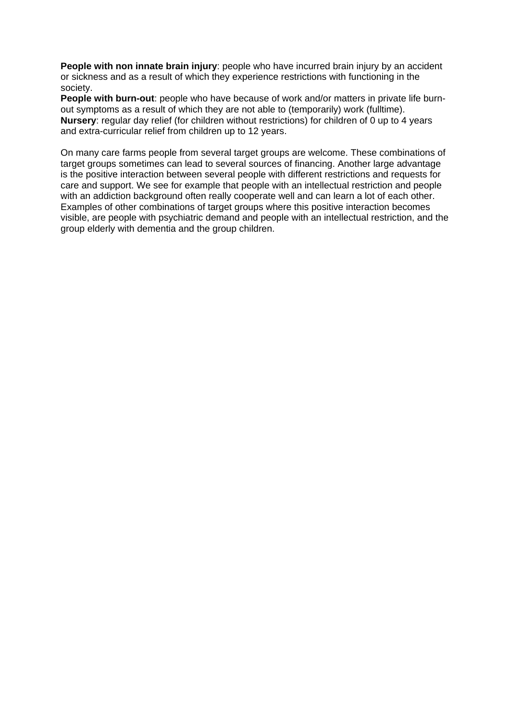**People with non innate brain injury**: people who have incurred brain injury by an accident or sickness and as a result of which they experience restrictions with functioning in the society.

**People with burn-out**: people who have because of work and/or matters in private life burnout symptoms as a result of which they are not able to (temporarily) work (fulltime). **Nursery**: regular day relief (for children without restrictions) for children of 0 up to 4 years and extra-curricular relief from children up to 12 years.

On many care farms people from several target groups are welcome. These combinations of target groups sometimes can lead to several sources of financing. Another large advantage is the positive interaction between several people with different restrictions and requests for care and support. We see for example that people with an intellectual restriction and people with an addiction background often really cooperate well and can learn a lot of each other. Examples of other combinations of target groups where this positive interaction becomes visible, are people with psychiatric demand and people with an intellectual restriction, and the group elderly with dementia and the group children.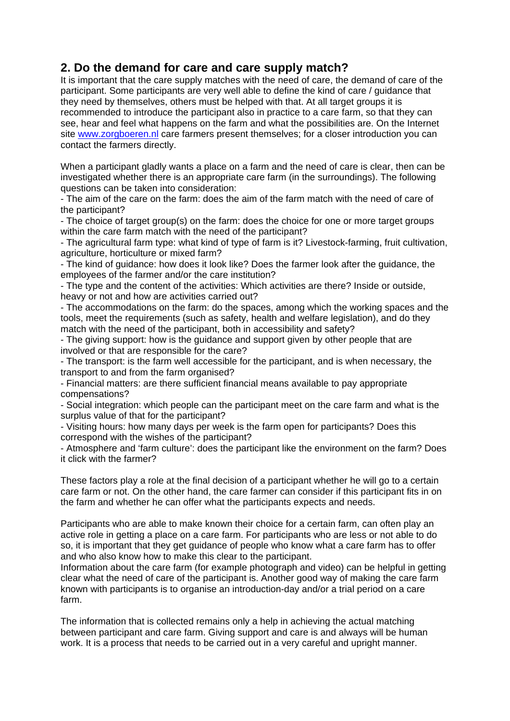# **2. Do the demand for care and care supply match?**

It is important that the care supply matches with the need of care, the demand of care of the participant. Some participants are very well able to define the kind of care / guidance that they need by themselves, others must be helped with that. At all target groups it is recommended to introduce the participant also in practice to a care farm, so that they can see, hear and feel what happens on the farm and what the possibilities are. On the Internet site www.zorgboeren.nl care farmers present themselves; for a closer introduction you can contact the farmers directly.

When a participant gladly wants a place on a farm and the need of care is clear, then can be investigated whether there is an appropriate care farm (in the surroundings). The following questions can be taken into consideration:

- The aim of the care on the farm: does the aim of the farm match with the need of care of the participant?

- The choice of target group(s) on the farm: does the choice for one or more target groups within the care farm match with the need of the participant?

- The agricultural farm type: what kind of type of farm is it? Livestock-farming, fruit cultivation, agriculture, horticulture or mixed farm?

- The kind of guidance: how does it look like? Does the farmer look after the guidance, the employees of the farmer and/or the care institution?

- The type and the content of the activities: Which activities are there? Inside or outside, heavy or not and how are activities carried out?

- The accommodations on the farm: do the spaces, among which the working spaces and the tools, meet the requirements (such as safety, health and welfare legislation), and do they match with the need of the participant, both in accessibility and safety?

- The giving support: how is the guidance and support given by other people that are involved or that are responsible for the care?

- The transport: is the farm well accessible for the participant, and is when necessary, the transport to and from the farm organised?

- Financial matters: are there sufficient financial means available to pay appropriate compensations?

- Social integration: which people can the participant meet on the care farm and what is the surplus value of that for the participant?

- Visiting hours: how many days per week is the farm open for participants? Does this correspond with the wishes of the participant?

- Atmosphere and 'farm culture': does the participant like the environment on the farm? Does it click with the farmer?

These factors play a role at the final decision of a participant whether he will go to a certain care farm or not. On the other hand, the care farmer can consider if this participant fits in on the farm and whether he can offer what the participants expects and needs.

Participants who are able to make known their choice for a certain farm, can often play an active role in getting a place on a care farm. For participants who are less or not able to do so, it is important that they get guidance of people who know what a care farm has to offer and who also know how to make this clear to the participant.

Information about the care farm (for example photograph and video) can be helpful in getting clear what the need of care of the participant is. Another good way of making the care farm known with participants is to organise an introduction-day and/or a trial period on a care farm.

The information that is collected remains only a help in achieving the actual matching between participant and care farm. Giving support and care is and always will be human work. It is a process that needs to be carried out in a very careful and upright manner.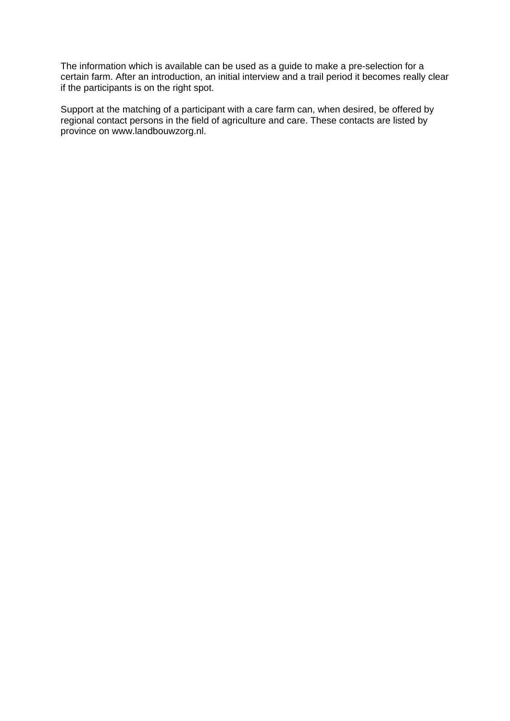The information which is available can be used as a guide to make a pre-selection for a certain farm. After an introduction, an initial interview and a trail period it becomes really clear if the participants is on the right spot.

Support at the matching of a participant with a care farm can, when desired, be offered by regional contact persons in the field of agriculture and care. These contacts are listed by province on www.landbouwzorg.nl.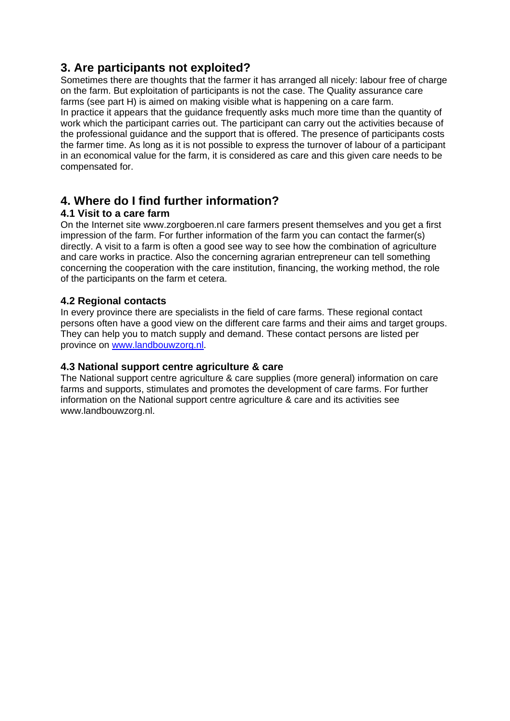# **3. Are participants not exploited?**

Sometimes there are thoughts that the farmer it has arranged all nicely: labour free of charge on the farm. But exploitation of participants is not the case. The Quality assurance care farms (see part H) is aimed on making visible what is happening on a care farm.

In practice it appears that the guidance frequently asks much more time than the quantity of work which the participant carries out. The participant can carry out the activities because of the professional guidance and the support that is offered. The presence of participants costs the farmer time. As long as it is not possible to express the turnover of labour of a participant in an economical value for the farm, it is considered as care and this given care needs to be compensated for.

# **4. Where do I find further information?**

# **4.1 Visit to a care farm**

On the Internet site www.zorgboeren.nl care farmers present themselves and you get a first impression of the farm. For further information of the farm you can contact the farmer(s) directly. A visit to a farm is often a good see way to see how the combination of agriculture and care works in practice. Also the concerning agrarian entrepreneur can tell something concerning the cooperation with the care institution, financing, the working method, the role of the participants on the farm et cetera.

# **4.2 Regional contacts**

In every province there are specialists in the field of care farms. These regional contact persons often have a good view on the different care farms and their aims and target groups. They can help you to match supply and demand. These contact persons are listed per province on www.landbouwzorg.nl.

# **4.3 National support centre agriculture & care**

The National support centre agriculture & care supplies (more general) information on care farms and supports, stimulates and promotes the development of care farms. For further information on the National support centre agriculture & care and its activities see www.landbouwzorg.nl.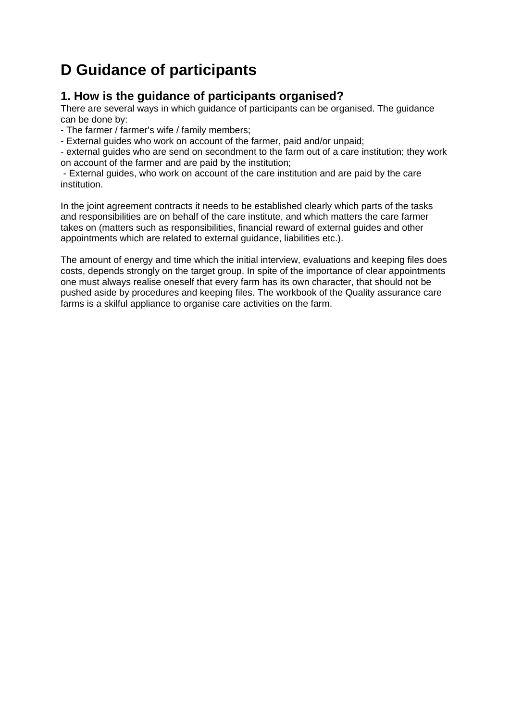# **D Guidance of participants**

# **1. How is the guidance of participants organised?**

There are several ways in which guidance of participants can be organised. The guidance can be done by:

- The farmer / farmer's wife / family members;

- External guides who work on account of the farmer, paid and/or unpaid;

- external guides who are send on secondment to the farm out of a care institution; they work on account of the farmer and are paid by the institution;

 - External guides, who work on account of the care institution and are paid by the care institution.

In the joint agreement contracts it needs to be established clearly which parts of the tasks and responsibilities are on behalf of the care institute, and which matters the care farmer takes on (matters such as responsibilities, financial reward of external guides and other appointments which are related to external guidance, liabilities etc.).

The amount of energy and time which the initial interview, evaluations and keeping files does costs, depends strongly on the target group. In spite of the importance of clear appointments one must always realise oneself that every farm has its own character, that should not be pushed aside by procedures and keeping files. The workbook of the Quality assurance care farms is a skilful appliance to organise care activities on the farm.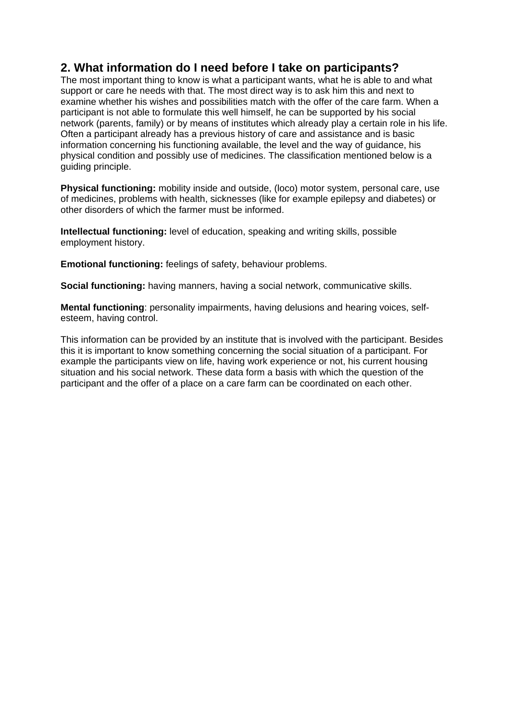# **2. What information do I need before I take on participants?**

The most important thing to know is what a participant wants, what he is able to and what support or care he needs with that. The most direct way is to ask him this and next to examine whether his wishes and possibilities match with the offer of the care farm. When a participant is not able to formulate this well himself, he can be supported by his social network (parents, family) or by means of institutes which already play a certain role in his life. Often a participant already has a previous history of care and assistance and is basic information concerning his functioning available, the level and the way of guidance, his physical condition and possibly use of medicines. The classification mentioned below is a guiding principle.

**Physical functioning:** mobility inside and outside, (loco) motor system, personal care, use of medicines, problems with health, sicknesses (like for example epilepsy and diabetes) or other disorders of which the farmer must be informed.

**Intellectual functioning:** level of education, speaking and writing skills, possible employment history.

**Emotional functioning:** feelings of safety, behaviour problems.

**Social functioning:** having manners, having a social network, communicative skills.

**Mental functioning**: personality impairments, having delusions and hearing voices, selfesteem, having control.

This information can be provided by an institute that is involved with the participant. Besides this it is important to know something concerning the social situation of a participant. For example the participants view on life, having work experience or not, his current housing situation and his social network. These data form a basis with which the question of the participant and the offer of a place on a care farm can be coordinated on each other.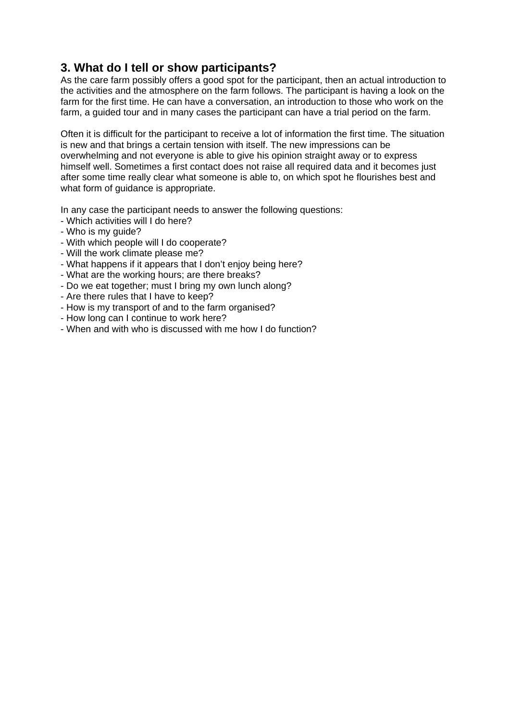# **3. What do I tell or show participants?**

As the care farm possibly offers a good spot for the participant, then an actual introduction to the activities and the atmosphere on the farm follows. The participant is having a look on the farm for the first time. He can have a conversation, an introduction to those who work on the farm, a guided tour and in many cases the participant can have a trial period on the farm.

Often it is difficult for the participant to receive a lot of information the first time. The situation is new and that brings a certain tension with itself. The new impressions can be overwhelming and not everyone is able to give his opinion straight away or to express himself well. Sometimes a first contact does not raise all required data and it becomes just after some time really clear what someone is able to, on which spot he flourishes best and what form of guidance is appropriate.

In any case the participant needs to answer the following questions:

- Which activities will I do here?
- Who is my guide?
- With which people will I do cooperate?
- Will the work climate please me?
- What happens if it appears that I don't enjoy being here?
- What are the working hours; are there breaks?
- Do we eat together; must I bring my own lunch along?
- Are there rules that I have to keep?
- How is my transport of and to the farm organised?
- How long can I continue to work here?
- When and with who is discussed with me how I do function?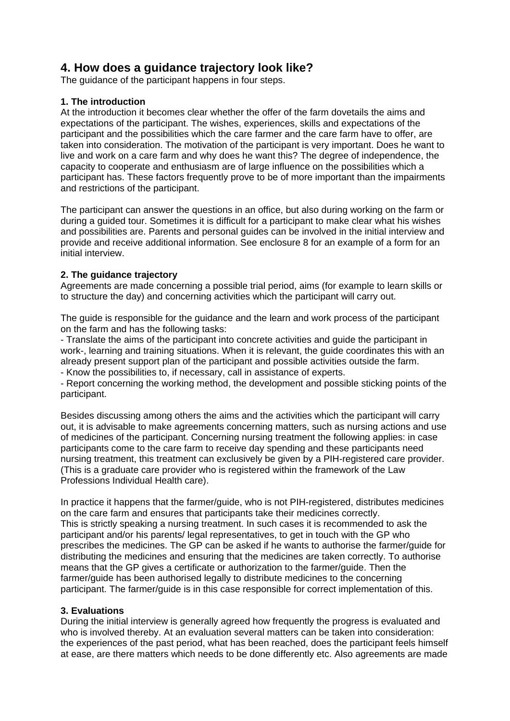# **4. How does a guidance trajectory look like?**

The guidance of the participant happens in four steps.

### **1. The introduction**

At the introduction it becomes clear whether the offer of the farm dovetails the aims and expectations of the participant. The wishes, experiences, skills and expectations of the participant and the possibilities which the care farmer and the care farm have to offer, are taken into consideration. The motivation of the participant is very important. Does he want to live and work on a care farm and why does he want this? The degree of independence, the capacity to cooperate and enthusiasm are of large influence on the possibilities which a participant has. These factors frequently prove to be of more important than the impairments and restrictions of the participant.

The participant can answer the questions in an office, but also during working on the farm or during a guided tour. Sometimes it is difficult for a participant to make clear what his wishes and possibilities are. Parents and personal guides can be involved in the initial interview and provide and receive additional information. See enclosure 8 for an example of a form for an initial interview.

### **2. The guidance trajectory**

Agreements are made concerning a possible trial period, aims (for example to learn skills or to structure the day) and concerning activities which the participant will carry out.

The guide is responsible for the guidance and the learn and work process of the participant on the farm and has the following tasks:

- Translate the aims of the participant into concrete activities and guide the participant in work-, learning and training situations. When it is relevant, the guide coordinates this with an already present support plan of the participant and possible activities outside the farm.

- Know the possibilities to, if necessary, call in assistance of experts.

- Report concerning the working method, the development and possible sticking points of the participant.

Besides discussing among others the aims and the activities which the participant will carry out, it is advisable to make agreements concerning matters, such as nursing actions and use of medicines of the participant. Concerning nursing treatment the following applies: in case participants come to the care farm to receive day spending and these participants need nursing treatment, this treatment can exclusively be given by a PIH-registered care provider. (This is a graduate care provider who is registered within the framework of the Law Professions Individual Health care).

In practice it happens that the farmer/guide, who is not PIH-registered, distributes medicines on the care farm and ensures that participants take their medicines correctly. This is strictly speaking a nursing treatment. In such cases it is recommended to ask the participant and/or his parents/ legal representatives, to get in touch with the GP who prescribes the medicines. The GP can be asked if he wants to authorise the farmer/guide for distributing the medicines and ensuring that the medicines are taken correctly. To authorise means that the GP gives a certificate or authorization to the farmer/guide. Then the farmer/guide has been authorised legally to distribute medicines to the concerning participant. The farmer/guide is in this case responsible for correct implementation of this.

# **3. Evaluations**

During the initial interview is generally agreed how frequently the progress is evaluated and who is involved thereby. At an evaluation several matters can be taken into consideration: the experiences of the past period, what has been reached, does the participant feels himself at ease, are there matters which needs to be done differently etc. Also agreements are made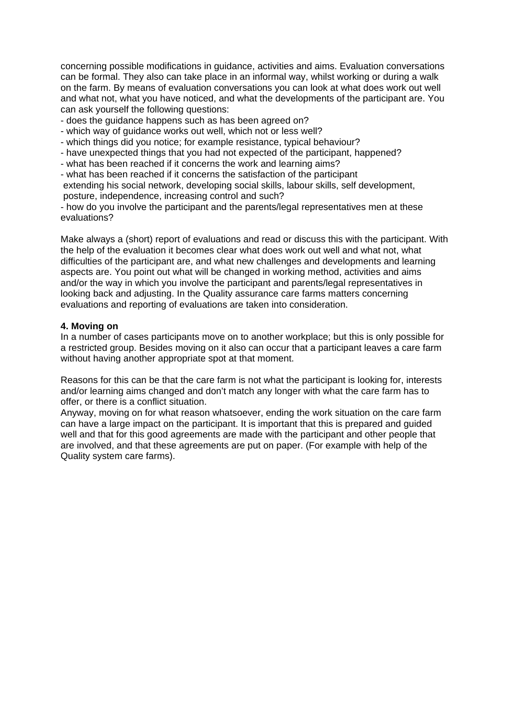concerning possible modifications in guidance, activities and aims. Evaluation conversations can be formal. They also can take place in an informal way, whilst working or during a walk on the farm. By means of evaluation conversations you can look at what does work out well and what not, what you have noticed, and what the developments of the participant are. You can ask yourself the following questions:

- does the guidance happens such as has been agreed on?
- which way of guidance works out well, which not or less well?
- which things did you notice; for example resistance, typical behaviour?
- have unexpected things that you had not expected of the participant, happened?
- what has been reached if it concerns the work and learning aims?
- what has been reached if it concerns the satisfaction of the participant

 extending his social network, developing social skills, labour skills, self development, posture, independence, increasing control and such?

- how do you involve the participant and the parents/legal representatives men at these evaluations?

Make always a (short) report of evaluations and read or discuss this with the participant. With the help of the evaluation it becomes clear what does work out well and what not, what difficulties of the participant are, and what new challenges and developments and learning aspects are. You point out what will be changed in working method, activities and aims and/or the way in which you involve the participant and parents/legal representatives in looking back and adjusting. In the Quality assurance care farms matters concerning evaluations and reporting of evaluations are taken into consideration.

#### **4. Moving on**

In a number of cases participants move on to another workplace; but this is only possible for a restricted group. Besides moving on it also can occur that a participant leaves a care farm without having another appropriate spot at that moment.

Reasons for this can be that the care farm is not what the participant is looking for, interests and/or learning aims changed and don't match any longer with what the care farm has to offer, or there is a conflict situation.

Anyway, moving on for what reason whatsoever, ending the work situation on the care farm can have a large impact on the participant. It is important that this is prepared and guided well and that for this good agreements are made with the participant and other people that are involved, and that these agreements are put on paper. (For example with help of the Quality system care farms).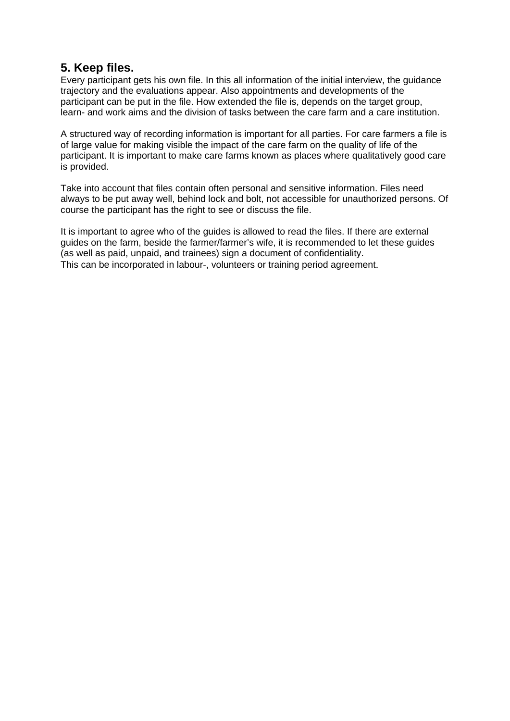# **5. Keep files.**

Every participant gets his own file. In this all information of the initial interview, the guidance trajectory and the evaluations appear. Also appointments and developments of the participant can be put in the file. How extended the file is, depends on the target group, learn- and work aims and the division of tasks between the care farm and a care institution.

A structured way of recording information is important for all parties. For care farmers a file is of large value for making visible the impact of the care farm on the quality of life of the participant. It is important to make care farms known as places where qualitatively good care is provided.

Take into account that files contain often personal and sensitive information. Files need always to be put away well, behind lock and bolt, not accessible for unauthorized persons. Of course the participant has the right to see or discuss the file.

It is important to agree who of the guides is allowed to read the files. If there are external guides on the farm, beside the farmer/farmer's wife, it is recommended to let these guides (as well as paid, unpaid, and trainees) sign a document of confidentiality. This can be incorporated in labour-, volunteers or training period agreement.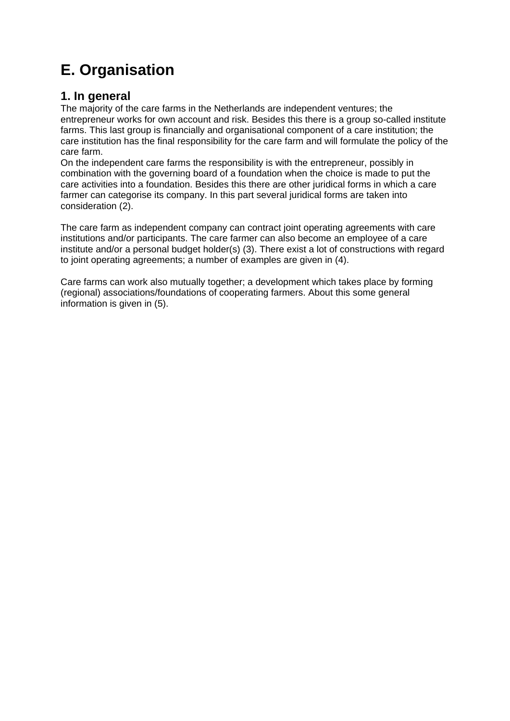# **E. Organisation**

# **1. In general**

The majority of the care farms in the Netherlands are independent ventures; the entrepreneur works for own account and risk. Besides this there is a group so-called institute farms. This last group is financially and organisational component of a care institution; the care institution has the final responsibility for the care farm and will formulate the policy of the care farm.

On the independent care farms the responsibility is with the entrepreneur, possibly in combination with the governing board of a foundation when the choice is made to put the care activities into a foundation. Besides this there are other juridical forms in which a care farmer can categorise its company. In this part several juridical forms are taken into consideration (2).

The care farm as independent company can contract joint operating agreements with care institutions and/or participants. The care farmer can also become an employee of a care institute and/or a personal budget holder(s) (3). There exist a lot of constructions with regard to joint operating agreements; a number of examples are given in (4).

Care farms can work also mutually together; a development which takes place by forming (regional) associations/foundations of cooperating farmers. About this some general information is given in (5).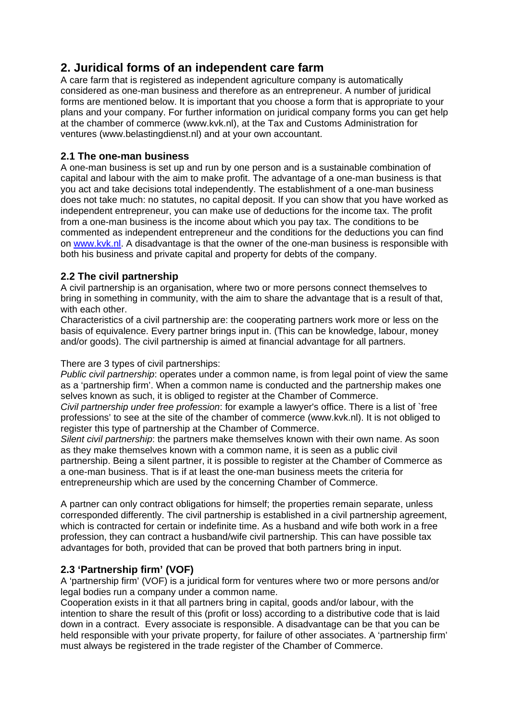# **2. Juridical forms of an independent care farm**

A care farm that is registered as independent agriculture company is automatically considered as one-man business and therefore as an entrepreneur. A number of juridical forms are mentioned below. It is important that you choose a form that is appropriate to your plans and your company. For further information on juridical company forms you can get help at the chamber of commerce (www.kvk.nl), at the Tax and Customs Administration for ventures (www.belastingdienst.nl) and at your own accountant.

# **2.1 The one-man business**

A one-man business is set up and run by one person and is a sustainable combination of capital and labour with the aim to make profit. The advantage of a one-man business is that you act and take decisions total independently. The establishment of a one-man business does not take much: no statutes, no capital deposit. If you can show that you have worked as independent entrepreneur, you can make use of deductions for the income tax. The profit from a one-man business is the income about which you pay tax. The conditions to be commented as independent entrepreneur and the conditions for the deductions you can find on www.kvk.nl. A disadvantage is that the owner of the one-man business is responsible with both his business and private capital and property for debts of the company.

# **2.2 The civil partnership**

A civil partnership is an organisation, where two or more persons connect themselves to bring in something in community, with the aim to share the advantage that is a result of that, with each other.

Characteristics of a civil partnership are: the cooperating partners work more or less on the basis of equivalence. Every partner brings input in. (This can be knowledge, labour, money and/or goods). The civil partnership is aimed at financial advantage for all partners.

### There are 3 types of civil partnerships:

*Public civil partnership*: operates under a common name, is from legal point of view the same as a 'partnership firm'. When a common name is conducted and the partnership makes one selves known as such, it is obliged to register at the Chamber of Commerce.

*Civil partnership under free profession*: for example a lawyer's office. There is a list of `free professions' to see at the site of the chamber of commerce (www.kvk.nl). It is not obliged to register this type of partnership at the Chamber of Commerce.

*Silent civil partnership*: the partners make themselves known with their own name. As soon as they make themselves known with a common name, it is seen as a public civil partnership. Being a silent partner, it is possible to register at the Chamber of Commerce as a one-man business. That is if at least the one-man business meets the criteria for entrepreneurship which are used by the concerning Chamber of Commerce.

A partner can only contract obligations for himself; the properties remain separate, unless corresponded differently. The civil partnership is established in a civil partnership agreement, which is contracted for certain or indefinite time. As a husband and wife both work in a free profession, they can contract a husband/wife civil partnership. This can have possible tax advantages for both, provided that can be proved that both partners bring in input.

# **2.3 'Partnership firm' (VOF)**

A 'partnership firm' (VOF) is a juridical form for ventures where two or more persons and/or legal bodies run a company under a common name.

Cooperation exists in it that all partners bring in capital, goods and/or labour, with the intention to share the result of this (profit or loss) according to a distributive code that is laid down in a contract. Every associate is responsible. A disadvantage can be that you can be held responsible with your private property, for failure of other associates. A 'partnership firm' must always be registered in the trade register of the Chamber of Commerce.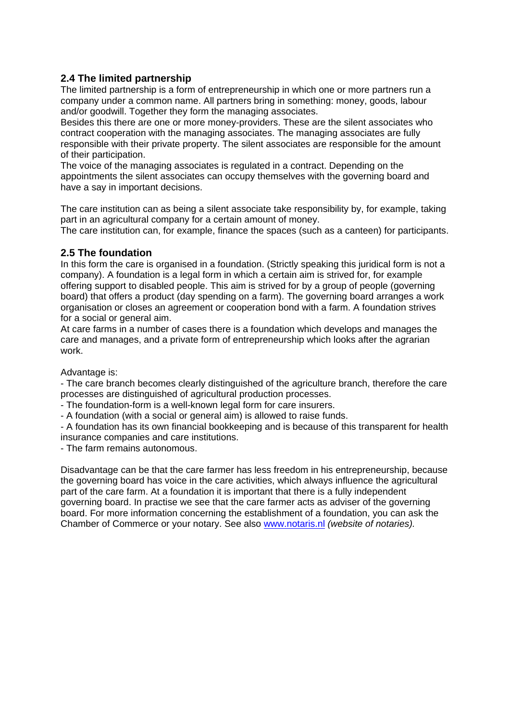# **2.4 The limited partnership**

The limited partnership is a form of entrepreneurship in which one or more partners run a company under a common name. All partners bring in something: money, goods, labour and/or goodwill. Together they form the managing associates.

Besides this there are one or more money-providers. These are the silent associates who contract cooperation with the managing associates. The managing associates are fully responsible with their private property. The silent associates are responsible for the amount of their participation.

The voice of the managing associates is regulated in a contract. Depending on the appointments the silent associates can occupy themselves with the governing board and have a say in important decisions.

The care institution can as being a silent associate take responsibility by, for example, taking part in an agricultural company for a certain amount of money.

The care institution can, for example, finance the spaces (such as a canteen) for participants.

### **2.5 The foundation**

In this form the care is organised in a foundation. (Strictly speaking this juridical form is not a company). A foundation is a legal form in which a certain aim is strived for, for example offering support to disabled people. This aim is strived for by a group of people (governing board) that offers a product (day spending on a farm). The governing board arranges a work organisation or closes an agreement or cooperation bond with a farm. A foundation strives for a social or general aim.

At care farms in a number of cases there is a foundation which develops and manages the care and manages, and a private form of entrepreneurship which looks after the agrarian work.

#### Advantage is:

- The care branch becomes clearly distinguished of the agriculture branch, therefore the care processes are distinguished of agricultural production processes.

- The foundation-form is a well-known legal form for care insurers.

- A foundation (with a social or general aim) is allowed to raise funds.

- A foundation has its own financial bookkeeping and is because of this transparent for health insurance companies and care institutions.

- The farm remains autonomous.

Disadvantage can be that the care farmer has less freedom in his entrepreneurship, because the governing board has voice in the care activities, which always influence the agricultural part of the care farm. At a foundation it is important that there is a fully independent governing board. In practise we see that the care farmer acts as adviser of the governing board. For more information concerning the establishment of a foundation, you can ask the Chamber of Commerce or your notary. See also www.notaris.nl *(website of notaries).*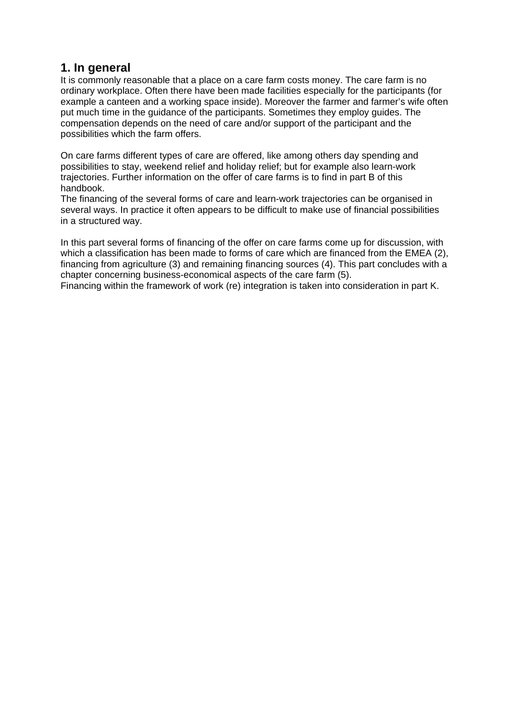# **1. In general**

It is commonly reasonable that a place on a care farm costs money. The care farm is no ordinary workplace. Often there have been made facilities especially for the participants (for example a canteen and a working space inside). Moreover the farmer and farmer's wife often put much time in the guidance of the participants. Sometimes they employ guides. The compensation depends on the need of care and/or support of the participant and the possibilities which the farm offers.

On care farms different types of care are offered, like among others day spending and possibilities to stay, weekend relief and holiday relief; but for example also learn-work trajectories. Further information on the offer of care farms is to find in part B of this handbook.

The financing of the several forms of care and learn-work trajectories can be organised in several ways. In practice it often appears to be difficult to make use of financial possibilities in a structured way.

In this part several forms of financing of the offer on care farms come up for discussion, with which a classification has been made to forms of care which are financed from the EMEA (2), financing from agriculture (3) and remaining financing sources (4). This part concludes with a chapter concerning business-economical aspects of the care farm (5).

Financing within the framework of work (re) integration is taken into consideration in part K.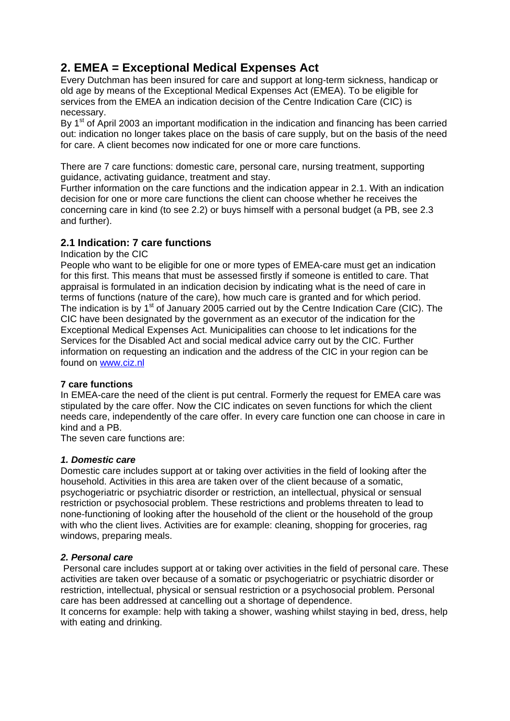# **2. EMEA = Exceptional Medical Expenses Act**

Every Dutchman has been insured for care and support at long-term sickness, handicap or old age by means of the Exceptional Medical Expenses Act (EMEA). To be eligible for services from the EMEA an indication decision of the Centre Indication Care (CIC) is necessary.

By 1<sup>st</sup> of April 2003 an important modification in the indication and financing has been carried out: indication no longer takes place on the basis of care supply, but on the basis of the need for care. A client becomes now indicated for one or more care functions.

There are 7 care functions: domestic care, personal care, nursing treatment, supporting guidance, activating guidance, treatment and stay.

Further information on the care functions and the indication appear in 2.1. With an indication decision for one or more care functions the client can choose whether he receives the concerning care in kind (to see 2.2) or buys himself with a personal budget (a PB, see 2.3 and further).

# **2.1 Indication: 7 care functions**

Indication by the CIC

People who want to be eligible for one or more types of EMEA-care must get an indication for this first. This means that must be assessed firstly if someone is entitled to care. That appraisal is formulated in an indication decision by indicating what is the need of care in terms of functions (nature of the care), how much care is granted and for which period. The indication is by  $1<sup>st</sup>$  of January 2005 carried out by the Centre Indication Care (CIC). The CIC have been designated by the government as an executor of the indication for the Exceptional Medical Expenses Act. Municipalities can choose to let indications for the Services for the Disabled Act and social medical advice carry out by the CIC. Further information on requesting an indication and the address of the CIC in your region can be found on www.ciz.nl

#### **7 care functions**

In EMEA-care the need of the client is put central. Formerly the request for EMEA care was stipulated by the care offer. Now the CIC indicates on seven functions for which the client needs care, independently of the care offer. In every care function one can choose in care in kind and a PB.

The seven care functions are:

#### *1. Domestic care*

Domestic care includes support at or taking over activities in the field of looking after the household. Activities in this area are taken over of the client because of a somatic, psychogeriatric or psychiatric disorder or restriction, an intellectual, physical or sensual restriction or psychosocial problem. These restrictions and problems threaten to lead to none-functioning of looking after the household of the client or the household of the group with who the client lives. Activities are for example: cleaning, shopping for groceries, rag windows, preparing meals.

#### *2. Personal care*

 Personal care includes support at or taking over activities in the field of personal care. These activities are taken over because of a somatic or psychogeriatric or psychiatric disorder or restriction, intellectual, physical or sensual restriction or a psychosocial problem. Personal care has been addressed at cancelling out a shortage of dependence. It concerns for example: help with taking a shower, washing whilst staying in bed, dress, help with eating and drinking.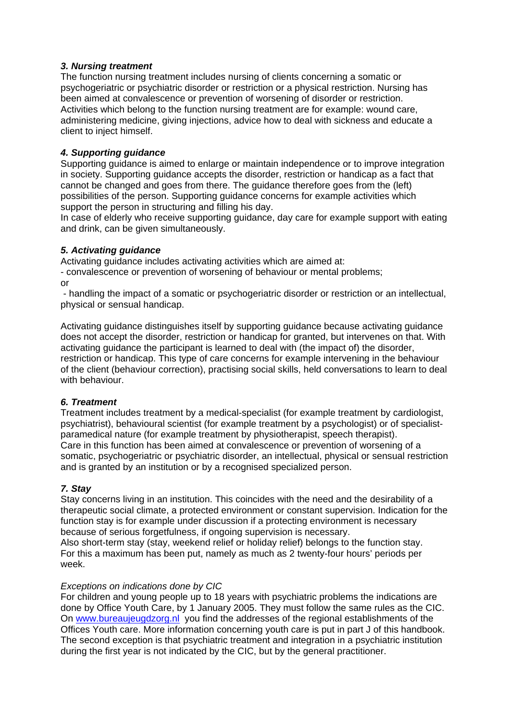### *3. Nursing treatment*

The function nursing treatment includes nursing of clients concerning a somatic or psychogeriatric or psychiatric disorder or restriction or a physical restriction. Nursing has been aimed at convalescence or prevention of worsening of disorder or restriction. Activities which belong to the function nursing treatment are for example: wound care, administering medicine, giving injections, advice how to deal with sickness and educate a client to inject himself.

### *4. Supporting guidance*

Supporting guidance is aimed to enlarge or maintain independence or to improve integration in society. Supporting guidance accepts the disorder, restriction or handicap as a fact that cannot be changed and goes from there. The guidance therefore goes from the (left) possibilities of the person. Supporting guidance concerns for example activities which support the person in structuring and filling his day.

In case of elderly who receive supporting guidance, day care for example support with eating and drink, can be given simultaneously.

### *5. Activating guidance*

Activating guidance includes activating activities which are aimed at:

- convalescence or prevention of worsening of behaviour or mental problems; or

 - handling the impact of a somatic or psychogeriatric disorder or restriction or an intellectual, physical or sensual handicap.

Activating guidance distinguishes itself by supporting guidance because activating guidance does not accept the disorder, restriction or handicap for granted, but intervenes on that. With activating guidance the participant is learned to deal with (the impact of) the disorder, restriction or handicap. This type of care concerns for example intervening in the behaviour of the client (behaviour correction), practising social skills, held conversations to learn to deal with behaviour.

#### *6. Treatment*

Treatment includes treatment by a medical-specialist (for example treatment by cardiologist, psychiatrist), behavioural scientist (for example treatment by a psychologist) or of specialistparamedical nature (for example treatment by physiotherapist, speech therapist). Care in this function has been aimed at convalescence or prevention of worsening of a somatic, psychogeriatric or psychiatric disorder, an intellectual, physical or sensual restriction and is granted by an institution or by a recognised specialized person.

#### *7. Stay*

Stay concerns living in an institution. This coincides with the need and the desirability of a therapeutic social climate, a protected environment or constant supervision. Indication for the function stay is for example under discussion if a protecting environment is necessary because of serious forgetfulness, if ongoing supervision is necessary.

Also short-term stay (stay, weekend relief or holiday relief) belongs to the function stay. For this a maximum has been put, namely as much as 2 twenty-four hours' periods per week.

#### *Exceptions on indications done by CIC*

For children and young people up to 18 years with psychiatric problems the indications are done by Office Youth Care, by 1 January 2005. They must follow the same rules as the CIC. On www.bureaujeugdzorg.nl you find the addresses of the regional establishments of the Offices Youth care. More information concerning youth care is put in part J of this handbook. The second exception is that psychiatric treatment and integration in a psychiatric institution during the first year is not indicated by the CIC, but by the general practitioner.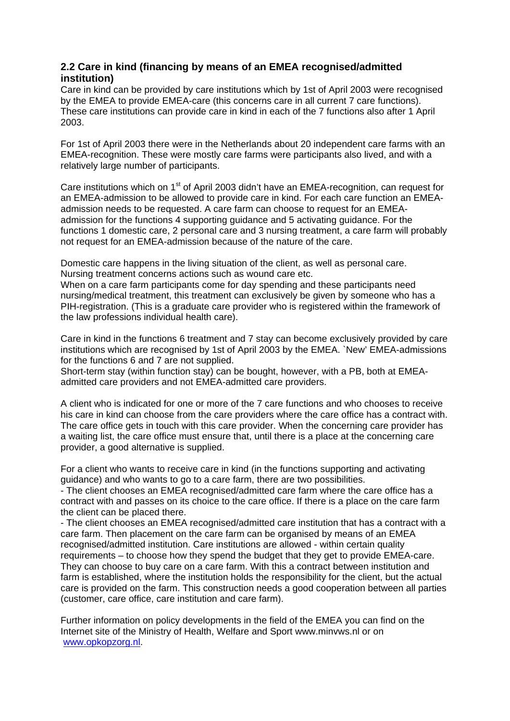# **2.2 Care in kind (financing by means of an EMEA recognised/admitted institution)**

Care in kind can be provided by care institutions which by 1st of April 2003 were recognised by the EMEA to provide EMEA-care (this concerns care in all current 7 care functions). These care institutions can provide care in kind in each of the 7 functions also after 1 April 2003.

For 1st of April 2003 there were in the Netherlands about 20 independent care farms with an EMEA-recognition. These were mostly care farms were participants also lived, and with a relatively large number of participants.

Care institutions which on 1<sup>st</sup> of April 2003 didn't have an EMEA-recognition, can request for an EMEA-admission to be allowed to provide care in kind. For each care function an EMEAadmission needs to be requested. A care farm can choose to request for an EMEAadmission for the functions 4 supporting guidance and 5 activating guidance. For the functions 1 domestic care, 2 personal care and 3 nursing treatment, a care farm will probably not request for an EMEA-admission because of the nature of the care.

Domestic care happens in the living situation of the client, as well as personal care. Nursing treatment concerns actions such as wound care etc.

When on a care farm participants come for day spending and these participants need nursing/medical treatment, this treatment can exclusively be given by someone who has a PIH-registration. (This is a graduate care provider who is registered within the framework of the law professions individual health care).

Care in kind in the functions 6 treatment and 7 stay can become exclusively provided by care institutions which are recognised by 1st of April 2003 by the EMEA. `New' EMEA-admissions for the functions 6 and 7 are not supplied.

Short-term stay (within function stay) can be bought, however, with a PB, both at EMEAadmitted care providers and not EMEA-admitted care providers.

A client who is indicated for one or more of the 7 care functions and who chooses to receive his care in kind can choose from the care providers where the care office has a contract with. The care office gets in touch with this care provider. When the concerning care provider has a waiting list, the care office must ensure that, until there is a place at the concerning care provider, a good alternative is supplied.

For a client who wants to receive care in kind (in the functions supporting and activating guidance) and who wants to go to a care farm, there are two possibilities.

- The client chooses an EMEA recognised/admitted care farm where the care office has a contract with and passes on its choice to the care office. If there is a place on the care farm the client can be placed there.

- The client chooses an EMEA recognised/admitted care institution that has a contract with a care farm. Then placement on the care farm can be organised by means of an EMEA recognised/admitted institution. Care institutions are allowed - within certain quality requirements – to choose how they spend the budget that they get to provide EMEA-care. They can choose to buy care on a care farm. With this a contract between institution and farm is established, where the institution holds the responsibility for the client, but the actual care is provided on the farm. This construction needs a good cooperation between all parties (customer, care office, care institution and care farm).

Further information on policy developments in the field of the EMEA you can find on the Internet site of the Ministry of Health, Welfare and Sport www.minvws.nl or on www.opkopzorg.nl.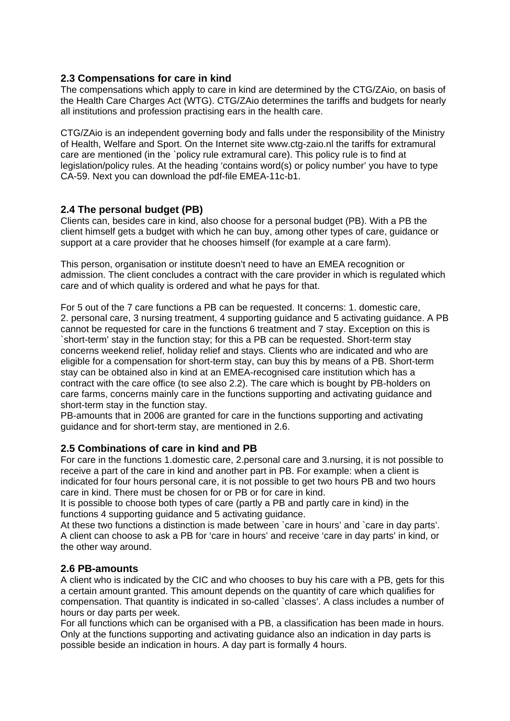### **2.3 Compensations for care in kind**

The compensations which apply to care in kind are determined by the CTG/ZAio, on basis of the Health Care Charges Act (WTG). CTG/ZAio determines the tariffs and budgets for nearly all institutions and profession practising ears in the health care.

CTG/ZAio is an independent governing body and falls under the responsibility of the Ministry of Health, Welfare and Sport. On the Internet site www.ctg-zaio.nl the tariffs for extramural care are mentioned (in the `policy rule extramural care). This policy rule is to find at legislation/policy rules. At the heading 'contains word(s) or policy number' you have to type CA-59. Next you can download the pdf-file EMEA-11c-b1.

# **2.4 The personal budget (PB)**

Clients can, besides care in kind, also choose for a personal budget (PB). With a PB the client himself gets a budget with which he can buy, among other types of care, guidance or support at a care provider that he chooses himself (for example at a care farm).

This person, organisation or institute doesn't need to have an EMEA recognition or admission. The client concludes a contract with the care provider in which is regulated which care and of which quality is ordered and what he pays for that.

For 5 out of the 7 care functions a PB can be requested. It concerns: 1. domestic care, 2. personal care, 3 nursing treatment, 4 supporting guidance and 5 activating guidance. A PB cannot be requested for care in the functions 6 treatment and 7 stay. Exception on this is `short-term' stay in the function stay; for this a PB can be requested. Short-term stay concerns weekend relief, holiday relief and stays. Clients who are indicated and who are eligible for a compensation for short-term stay, can buy this by means of a PB. Short-term stay can be obtained also in kind at an EMEA-recognised care institution which has a contract with the care office (to see also 2.2). The care which is bought by PB-holders on care farms, concerns mainly care in the functions supporting and activating guidance and short-term stay in the function stay.

PB-amounts that in 2006 are granted for care in the functions supporting and activating guidance and for short-term stay, are mentioned in 2.6.

#### **2.5 Combinations of care in kind and PB**

For care in the functions 1.domestic care, 2.personal care and 3.nursing, it is not possible to receive a part of the care in kind and another part in PB. For example: when a client is indicated for four hours personal care, it is not possible to get two hours PB and two hours care in kind. There must be chosen for or PB or for care in kind.

It is possible to choose both types of care (partly a PB and partly care in kind) in the functions 4 supporting guidance and 5 activating guidance.

At these two functions a distinction is made between `care in hours' and `care in day parts'. A client can choose to ask a PB for 'care in hours' and receive 'care in day parts' in kind, or the other way around.

#### **2.6 PB-amounts**

A client who is indicated by the CIC and who chooses to buy his care with a PB, gets for this a certain amount granted. This amount depends on the quantity of care which qualifies for compensation. That quantity is indicated in so-called `classes'. A class includes a number of hours or day parts per week.

For all functions which can be organised with a PB, a classification has been made in hours. Only at the functions supporting and activating guidance also an indication in day parts is possible beside an indication in hours. A day part is formally 4 hours.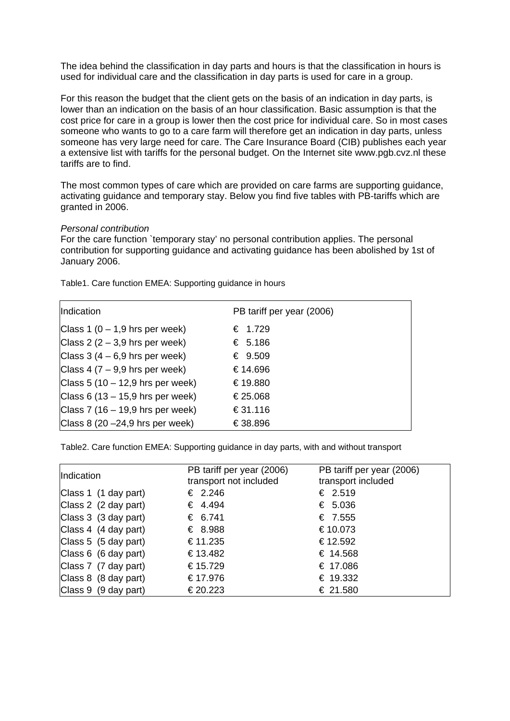The idea behind the classification in day parts and hours is that the classification in hours is used for individual care and the classification in day parts is used for care in a group.

For this reason the budget that the client gets on the basis of an indication in day parts, is lower than an indication on the basis of an hour classification. Basic assumption is that the cost price for care in a group is lower then the cost price for individual care. So in most cases someone who wants to go to a care farm will therefore get an indication in day parts, unless someone has very large need for care. The Care Insurance Board (CIB) publishes each year a extensive list with tariffs for the personal budget. On the Internet site www.pgb.cvz.nl these tariffs are to find.

The most common types of care which are provided on care farms are supporting guidance, activating guidance and temporary stay. Below you find five tables with PB-tariffs which are granted in 2006.

#### *Personal contribution*

For the care function `temporary stay' no personal contribution applies. The personal contribution for supporting guidance and activating guidance has been abolished by 1st of January 2006.

Table1. Care function EMEA: Supporting guidance in hours

| Indication                         | PB tariff per year (2006) |
|------------------------------------|---------------------------|
| Class 1 $(0 - 1.9$ hrs per week)   | € 1.729                   |
| Class 2 $(2 - 3.9)$ hrs per week)  | € 5.186                   |
| Class $3(4-6.9$ hrs per week)      | € $9.509$                 |
| Class 4 ( $7 - 9.9$ hrs per week)  | €14.696                   |
| Class 5 (10 $-$ 12,9 hrs per week) | €19.880                   |
| Class 6 (13 – 15,9 hrs per week)   | €25.068                   |
| Class 7 (16 $-$ 19,9 hrs per week) | €31.116                   |
| Class $8(20 - 24.9)$ hrs per week) | €38.896                   |

Table2. Care function EMEA: Supporting guidance in day parts, with and without transport

| Indication           | PB tariff per year (2006)<br>transport not included | PB tariff per year (2006)<br>transport included |
|----------------------|-----------------------------------------------------|-------------------------------------------------|
| Class 1 (1 day part) | € 2.246                                             | € 2.519                                         |
| Class 2 (2 day part) | € 4.494                                             | € 5.036                                         |
| Class 3 (3 day part) | € 6.741                                             | € 7.555                                         |
| Class 4 (4 day part) | € 8.988                                             | €10.073                                         |
| Class 5 (5 day part) | €11.235                                             | €12.592                                         |
| Class 6 (6 day part) | €13.482                                             | € 14.568                                        |
| Class 7 (7 day part) | €15.729                                             | € 17.086                                        |
| Class 8 (8 day part) | €17.976                                             | € 19.332                                        |
| Class 9 (9 day part) | €20.223                                             | € 21.580                                        |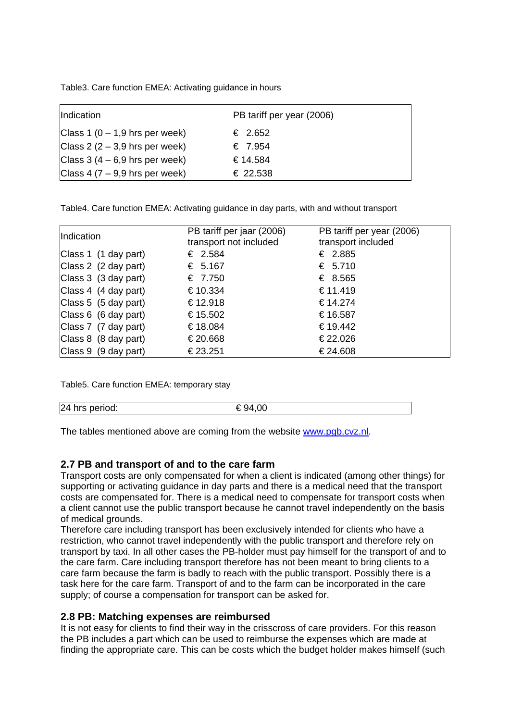Table3. Care function EMEA: Activating guidance in hours

| Indication                       | PB tariff per year (2006) |
|----------------------------------|---------------------------|
| Class 1 $(0 - 1.9$ hrs per week) | € 2.652                   |
| Class $2(2-3,9)$ hrs per week)   | € 7.954                   |
| Class $3(4-6.9$ hrs per week)    | € 14.584                  |
| Class 4 $(7 - 9.9$ hrs per week) | € 22.538                  |

Table4. Care function EMEA: Activating guidance in day parts, with and without transport

| Indication           | PB tariff per jaar (2006)<br>transport not included | PB tariff per year (2006)<br>transport included |
|----------------------|-----------------------------------------------------|-------------------------------------------------|
| Class 1 (1 day part) | € 2.584                                             | € 2.885                                         |
| Class 2 (2 day part) | € 5.167                                             | € 5.710                                         |
| Class 3 (3 day part) | € 7.750                                             | € 8.565                                         |
| Class 4 (4 day part) | €10.334                                             | €11.419                                         |
| Class 5 (5 day part) | €12.918                                             | € 14.274                                        |
| Class 6 (6 day part) | €15.502                                             | €16.587                                         |
| Class 7 (7 day part) | €18.084                                             | € 19.442                                        |
| Class 8 (8 day part) | €20.668                                             | €22.026                                         |
| Class 9 (9 day part) | €23.251                                             | €24.608                                         |

Table5. Care function EMEA: temporary stay

| 24 hrs period: |  |
|----------------|--|
|                |  |

The tables mentioned above are coming from the website www.pgb.cvz.nl.

# **2.7 PB and transport of and to the care farm**

Transport costs are only compensated for when a client is indicated (among other things) for supporting or activating guidance in day parts and there is a medical need that the transport costs are compensated for. There is a medical need to compensate for transport costs when a client cannot use the public transport because he cannot travel independently on the basis of medical grounds.

Therefore care including transport has been exclusively intended for clients who have a restriction, who cannot travel independently with the public transport and therefore rely on transport by taxi. In all other cases the PB-holder must pay himself for the transport of and to the care farm. Care including transport therefore has not been meant to bring clients to a care farm because the farm is badly to reach with the public transport. Possibly there is a task here for the care farm. Transport of and to the farm can be incorporated in the care supply; of course a compensation for transport can be asked for.

#### **2.8 PB: Matching expenses are reimbursed**

It is not easy for clients to find their way in the crisscross of care providers. For this reason the PB includes a part which can be used to reimburse the expenses which are made at finding the appropriate care. This can be costs which the budget holder makes himself (such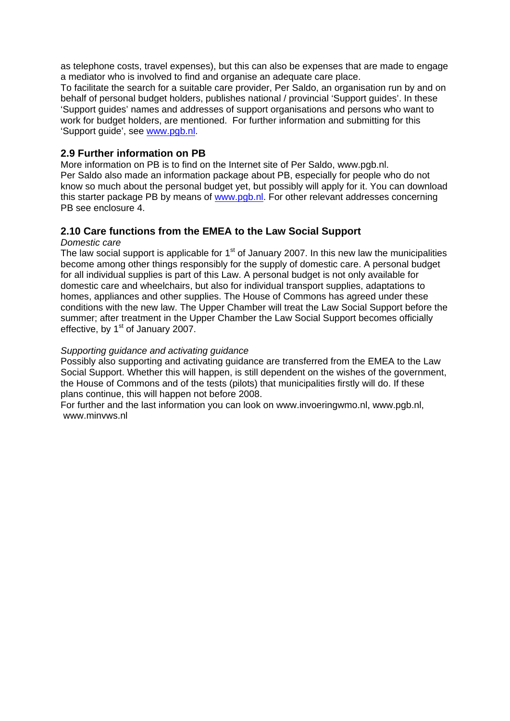as telephone costs, travel expenses), but this can also be expenses that are made to engage a mediator who is involved to find and organise an adequate care place.

To facilitate the search for a suitable care provider, Per Saldo, an organisation run by and on behalf of personal budget holders, publishes national / provincial 'Support guides'. In these 'Support guides' names and addresses of support organisations and persons who want to work for budget holders, are mentioned. For further information and submitting for this 'Support guide', see www.pgb.nl.

### **2.9 Further information on PB**

More information on PB is to find on the Internet site of Per Saldo, www.pgb.nl. Per Saldo also made an information package about PB, especially for people who do not know so much about the personal budget yet, but possibly will apply for it. You can download this starter package PB by means of www.pgb.nl. For other relevant addresses concerning PB see enclosure 4.

# **2.10 Care functions from the EMEA to the Law Social Support**

#### *Domestic care*

The law social support is applicable for  $1<sup>st</sup>$  of January 2007. In this new law the municipalities become among other things responsibly for the supply of domestic care. A personal budget for all individual supplies is part of this Law. A personal budget is not only available for domestic care and wheelchairs, but also for individual transport supplies, adaptations to homes, appliances and other supplies. The House of Commons has agreed under these conditions with the new law. The Upper Chamber will treat the Law Social Support before the summer; after treatment in the Upper Chamber the Law Social Support becomes officially effective, by 1<sup>st</sup> of January 2007.

#### *Supporting guidance and activating guidance*

Possibly also supporting and activating guidance are transferred from the EMEA to the Law Social Support. Whether this will happen, is still dependent on the wishes of the government, the House of Commons and of the tests (pilots) that municipalities firstly will do. If these plans continue, this will happen not before 2008.

For further and the last information you can look on www.invoeringwmo.nl, www.pgb.nl, www.minvws.nl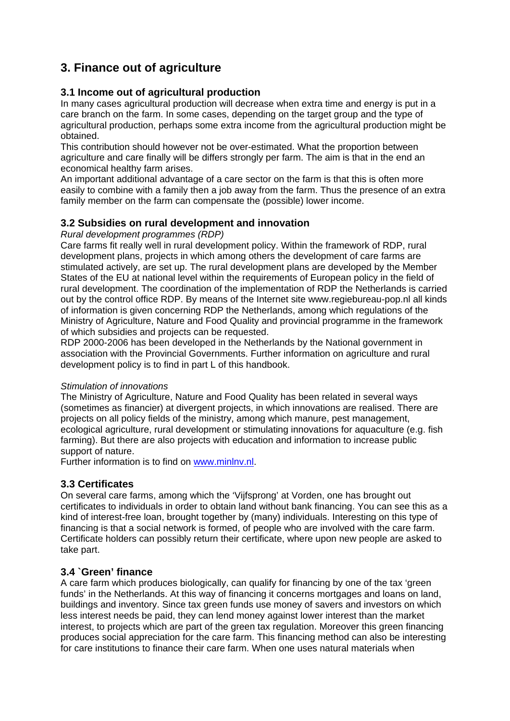# **3. Finance out of agriculture**

# **3.1 Income out of agricultural production**

In many cases agricultural production will decrease when extra time and energy is put in a care branch on the farm. In some cases, depending on the target group and the type of agricultural production, perhaps some extra income from the agricultural production might be obtained.

This contribution should however not be over-estimated. What the proportion between agriculture and care finally will be differs strongly per farm. The aim is that in the end an economical healthy farm arises.

An important additional advantage of a care sector on the farm is that this is often more easily to combine with a family then a job away from the farm. Thus the presence of an extra family member on the farm can compensate the (possible) lower income.

# **3.2 Subsidies on rural development and innovation**

*Rural development programmes (RDP)* 

Care farms fit really well in rural development policy. Within the framework of RDP, rural development plans, projects in which among others the development of care farms are stimulated actively, are set up. The rural development plans are developed by the Member States of the EU at national level within the requirements of European policy in the field of rural development. The coordination of the implementation of RDP the Netherlands is carried out by the control office RDP. By means of the Internet site www.regiebureau-pop.nl all kinds of information is given concerning RDP the Netherlands, among which regulations of the Ministry of Agriculture, Nature and Food Quality and provincial programme in the framework of which subsidies and projects can be requested.

RDP 2000-2006 has been developed in the Netherlands by the National government in association with the Provincial Governments. Further information on agriculture and rural development policy is to find in part L of this handbook.

#### *Stimulation of innovations*

The Ministry of Agriculture, Nature and Food Quality has been related in several ways (sometimes as financier) at divergent projects, in which innovations are realised. There are projects on all policy fields of the ministry, among which manure, pest management, ecological agriculture, rural development or stimulating innovations for aquaculture (e.g. fish farming). But there are also projects with education and information to increase public support of nature.

Further information is to find on www.minlnv.nl.

# **3.3 Certificates**

On several care farms, among which the 'Vijfsprong' at Vorden, one has brought out certificates to individuals in order to obtain land without bank financing. You can see this as a kind of interest-free loan, brought together by (many) individuals. Interesting on this type of financing is that a social network is formed, of people who are involved with the care farm. Certificate holders can possibly return their certificate, where upon new people are asked to take part.

# **3.4 `Green' finance**

A care farm which produces biologically, can qualify for financing by one of the tax 'green funds' in the Netherlands. At this way of financing it concerns mortgages and loans on land, buildings and inventory. Since tax green funds use money of savers and investors on which less interest needs be paid, they can lend money against lower interest than the market interest, to projects which are part of the green tax regulation. Moreover this green financing produces social appreciation for the care farm. This financing method can also be interesting for care institutions to finance their care farm. When one uses natural materials when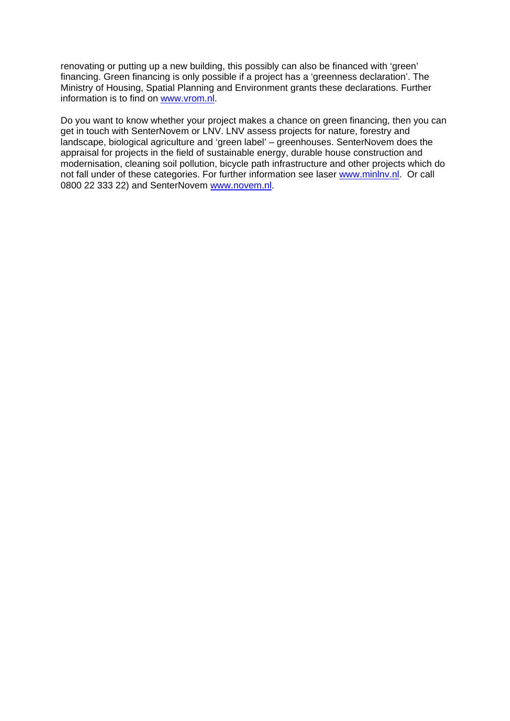renovating or putting up a new building, this possibly can also be financed with 'green' financing. Green financing is only possible if a project has a 'greenness declaration'. The Ministry of Housing, Spatial Planning and Environment grants these declarations. Further information is to find on www.vrom.nl.

Do you want to know whether your project makes a chance on green financing, then you can get in touch with SenterNovem or LNV. LNV assess projects for nature, forestry and landscape, biological agriculture and 'green label' – greenhouses. SenterNovem does the appraisal for projects in the field of sustainable energy, durable house construction and modernisation, cleaning soil pollution, bicycle path infrastructure and other projects which do not fall under of these categories. For further information see laser www.minlnv.nl. Or call 0800 22 333 22) and SenterNovem www.novem.nl.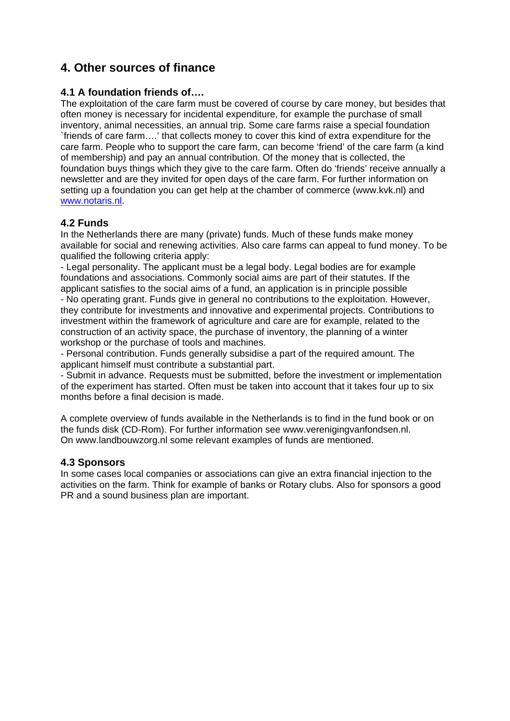# **4. Other sources of finance**

# **4.1 A foundation friends of….**

The exploitation of the care farm must be covered of course by care money, but besides that often money is necessary for incidental expenditure, for example the purchase of small inventory, animal necessities, an annual trip. Some care farms raise a special foundation `friends of care farm….' that collects money to cover this kind of extra expenditure for the care farm. People who to support the care farm, can become 'friend' of the care farm (a kind of membership) and pay an annual contribution. Of the money that is collected, the foundation buys things which they give to the care farm. Often do 'friends' receive annually a newsletter and are they invited for open days of the care farm. For further information on setting up a foundation you can get help at the chamber of commerce (www.kvk.nl) and www.notaris.nl.

# **4.2 Funds**

In the Netherlands there are many (private) funds. Much of these funds make money available for social and renewing activities. Also care farms can appeal to fund money. To be qualified the following criteria apply:

- Legal personality. The applicant must be a legal body. Legal bodies are for example foundations and associations. Commonly social aims are part of their statutes. If the applicant satisfies to the social aims of a fund, an application is in principle possible - No operating grant. Funds give in general no contributions to the exploitation. However, they contribute for investments and innovative and experimental projects. Contributions to investment within the framework of agriculture and care are for example, related to the construction of an activity space, the purchase of inventory, the planning of a winter workshop or the purchase of tools and machines.

- Personal contribution. Funds generally subsidise a part of the required amount. The applicant himself must contribute a substantial part.

- Submit in advance. Requests must be submitted, before the investment or implementation of the experiment has started. Often must be taken into account that it takes four up to six months before a final decision is made.

A complete overview of funds available in the Netherlands is to find in the fund book or on the funds disk (CD-Rom). For further information see www.verenigingvanfondsen.nl. On www.landbouwzorg.nl some relevant examples of funds are mentioned.

# **4.3 Sponsors**

In some cases local companies or associations can give an extra financial injection to the activities on the farm. Think for example of banks or Rotary clubs. Also for sponsors a good PR and a sound business plan are important.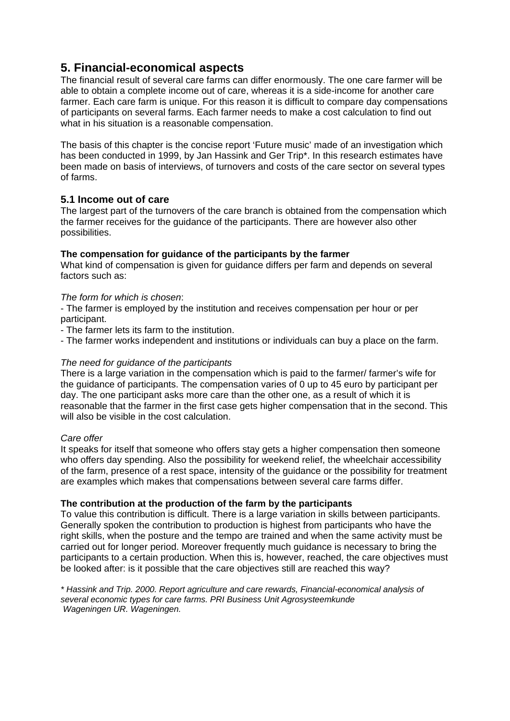# **5. Financial-economical aspects**

The financial result of several care farms can differ enormously. The one care farmer will be able to obtain a complete income out of care, whereas it is a side-income for another care farmer. Each care farm is unique. For this reason it is difficult to compare day compensations of participants on several farms. Each farmer needs to make a cost calculation to find out what in his situation is a reasonable compensation.

The basis of this chapter is the concise report 'Future music' made of an investigation which has been conducted in 1999, by Jan Hassink and Ger Trip\*. In this research estimates have been made on basis of interviews, of turnovers and costs of the care sector on several types of farms.

# **5.1 Income out of care**

The largest part of the turnovers of the care branch is obtained from the compensation which the farmer receives for the guidance of the participants. There are however also other possibilities.

#### **The compensation for guidance of the participants by the farmer**

What kind of compensation is given for guidance differs per farm and depends on several factors such as:

#### *The form for which is chosen*:

- The farmer is employed by the institution and receives compensation per hour or per participant.

- The farmer lets its farm to the institution.

- The farmer works independent and institutions or individuals can buy a place on the farm.

#### *The need for guidance of the participants*

There is a large variation in the compensation which is paid to the farmer/ farmer's wife for the guidance of participants. The compensation varies of 0 up to 45 euro by participant per day. The one participant asks more care than the other one, as a result of which it is reasonable that the farmer in the first case gets higher compensation that in the second. This will also be visible in the cost calculation.

#### *Care offer*

It speaks for itself that someone who offers stay gets a higher compensation then someone who offers day spending. Also the possibility for weekend relief, the wheelchair accessibility of the farm, presence of a rest space, intensity of the guidance or the possibility for treatment are examples which makes that compensations between several care farms differ.

#### **The contribution at the production of the farm by the participants**

To value this contribution is difficult. There is a large variation in skills between participants. Generally spoken the contribution to production is highest from participants who have the right skills, when the posture and the tempo are trained and when the same activity must be carried out for longer period. Moreover frequently much guidance is necessary to bring the participants to a certain production. When this is, however, reached, the care objectives must be looked after: is it possible that the care objectives still are reached this way?

*\* Hassink and Trip. 2000. Report agriculture and care rewards, Financial-economical analysis of several economic types for care farms. PRI Business Unit Agrosysteemkunde Wageningen UR. Wageningen.*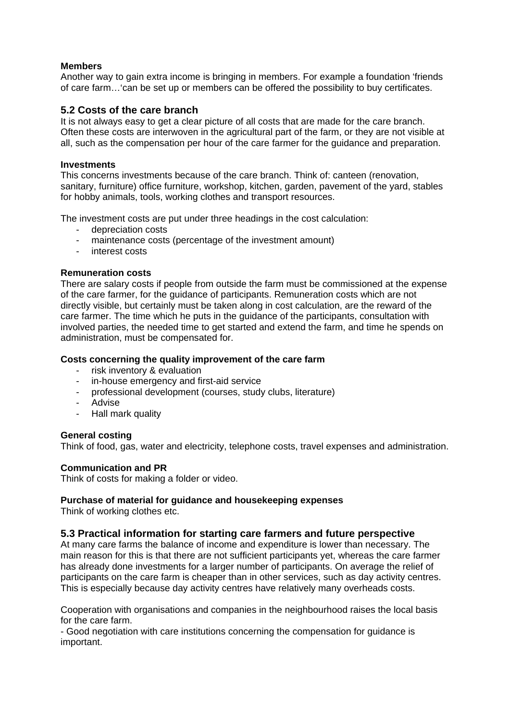#### **Members**

Another way to gain extra income is bringing in members. For example a foundation 'friends of care farm…'can be set up or members can be offered the possibility to buy certificates.

#### **5.2 Costs of the care branch**

It is not always easy to get a clear picture of all costs that are made for the care branch. Often these costs are interwoven in the agricultural part of the farm, or they are not visible at all, such as the compensation per hour of the care farmer for the guidance and preparation.

#### **Investments**

This concerns investments because of the care branch. Think of: canteen (renovation, sanitary, furniture) office furniture, workshop, kitchen, garden, pavement of the yard, stables for hobby animals, tools, working clothes and transport resources.

The investment costs are put under three headings in the cost calculation:

- depreciation costs
- maintenance costs (percentage of the investment amount)
- interest costs

#### **Remuneration costs**

There are salary costs if people from outside the farm must be commissioned at the expense of the care farmer, for the guidance of participants. Remuneration costs which are not directly visible, but certainly must be taken along in cost calculation, are the reward of the care farmer. The time which he puts in the guidance of the participants, consultation with involved parties, the needed time to get started and extend the farm, and time he spends on administration, must be compensated for.

#### **Costs concerning the quality improvement of the care farm**

- risk inventory & evaluation
- in-house emergency and first-aid service
- professional development (courses, study clubs, literature)
- Advise
- Hall mark quality

#### **General costing**

Think of food, gas, water and electricity, telephone costs, travel expenses and administration.

#### **Communication and PR**

Think of costs for making a folder or video.

#### **Purchase of material for guidance and housekeeping expenses**

Think of working clothes etc.

#### **5.3 Practical information for starting care farmers and future perspective**

At many care farms the balance of income and expenditure is lower than necessary. The main reason for this is that there are not sufficient participants yet, whereas the care farmer has already done investments for a larger number of participants. On average the relief of participants on the care farm is cheaper than in other services, such as day activity centres. This is especially because day activity centres have relatively many overheads costs.

Cooperation with organisations and companies in the neighbourhood raises the local basis for the care farm.

- Good negotiation with care institutions concerning the compensation for guidance is important.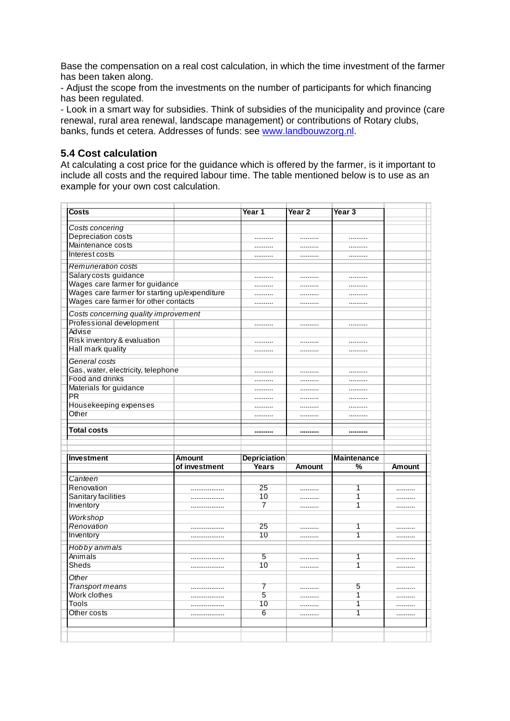Base the compensation on a real cost calculation, in which the time investment of the farmer has been taken along.

- Adjust the scope from the investments on the number of participants for which financing has been regulated.

- Look in a smart way for subsidies. Think of subsidies of the municipality and province (care renewal, rural area renewal, landscape management) or contributions of Rotary clubs, banks, funds et cetera. Addresses of funds: see www.landbouwzorg.nl.

#### **5.4 Cost calculation**

At calculating a cost price for the guidance which is offered by the farmer, is it important to include all costs and the required labour time. The table mentioned below is to use as an example for your own cost calculation.

| Costs                                         |                                | Year 1                              | Year 2        | Year 3                  |        |  |
|-----------------------------------------------|--------------------------------|-------------------------------------|---------------|-------------------------|--------|--|
|                                               |                                |                                     |               |                         |        |  |
| Costs concering                               |                                |                                     |               |                         |        |  |
| Depreciation costs                            |                                |                                     |               |                         |        |  |
| Maintenance costs                             |                                |                                     |               |                         |        |  |
| Interest costs                                |                                |                                     |               |                         |        |  |
| <b>Remuneration costs</b>                     |                                |                                     |               |                         |        |  |
| Salary costs guidance                         |                                |                                     |               |                         |        |  |
| Wages care farmer for guidance                |                                |                                     |               |                         |        |  |
| Wages care farmer for starting up/expenditure |                                |                                     |               |                         |        |  |
| Wages care farmer for other contacts          |                                |                                     |               |                         |        |  |
| Costs concerning quality improvement          |                                |                                     |               |                         |        |  |
| Professional development                      |                                |                                     |               |                         |        |  |
| Advise                                        |                                |                                     |               |                         |        |  |
| Risk inventory & evaluation                   |                                |                                     |               |                         |        |  |
| Hall mark quality                             |                                |                                     |               |                         |        |  |
| General costs                                 |                                |                                     |               |                         |        |  |
| Gas, water, electricity, telephone            |                                |                                     |               |                         |        |  |
| Food and drinks                               |                                |                                     |               |                         |        |  |
| Materials for guidance                        |                                |                                     |               |                         |        |  |
| <b>PR</b>                                     |                                |                                     |               |                         |        |  |
| Housekeeping expenses                         |                                |                                     |               |                         |        |  |
| Other                                         |                                |                                     |               |                         |        |  |
|                                               |                                |                                     |               |                         |        |  |
| <b>Total costs</b>                            |                                |                                     |               |                         |        |  |
|                                               |                                |                                     |               |                         |        |  |
|                                               |                                |                                     |               |                         |        |  |
| <b>Investment</b>                             | <b>Amount</b><br>of investment | <b>Depriciation</b><br><b>Years</b> | <b>Amount</b> | <b>Maintenance</b><br>% | Amount |  |
|                                               |                                |                                     |               |                         |        |  |
| Canteen                                       |                                |                                     |               |                         |        |  |
| Renovation                                    |                                | 25                                  |               | 1                       |        |  |
| Sanitary facilities                           |                                | 10                                  |               | 1                       |        |  |
| Inventory                                     | .                              | 7                                   | .             | $\overline{1}$          | .      |  |
| Workshop                                      |                                |                                     |               |                         |        |  |
| Renovation                                    | .                              | 25                                  |               | 1                       |        |  |
| Inventory                                     |                                | 10                                  | .             | 1                       | .      |  |
| Hobby animals                                 |                                |                                     |               |                         |        |  |
| Animals                                       |                                | 5                                   |               | 1                       |        |  |
| Sheds                                         |                                | 10                                  |               | 1                       |        |  |
| Other                                         |                                |                                     |               |                         |        |  |
| Transport means                               |                                | 7                                   |               | 5                       |        |  |
| Work clothes                                  |                                | 5                                   | .             | 1                       | .      |  |
| Tools                                         |                                | 10                                  |               | 1                       |        |  |
| Other costs                                   |                                | 6                                   | .             | 1                       | .      |  |
|                                               |                                |                                     |               |                         |        |  |
|                                               |                                |                                     |               |                         |        |  |
|                                               |                                |                                     |               |                         |        |  |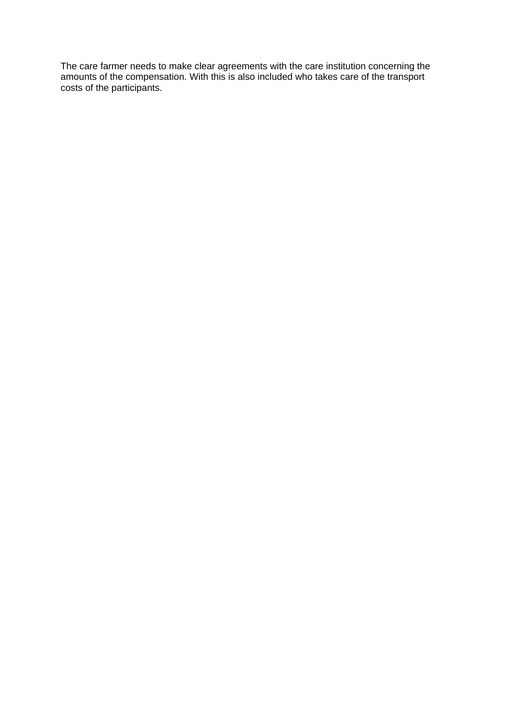The care farmer needs to make clear agreements with the care institution concerning the amounts of the compensation. With this is also included who takes care of the transport costs of the participants.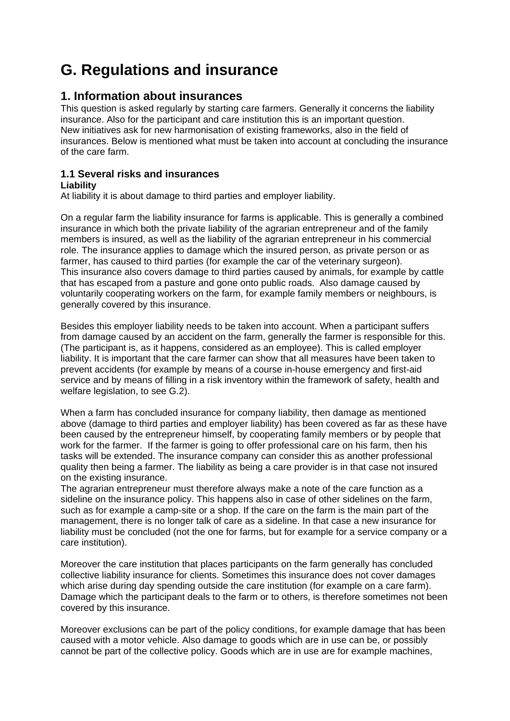# **G. Regulations and insurance**

# **1. Information about insurances**

This question is asked regularly by starting care farmers. Generally it concerns the liability insurance. Also for the participant and care institution this is an important question. New initiatives ask for new harmonisation of existing frameworks, also in the field of insurances. Below is mentioned what must be taken into account at concluding the insurance of the care farm.

#### **1.1 Several risks and insurances Liability**

At liability it is about damage to third parties and employer liability.

On a regular farm the liability insurance for farms is applicable. This is generally a combined insurance in which both the private liability of the agrarian entrepreneur and of the family members is insured, as well as the liability of the agrarian entrepreneur in his commercial role. The insurance applies to damage which the insured person, as private person or as farmer, has caused to third parties (for example the car of the veterinary surgeon). This insurance also covers damage to third parties caused by animals, for example by cattle that has escaped from a pasture and gone onto public roads. Also damage caused by voluntarily cooperating workers on the farm, for example family members or neighbours, is generally covered by this insurance.

Besides this employer liability needs to be taken into account. When a participant suffers from damage caused by an accident on the farm, generally the farmer is responsible for this. (The participant is, as it happens, considered as an employee). This is called employer liability. It is important that the care farmer can show that all measures have been taken to prevent accidents (for example by means of a course in-house emergency and first-aid service and by means of filling in a risk inventory within the framework of safety, health and welfare legislation, to see G.2).

When a farm has concluded insurance for company liability, then damage as mentioned above (damage to third parties and employer liability) has been covered as far as these have been caused by the entrepreneur himself, by cooperating family members or by people that work for the farmer. If the farmer is going to offer professional care on his farm, then his tasks will be extended. The insurance company can consider this as another professional quality then being a farmer. The liability as being a care provider is in that case not insured on the existing insurance.

The agrarian entrepreneur must therefore always make a note of the care function as a sideline on the insurance policy. This happens also in case of other sidelines on the farm, such as for example a camp-site or a shop. If the care on the farm is the main part of the management, there is no longer talk of care as a sideline. In that case a new insurance for liability must be concluded (not the one for farms, but for example for a service company or a care institution).

Moreover the care institution that places participants on the farm generally has concluded collective liability insurance for clients. Sometimes this insurance does not cover damages which arise during day spending outside the care institution (for example on a care farm). Damage which the participant deals to the farm or to others, is therefore sometimes not been covered by this insurance.

Moreover exclusions can be part of the policy conditions, for example damage that has been caused with a motor vehicle. Also damage to goods which are in use can be, or possibly cannot be part of the collective policy. Goods which are in use are for example machines,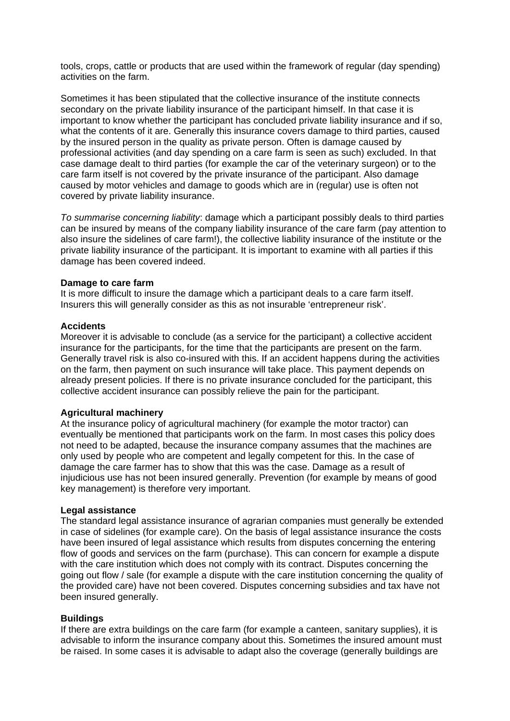tools, crops, cattle or products that are used within the framework of regular (day spending) activities on the farm.

Sometimes it has been stipulated that the collective insurance of the institute connects secondary on the private liability insurance of the participant himself. In that case it is important to know whether the participant has concluded private liability insurance and if so, what the contents of it are. Generally this insurance covers damage to third parties, caused by the insured person in the quality as private person. Often is damage caused by professional activities (and day spending on a care farm is seen as such) excluded. In that case damage dealt to third parties (for example the car of the veterinary surgeon) or to the care farm itself is not covered by the private insurance of the participant. Also damage caused by motor vehicles and damage to goods which are in (regular) use is often not covered by private liability insurance.

*To summarise concerning liability*: damage which a participant possibly deals to third parties can be insured by means of the company liability insurance of the care farm (pay attention to also insure the sidelines of care farm!), the collective liability insurance of the institute or the private liability insurance of the participant. It is important to examine with all parties if this damage has been covered indeed.

#### **Damage to care farm**

It is more difficult to insure the damage which a participant deals to a care farm itself. Insurers this will generally consider as this as not insurable 'entrepreneur risk'.

#### **Accidents**

Moreover it is advisable to conclude (as a service for the participant) a collective accident insurance for the participants, for the time that the participants are present on the farm. Generally travel risk is also co-insured with this. If an accident happens during the activities on the farm, then payment on such insurance will take place. This payment depends on already present policies. If there is no private insurance concluded for the participant, this collective accident insurance can possibly relieve the pain for the participant.

#### **Agricultural machinery**

At the insurance policy of agricultural machinery (for example the motor tractor) can eventually be mentioned that participants work on the farm. In most cases this policy does not need to be adapted, because the insurance company assumes that the machines are only used by people who are competent and legally competent for this. In the case of damage the care farmer has to show that this was the case. Damage as a result of injudicious use has not been insured generally. Prevention (for example by means of good key management) is therefore very important.

#### **Legal assistance**

The standard legal assistance insurance of agrarian companies must generally be extended in case of sidelines (for example care). On the basis of legal assistance insurance the costs have been insured of legal assistance which results from disputes concerning the entering flow of goods and services on the farm (purchase). This can concern for example a dispute with the care institution which does not comply with its contract. Disputes concerning the going out flow / sale (for example a dispute with the care institution concerning the quality of the provided care) have not been covered. Disputes concerning subsidies and tax have not been insured generally.

#### **Buildings**

If there are extra buildings on the care farm (for example a canteen, sanitary supplies), it is advisable to inform the insurance company about this. Sometimes the insured amount must be raised. In some cases it is advisable to adapt also the coverage (generally buildings are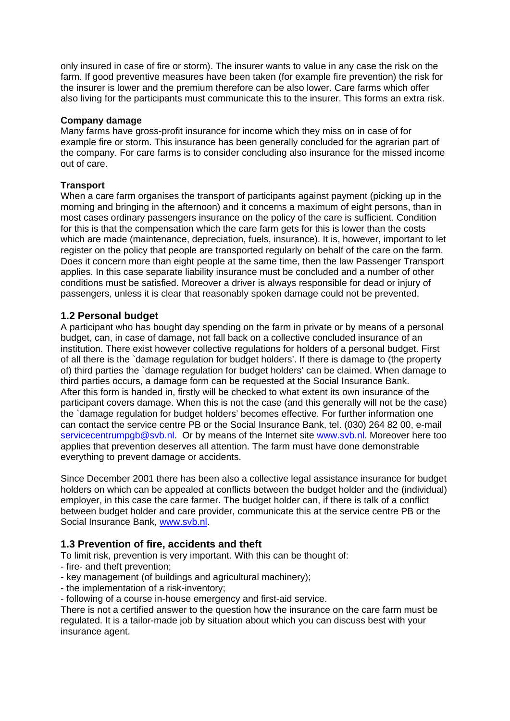only insured in case of fire or storm). The insurer wants to value in any case the risk on the farm. If good preventive measures have been taken (for example fire prevention) the risk for the insurer is lower and the premium therefore can be also lower. Care farms which offer also living for the participants must communicate this to the insurer. This forms an extra risk.

#### **Company damage**

Many farms have gross-profit insurance for income which they miss on in case of for example fire or storm. This insurance has been generally concluded for the agrarian part of the company. For care farms is to consider concluding also insurance for the missed income out of care.

#### **Transport**

When a care farm organises the transport of participants against payment (picking up in the morning and bringing in the afternoon) and it concerns a maximum of eight persons, than in most cases ordinary passengers insurance on the policy of the care is sufficient. Condition for this is that the compensation which the care farm gets for this is lower than the costs which are made (maintenance, depreciation, fuels, insurance). It is, however, important to let register on the policy that people are transported regularly on behalf of the care on the farm. Does it concern more than eight people at the same time, then the law Passenger Transport applies. In this case separate liability insurance must be concluded and a number of other conditions must be satisfied. Moreover a driver is always responsible for dead or injury of passengers, unless it is clear that reasonably spoken damage could not be prevented.

### **1.2 Personal budget**

A participant who has bought day spending on the farm in private or by means of a personal budget, can, in case of damage, not fall back on a collective concluded insurance of an institution. There exist however collective regulations for holders of a personal budget. First of all there is the `damage regulation for budget holders'. If there is damage to (the property of) third parties the `damage regulation for budget holders' can be claimed. When damage to third parties occurs, a damage form can be requested at the Social Insurance Bank. After this form is handed in, firstly will be checked to what extent its own insurance of the participant covers damage. When this is not the case (and this generally will not be the case) the `damage regulation for budget holders' becomes effective. For further information one can contact the service centre PB or the Social Insurance Bank, tel. (030) 264 82 00, e-mail servicecentrumpgb@svb.nl. Or by means of the Internet site www.svb.nl. Moreover here too applies that prevention deserves all attention. The farm must have done demonstrable everything to prevent damage or accidents.

Since December 2001 there has been also a collective legal assistance insurance for budget holders on which can be appealed at conflicts between the budget holder and the (individual) employer, in this case the care farmer. The budget holder can, if there is talk of a conflict between budget holder and care provider, communicate this at the service centre PB or the Social Insurance Bank, www.svb.nl.

### **1.3 Prevention of fire, accidents and theft**

To limit risk, prevention is very important. With this can be thought of:

- fire- and theft prevention;
- key management (of buildings and agricultural machinery);
- the implementation of a risk-inventory;
- following of a course in-house emergency and first-aid service.

There is not a certified answer to the question how the insurance on the care farm must be regulated. It is a tailor-made job by situation about which you can discuss best with your insurance agent.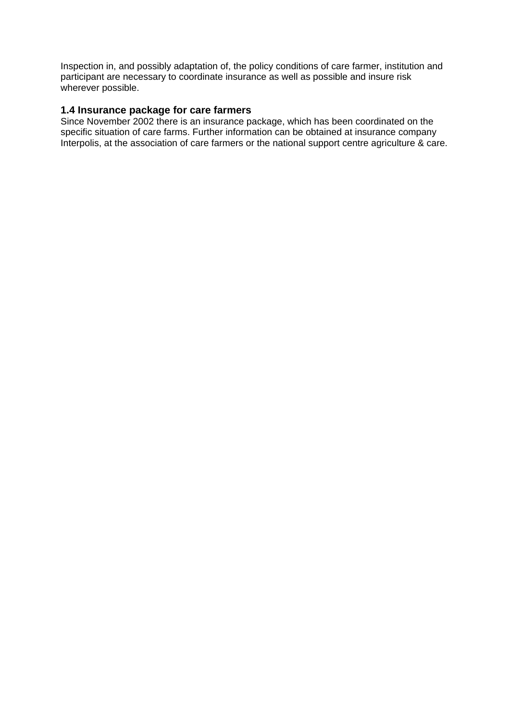Inspection in, and possibly adaptation of, the policy conditions of care farmer, institution and participant are necessary to coordinate insurance as well as possible and insure risk wherever possible.

#### **1.4 Insurance package for care farmers**

Since November 2002 there is an insurance package, which has been coordinated on the specific situation of care farms. Further information can be obtained at insurance company Interpolis, at the association of care farmers or the national support centre agriculture & care.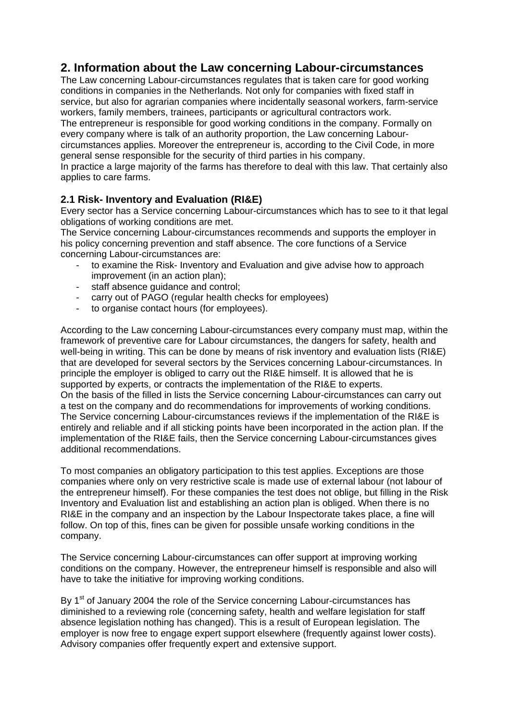# **2. Information about the Law concerning Labour-circumstances**

The Law concerning Labour-circumstances regulates that is taken care for good working conditions in companies in the Netherlands. Not only for companies with fixed staff in service, but also for agrarian companies where incidentally seasonal workers, farm-service workers, family members, trainees, participants or agricultural contractors work.

The entrepreneur is responsible for good working conditions in the company. Formally on every company where is talk of an authority proportion, the Law concerning Labourcircumstances applies. Moreover the entrepreneur is, according to the Civil Code, in more general sense responsible for the security of third parties in his company.

In practice a large majority of the farms has therefore to deal with this law. That certainly also applies to care farms.

# **2.1 Risk- Inventory and Evaluation (RI&E)**

Every sector has a Service concerning Labour-circumstances which has to see to it that legal obligations of working conditions are met.

The Service concerning Labour-circumstances recommends and supports the employer in his policy concerning prevention and staff absence. The core functions of a Service concerning Labour-circumstances are:

- to examine the Risk- Inventory and Evaluation and give advise how to approach improvement (in an action plan);
- staff absence guidance and control;
- carry out of PAGO (regular health checks for employees)
- to organise contact hours (for employees).

According to the Law concerning Labour-circumstances every company must map, within the framework of preventive care for Labour circumstances, the dangers for safety, health and well-being in writing. This can be done by means of risk inventory and evaluation lists (RI&E) that are developed for several sectors by the Services concerning Labour-circumstances. In principle the employer is obliged to carry out the RI&E himself. It is allowed that he is supported by experts, or contracts the implementation of the RI&E to experts. On the basis of the filled in lists the Service concerning Labour-circumstances can carry out a test on the company and do recommendations for improvements of working conditions. The Service concerning Labour-circumstances reviews if the implementation of the RI&E is entirely and reliable and if all sticking points have been incorporated in the action plan. If the implementation of the RI&E fails, then the Service concerning Labour-circumstances gives additional recommendations.

To most companies an obligatory participation to this test applies. Exceptions are those companies where only on very restrictive scale is made use of external labour (not labour of the entrepreneur himself). For these companies the test does not oblige, but filling in the Risk Inventory and Evaluation list and establishing an action plan is obliged. When there is no RI&E in the company and an inspection by the Labour Inspectorate takes place, a fine will follow. On top of this, fines can be given for possible unsafe working conditions in the company.

The Service concerning Labour-circumstances can offer support at improving working conditions on the company. However, the entrepreneur himself is responsible and also will have to take the initiative for improving working conditions.

By 1<sup>st</sup> of January 2004 the role of the Service concerning Labour-circumstances has diminished to a reviewing role (concerning safety, health and welfare legislation for staff absence legislation nothing has changed). This is a result of European legislation. The employer is now free to engage expert support elsewhere (frequently against lower costs). Advisory companies offer frequently expert and extensive support.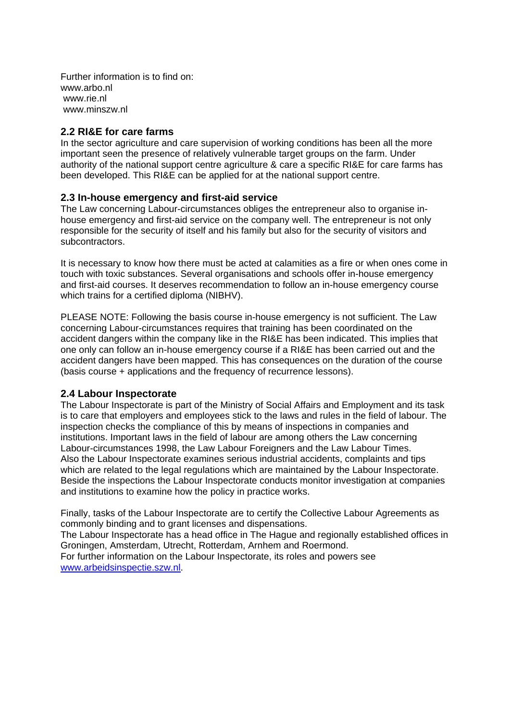Further information is to find on: www.arbo.nl www.rie.nl www.minszw.nl

#### **2.2 RI&E for care farms**

In the sector agriculture and care supervision of working conditions has been all the more important seen the presence of relatively vulnerable target groups on the farm. Under authority of the national support centre agriculture & care a specific RI&E for care farms has been developed. This RI&E can be applied for at the national support centre.

#### **2.3 In-house emergency and first-aid service**

The Law concerning Labour-circumstances obliges the entrepreneur also to organise inhouse emergency and first-aid service on the company well. The entrepreneur is not only responsible for the security of itself and his family but also for the security of visitors and subcontractors.

It is necessary to know how there must be acted at calamities as a fire or when ones come in touch with toxic substances. Several organisations and schools offer in-house emergency and first-aid courses. It deserves recommendation to follow an in-house emergency course which trains for a certified diploma (NIBHV).

PLEASE NOTE: Following the basis course in-house emergency is not sufficient. The Law concerning Labour-circumstances requires that training has been coordinated on the accident dangers within the company like in the RI&E has been indicated. This implies that one only can follow an in-house emergency course if a RI&E has been carried out and the accident dangers have been mapped. This has consequences on the duration of the course (basis course + applications and the frequency of recurrence lessons).

#### **2.4 Labour Inspectorate**

The Labour Inspectorate is part of the Ministry of Social Affairs and Employment and its task is to care that employers and employees stick to the laws and rules in the field of labour. The inspection checks the compliance of this by means of inspections in companies and institutions. Important laws in the field of labour are among others the Law concerning Labour-circumstances 1998, the Law Labour Foreigners and the Law Labour Times. Also the Labour Inspectorate examines serious industrial accidents, complaints and tips which are related to the legal regulations which are maintained by the Labour Inspectorate. Beside the inspections the Labour Inspectorate conducts monitor investigation at companies and institutions to examine how the policy in practice works.

Finally, tasks of the Labour Inspectorate are to certify the Collective Labour Agreements as commonly binding and to grant licenses and dispensations. The Labour Inspectorate has a head office in The Hague and regionally established offices in Groningen, Amsterdam, Utrecht, Rotterdam, Arnhem and Roermond. For further information on the Labour Inspectorate, its roles and powers see www.arbeidsinspectie.szw.nl.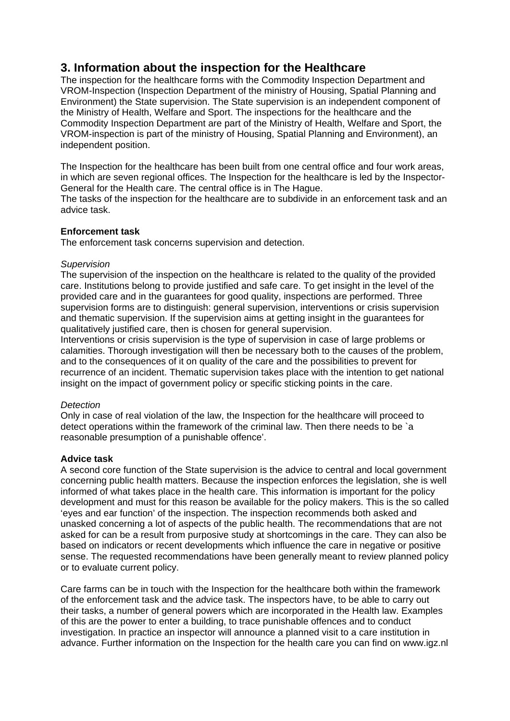# **3. Information about the inspection for the Healthcare**

The inspection for the healthcare forms with the Commodity Inspection Department and VROM-Inspection (Inspection Department of the ministry of Housing, Spatial Planning and Environment) the State supervision. The State supervision is an independent component of the Ministry of Health, Welfare and Sport. The inspections for the healthcare and the Commodity Inspection Department are part of the Ministry of Health, Welfare and Sport, the VROM-inspection is part of the ministry of Housing, Spatial Planning and Environment), an independent position.

The Inspection for the healthcare has been built from one central office and four work areas, in which are seven regional offices. The Inspection for the healthcare is led by the Inspector-General for the Health care. The central office is in The Hague.

The tasks of the inspection for the healthcare are to subdivide in an enforcement task and an advice task.

#### **Enforcement task**

The enforcement task concerns supervision and detection.

#### *Supervision*

The supervision of the inspection on the healthcare is related to the quality of the provided care. Institutions belong to provide justified and safe care. To get insight in the level of the provided care and in the guarantees for good quality, inspections are performed. Three supervision forms are to distinguish: general supervision, interventions or crisis supervision and thematic supervision. If the supervision aims at getting insight in the guarantees for qualitatively justified care, then is chosen for general supervision.

Interventions or crisis supervision is the type of supervision in case of large problems or calamities. Thorough investigation will then be necessary both to the causes of the problem, and to the consequences of it on quality of the care and the possibilities to prevent for recurrence of an incident. Thematic supervision takes place with the intention to get national insight on the impact of government policy or specific sticking points in the care.

#### *Detection*

Only in case of real violation of the law, the Inspection for the healthcare will proceed to detect operations within the framework of the criminal law. Then there needs to be `a reasonable presumption of a punishable offence'.

#### **Advice task**

A second core function of the State supervision is the advice to central and local government concerning public health matters. Because the inspection enforces the legislation, she is well informed of what takes place in the health care. This information is important for the policy development and must for this reason be available for the policy makers. This is the so called 'eyes and ear function' of the inspection. The inspection recommends both asked and unasked concerning a lot of aspects of the public health. The recommendations that are not asked for can be a result from purposive study at shortcomings in the care. They can also be based on indicators or recent developments which influence the care in negative or positive sense. The requested recommendations have been generally meant to review planned policy or to evaluate current policy.

Care farms can be in touch with the Inspection for the healthcare both within the framework of the enforcement task and the advice task. The inspectors have, to be able to carry out their tasks, a number of general powers which are incorporated in the Health law. Examples of this are the power to enter a building, to trace punishable offences and to conduct investigation. In practice an inspector will announce a planned visit to a care institution in advance. Further information on the Inspection for the health care you can find on www.igz.nl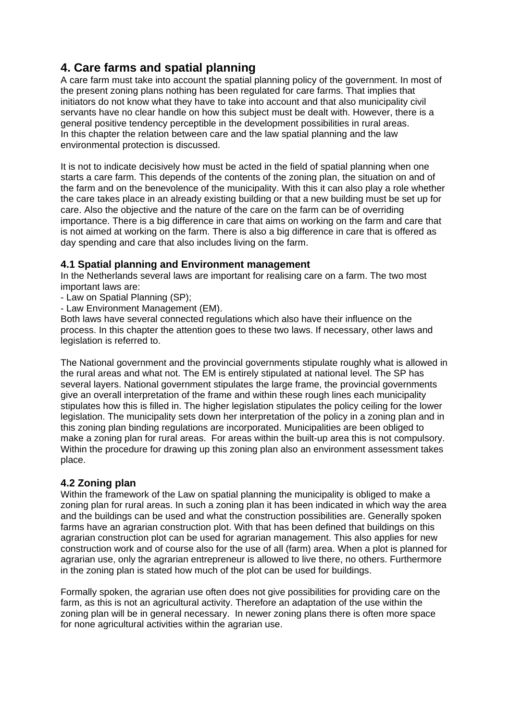# **4. Care farms and spatial planning**

A care farm must take into account the spatial planning policy of the government. In most of the present zoning plans nothing has been regulated for care farms. That implies that initiators do not know what they have to take into account and that also municipality civil servants have no clear handle on how this subject must be dealt with. However, there is a general positive tendency perceptible in the development possibilities in rural areas. In this chapter the relation between care and the law spatial planning and the law environmental protection is discussed.

It is not to indicate decisively how must be acted in the field of spatial planning when one starts a care farm. This depends of the contents of the zoning plan, the situation on and of the farm and on the benevolence of the municipality. With this it can also play a role whether the care takes place in an already existing building or that a new building must be set up for care. Also the objective and the nature of the care on the farm can be of overriding importance. There is a big difference in care that aims on working on the farm and care that is not aimed at working on the farm. There is also a big difference in care that is offered as day spending and care that also includes living on the farm.

# **4.1 Spatial planning and Environment management**

In the Netherlands several laws are important for realising care on a farm. The two most important laws are:

- Law on Spatial Planning (SP);
- Law Environment Management (EM).

Both laws have several connected regulations which also have their influence on the process. In this chapter the attention goes to these two laws. If necessary, other laws and legislation is referred to.

The National government and the provincial governments stipulate roughly what is allowed in the rural areas and what not. The EM is entirely stipulated at national level. The SP has several layers. National government stipulates the large frame, the provincial governments give an overall interpretation of the frame and within these rough lines each municipality stipulates how this is filled in. The higher legislation stipulates the policy ceiling for the lower legislation. The municipality sets down her interpretation of the policy in a zoning plan and in this zoning plan binding regulations are incorporated. Municipalities are been obliged to make a zoning plan for rural areas. For areas within the built-up area this is not compulsory. Within the procedure for drawing up this zoning plan also an environment assessment takes place.

### **4.2 Zoning plan**

Within the framework of the Law on spatial planning the municipality is obliged to make a zoning plan for rural areas. In such a zoning plan it has been indicated in which way the area and the buildings can be used and what the construction possibilities are. Generally spoken farms have an agrarian construction plot. With that has been defined that buildings on this agrarian construction plot can be used for agrarian management. This also applies for new construction work and of course also for the use of all (farm) area. When a plot is planned for agrarian use, only the agrarian entrepreneur is allowed to live there, no others. Furthermore in the zoning plan is stated how much of the plot can be used for buildings.

Formally spoken, the agrarian use often does not give possibilities for providing care on the farm, as this is not an agricultural activity. Therefore an adaptation of the use within the zoning plan will be in general necessary. In newer zoning plans there is often more space for none agricultural activities within the agrarian use.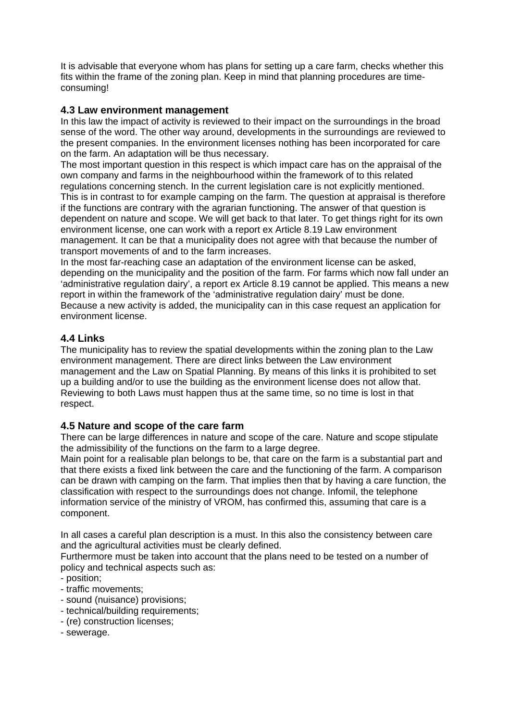It is advisable that everyone whom has plans for setting up a care farm, checks whether this fits within the frame of the zoning plan. Keep in mind that planning procedures are timeconsuming!

### **4.3 Law environment management**

In this law the impact of activity is reviewed to their impact on the surroundings in the broad sense of the word. The other way around, developments in the surroundings are reviewed to the present companies. In the environment licenses nothing has been incorporated for care on the farm. An adaptation will be thus necessary.

The most important question in this respect is which impact care has on the appraisal of the own company and farms in the neighbourhood within the framework of to this related regulations concerning stench. In the current legislation care is not explicitly mentioned. This is in contrast to for example camping on the farm. The question at appraisal is therefore if the functions are contrary with the agrarian functioning. The answer of that question is dependent on nature and scope. We will get back to that later. To get things right for its own environment license, one can work with a report ex Article 8.19 Law environment management. It can be that a municipality does not agree with that because the number of transport movements of and to the farm increases.

In the most far-reaching case an adaptation of the environment license can be asked, depending on the municipality and the position of the farm. For farms which now fall under an 'administrative regulation dairy', a report ex Article 8.19 cannot be applied. This means a new report in within the framework of the 'administrative regulation dairy' must be done. Because a new activity is added, the municipality can in this case request an application for environment license.

### **4.4 Links**

The municipality has to review the spatial developments within the zoning plan to the Law environment management. There are direct links between the Law environment management and the Law on Spatial Planning. By means of this links it is prohibited to set up a building and/or to use the building as the environment license does not allow that. Reviewing to both Laws must happen thus at the same time, so no time is lost in that respect.

### **4.5 Nature and scope of the care farm**

There can be large differences in nature and scope of the care. Nature and scope stipulate the admissibility of the functions on the farm to a large degree.

Main point for a realisable plan belongs to be, that care on the farm is a substantial part and that there exists a fixed link between the care and the functioning of the farm. A comparison can be drawn with camping on the farm. That implies then that by having a care function, the classification with respect to the surroundings does not change. Infomil, the telephone information service of the ministry of VROM, has confirmed this, assuming that care is a component.

In all cases a careful plan description is a must. In this also the consistency between care and the agricultural activities must be clearly defined.

Furthermore must be taken into account that the plans need to be tested on a number of policy and technical aspects such as:

- position;
- traffic movements;
- sound (nuisance) provisions;
- technical/building requirements;
- (re) construction licenses;
- sewerage.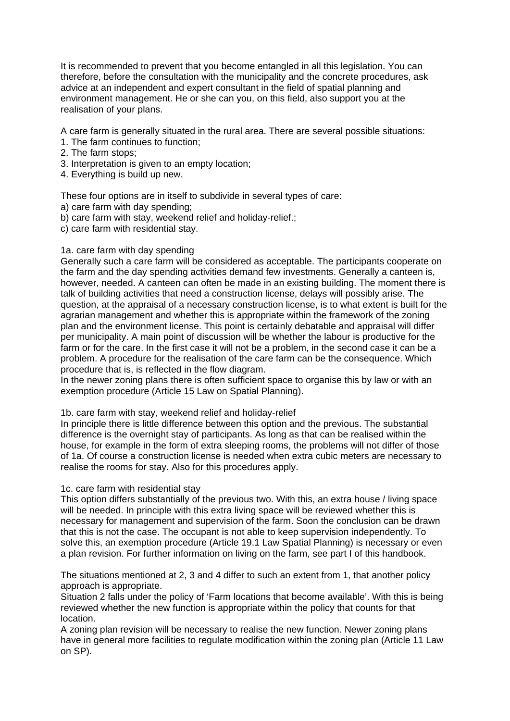It is recommended to prevent that you become entangled in all this legislation. You can therefore, before the consultation with the municipality and the concrete procedures, ask advice at an independent and expert consultant in the field of spatial planning and environment management. He or she can you, on this field, also support you at the realisation of your plans.

A care farm is generally situated in the rural area. There are several possible situations:

- 1. The farm continues to function;
- 2. The farm stops;
- 3. Interpretation is given to an empty location;
- 4. Everything is build up new.

These four options are in itself to subdivide in several types of care:

a) care farm with day spending;

- b) care farm with stay, weekend relief and holiday-relief.;
- c) care farm with residential stay.

#### 1a. care farm with day spending

Generally such a care farm will be considered as acceptable. The participants cooperate on the farm and the day spending activities demand few investments. Generally a canteen is, however, needed. A canteen can often be made in an existing building. The moment there is talk of building activities that need a construction license, delays will possibly arise. The question, at the appraisal of a necessary construction license, is to what extent is built for the agrarian management and whether this is appropriate within the framework of the zoning plan and the environment license. This point is certainly debatable and appraisal will differ per municipality. A main point of discussion will be whether the labour is productive for the farm or for the care. In the first case it will not be a problem, in the second case it can be a problem. A procedure for the realisation of the care farm can be the consequence. Which procedure that is, is reflected in the flow diagram.

In the newer zoning plans there is often sufficient space to organise this by law or with an exemption procedure (Article 15 Law on Spatial Planning).

#### 1b. care farm with stay, weekend relief and holiday-relief

In principle there is little difference between this option and the previous. The substantial difference is the overnight stay of participants. As long as that can be realised within the house, for example in the form of extra sleeping rooms, the problems will not differ of those of 1a. Of course a construction license is needed when extra cubic meters are necessary to realise the rooms for stay. Also for this procedures apply.

#### 1c. care farm with residential stay

This option differs substantially of the previous two. With this, an extra house / living space will be needed. In principle with this extra living space will be reviewed whether this is necessary for management and supervision of the farm. Soon the conclusion can be drawn that this is not the case. The occupant is not able to keep supervision independently. To solve this, an exemption procedure (Article 19.1 Law Spatial Planning) is necessary or even a plan revision. For further information on living on the farm, see part I of this handbook.

The situations mentioned at 2, 3 and 4 differ to such an extent from 1, that another policy approach is appropriate.

Situation 2 falls under the policy of 'Farm locations that become available'. With this is being reviewed whether the new function is appropriate within the policy that counts for that location.

A zoning plan revision will be necessary to realise the new function. Newer zoning plans have in general more facilities to regulate modification within the zoning plan (Article 11 Law on SP).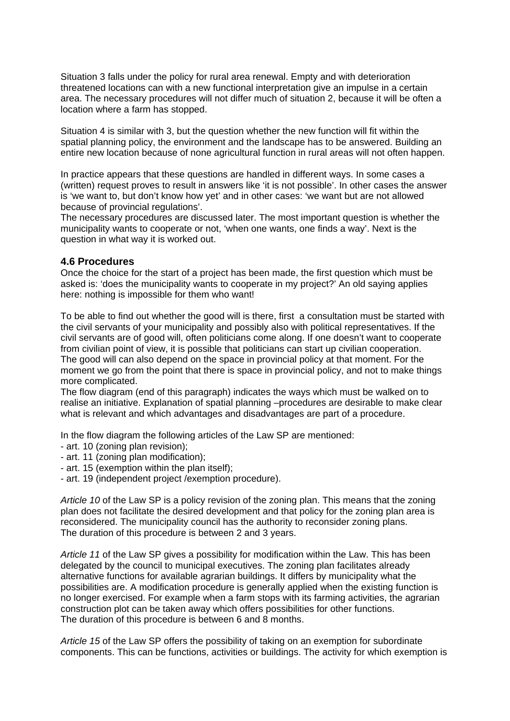Situation 3 falls under the policy for rural area renewal. Empty and with deterioration threatened locations can with a new functional interpretation give an impulse in a certain area. The necessary procedures will not differ much of situation 2, because it will be often a location where a farm has stopped.

Situation 4 is similar with 3, but the question whether the new function will fit within the spatial planning policy, the environment and the landscape has to be answered. Building an entire new location because of none agricultural function in rural areas will not often happen.

In practice appears that these questions are handled in different ways. In some cases a (written) request proves to result in answers like 'it is not possible'. In other cases the answer is 'we want to, but don't know how yet' and in other cases: 'we want but are not allowed because of provincial regulations'.

The necessary procedures are discussed later. The most important question is whether the municipality wants to cooperate or not, 'when one wants, one finds a way'. Next is the question in what way it is worked out.

#### **4.6 Procedures**

Once the choice for the start of a project has been made, the first question which must be asked is: 'does the municipality wants to cooperate in my project?' An old saying applies here: nothing is impossible for them who want!

To be able to find out whether the good will is there, first a consultation must be started with the civil servants of your municipality and possibly also with political representatives. If the civil servants are of good will, often politicians come along. If one doesn't want to cooperate from civilian point of view, it is possible that politicians can start up civilian cooperation. The good will can also depend on the space in provincial policy at that moment. For the moment we go from the point that there is space in provincial policy, and not to make things more complicated.

The flow diagram (end of this paragraph) indicates the ways which must be walked on to realise an initiative. Explanation of spatial planning –procedures are desirable to make clear what is relevant and which advantages and disadvantages are part of a procedure.

In the flow diagram the following articles of the Law SP are mentioned:

- art. 10 (zoning plan revision);
- art. 11 (zoning plan modification);
- art. 15 (exemption within the plan itself);
- art. 19 (independent project /exemption procedure).

*Article 10* of the Law SP is a policy revision of the zoning plan. This means that the zoning plan does not facilitate the desired development and that policy for the zoning plan area is reconsidered. The municipality council has the authority to reconsider zoning plans. The duration of this procedure is between 2 and 3 years.

*Article 11* of the Law SP gives a possibility for modification within the Law. This has been delegated by the council to municipal executives. The zoning plan facilitates already alternative functions for available agrarian buildings. It differs by municipality what the possibilities are. A modification procedure is generally applied when the existing function is no longer exercised. For example when a farm stops with its farming activities, the agrarian construction plot can be taken away which offers possibilities for other functions. The duration of this procedure is between 6 and 8 months.

*Article 15* of the Law SP offers the possibility of taking on an exemption for subordinate components. This can be functions, activities or buildings. The activity for which exemption is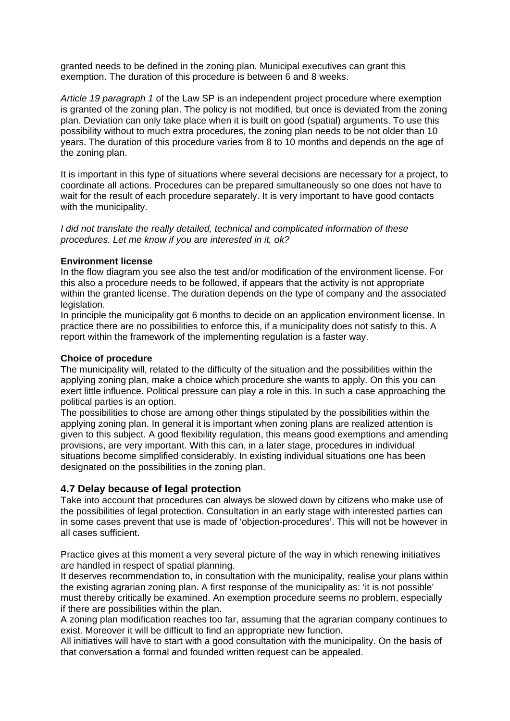granted needs to be defined in the zoning plan. Municipal executives can grant this exemption. The duration of this procedure is between 6 and 8 weeks.

*Article 19 paragraph 1* of the Law SP is an independent project procedure where exemption is granted of the zoning plan. The policy is not modified, but once is deviated from the zoning plan. Deviation can only take place when it is built on good (spatial) arguments. To use this possibility without to much extra procedures, the zoning plan needs to be not older than 10 years. The duration of this procedure varies from 8 to 10 months and depends on the age of the zoning plan.

It is important in this type of situations where several decisions are necessary for a project, to coordinate all actions. Procedures can be prepared simultaneously so one does not have to wait for the result of each procedure separately. It is very important to have good contacts with the municipality.

*I did not translate the really detailed, technical and complicated information of these procedures. Let me know if you are interested in it, ok?* 

#### **Environment license**

In the flow diagram you see also the test and/or modification of the environment license. For this also a procedure needs to be followed, if appears that the activity is not appropriate within the granted license. The duration depends on the type of company and the associated legislation.

In principle the municipality got 6 months to decide on an application environment license. In practice there are no possibilities to enforce this, if a municipality does not satisfy to this. A report within the framework of the implementing regulation is a faster way.

#### **Choice of procedure**

The municipality will, related to the difficulty of the situation and the possibilities within the applying zoning plan, make a choice which procedure she wants to apply. On this you can exert little influence. Political pressure can play a role in this. In such a case approaching the political parties is an option.

The possibilities to chose are among other things stipulated by the possibilities within the applying zoning plan. In general it is important when zoning plans are realized attention is given to this subject. A good flexibility regulation, this means good exemptions and amending provisions, are very important. With this can, in a later stage, procedures in individual situations become simplified considerably. In existing individual situations one has been designated on the possibilities in the zoning plan.

### **4.7 Delay because of legal protection**

Take into account that procedures can always be slowed down by citizens who make use of the possibilities of legal protection. Consultation in an early stage with interested parties can in some cases prevent that use is made of 'objection-procedures'. This will not be however in all cases sufficient.

Practice gives at this moment a very several picture of the way in which renewing initiatives are handled in respect of spatial planning.

It deserves recommendation to, in consultation with the municipality, realise your plans within the existing agrarian zoning plan. A first response of the municipality as: 'it is not possible' must thereby critically be examined. An exemption procedure seems no problem, especially if there are possibilities within the plan.

A zoning plan modification reaches too far, assuming that the agrarian company continues to exist. Moreover it will be difficult to find an appropriate new function.

All initiatives will have to start with a good consultation with the municipality. On the basis of that conversation a formal and founded written request can be appealed.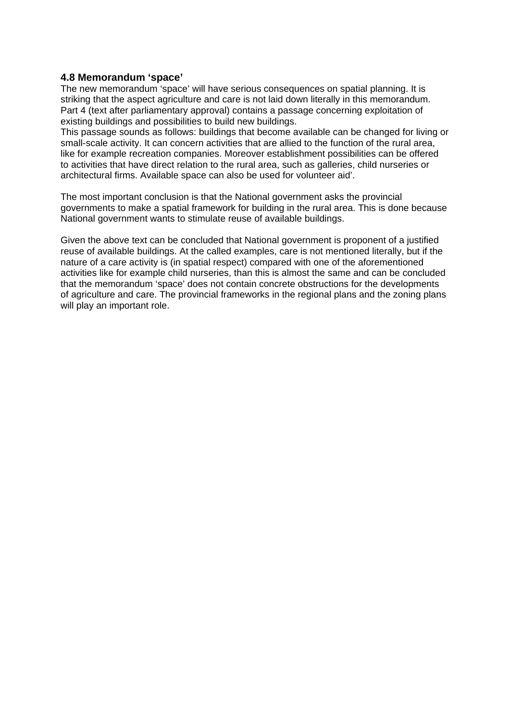#### **4.8 Memorandum 'space'**

The new memorandum 'space' will have serious consequences on spatial planning. It is striking that the aspect agriculture and care is not laid down literally in this memorandum. Part 4 (text after parliamentary approval) contains a passage concerning exploitation of existing buildings and possibilities to build new buildings.

This passage sounds as follows: buildings that become available can be changed for living or small-scale activity. It can concern activities that are allied to the function of the rural area, like for example recreation companies. Moreover establishment possibilities can be offered to activities that have direct relation to the rural area, such as galleries, child nurseries or architectural firms. Available space can also be used for volunteer aid'.

The most important conclusion is that the National government asks the provincial governments to make a spatial framework for building in the rural area. This is done because National government wants to stimulate reuse of available buildings.

Given the above text can be concluded that National government is proponent of a justified reuse of available buildings. At the called examples, care is not mentioned literally, but if the nature of a care activity is (in spatial respect) compared with one of the aforementioned activities like for example child nurseries, than this is almost the same and can be concluded that the memorandum 'space' does not contain concrete obstructions for the developments of agriculture and care. The provincial frameworks in the regional plans and the zoning plans will play an important role.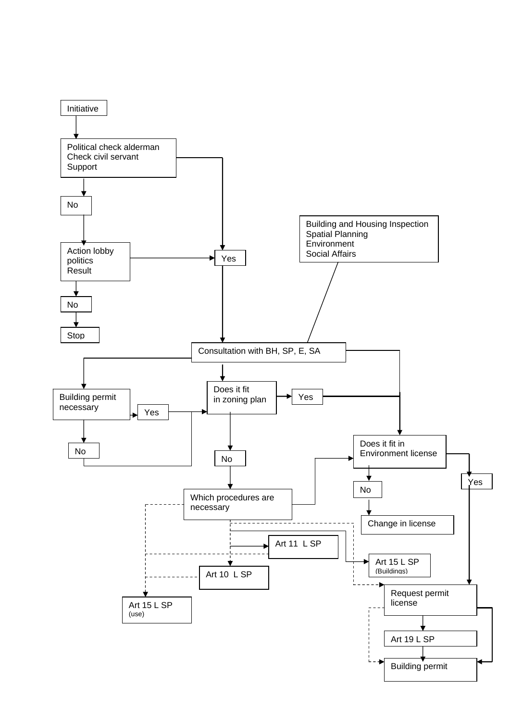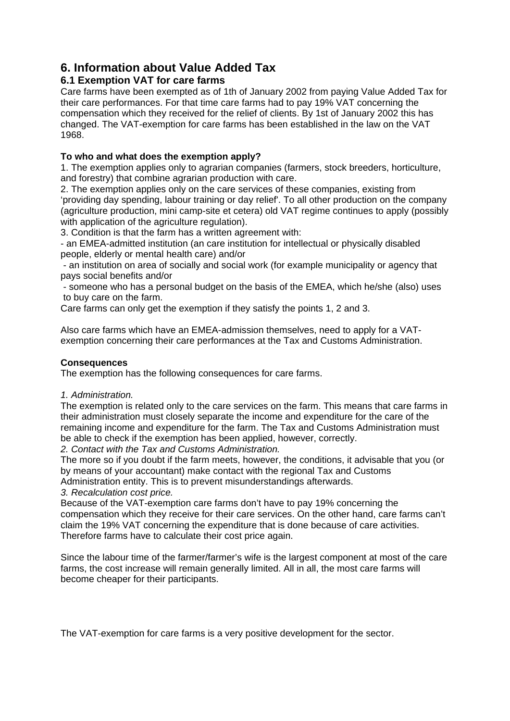# **6. Information about Value Added Tax**

# **6.1 Exemption VAT for care farms**

Care farms have been exempted as of 1th of January 2002 from paying Value Added Tax for their care performances. For that time care farms had to pay 19% VAT concerning the compensation which they received for the relief of clients. By 1st of January 2002 this has changed. The VAT-exemption for care farms has been established in the law on the VAT 1968.

### **To who and what does the exemption apply?**

1. The exemption applies only to agrarian companies (farmers, stock breeders, horticulture, and forestry) that combine agrarian production with care.

2. The exemption applies only on the care services of these companies, existing from 'providing day spending, labour training or day relief'. To all other production on the company (agriculture production, mini camp-site et cetera) old VAT regime continues to apply (possibly with application of the agriculture regulation).

3. Condition is that the farm has a written agreement with:

- an EMEA-admitted institution (an care institution for intellectual or physically disabled people, elderly or mental health care) and/or

 - an institution on area of socially and social work (for example municipality or agency that pays social benefits and/or

 - someone who has a personal budget on the basis of the EMEA, which he/she (also) uses to buy care on the farm.

Care farms can only get the exemption if they satisfy the points 1, 2 and 3.

Also care farms which have an EMEA-admission themselves, need to apply for a VATexemption concerning their care performances at the Tax and Customs Administration.

### **Consequences**

The exemption has the following consequences for care farms.

#### *1. Administration.*

The exemption is related only to the care services on the farm. This means that care farms in their administration must closely separate the income and expenditure for the care of the remaining income and expenditure for the farm. The Tax and Customs Administration must be able to check if the exemption has been applied, however, correctly.

*2. Contact with the Tax and Customs Administration.* 

The more so if you doubt if the farm meets, however, the conditions, it advisable that you (or by means of your accountant) make contact with the regional Tax and Customs Administration entity. This is to prevent misunderstandings afterwards.

*3. Recalculation cost price.* 

Because of the VAT-exemption care farms don't have to pay 19% concerning the compensation which they receive for their care services. On the other hand, care farms can't claim the 19% VAT concerning the expenditure that is done because of care activities. Therefore farms have to calculate their cost price again.

Since the labour time of the farmer/farmer's wife is the largest component at most of the care farms, the cost increase will remain generally limited. All in all, the most care farms will become cheaper for their participants.

The VAT-exemption for care farms is a very positive development for the sector.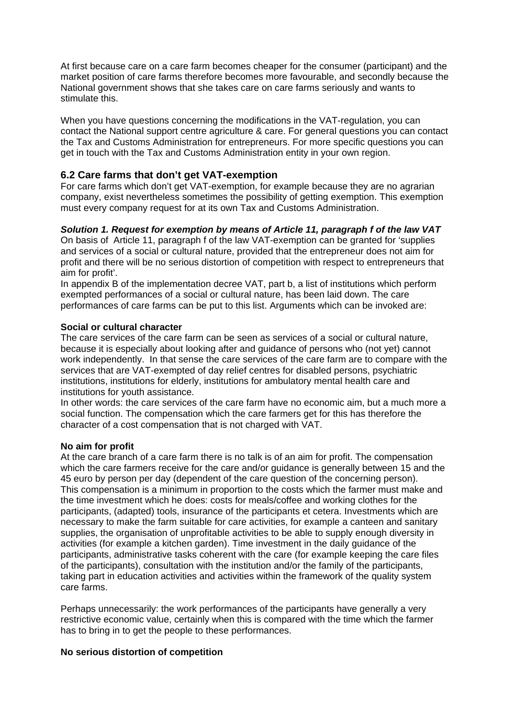At first because care on a care farm becomes cheaper for the consumer (participant) and the market position of care farms therefore becomes more favourable, and secondly because the National government shows that she takes care on care farms seriously and wants to stimulate this.

When you have questions concerning the modifications in the VAT-regulation, you can contact the National support centre agriculture & care. For general questions you can contact the Tax and Customs Administration for entrepreneurs. For more specific questions you can get in touch with the Tax and Customs Administration entity in your own region.

### **6.2 Care farms that don't get VAT-exemption**

For care farms which don't get VAT-exemption, for example because they are no agrarian company, exist nevertheless sometimes the possibility of getting exemption. This exemption must every company request for at its own Tax and Customs Administration.

#### *Solution 1. Request for exemption by means of Article 11, paragraph f of the law VAT*

On basis of Article 11, paragraph f of the law VAT-exemption can be granted for 'supplies and services of a social or cultural nature, provided that the entrepreneur does not aim for profit and there will be no serious distortion of competition with respect to entrepreneurs that aim for profit'.

In appendix B of the implementation decree VAT, part b, a list of institutions which perform exempted performances of a social or cultural nature, has been laid down. The care performances of care farms can be put to this list. Arguments which can be invoked are:

#### **Social or cultural character**

The care services of the care farm can be seen as services of a social or cultural nature, because it is especially about looking after and guidance of persons who (not yet) cannot work independently. In that sense the care services of the care farm are to compare with the services that are VAT-exempted of day relief centres for disabled persons, psychiatric institutions, institutions for elderly, institutions for ambulatory mental health care and institutions for youth assistance.

In other words: the care services of the care farm have no economic aim, but a much more a social function. The compensation which the care farmers get for this has therefore the character of a cost compensation that is not charged with VAT.

#### **No aim for profit**

At the care branch of a care farm there is no talk is of an aim for profit. The compensation which the care farmers receive for the care and/or guidance is generally between 15 and the 45 euro by person per day (dependent of the care question of the concerning person). This compensation is a minimum in proportion to the costs which the farmer must make and the time investment which he does: costs for meals/coffee and working clothes for the participants, (adapted) tools, insurance of the participants et cetera. Investments which are necessary to make the farm suitable for care activities, for example a canteen and sanitary supplies, the organisation of unprofitable activities to be able to supply enough diversity in activities (for example a kitchen garden). Time investment in the daily guidance of the participants, administrative tasks coherent with the care (for example keeping the care files of the participants), consultation with the institution and/or the family of the participants, taking part in education activities and activities within the framework of the quality system care farms.

Perhaps unnecessarily: the work performances of the participants have generally a very restrictive economic value, certainly when this is compared with the time which the farmer has to bring in to get the people to these performances.

#### **No serious distortion of competition**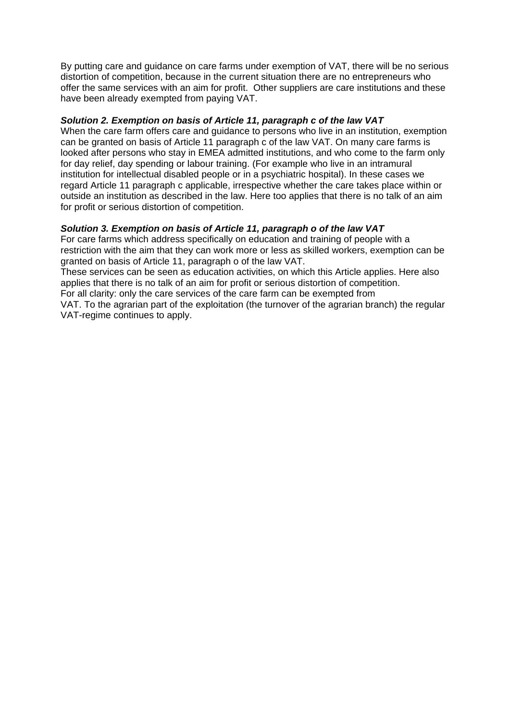By putting care and guidance on care farms under exemption of VAT, there will be no serious distortion of competition, because in the current situation there are no entrepreneurs who offer the same services with an aim for profit. Other suppliers are care institutions and these have been already exempted from paying VAT.

#### *Solution 2. Exemption on basis of Article 11, paragraph c of the law VAT*

When the care farm offers care and guidance to persons who live in an institution, exemption can be granted on basis of Article 11 paragraph c of the law VAT. On many care farms is looked after persons who stay in EMEA admitted institutions, and who come to the farm only for day relief, day spending or labour training. (For example who live in an intramural institution for intellectual disabled people or in a psychiatric hospital). In these cases we regard Article 11 paragraph c applicable, irrespective whether the care takes place within or outside an institution as described in the law. Here too applies that there is no talk of an aim for profit or serious distortion of competition.

#### *Solution 3. Exemption on basis of Article 11, paragraph o of the law VAT*

For care farms which address specifically on education and training of people with a restriction with the aim that they can work more or less as skilled workers, exemption can be granted on basis of Article 11, paragraph o of the law VAT.

These services can be seen as education activities, on which this Article applies. Here also applies that there is no talk of an aim for profit or serious distortion of competition. For all clarity: only the care services of the care farm can be exempted from

VAT. To the agrarian part of the exploitation (the turnover of the agrarian branch) the regular VAT-regime continues to apply.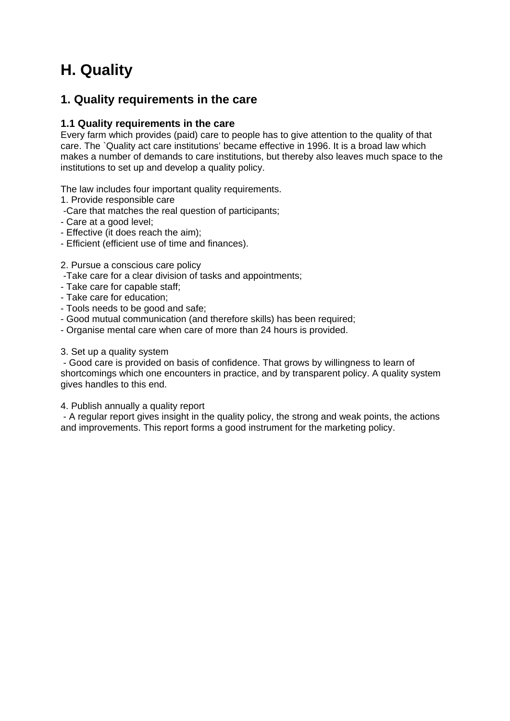# **H. Quality**

# **1. Quality requirements in the care**

# **1.1 Quality requirements in the care**

Every farm which provides (paid) care to people has to give attention to the quality of that care. The `Quality act care institutions' became effective in 1996. It is a broad law which makes a number of demands to care institutions, but thereby also leaves much space to the institutions to set up and develop a quality policy.

The law includes four important quality requirements.

- 1. Provide responsible care
- -Care that matches the real question of participants;
- Care at a good level;
- Effective (it does reach the aim);
- Efficient (efficient use of time and finances).

#### 2. Pursue a conscious care policy

- -Take care for a clear division of tasks and appointments;
- Take care for capable staff;
- Take care for education;
- Tools needs to be good and safe;
- Good mutual communication (and therefore skills) has been required;
- Organise mental care when care of more than 24 hours is provided.
- 3. Set up a quality system

 - Good care is provided on basis of confidence. That grows by willingness to learn of shortcomings which one encounters in practice, and by transparent policy. A quality system gives handles to this end.

4. Publish annually a quality report

 - A regular report gives insight in the quality policy, the strong and weak points, the actions and improvements. This report forms a good instrument for the marketing policy.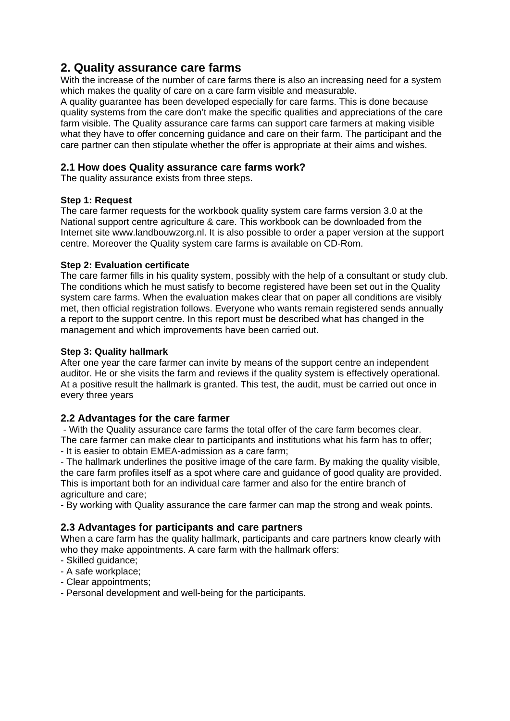# **2. Quality assurance care farms**

With the increase of the number of care farms there is also an increasing need for a system which makes the quality of care on a care farm visible and measurable.

A quality guarantee has been developed especially for care farms. This is done because quality systems from the care don't make the specific qualities and appreciations of the care farm visible. The Quality assurance care farms can support care farmers at making visible what they have to offer concerning guidance and care on their farm. The participant and the care partner can then stipulate whether the offer is appropriate at their aims and wishes.

#### **2.1 How does Quality assurance care farms work?**

The quality assurance exists from three steps.

#### **Step 1: Request**

The care farmer requests for the workbook quality system care farms version 3.0 at the National support centre agriculture & care. This workbook can be downloaded from the Internet site www.landbouwzorg.nl. It is also possible to order a paper version at the support centre. Moreover the Quality system care farms is available on CD-Rom.

#### **Step 2: Evaluation certificate**

The care farmer fills in his quality system, possibly with the help of a consultant or study club. The conditions which he must satisfy to become registered have been set out in the Quality system care farms. When the evaluation makes clear that on paper all conditions are visibly met, then official registration follows. Everyone who wants remain registered sends annually a report to the support centre. In this report must be described what has changed in the management and which improvements have been carried out.

#### **Step 3: Quality hallmark**

After one year the care farmer can invite by means of the support centre an independent auditor. He or she visits the farm and reviews if the quality system is effectively operational. At a positive result the hallmark is granted. This test, the audit, must be carried out once in every three years

#### **2.2 Advantages for the care farmer**

 - With the Quality assurance care farms the total offer of the care farm becomes clear. The care farmer can make clear to participants and institutions what his farm has to offer; - It is easier to obtain EMEA-admission as a care farm;

- The hallmark underlines the positive image of the care farm. By making the quality visible, the care farm profiles itself as a spot where care and guidance of good quality are provided. This is important both for an individual care farmer and also for the entire branch of

agriculture and care;

- By working with Quality assurance the care farmer can map the strong and weak points.

#### **2.3 Advantages for participants and care partners**

When a care farm has the quality hallmark, participants and care partners know clearly with who they make appointments. A care farm with the hallmark offers:

- Skilled guidance;
- A safe workplace;
- Clear appointments;
- Personal development and well-being for the participants.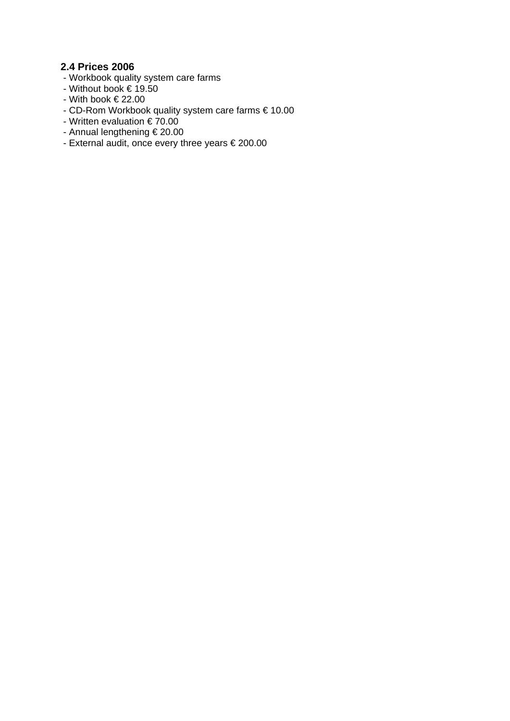# **2.4 Prices 2006**

- Workbook quality system care farms
- Without book € 19.50
- With book € 22.00
- CD-Rom Workbook quality system care farms € 10.00
- Written evaluation € 70.00
- Annual lengthening € 20.00
- External audit, once every three years € 200.00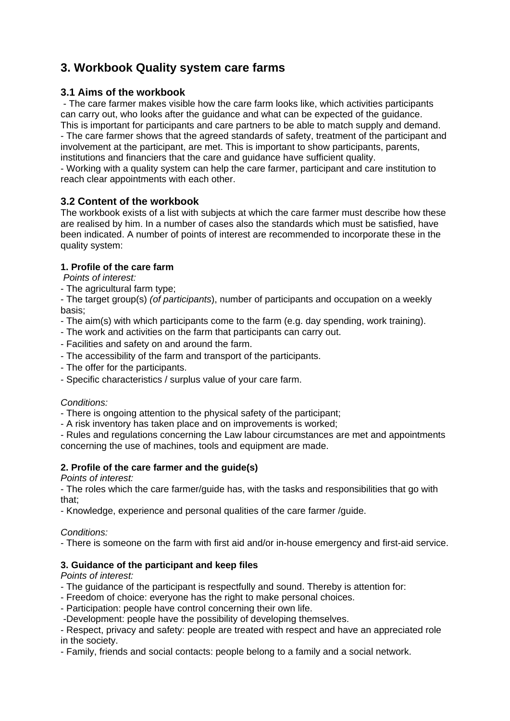# **3. Workbook Quality system care farms**

# **3.1 Aims of the workbook**

 - The care farmer makes visible how the care farm looks like, which activities participants can carry out, who looks after the guidance and what can be expected of the guidance. This is important for participants and care partners to be able to match supply and demand.

- The care farmer shows that the agreed standards of safety, treatment of the participant and involvement at the participant, are met. This is important to show participants, parents, institutions and financiers that the care and guidance have sufficient quality.

- Working with a quality system can help the care farmer, participant and care institution to reach clear appointments with each other.

# **3.2 Content of the workbook**

The workbook exists of a list with subjects at which the care farmer must describe how these are realised by him. In a number of cases also the standards which must be satisfied, have been indicated. A number of points of interest are recommended to incorporate these in the quality system:

# **1. Profile of the care farm**

 *Points of interest:* 

- The agricultural farm type;

- The target group(s) *(of participants*), number of participants and occupation on a weekly basis;

- The aim(s) with which participants come to the farm (e.g. day spending, work training).
- The work and activities on the farm that participants can carry out.
- Facilities and safety on and around the farm.
- The accessibility of the farm and transport of the participants.
- The offer for the participants.
- Specific characteristics / surplus value of your care farm.

#### *Conditions:*

- There is ongoing attention to the physical safety of the participant;

- A risk inventory has taken place and on improvements is worked;

- Rules and regulations concerning the Law labour circumstances are met and appointments concerning the use of machines, tools and equipment are made.

### **2. Profile of the care farmer and the guide(s)**

*Points of interest:* 

- The roles which the care farmer/guide has, with the tasks and responsibilities that go with that;

- Knowledge, experience and personal qualities of the care farmer /guide.

#### *Conditions:*

- There is someone on the farm with first aid and/or in-house emergency and first-aid service.

### **3. Guidance of the participant and keep files**

*Points of interest:* 

- The guidance of the participant is respectfully and sound. Thereby is attention for:
- Freedom of choice: everyone has the right to make personal choices.
- Participation: people have control concerning their own life.
- -Development: people have the possibility of developing themselves.

- Respect, privacy and safety: people are treated with respect and have an appreciated role in the society.

- Family, friends and social contacts: people belong to a family and a social network.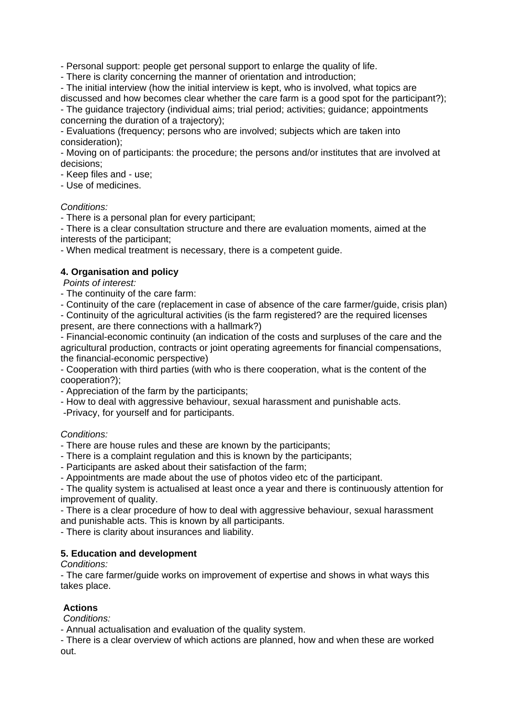- Personal support: people get personal support to enlarge the quality of life.

- There is clarity concerning the manner of orientation and introduction;

- The initial interview (how the initial interview is kept, who is involved, what topics are discussed and how becomes clear whether the care farm is a good spot for the participant?);

- The guidance trajectory (individual aims; trial period; activities; guidance; appointments concerning the duration of a trajectory);

- Evaluations (frequency; persons who are involved; subjects which are taken into consideration);

- Moving on of participants: the procedure; the persons and/or institutes that are involved at decisions;

- Keep files and - use;

- Use of medicines.

#### *Conditions:*

- There is a personal plan for every participant;

- There is a clear consultation structure and there are evaluation moments, aimed at the interests of the participant;

- When medical treatment is necessary, there is a competent guide.

#### **4. Organisation and policy**

*Points of interest:* 

- The continuity of the care farm:
- Continuity of the care (replacement in case of absence of the care farmer/guide, crisis plan)

- Continuity of the agricultural activities (is the farm registered? are the required licenses present, are there connections with a hallmark?)

- Financial-economic continuity (an indication of the costs and surpluses of the care and the agricultural production, contracts or joint operating agreements for financial compensations, the financial-economic perspective)

- Cooperation with third parties (with who is there cooperation, what is the content of the cooperation?);

- Appreciation of the farm by the participants;

- How to deal with aggressive behaviour, sexual harassment and punishable acts.

-Privacy, for yourself and for participants.

#### *Conditions:*

- There are house rules and these are known by the participants;

- There is a complaint regulation and this is known by the participants;

- Participants are asked about their satisfaction of the farm;

- Appointments are made about the use of photos video etc of the participant.

- The quality system is actualised at least once a year and there is continuously attention for improvement of quality.

- There is a clear procedure of how to deal with aggressive behaviour, sexual harassment and punishable acts. This is known by all participants.

- There is clarity about insurances and liability.

#### **5. Education and development**

*Conditions:* 

- The care farmer/guide works on improvement of expertise and shows in what ways this takes place.

#### **Actions**

 *Conditions:* 

- Annual actualisation and evaluation of the quality system.

- There is a clear overview of which actions are planned, how and when these are worked out.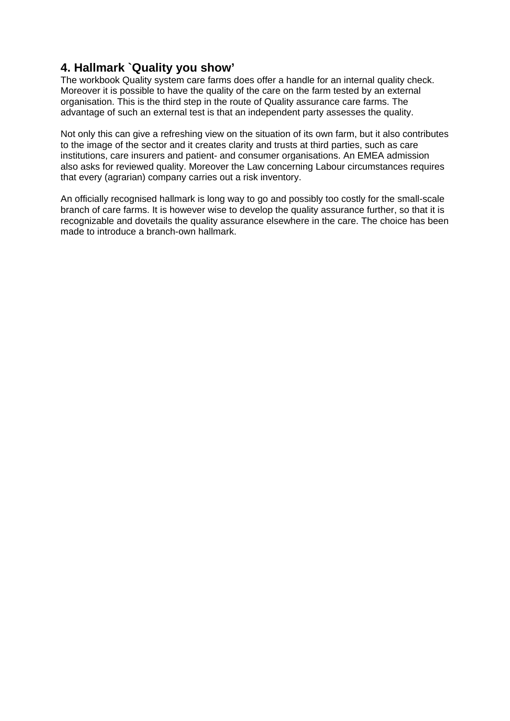# **4. Hallmark `Quality you show'**

The workbook Quality system care farms does offer a handle for an internal quality check. Moreover it is possible to have the quality of the care on the farm tested by an external organisation. This is the third step in the route of Quality assurance care farms. The advantage of such an external test is that an independent party assesses the quality.

Not only this can give a refreshing view on the situation of its own farm, but it also contributes to the image of the sector and it creates clarity and trusts at third parties, such as care institutions, care insurers and patient- and consumer organisations. An EMEA admission also asks for reviewed quality. Moreover the Law concerning Labour circumstances requires that every (agrarian) company carries out a risk inventory.

An officially recognised hallmark is long way to go and possibly too costly for the small-scale branch of care farms. It is however wise to develop the quality assurance further, so that it is recognizable and dovetails the quality assurance elsewhere in the care. The choice has been made to introduce a branch-own hallmark.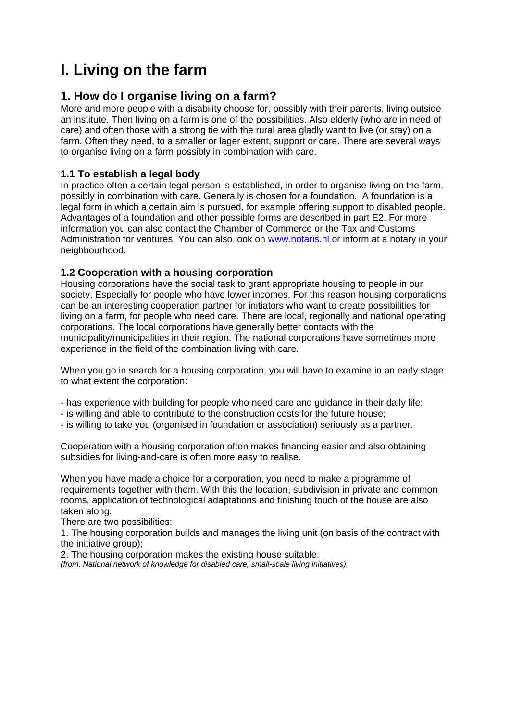# **I. Living on the farm**

# **1. How do I organise living on a farm?**

More and more people with a disability choose for, possibly with their parents, living outside an institute. Then living on a farm is one of the possibilities. Also elderly (who are in need of care) and often those with a strong tie with the rural area gladly want to live (or stay) on a farm. Often they need, to a smaller or lager extent, support or care. There are several ways to organise living on a farm possibly in combination with care.

# **1.1 To establish a legal body**

In practice often a certain legal person is established, in order to organise living on the farm, possibly in combination with care. Generally is chosen for a foundation. A foundation is a legal form in which a certain aim is pursued, for example offering support to disabled people. Advantages of a foundation and other possible forms are described in part E2. For more information you can also contact the Chamber of Commerce or the Tax and Customs Administration for ventures. You can also look on www.notaris.nl or inform at a notary in your neighbourhood.

# **1.2 Cooperation with a housing corporation**

Housing corporations have the social task to grant appropriate housing to people in our society. Especially for people who have lower incomes. For this reason housing corporations can be an interesting cooperation partner for initiators who want to create possibilities for living on a farm, for people who need care. There are local, regionally and national operating corporations. The local corporations have generally better contacts with the municipality/municipalities in their region. The national corporations have sometimes more experience in the field of the combination living with care.

When you go in search for a housing corporation, you will have to examine in an early stage to what extent the corporation:

- has experience with building for people who need care and guidance in their daily life;
- is willing and able to contribute to the construction costs for the future house;
- is willing to take you (organised in foundation or association) seriously as a partner.

Cooperation with a housing corporation often makes financing easier and also obtaining subsidies for living-and-care is often more easy to realise.

When you have made a choice for a corporation, you need to make a programme of requirements together with them. With this the location, subdivision in private and common rooms, application of technological adaptations and finishing touch of the house are also taken along.

There are two possibilities:

1. The housing corporation builds and manages the living unit (on basis of the contract with the initiative group);

2. The housing corporation makes the existing house suitable.

*(from: National network of knowledge for disabled care, small-scale living initiatives).*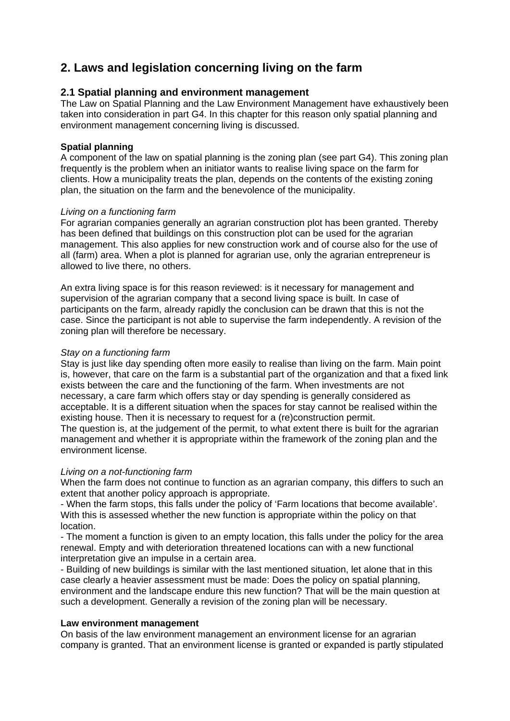# **2. Laws and legislation concerning living on the farm**

### **2.1 Spatial planning and environment management**

The Law on Spatial Planning and the Law Environment Management have exhaustively been taken into consideration in part G4. In this chapter for this reason only spatial planning and environment management concerning living is discussed.

#### **Spatial planning**

A component of the law on spatial planning is the zoning plan (see part G4). This zoning plan frequently is the problem when an initiator wants to realise living space on the farm for clients. How a municipality treats the plan, depends on the contents of the existing zoning plan, the situation on the farm and the benevolence of the municipality.

#### *Living on a functioning farm*

For agrarian companies generally an agrarian construction plot has been granted. Thereby has been defined that buildings on this construction plot can be used for the agrarian management. This also applies for new construction work and of course also for the use of all (farm) area. When a plot is planned for agrarian use, only the agrarian entrepreneur is allowed to live there, no others.

An extra living space is for this reason reviewed: is it necessary for management and supervision of the agrarian company that a second living space is built. In case of participants on the farm, already rapidly the conclusion can be drawn that this is not the case. Since the participant is not able to supervise the farm independently. A revision of the zoning plan will therefore be necessary.

#### *Stay on a functioning farm*

Stay is just like day spending often more easily to realise than living on the farm. Main point is, however, that care on the farm is a substantial part of the organization and that a fixed link exists between the care and the functioning of the farm. When investments are not necessary, a care farm which offers stay or day spending is generally considered as acceptable. It is a different situation when the spaces for stay cannot be realised within the existing house. Then it is necessary to request for a (re)construction permit.

The question is, at the judgement of the permit, to what extent there is built for the agrarian management and whether it is appropriate within the framework of the zoning plan and the environment license.

#### *Living on a not-functioning farm*

When the farm does not continue to function as an agrarian company, this differs to such an extent that another policy approach is appropriate.

- When the farm stops, this falls under the policy of 'Farm locations that become available'. With this is assessed whether the new function is appropriate within the policy on that location.

- The moment a function is given to an empty location, this falls under the policy for the area renewal. Empty and with deterioration threatened locations can with a new functional interpretation give an impulse in a certain area.

- Building of new buildings is similar with the last mentioned situation, let alone that in this case clearly a heavier assessment must be made: Does the policy on spatial planning, environment and the landscape endure this new function? That will be the main question at such a development. Generally a revision of the zoning plan will be necessary.

#### **Law environment management**

On basis of the law environment management an environment license for an agrarian company is granted. That an environment license is granted or expanded is partly stipulated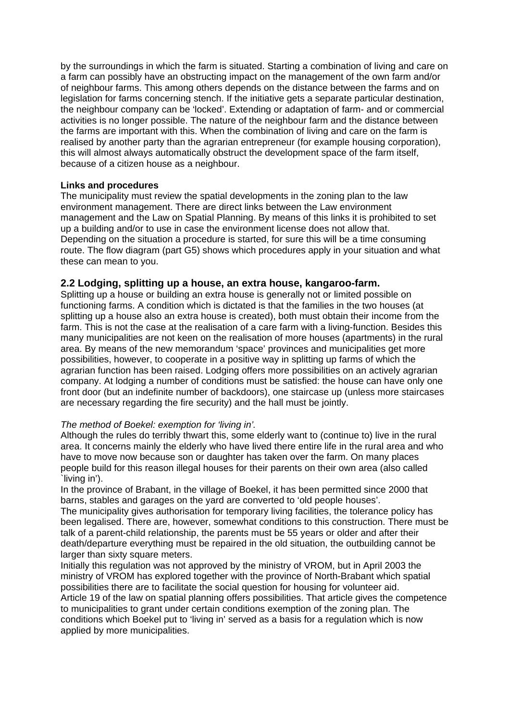by the surroundings in which the farm is situated. Starting a combination of living and care on a farm can possibly have an obstructing impact on the management of the own farm and/or of neighbour farms. This among others depends on the distance between the farms and on legislation for farms concerning stench. If the initiative gets a separate particular destination, the neighbour company can be 'locked'. Extending or adaptation of farm- and or commercial activities is no longer possible. The nature of the neighbour farm and the distance between the farms are important with this. When the combination of living and care on the farm is realised by another party than the agrarian entrepreneur (for example housing corporation), this will almost always automatically obstruct the development space of the farm itself, because of a citizen house as a neighbour.

#### **Links and procedures**

The municipality must review the spatial developments in the zoning plan to the law environment management. There are direct links between the Law environment management and the Law on Spatial Planning. By means of this links it is prohibited to set up a building and/or to use in case the environment license does not allow that. Depending on the situation a procedure is started, for sure this will be a time consuming route. The flow diagram (part G5) shows which procedures apply in your situation and what these can mean to you.

#### **2.2 Lodging, splitting up a house, an extra house, kangaroo-farm.**

Splitting up a house or building an extra house is generally not or limited possible on functioning farms. A condition which is dictated is that the families in the two houses (at splitting up a house also an extra house is created), both must obtain their income from the farm. This is not the case at the realisation of a care farm with a living-function. Besides this many municipalities are not keen on the realisation of more houses (apartments) in the rural area. By means of the new memorandum 'space' provinces and municipalities get more possibilities, however, to cooperate in a positive way in splitting up farms of which the agrarian function has been raised. Lodging offers more possibilities on an actively agrarian company. At lodging a number of conditions must be satisfied: the house can have only one front door (but an indefinite number of backdoors), one staircase up (unless more staircases are necessary regarding the fire security) and the hall must be jointly.

#### *The method of Boekel: exemption for 'living in'.*

Although the rules do terribly thwart this, some elderly want to (continue to) live in the rural area. It concerns mainly the elderly who have lived there entire life in the rural area and who have to move now because son or daughter has taken over the farm. On many places people build for this reason illegal houses for their parents on their own area (also called `living in').

In the province of Brabant, in the village of Boekel, it has been permitted since 2000 that barns, stables and garages on the yard are converted to 'old people houses'.

The municipality gives authorisation for temporary living facilities, the tolerance policy has been legalised. There are, however, somewhat conditions to this construction. There must be talk of a parent-child relationship, the parents must be 55 years or older and after their death/departure everything must be repaired in the old situation, the outbuilding cannot be larger than sixty square meters.

Initially this regulation was not approved by the ministry of VROM, but in April 2003 the ministry of VROM has explored together with the province of North-Brabant which spatial possibilities there are to facilitate the social question for housing for volunteer aid. Article 19 of the law on spatial planning offers possibilities. That article gives the competence to municipalities to grant under certain conditions exemption of the zoning plan. The conditions which Boekel put to 'living in' served as a basis for a regulation which is now applied by more municipalities.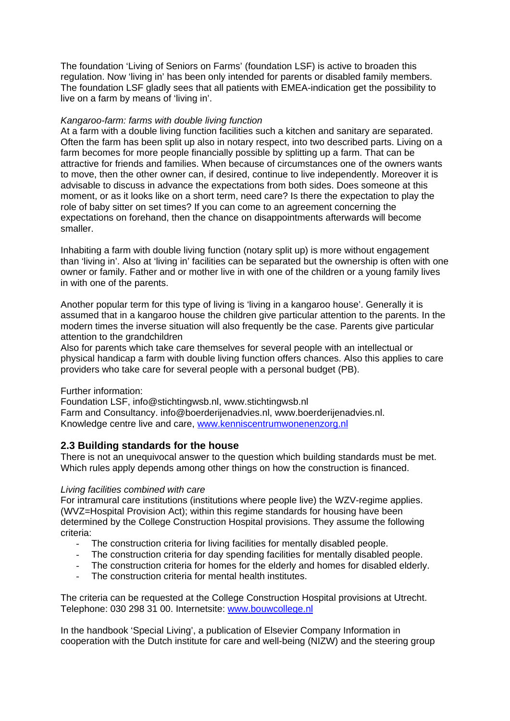The foundation 'Living of Seniors on Farms' (foundation LSF) is active to broaden this regulation. Now 'living in' has been only intended for parents or disabled family members. The foundation LSF gladly sees that all patients with EMEA-indication get the possibility to live on a farm by means of 'living in'.

#### *Kangaroo-farm: farms with double living function*

At a farm with a double living function facilities such a kitchen and sanitary are separated. Often the farm has been split up also in notary respect, into two described parts. Living on a farm becomes for more people financially possible by splitting up a farm. That can be attractive for friends and families. When because of circumstances one of the owners wants to move, then the other owner can, if desired, continue to live independently. Moreover it is advisable to discuss in advance the expectations from both sides. Does someone at this moment, or as it looks like on a short term, need care? Is there the expectation to play the role of baby sitter on set times? If you can come to an agreement concerning the expectations on forehand, then the chance on disappointments afterwards will become smaller.

Inhabiting a farm with double living function (notary split up) is more without engagement than 'living in'. Also at 'living in' facilities can be separated but the ownership is often with one owner or family. Father and or mother live in with one of the children or a young family lives in with one of the parents.

Another popular term for this type of living is 'living in a kangaroo house'. Generally it is assumed that in a kangaroo house the children give particular attention to the parents. In the modern times the inverse situation will also frequently be the case. Parents give particular attention to the grandchildren

Also for parents which take care themselves for several people with an intellectual or physical handicap a farm with double living function offers chances. Also this applies to care providers who take care for several people with a personal budget (PB).

#### Further information:

Foundation LSF, info@stichtingwsb.nl, www.stichtingwsb.nl Farm and Consultancy. info@boerderijenadvies.nl, www.boerderijenadvies.nl. Knowledge centre live and care, www.kenniscentrumwonenenzorg.nl

### **2.3 Building standards for the house**

There is not an unequivocal answer to the question which building standards must be met. Which rules apply depends among other things on how the construction is financed.

#### *Living facilities combined with care*

For intramural care institutions (institutions where people live) the WZV-regime applies. (WVZ=Hospital Provision Act); within this regime standards for housing have been determined by the College Construction Hospital provisions. They assume the following criteria:

- The construction criteria for living facilities for mentally disabled people.
- The construction criteria for day spending facilities for mentally disabled people.
- The construction criteria for homes for the elderly and homes for disabled elderly.
- The construction criteria for mental health institutes.

The criteria can be requested at the College Construction Hospital provisions at Utrecht. Telephone: 030 298 31 00. Internetsite: www.bouwcollege.nl

In the handbook 'Special Living', a publication of Elsevier Company Information in cooperation with the Dutch institute for care and well-being (NIZW) and the steering group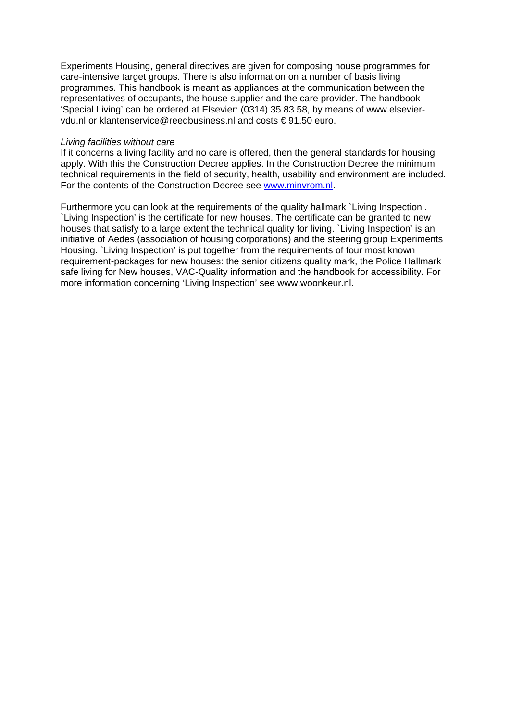Experiments Housing, general directives are given for composing house programmes for care-intensive target groups. There is also information on a number of basis living programmes. This handbook is meant as appliances at the communication between the representatives of occupants, the house supplier and the care provider. The handbook 'Special Living' can be ordered at Elsevier: (0314) 35 83 58, by means of www.elseviervdu.nl or klantenservice@reedbusiness.nl and costs € 91.50 euro.

#### *Living facilities without care*

If it concerns a living facility and no care is offered, then the general standards for housing apply. With this the Construction Decree applies. In the Construction Decree the minimum technical requirements in the field of security, health, usability and environment are included. For the contents of the Construction Decree see www.minvrom.nl.

Furthermore you can look at the requirements of the quality hallmark `Living Inspection'. `Living Inspection' is the certificate for new houses. The certificate can be granted to new houses that satisfy to a large extent the technical quality for living. `Living Inspection' is an initiative of Aedes (association of housing corporations) and the steering group Experiments Housing. `Living Inspection' is put together from the requirements of four most known requirement-packages for new houses: the senior citizens quality mark, the Police Hallmark safe living for New houses, VAC-Quality information and the handbook for accessibility. For more information concerning 'Living Inspection' see www.woonkeur.nl.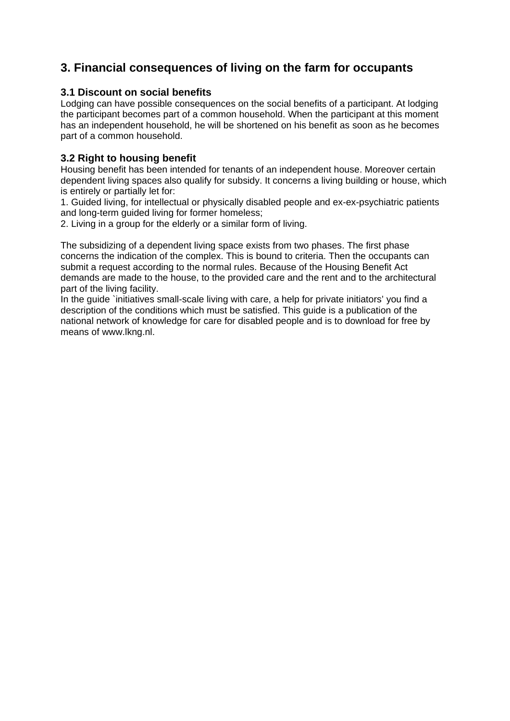# **3. Financial consequences of living on the farm for occupants**

# **3.1 Discount on social benefits**

Lodging can have possible consequences on the social benefits of a participant. At lodging the participant becomes part of a common household. When the participant at this moment has an independent household, he will be shortened on his benefit as soon as he becomes part of a common household.

# **3.2 Right to housing benefit**

Housing benefit has been intended for tenants of an independent house. Moreover certain dependent living spaces also qualify for subsidy. It concerns a living building or house, which is entirely or partially let for:

1. Guided living, for intellectual or physically disabled people and ex-ex-psychiatric patients and long-term guided living for former homeless;

2. Living in a group for the elderly or a similar form of living.

The subsidizing of a dependent living space exists from two phases. The first phase concerns the indication of the complex. This is bound to criteria. Then the occupants can submit a request according to the normal rules. Because of the Housing Benefit Act demands are made to the house, to the provided care and the rent and to the architectural part of the living facility.

In the guide `initiatives small-scale living with care, a help for private initiators' you find a description of the conditions which must be satisfied. This guide is a publication of the national network of knowledge for care for disabled people and is to download for free by means of www.lkng.nl.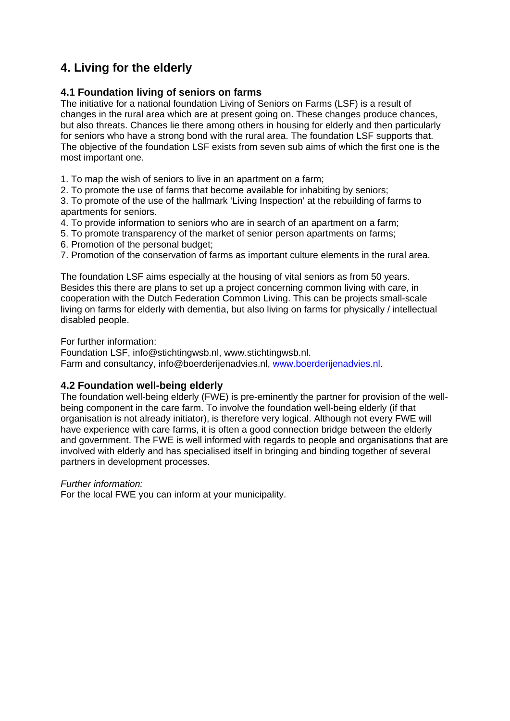# **4. Living for the elderly**

# **4.1 Foundation living of seniors on farms**

The initiative for a national foundation Living of Seniors on Farms (LSF) is a result of changes in the rural area which are at present going on. These changes produce chances, but also threats. Chances lie there among others in housing for elderly and then particularly for seniors who have a strong bond with the rural area. The foundation LSF supports that. The objective of the foundation LSF exists from seven sub aims of which the first one is the most important one.

1. To map the wish of seniors to live in an apartment on a farm;

2. To promote the use of farms that become available for inhabiting by seniors;

3. To promote of the use of the hallmark 'Living Inspection' at the rebuilding of farms to apartments for seniors.

- 4. To provide information to seniors who are in search of an apartment on a farm;
- 5. To promote transparency of the market of senior person apartments on farms;
- 6. Promotion of the personal budget;
- 7. Promotion of the conservation of farms as important culture elements in the rural area.

The foundation LSF aims especially at the housing of vital seniors as from 50 years. Besides this there are plans to set up a project concerning common living with care, in cooperation with the Dutch Federation Common Living. This can be projects small-scale living on farms for elderly with dementia, but also living on farms for physically / intellectual disabled people.

For further information:

Foundation LSF, info@stichtingwsb.nl, www.stichtingwsb.nl. Farm and consultancy, info@boerderijenadvies.nl, www.boerderijenadvies.nl.

### **4.2 Foundation well-being elderly**

The foundation well-being elderly (FWE) is pre-eminently the partner for provision of the wellbeing component in the care farm. To involve the foundation well-being elderly (if that organisation is not already initiator), is therefore very logical. Although not every FWE will have experience with care farms, it is often a good connection bridge between the elderly and government. The FWE is well informed with regards to people and organisations that are involved with elderly and has specialised itself in bringing and binding together of several partners in development processes.

#### *Further information:*

For the local FWE you can inform at your municipality.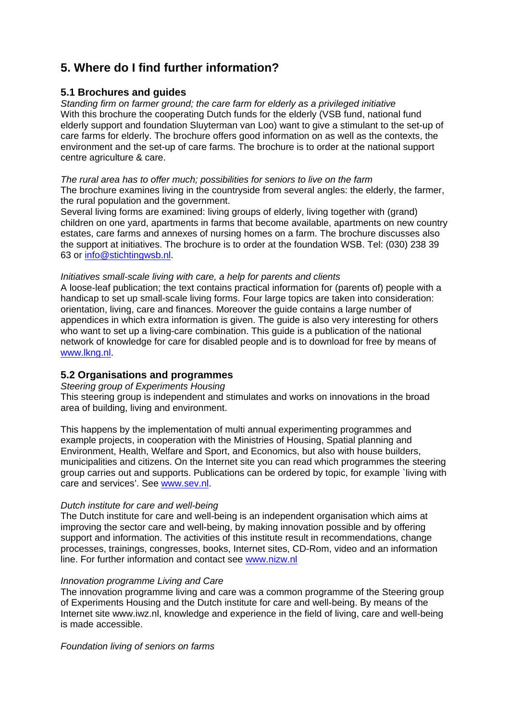# **5. Where do I find further information?**

### **5.1 Brochures and guides**

*Standing firm on farmer ground; the care farm for elderly as a privileged initiative*  With this brochure the cooperating Dutch funds for the elderly (VSB fund, national fund elderly support and foundation Sluyterman van Loo) want to give a stimulant to the set-up of care farms for elderly. The brochure offers good information on as well as the contexts, the environment and the set-up of care farms. The brochure is to order at the national support centre agriculture & care.

*The rural area has to offer much; possibilities for seniors to live on the farm*  The brochure examines living in the countryside from several angles: the elderly, the farmer, the rural population and the government.

Several living forms are examined: living groups of elderly, living together with (grand) children on one yard, apartments in farms that become available, apartments on new country estates, care farms and annexes of nursing homes on a farm. The brochure discusses also the support at initiatives. The brochure is to order at the foundation WSB. Tel: (030) 238 39 63 or info@stichtingwsb.nl.

#### *Initiatives small-scale living with care, a help for parents and clients*

A loose-leaf publication; the text contains practical information for (parents of) people with a handicap to set up small-scale living forms. Four large topics are taken into consideration: orientation, living, care and finances. Moreover the guide contains a large number of appendices in which extra information is given. The guide is also very interesting for others who want to set up a living-care combination. This guide is a publication of the national network of knowledge for care for disabled people and is to download for free by means of www.lkng.nl.

### **5.2 Organisations and programmes**

#### *Steering group of Experiments Housing*

This steering group is independent and stimulates and works on innovations in the broad area of building, living and environment.

This happens by the implementation of multi annual experimenting programmes and example projects, in cooperation with the Ministries of Housing, Spatial planning and Environment, Health, Welfare and Sport, and Economics, but also with house builders, municipalities and citizens. On the Internet site you can read which programmes the steering group carries out and supports. Publications can be ordered by topic, for example `living with care and services'. See www.sev.nl.

#### *Dutch institute for care and well-being*

The Dutch institute for care and well-being is an independent organisation which aims at improving the sector care and well-being, by making innovation possible and by offering support and information. The activities of this institute result in recommendations, change processes, trainings, congresses, books, Internet sites, CD-Rom, video and an information line. For further information and contact see www.nizw.nl

#### *Innovation programme Living and Care*

The innovation programme living and care was a common programme of the Steering group of Experiments Housing and the Dutch institute for care and well-being. By means of the Internet site www.iwz.nl, knowledge and experience in the field of living, care and well-being is made accessible.

*Foundation living of seniors on farms*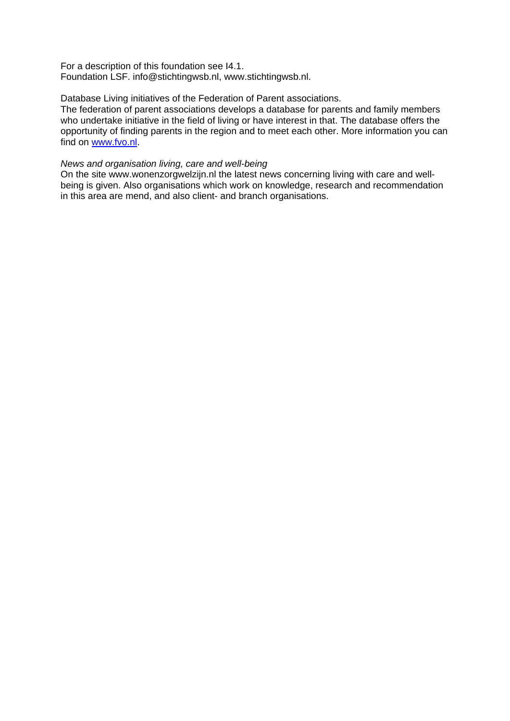For a description of this foundation see I4.1. Foundation LSF. info@stichtingwsb.nl, www.stichtingwsb.nl.

#### Database Living initiatives of the Federation of Parent associations.

The federation of parent associations develops a database for parents and family members who undertake initiative in the field of living or have interest in that. The database offers the opportunity of finding parents in the region and to meet each other. More information you can find on www.fvo.nl.

#### *News and organisation living, care and well-being*

On the site www.wonenzorgwelzijn.nl the latest news concerning living with care and wellbeing is given. Also organisations which work on knowledge, research and recommendation in this area are mend, and also client- and branch organisations.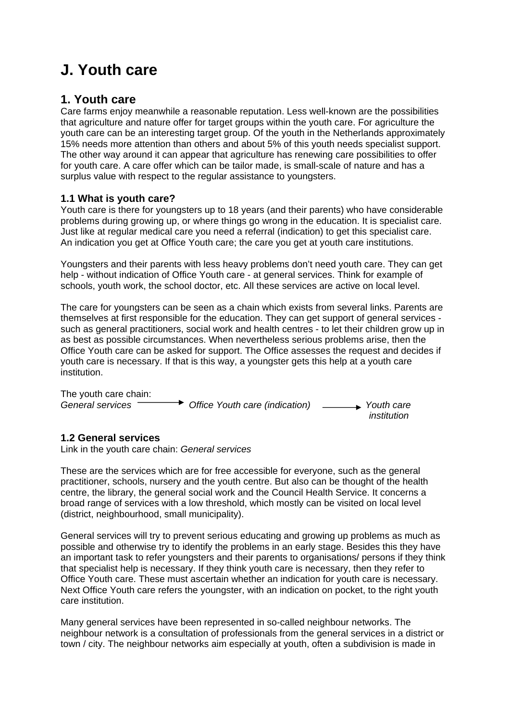# **J. Youth care**

# **1. Youth care**

Care farms enjoy meanwhile a reasonable reputation. Less well-known are the possibilities that agriculture and nature offer for target groups within the youth care. For agriculture the youth care can be an interesting target group. Of the youth in the Netherlands approximately 15% needs more attention than others and about 5% of this youth needs specialist support. The other way around it can appear that agriculture has renewing care possibilities to offer for youth care. A care offer which can be tailor made, is small-scale of nature and has a surplus value with respect to the regular assistance to youngsters.

### **1.1 What is youth care?**

Youth care is there for youngsters up to 18 years (and their parents) who have considerable problems during growing up, or where things go wrong in the education. It is specialist care. Just like at regular medical care you need a referral (indication) to get this specialist care. An indication you get at Office Youth care; the care you get at youth care institutions.

Youngsters and their parents with less heavy problems don't need youth care. They can get help - without indication of Office Youth care - at general services. Think for example of schools, youth work, the school doctor, etc. All these services are active on local level.

The care for youngsters can be seen as a chain which exists from several links. Parents are themselves at first responsible for the education. They can get support of general services such as general practitioners, social work and health centres - to let their children grow up in as best as possible circumstances. When nevertheless serious problems arise, then the Office Youth care can be asked for support. The Office assesses the request and decides if youth care is necessary. If that is this way, a youngster gets this help at a youth care institution.

The youth care chain: *General services Office Youth care (indication) Youth care institution* 

### **1.2 General services**

Link in the youth care chain: *General services*

These are the services which are for free accessible for everyone, such as the general practitioner, schools, nursery and the youth centre. But also can be thought of the health centre, the library, the general social work and the Council Health Service. It concerns a broad range of services with a low threshold, which mostly can be visited on local level (district, neighbourhood, small municipality).

General services will try to prevent serious educating and growing up problems as much as possible and otherwise try to identify the problems in an early stage. Besides this they have an important task to refer youngsters and their parents to organisations/ persons if they think that specialist help is necessary. If they think youth care is necessary, then they refer to Office Youth care. These must ascertain whether an indication for youth care is necessary. Next Office Youth care refers the youngster, with an indication on pocket, to the right youth care institution.

Many general services have been represented in so-called neighbour networks. The neighbour network is a consultation of professionals from the general services in a district or town / city. The neighbour networks aim especially at youth, often a subdivision is made in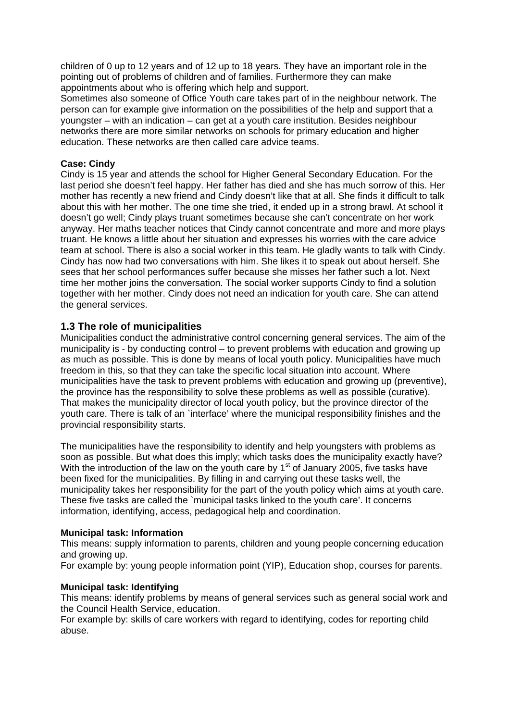children of 0 up to 12 years and of 12 up to 18 years. They have an important role in the pointing out of problems of children and of families. Furthermore they can make appointments about who is offering which help and support.

Sometimes also someone of Office Youth care takes part of in the neighbour network. The person can for example give information on the possibilities of the help and support that a youngster – with an indication – can get at a youth care institution. Besides neighbour networks there are more similar networks on schools for primary education and higher education. These networks are then called care advice teams.

#### **Case: Cindy**

Cindy is 15 year and attends the school for Higher General Secondary Education. For the last period she doesn't feel happy. Her father has died and she has much sorrow of this. Her mother has recently a new friend and Cindy doesn't like that at all. She finds it difficult to talk about this with her mother. The one time she tried, it ended up in a strong brawl. At school it doesn't go well; Cindy plays truant sometimes because she can't concentrate on her work anyway. Her maths teacher notices that Cindy cannot concentrate and more and more plays truant. He knows a little about her situation and expresses his worries with the care advice team at school. There is also a social worker in this team. He gladly wants to talk with Cindy. Cindy has now had two conversations with him. She likes it to speak out about herself. She sees that her school performances suffer because she misses her father such a lot. Next time her mother joins the conversation. The social worker supports Cindy to find a solution together with her mother. Cindy does not need an indication for youth care. She can attend the general services.

#### **1.3 The role of municipalities**

Municipalities conduct the administrative control concerning general services. The aim of the municipality is - by conducting control – to prevent problems with education and growing up as much as possible. This is done by means of local youth policy. Municipalities have much freedom in this, so that they can take the specific local situation into account. Where municipalities have the task to prevent problems with education and growing up (preventive), the province has the responsibility to solve these problems as well as possible (curative). That makes the municipality director of local youth policy, but the province director of the youth care. There is talk of an `interface' where the municipal responsibility finishes and the provincial responsibility starts.

The municipalities have the responsibility to identify and help youngsters with problems as soon as possible. But what does this imply; which tasks does the municipality exactly have? With the introduction of the law on the youth care by  $1<sup>st</sup>$  of January 2005, five tasks have been fixed for the municipalities. By filling in and carrying out these tasks well, the municipality takes her responsibility for the part of the youth policy which aims at youth care. These five tasks are called the `municipal tasks linked to the youth care'. It concerns information, identifying, access, pedagogical help and coordination.

#### **Municipal task: Information**

This means: supply information to parents, children and young people concerning education and growing up.

For example by: young people information point (YIP), Education shop, courses for parents.

#### **Municipal task: Identifying**

This means: identify problems by means of general services such as general social work and the Council Health Service, education.

For example by: skills of care workers with regard to identifying, codes for reporting child abuse.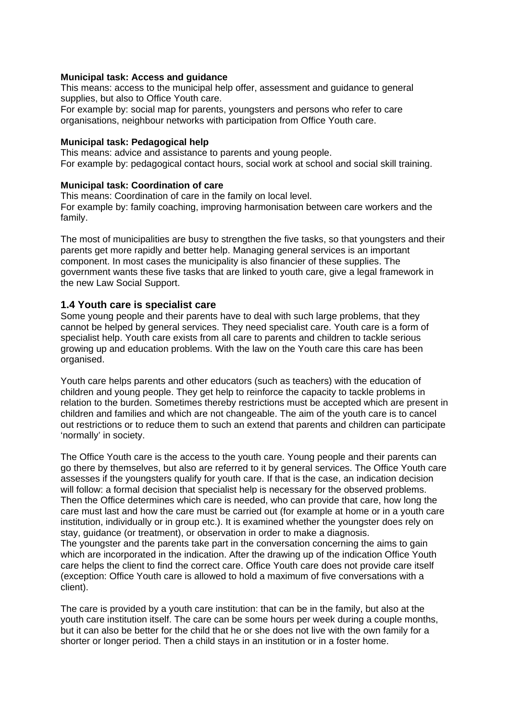#### **Municipal task: Access and guidance**

This means: access to the municipal help offer, assessment and guidance to general supplies, but also to Office Youth care.

For example by: social map for parents, youngsters and persons who refer to care organisations, neighbour networks with participation from Office Youth care.

#### **Municipal task: Pedagogical help**

This means: advice and assistance to parents and young people. For example by: pedagogical contact hours, social work at school and social skill training.

#### **Municipal task: Coordination of care**

This means: Coordination of care in the family on local level. For example by: family coaching, improving harmonisation between care workers and the family.

The most of municipalities are busy to strengthen the five tasks, so that youngsters and their parents get more rapidly and better help. Managing general services is an important component. In most cases the municipality is also financier of these supplies. The government wants these five tasks that are linked to youth care, give a legal framework in the new Law Social Support.

#### **1.4 Youth care is specialist care**

Some young people and their parents have to deal with such large problems, that they cannot be helped by general services. They need specialist care. Youth care is a form of specialist help. Youth care exists from all care to parents and children to tackle serious growing up and education problems. With the law on the Youth care this care has been organised.

Youth care helps parents and other educators (such as teachers) with the education of children and young people. They get help to reinforce the capacity to tackle problems in relation to the burden. Sometimes thereby restrictions must be accepted which are present in children and families and which are not changeable. The aim of the youth care is to cancel out restrictions or to reduce them to such an extend that parents and children can participate 'normally' in society.

The Office Youth care is the access to the youth care. Young people and their parents can go there by themselves, but also are referred to it by general services. The Office Youth care assesses if the youngsters qualify for youth care. If that is the case, an indication decision will follow: a formal decision that specialist help is necessary for the observed problems. Then the Office determines which care is needed, who can provide that care, how long the care must last and how the care must be carried out (for example at home or in a youth care institution, individually or in group etc.). It is examined whether the youngster does rely on stay, guidance (or treatment), or observation in order to make a diagnosis. The youngster and the parents take part in the conversation concerning the aims to gain which are incorporated in the indication. After the drawing up of the indication Office Youth care helps the client to find the correct care. Office Youth care does not provide care itself (exception: Office Youth care is allowed to hold a maximum of five conversations with a client).

The care is provided by a youth care institution: that can be in the family, but also at the youth care institution itself. The care can be some hours per week during a couple months, but it can also be better for the child that he or she does not live with the own family for a shorter or longer period. Then a child stays in an institution or in a foster home.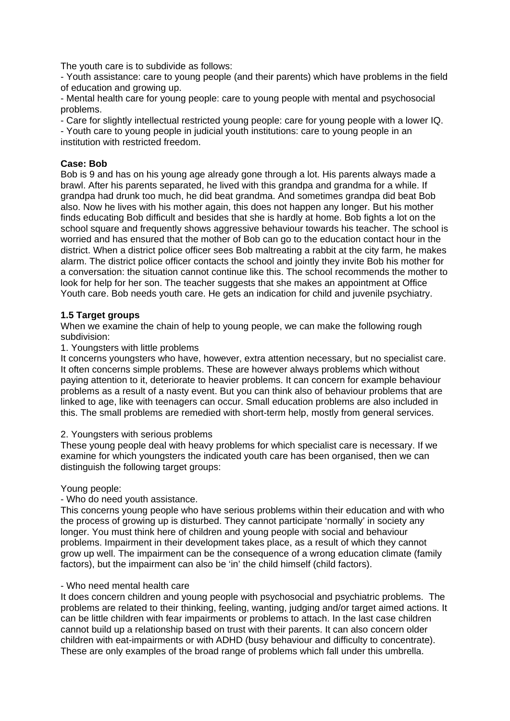The youth care is to subdivide as follows:

- Youth assistance: care to young people (and their parents) which have problems in the field of education and growing up.

- Mental health care for young people: care to young people with mental and psychosocial problems.

- Care for slightly intellectual restricted young people: care for young people with a lower IQ. - Youth care to young people in judicial youth institutions: care to young people in an institution with restricted freedom.

#### **Case: Bob**

Bob is 9 and has on his young age already gone through a lot. His parents always made a brawl. After his parents separated, he lived with this grandpa and grandma for a while. If grandpa had drunk too much, he did beat grandma. And sometimes grandpa did beat Bob also. Now he lives with his mother again, this does not happen any longer. But his mother finds educating Bob difficult and besides that she is hardly at home. Bob fights a lot on the school square and frequently shows aggressive behaviour towards his teacher. The school is worried and has ensured that the mother of Bob can go to the education contact hour in the district. When a district police officer sees Bob maltreating a rabbit at the city farm, he makes alarm. The district police officer contacts the school and jointly they invite Bob his mother for a conversation: the situation cannot continue like this. The school recommends the mother to look for help for her son. The teacher suggests that she makes an appointment at Office Youth care. Bob needs youth care. He gets an indication for child and juvenile psychiatry.

#### **1.5 Target groups**

When we examine the chain of help to young people, we can make the following rough subdivision:

#### 1. Youngsters with little problems

It concerns youngsters who have, however, extra attention necessary, but no specialist care. It often concerns simple problems. These are however always problems which without paying attention to it, deteriorate to heavier problems. It can concern for example behaviour problems as a result of a nasty event. But you can think also of behaviour problems that are linked to age, like with teenagers can occur. Small education problems are also included in this. The small problems are remedied with short-term help, mostly from general services.

#### 2. Youngsters with serious problems

These young people deal with heavy problems for which specialist care is necessary. If we examine for which youngsters the indicated youth care has been organised, then we can distinguish the following target groups:

#### Young people:

#### - Who do need youth assistance.

This concerns young people who have serious problems within their education and with who the process of growing up is disturbed. They cannot participate 'normally' in society any longer. You must think here of children and young people with social and behaviour problems. Impairment in their development takes place, as a result of which they cannot grow up well. The impairment can be the consequence of a wrong education climate (family factors), but the impairment can also be 'in' the child himself (child factors).

#### - Who need mental health care

It does concern children and young people with psychosocial and psychiatric problems. The problems are related to their thinking, feeling, wanting, judging and/or target aimed actions. It can be little children with fear impairments or problems to attach. In the last case children cannot build up a relationship based on trust with their parents. It can also concern older children with eat-impairments or with ADHD (busy behaviour and difficulty to concentrate). These are only examples of the broad range of problems which fall under this umbrella.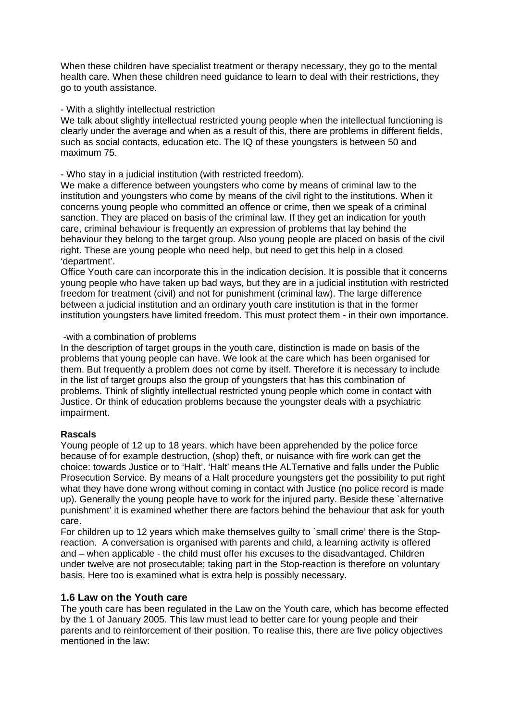When these children have specialist treatment or therapy necessary, they go to the mental health care. When these children need guidance to learn to deal with their restrictions, they go to youth assistance.

#### - With a slightly intellectual restriction

We talk about slightly intellectual restricted young people when the intellectual functioning is clearly under the average and when as a result of this, there are problems in different fields, such as social contacts, education etc. The IQ of these youngsters is between 50 and maximum 75.

#### - Who stay in a judicial institution (with restricted freedom).

We make a difference between youngsters who come by means of criminal law to the institution and youngsters who come by means of the civil right to the institutions. When it concerns young people who committed an offence or crime, then we speak of a criminal sanction. They are placed on basis of the criminal law. If they get an indication for youth care, criminal behaviour is frequently an expression of problems that lay behind the behaviour they belong to the target group. Also young people are placed on basis of the civil right. These are young people who need help, but need to get this help in a closed 'department'.

Office Youth care can incorporate this in the indication decision. It is possible that it concerns young people who have taken up bad ways, but they are in a judicial institution with restricted freedom for treatment (civil) and not for punishment (criminal law). The large difference between a judicial institution and an ordinary youth care institution is that in the former institution youngsters have limited freedom. This must protect them - in their own importance.

#### -with a combination of problems

In the description of target groups in the youth care, distinction is made on basis of the problems that young people can have. We look at the care which has been organised for them. But frequently a problem does not come by itself. Therefore it is necessary to include in the list of target groups also the group of youngsters that has this combination of problems. Think of slightly intellectual restricted young people which come in contact with Justice. Or think of education problems because the youngster deals with a psychiatric impairment.

# **Rascals**

Young people of 12 up to 18 years, which have been apprehended by the police force because of for example destruction, (shop) theft, or nuisance with fire work can get the choice: towards Justice or to 'Halt'. 'Halt' means tHe ALTernative and falls under the Public Prosecution Service. By means of a Halt procedure youngsters get the possibility to put right what they have done wrong without coming in contact with Justice (no police record is made up). Generally the young people have to work for the injured party. Beside these `alternative punishment' it is examined whether there are factors behind the behaviour that ask for youth care.

For children up to 12 years which make themselves guilty to `small crime' there is the Stopreaction. A conversation is organised with parents and child, a learning activity is offered and – when applicable - the child must offer his excuses to the disadvantaged. Children under twelve are not prosecutable; taking part in the Stop-reaction is therefore on voluntary basis. Here too is examined what is extra help is possibly necessary.

# **1.6 Law on the Youth care**

The youth care has been regulated in the Law on the Youth care, which has become effected by the 1 of January 2005. This law must lead to better care for young people and their parents and to reinforcement of their position. To realise this, there are five policy objectives mentioned in the law: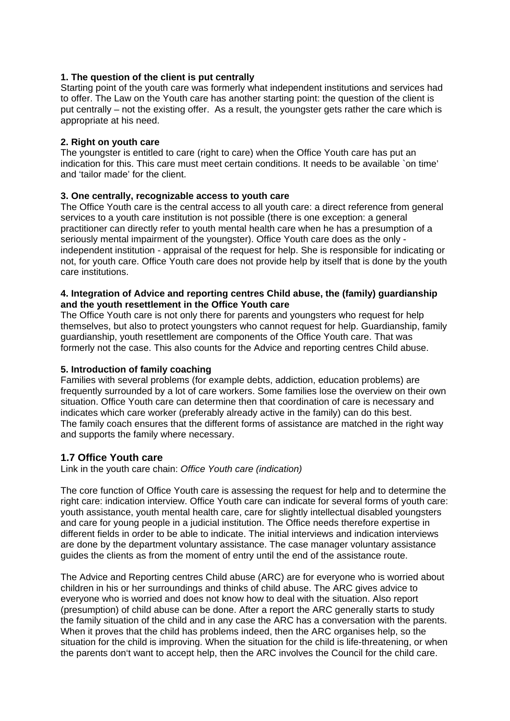# **1. The question of the client is put centrally**

Starting point of the youth care was formerly what independent institutions and services had to offer. The Law on the Youth care has another starting point: the question of the client is put centrally – not the existing offer. As a result, the youngster gets rather the care which is appropriate at his need.

#### **2. Right on youth care**

The youngster is entitled to care (right to care) when the Office Youth care has put an indication for this. This care must meet certain conditions. It needs to be available `on time' and 'tailor made' for the client.

#### **3. One centrally, recognizable access to youth care**

The Office Youth care is the central access to all youth care: a direct reference from general services to a youth care institution is not possible (there is one exception: a general practitioner can directly refer to youth mental health care when he has a presumption of a seriously mental impairment of the youngster). Office Youth care does as the only independent institution - appraisal of the request for help. She is responsible for indicating or not, for youth care. Office Youth care does not provide help by itself that is done by the youth care institutions.

#### **4. Integration of Advice and reporting centres Child abuse, the (family) guardianship and the youth resettlement in the Office Youth care**

The Office Youth care is not only there for parents and youngsters who request for help themselves, but also to protect youngsters who cannot request for help. Guardianship, family guardianship, youth resettlement are components of the Office Youth care. That was formerly not the case. This also counts for the Advice and reporting centres Child abuse.

#### **5. Introduction of family coaching**

Families with several problems (for example debts, addiction, education problems) are frequently surrounded by a lot of care workers. Some families lose the overview on their own situation. Office Youth care can determine then that coordination of care is necessary and indicates which care worker (preferably already active in the family) can do this best. The family coach ensures that the different forms of assistance are matched in the right way and supports the family where necessary.

# **1.7 Office Youth care**

Link in the youth care chain: *Office Youth care (indication)*

The core function of Office Youth care is assessing the request for help and to determine the right care: indication interview. Office Youth care can indicate for several forms of youth care: youth assistance, youth mental health care, care for slightly intellectual disabled youngsters and care for young people in a judicial institution. The Office needs therefore expertise in different fields in order to be able to indicate. The initial interviews and indication interviews are done by the department voluntary assistance. The case manager voluntary assistance guides the clients as from the moment of entry until the end of the assistance route.

The Advice and Reporting centres Child abuse (ARC) are for everyone who is worried about children in his or her surroundings and thinks of child abuse. The ARC gives advice to everyone who is worried and does not know how to deal with the situation. Also report (presumption) of child abuse can be done. After a report the ARC generally starts to study the family situation of the child and in any case the ARC has a conversation with the parents. When it proves that the child has problems indeed, then the ARC organises help, so the situation for the child is improving. When the situation for the child is life-threatening, or when the parents don't want to accept help, then the ARC involves the Council for the child care.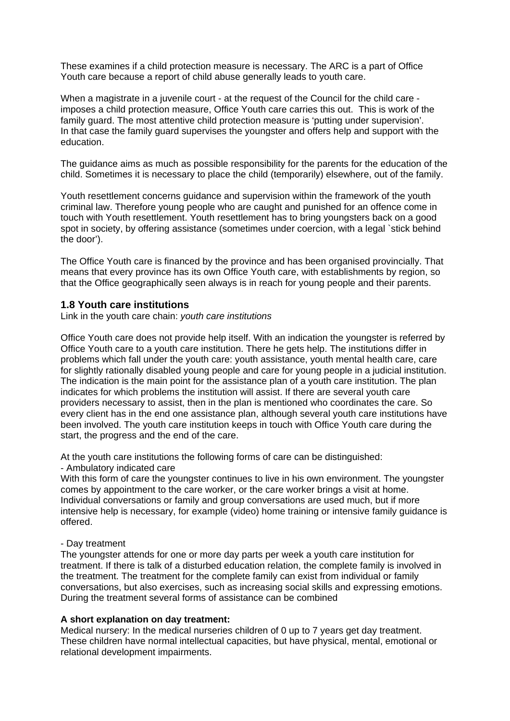These examines if a child protection measure is necessary. The ARC is a part of Office Youth care because a report of child abuse generally leads to youth care.

When a magistrate in a juvenile court - at the request of the Council for the child care imposes a child protection measure, Office Youth care carries this out. This is work of the family guard. The most attentive child protection measure is 'putting under supervision'. In that case the family guard supervises the youngster and offers help and support with the education.

The guidance aims as much as possible responsibility for the parents for the education of the child. Sometimes it is necessary to place the child (temporarily) elsewhere, out of the family.

Youth resettlement concerns guidance and supervision within the framework of the youth criminal law. Therefore young people who are caught and punished for an offence come in touch with Youth resettlement. Youth resettlement has to bring youngsters back on a good spot in society, by offering assistance (sometimes under coercion, with a legal `stick behind the door').

The Office Youth care is financed by the province and has been organised provincially. That means that every province has its own Office Youth care, with establishments by region, so that the Office geographically seen always is in reach for young people and their parents.

# **1.8 Youth care institutions**

Link in the youth care chain: *youth care institutions*

Office Youth care does not provide help itself. With an indication the youngster is referred by Office Youth care to a youth care institution. There he gets help. The institutions differ in problems which fall under the youth care: youth assistance, youth mental health care, care for slightly rationally disabled young people and care for young people in a judicial institution. The indication is the main point for the assistance plan of a youth care institution. The plan indicates for which problems the institution will assist. If there are several youth care providers necessary to assist, then in the plan is mentioned who coordinates the care. So every client has in the end one assistance plan, although several youth care institutions have been involved. The youth care institution keeps in touch with Office Youth care during the start, the progress and the end of the care.

At the youth care institutions the following forms of care can be distinguished:

- Ambulatory indicated care

With this form of care the youngster continues to live in his own environment. The youngster comes by appointment to the care worker, or the care worker brings a visit at home. Individual conversations or family and group conversations are used much, but if more intensive help is necessary, for example (video) home training or intensive family guidance is offered.

# - Day treatment

The youngster attends for one or more day parts per week a youth care institution for treatment. If there is talk of a disturbed education relation, the complete family is involved in the treatment. The treatment for the complete family can exist from individual or family conversations, but also exercises, such as increasing social skills and expressing emotions. During the treatment several forms of assistance can be combined

#### **A short explanation on day treatment:**

Medical nursery: In the medical nurseries children of 0 up to 7 years get day treatment. These children have normal intellectual capacities, but have physical, mental, emotional or relational development impairments.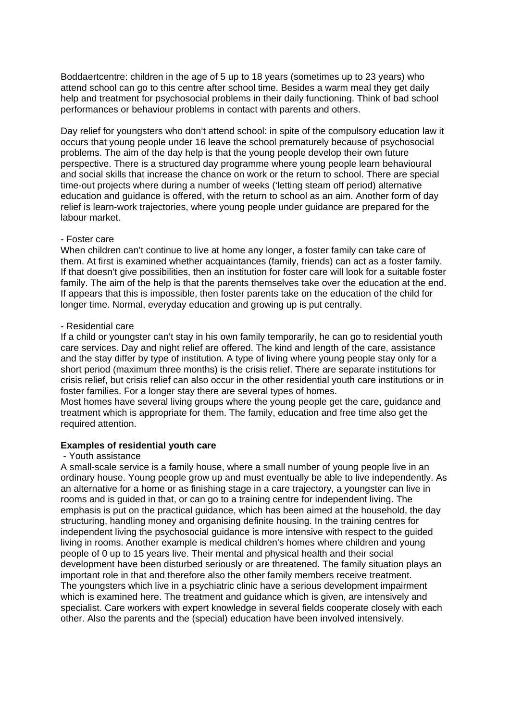Boddaertcentre: children in the age of 5 up to 18 years (sometimes up to 23 years) who attend school can go to this centre after school time. Besides a warm meal they get daily help and treatment for psychosocial problems in their daily functioning. Think of bad school performances or behaviour problems in contact with parents and others.

Day relief for youngsters who don't attend school: in spite of the compulsory education law it occurs that young people under 16 leave the school prematurely because of psychosocial problems. The aim of the day help is that the young people develop their own future perspective. There is a structured day programme where young people learn behavioural and social skills that increase the chance on work or the return to school. There are special time-out projects where during a number of weeks ('letting steam off period) alternative education and guidance is offered, with the return to school as an aim. Another form of day relief is learn-work trajectories, where young people under guidance are prepared for the labour market.

#### - Foster care

When children can't continue to live at home any longer, a foster family can take care of them. At first is examined whether acquaintances (family, friends) can act as a foster family. If that doesn't give possibilities, then an institution for foster care will look for a suitable foster family. The aim of the help is that the parents themselves take over the education at the end. If appears that this is impossible, then foster parents take on the education of the child for longer time. Normal, everyday education and growing up is put centrally.

#### - Residential care

If a child or youngster can't stay in his own family temporarily, he can go to residential youth care services. Day and night relief are offered. The kind and length of the care, assistance and the stay differ by type of institution. A type of living where young people stay only for a short period (maximum three months) is the crisis relief. There are separate institutions for crisis relief, but crisis relief can also occur in the other residential youth care institutions or in foster families. For a longer stay there are several types of homes.

Most homes have several living groups where the young people get the care, guidance and treatment which is appropriate for them. The family, education and free time also get the required attention.

# **Examples of residential youth care**

#### - Youth assistance

A small-scale service is a family house, where a small number of young people live in an ordinary house. Young people grow up and must eventually be able to live independently. As an alternative for a home or as finishing stage in a care trajectory, a youngster can live in rooms and is guided in that, or can go to a training centre for independent living. The emphasis is put on the practical guidance, which has been aimed at the household, the day structuring, handling money and organising definite housing. In the training centres for independent living the psychosocial guidance is more intensive with respect to the guided living in rooms. Another example is medical children's homes where children and young people of 0 up to 15 years live. Their mental and physical health and their social development have been disturbed seriously or are threatened. The family situation plays an important role in that and therefore also the other family members receive treatment. The youngsters which live in a psychiatric clinic have a serious development impairment which is examined here. The treatment and guidance which is given, are intensively and specialist. Care workers with expert knowledge in several fields cooperate closely with each other. Also the parents and the (special) education have been involved intensively.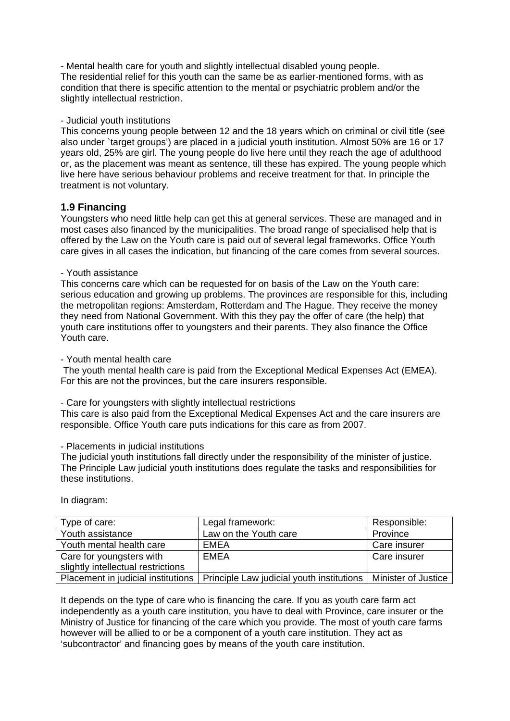- Mental health care for youth and slightly intellectual disabled young people. The residential relief for this youth can the same be as earlier-mentioned forms, with as condition that there is specific attention to the mental or psychiatric problem and/or the slightly intellectual restriction.

# - Judicial youth institutions

This concerns young people between 12 and the 18 years which on criminal or civil title (see also under `target groups') are placed in a judicial youth institution. Almost 50% are 16 or 17 years old, 25% are girl. The young people do live here until they reach the age of adulthood or, as the placement was meant as sentence, till these has expired. The young people which live here have serious behaviour problems and receive treatment for that. In principle the treatment is not voluntary.

# **1.9 Financing**

Youngsters who need little help can get this at general services. These are managed and in most cases also financed by the municipalities. The broad range of specialised help that is offered by the Law on the Youth care is paid out of several legal frameworks. Office Youth care gives in all cases the indication, but financing of the care comes from several sources.

#### - Youth assistance

This concerns care which can be requested for on basis of the Law on the Youth care: serious education and growing up problems. The provinces are responsible for this, including the metropolitan regions: Amsterdam, Rotterdam and The Hague. They receive the money they need from National Government. With this they pay the offer of care (the help) that youth care institutions offer to youngsters and their parents. They also finance the Office Youth care.

- Youth mental health care

 The youth mental health care is paid from the Exceptional Medical Expenses Act (EMEA). For this are not the provinces, but the care insurers responsible.

- Care for youngsters with slightly intellectual restrictions

This care is also paid from the Exceptional Medical Expenses Act and the care insurers are responsible. Office Youth care puts indications for this care as from 2007.

#### - Placements in judicial institutions

The judicial youth institutions fall directly under the responsibility of the minister of justice. The Principle Law judicial youth institutions does regulate the tasks and responsibilities for these institutions.

In diagram:

| Type of care:                      | Legal framework:                                                                                     | Responsible: |
|------------------------------------|------------------------------------------------------------------------------------------------------|--------------|
| Youth assistance                   | Law on the Youth care                                                                                | Province     |
| Youth mental health care           | EMEA                                                                                                 | Care insurer |
| Care for youngsters with           | <b>EMEA</b>                                                                                          | Care insurer |
| slightly intellectual restrictions |                                                                                                      |              |
|                                    | Placement in judicial institutions   Principle Law judicial youth institutions   Minister of Justice |              |

It depends on the type of care who is financing the care. If you as youth care farm act independently as a youth care institution, you have to deal with Province, care insurer or the Ministry of Justice for financing of the care which you provide. The most of youth care farms however will be allied to or be a component of a youth care institution. They act as 'subcontractor' and financing goes by means of the youth care institution.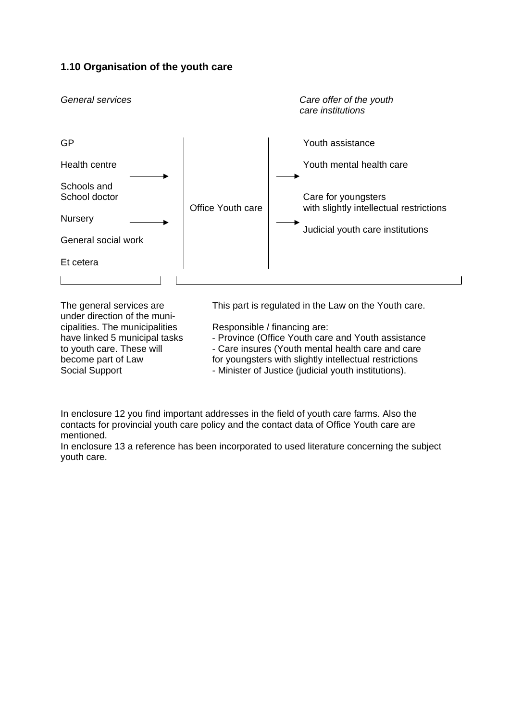# **1.10 Organisation of the youth care**



under direction of the municipalities. The municipalities Responsible / financing are:

The general services are This part is regulated in the Law on the Youth care.

- have linked 5 municipal tasks Province (Office Youth care and Youth assistance
- to youth care. These will Care insures (Youth mental health care and care
- become part of Law for youngsters with slightly intellectual restrictions
- Social Support  **Minister of Justice (judicial youth institutions)**.

In enclosure 12 you find important addresses in the field of youth care farms. Also the contacts for provincial youth care policy and the contact data of Office Youth care are mentioned.

In enclosure 13 a reference has been incorporated to used literature concerning the subject youth care.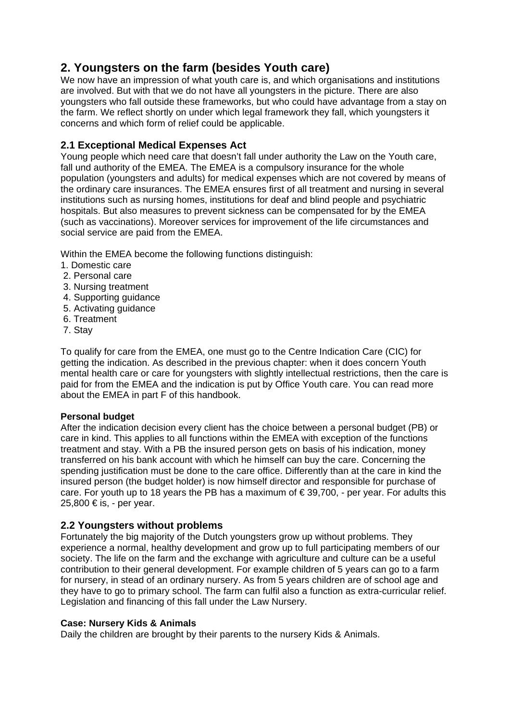# **2. Youngsters on the farm (besides Youth care)**

We now have an impression of what youth care is, and which organisations and institutions are involved. But with that we do not have all youngsters in the picture. There are also youngsters who fall outside these frameworks, but who could have advantage from a stay on the farm. We reflect shortly on under which legal framework they fall, which youngsters it concerns and which form of relief could be applicable.

# **2.1 Exceptional Medical Expenses Act**

Young people which need care that doesn't fall under authority the Law on the Youth care, fall und authority of the EMEA. The EMEA is a compulsory insurance for the whole population (youngsters and adults) for medical expenses which are not covered by means of the ordinary care insurances. The EMEA ensures first of all treatment and nursing in several institutions such as nursing homes, institutions for deaf and blind people and psychiatric hospitals. But also measures to prevent sickness can be compensated for by the EMEA (such as vaccinations). Moreover services for improvement of the life circumstances and social service are paid from the EMEA.

Within the EMEA become the following functions distinguish:

- 1. Domestic care
- 2. Personal care
- 3. Nursing treatment
- 4. Supporting guidance
- 5. Activating guidance
- 6. Treatment
- 7. Stay

To qualify for care from the EMEA, one must go to the Centre Indication Care (CIC) for getting the indication. As described in the previous chapter: when it does concern Youth mental health care or care for youngsters with slightly intellectual restrictions, then the care is paid for from the EMEA and the indication is put by Office Youth care. You can read more about the EMEA in part F of this handbook.

# **Personal budget**

After the indication decision every client has the choice between a personal budget (PB) or care in kind. This applies to all functions within the EMEA with exception of the functions treatment and stay. With a PB the insured person gets on basis of his indication, money transferred on his bank account with which he himself can buy the care. Concerning the spending justification must be done to the care office. Differently than at the care in kind the insured person (the budget holder) is now himself director and responsible for purchase of care. For youth up to 18 years the PB has a maximum of  $\epsilon$  39,700, - per year. For adults this 25,800 € is, - per year.

# **2.2 Youngsters without problems**

Fortunately the big majority of the Dutch youngsters grow up without problems. They experience a normal, healthy development and grow up to full participating members of our society. The life on the farm and the exchange with agriculture and culture can be a useful contribution to their general development. For example children of 5 years can go to a farm for nursery, in stead of an ordinary nursery. As from 5 years children are of school age and they have to go to primary school. The farm can fulfil also a function as extra-curricular relief. Legislation and financing of this fall under the Law Nursery.

# **Case: Nursery Kids & Animals**

Daily the children are brought by their parents to the nursery Kids & Animals.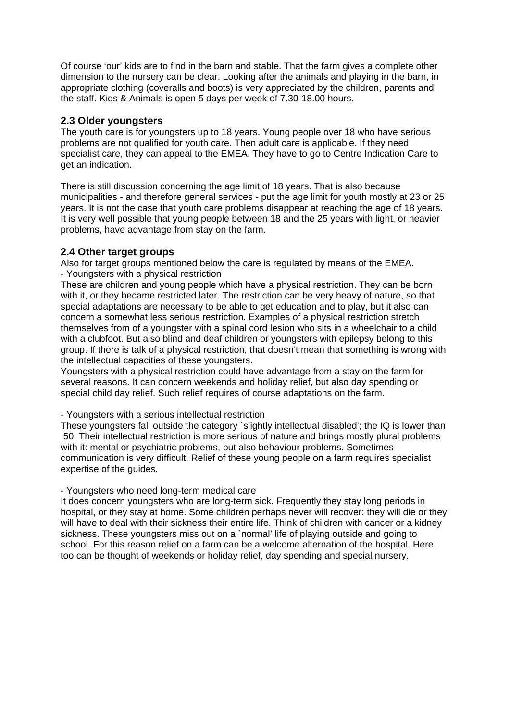Of course 'our' kids are to find in the barn and stable. That the farm gives a complete other dimension to the nursery can be clear. Looking after the animals and playing in the barn, in appropriate clothing (coveralls and boots) is very appreciated by the children, parents and the staff. Kids & Animals is open 5 days per week of 7.30-18.00 hours.

# **2.3 Older youngsters**

The youth care is for youngsters up to 18 years. Young people over 18 who have serious problems are not qualified for youth care. Then adult care is applicable. If they need specialist care, they can appeal to the EMEA. They have to go to Centre Indication Care to get an indication.

There is still discussion concerning the age limit of 18 years. That is also because municipalities - and therefore general services - put the age limit for youth mostly at 23 or 25 years. It is not the case that youth care problems disappear at reaching the age of 18 years. It is very well possible that young people between 18 and the 25 years with light, or heavier problems, have advantage from stay on the farm.

# **2.4 Other target groups**

Also for target groups mentioned below the care is regulated by means of the EMEA.

- Youngsters with a physical restriction

These are children and young people which have a physical restriction. They can be born with it, or they became restricted later. The restriction can be very heavy of nature, so that special adaptations are necessary to be able to get education and to play, but it also can concern a somewhat less serious restriction. Examples of a physical restriction stretch themselves from of a youngster with a spinal cord lesion who sits in a wheelchair to a child with a clubfoot. But also blind and deaf children or youngsters with epilepsy belong to this group. If there is talk of a physical restriction, that doesn't mean that something is wrong with the intellectual capacities of these youngsters.

Youngsters with a physical restriction could have advantage from a stay on the farm for several reasons. It can concern weekends and holiday relief, but also day spending or special child day relief. Such relief requires of course adaptations on the farm.

- Youngsters with a serious intellectual restriction

These youngsters fall outside the category `slightly intellectual disabled'; the IQ is lower than 50. Their intellectual restriction is more serious of nature and brings mostly plural problems with it: mental or psychiatric problems, but also behaviour problems. Sometimes communication is very difficult. Relief of these young people on a farm requires specialist expertise of the guides.

# - Youngsters who need long-term medical care

It does concern youngsters who are long-term sick. Frequently they stay long periods in hospital, or they stay at home. Some children perhaps never will recover: they will die or they will have to deal with their sickness their entire life. Think of children with cancer or a kidney sickness. These youngsters miss out on a `normal' life of playing outside and going to school. For this reason relief on a farm can be a welcome alternation of the hospital. Here too can be thought of weekends or holiday relief, day spending and special nursery.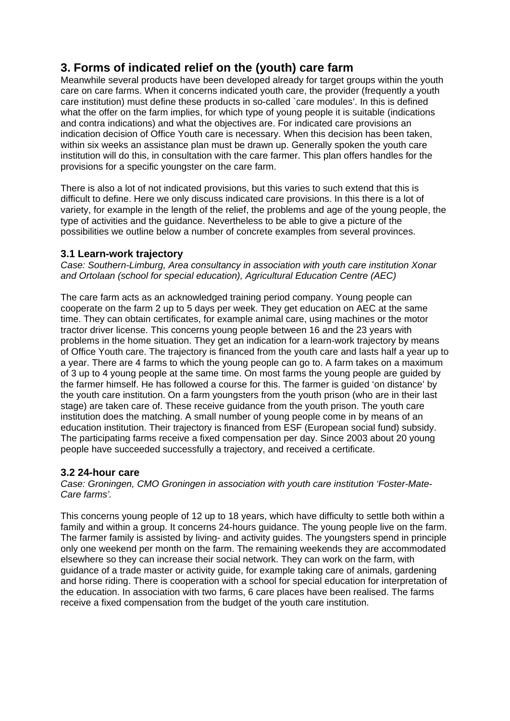# **3. Forms of indicated relief on the (youth) care farm**

Meanwhile several products have been developed already for target groups within the youth care on care farms. When it concerns indicated youth care, the provider (frequently a youth care institution) must define these products in so-called `care modules'. In this is defined what the offer on the farm implies, for which type of young people it is suitable (indications and contra indications) and what the objectives are. For indicated care provisions an indication decision of Office Youth care is necessary. When this decision has been taken, within six weeks an assistance plan must be drawn up. Generally spoken the youth care institution will do this, in consultation with the care farmer. This plan offers handles for the provisions for a specific youngster on the care farm.

There is also a lot of not indicated provisions, but this varies to such extend that this is difficult to define. Here we only discuss indicated care provisions. In this there is a lot of variety, for example in the length of the relief, the problems and age of the young people, the type of activities and the guidance. Nevertheless to be able to give a picture of the possibilities we outline below a number of concrete examples from several provinces.

# **3.1 Learn-work trajectory**

*Case: Southern-Limburg, Area consultancy in association with youth care institution Xonar and Ortolaan (school for special education), Agricultural Education Centre (AEC)* 

The care farm acts as an acknowledged training period company. Young people can cooperate on the farm 2 up to 5 days per week. They get education on AEC at the same time. They can obtain certificates, for example animal care, using machines or the motor tractor driver license. This concerns young people between 16 and the 23 years with problems in the home situation. They get an indication for a learn-work trajectory by means of Office Youth care. The trajectory is financed from the youth care and lasts half a year up to a year. There are 4 farms to which the young people can go to. A farm takes on a maximum of 3 up to 4 young people at the same time. On most farms the young people are guided by the farmer himself. He has followed a course for this. The farmer is guided 'on distance' by the youth care institution. On a farm youngsters from the youth prison (who are in their last stage) are taken care of. These receive guidance from the youth prison. The youth care institution does the matching. A small number of young people come in by means of an education institution. Their trajectory is financed from ESF (European social fund) subsidy. The participating farms receive a fixed compensation per day. Since 2003 about 20 young people have succeeded successfully a trajectory, and received a certificate.

# **3.2 24-hour care**

*Case: Groningen, CMO Groningen in association with youth care institution 'Foster-Mate-Care farms'.* 

This concerns young people of 12 up to 18 years, which have difficulty to settle both within a family and within a group. It concerns 24-hours guidance. The young people live on the farm. The farmer family is assisted by living- and activity guides. The youngsters spend in principle only one weekend per month on the farm. The remaining weekends they are accommodated elsewhere so they can increase their social network. They can work on the farm, with guidance of a trade master or activity guide, for example taking care of animals, gardening and horse riding. There is cooperation with a school for special education for interpretation of the education. In association with two farms, 6 care places have been realised. The farms receive a fixed compensation from the budget of the youth care institution.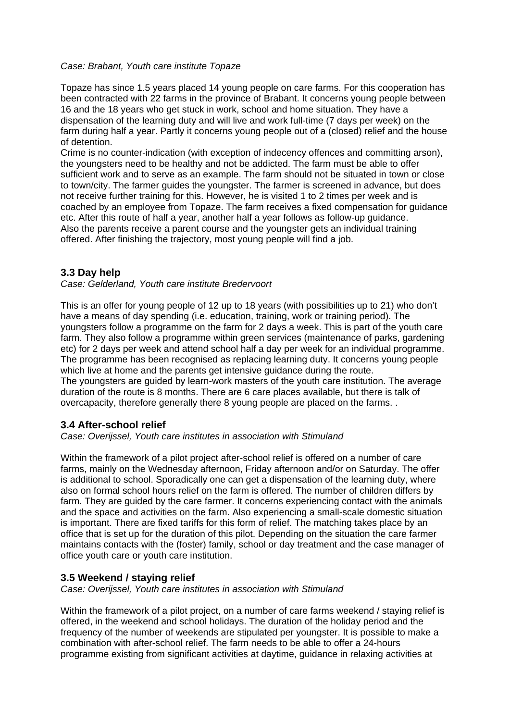#### *Case: Brabant, Youth care institute Topaze*

Topaze has since 1.5 years placed 14 young people on care farms. For this cooperation has been contracted with 22 farms in the province of Brabant. It concerns young people between 16 and the 18 years who get stuck in work, school and home situation. They have a dispensation of the learning duty and will live and work full-time (7 days per week) on the farm during half a year. Partly it concerns young people out of a (closed) relief and the house of detention.

Crime is no counter-indication (with exception of indecency offences and committing arson), the youngsters need to be healthy and not be addicted. The farm must be able to offer sufficient work and to serve as an example. The farm should not be situated in town or close to town/city. The farmer guides the youngster. The farmer is screened in advance, but does not receive further training for this. However, he is visited 1 to 2 times per week and is coached by an employee from Topaze. The farm receives a fixed compensation for guidance etc. After this route of half a year, another half a year follows as follow-up guidance. Also the parents receive a parent course and the youngster gets an individual training offered. After finishing the trajectory, most young people will find a job.

# **3.3 Day help**

*Case: Gelderland, Youth care institute Bredervoort* 

This is an offer for young people of 12 up to 18 years (with possibilities up to 21) who don't have a means of day spending (i.e. education, training, work or training period). The youngsters follow a programme on the farm for 2 days a week. This is part of the youth care farm. They also follow a programme within green services (maintenance of parks, gardening etc) for 2 days per week and attend school half a day per week for an individual programme. The programme has been recognised as replacing learning duty. It concerns young people which live at home and the parents get intensive guidance during the route. The youngsters are guided by learn-work masters of the youth care institution. The average duration of the route is 8 months. There are 6 care places available, but there is talk of overcapacity, therefore generally there 8 young people are placed on the farms. .

# **3.4 After-school relief**

*Case: Overijssel, Youth care institutes in association with Stimuland* 

Within the framework of a pilot project after-school relief is offered on a number of care farms, mainly on the Wednesday afternoon, Friday afternoon and/or on Saturday. The offer is additional to school. Sporadically one can get a dispensation of the learning duty, where also on formal school hours relief on the farm is offered. The number of children differs by farm. They are guided by the care farmer. It concerns experiencing contact with the animals and the space and activities on the farm. Also experiencing a small-scale domestic situation is important. There are fixed tariffs for this form of relief. The matching takes place by an office that is set up for the duration of this pilot. Depending on the situation the care farmer maintains contacts with the (foster) family, school or day treatment and the case manager of office youth care or youth care institution.

# **3.5 Weekend / staying relief**

*Case: Overijssel, Youth care institutes in association with Stimuland* 

Within the framework of a pilot project, on a number of care farms weekend / staying relief is offered, in the weekend and school holidays. The duration of the holiday period and the frequency of the number of weekends are stipulated per youngster. It is possible to make a combination with after-school relief. The farm needs to be able to offer a 24-hours programme existing from significant activities at daytime, guidance in relaxing activities at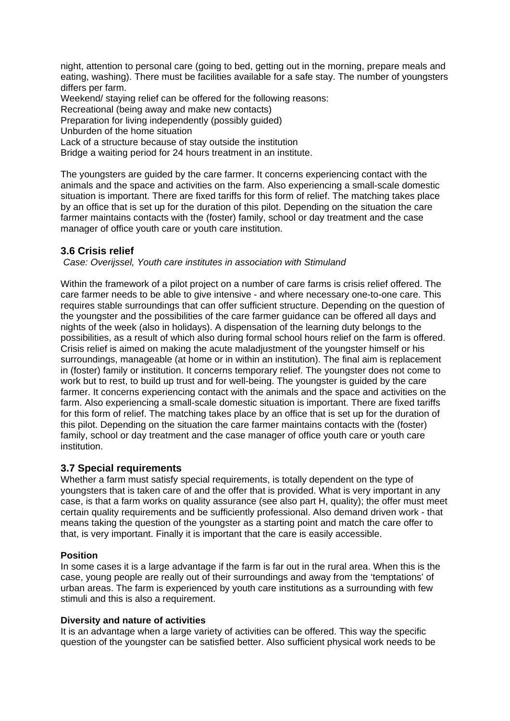night, attention to personal care (going to bed, getting out in the morning, prepare meals and eating, washing). There must be facilities available for a safe stay. The number of youngsters differs per farm.

Weekend/ staying relief can be offered for the following reasons:

Recreational (being away and make new contacts)

Preparation for living independently (possibly guided)

Unburden of the home situation

Lack of a structure because of stay outside the institution

Bridge a waiting period for 24 hours treatment in an institute.

The youngsters are guided by the care farmer. It concerns experiencing contact with the animals and the space and activities on the farm. Also experiencing a small-scale domestic situation is important. There are fixed tariffs for this form of relief. The matching takes place by an office that is set up for the duration of this pilot. Depending on the situation the care farmer maintains contacts with the (foster) family, school or day treatment and the case manager of office youth care or youth care institution.

# **3.6 Crisis relief**

*Case: Overijssel, Youth care institutes in association with Stimuland* 

Within the framework of a pilot project on a number of care farms is crisis relief offered. The care farmer needs to be able to give intensive - and where necessary one-to-one care. This requires stable surroundings that can offer sufficient structure. Depending on the question of the youngster and the possibilities of the care farmer guidance can be offered all days and nights of the week (also in holidays). A dispensation of the learning duty belongs to the possibilities, as a result of which also during formal school hours relief on the farm is offered. Crisis relief is aimed on making the acute maladjustment of the youngster himself or his surroundings, manageable (at home or in within an institution). The final aim is replacement in (foster) family or institution. It concerns temporary relief. The youngster does not come to work but to rest, to build up trust and for well-being. The youngster is guided by the care farmer. It concerns experiencing contact with the animals and the space and activities on the farm. Also experiencing a small-scale domestic situation is important. There are fixed tariffs for this form of relief. The matching takes place by an office that is set up for the duration of this pilot. Depending on the situation the care farmer maintains contacts with the (foster) family, school or day treatment and the case manager of office youth care or youth care institution.

# **3.7 Special requirements**

Whether a farm must satisfy special requirements, is totally dependent on the type of youngsters that is taken care of and the offer that is provided. What is very important in any case, is that a farm works on quality assurance (see also part H, quality); the offer must meet certain quality requirements and be sufficiently professional. Also demand driven work - that means taking the question of the youngster as a starting point and match the care offer to that, is very important. Finally it is important that the care is easily accessible.

# **Position**

In some cases it is a large advantage if the farm is far out in the rural area. When this is the case, young people are really out of their surroundings and away from the 'temptations' of urban areas. The farm is experienced by youth care institutions as a surrounding with few stimuli and this is also a requirement.

#### **Diversity and nature of activities**

It is an advantage when a large variety of activities can be offered. This way the specific question of the youngster can be satisfied better. Also sufficient physical work needs to be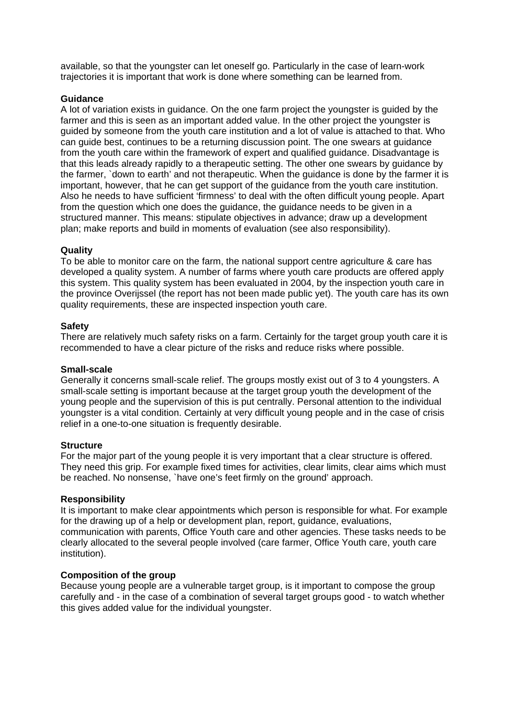available, so that the youngster can let oneself go. Particularly in the case of learn-work trajectories it is important that work is done where something can be learned from.

# **Guidance**

A lot of variation exists in guidance. On the one farm project the youngster is guided by the farmer and this is seen as an important added value. In the other project the youngster is guided by someone from the youth care institution and a lot of value is attached to that. Who can guide best, continues to be a returning discussion point. The one swears at guidance from the youth care within the framework of expert and qualified guidance. Disadvantage is that this leads already rapidly to a therapeutic setting. The other one swears by guidance by the farmer, `down to earth' and not therapeutic. When the guidance is done by the farmer it is important, however, that he can get support of the guidance from the youth care institution. Also he needs to have sufficient 'firmness' to deal with the often difficult young people. Apart from the question which one does the guidance, the guidance needs to be given in a structured manner. This means: stipulate objectives in advance; draw up a development plan; make reports and build in moments of evaluation (see also responsibility).

#### **Quality**

To be able to monitor care on the farm, the national support centre agriculture & care has developed a quality system. A number of farms where youth care products are offered apply this system. This quality system has been evaluated in 2004, by the inspection youth care in the province Overijssel (the report has not been made public yet). The youth care has its own quality requirements, these are inspected inspection youth care.

#### **Safety**

There are relatively much safety risks on a farm. Certainly for the target group youth care it is recommended to have a clear picture of the risks and reduce risks where possible.

#### **Small-scale**

Generally it concerns small-scale relief. The groups mostly exist out of 3 to 4 youngsters. A small-scale setting is important because at the target group youth the development of the young people and the supervision of this is put centrally. Personal attention to the individual youngster is a vital condition. Certainly at very difficult young people and in the case of crisis relief in a one-to-one situation is frequently desirable.

#### **Structure**

For the major part of the young people it is very important that a clear structure is offered. They need this grip. For example fixed times for activities, clear limits, clear aims which must be reached. No nonsense, `have one's feet firmly on the ground' approach.

#### **Responsibility**

It is important to make clear appointments which person is responsible for what. For example for the drawing up of a help or development plan, report, guidance, evaluations, communication with parents, Office Youth care and other agencies. These tasks needs to be clearly allocated to the several people involved (care farmer, Office Youth care, youth care institution).

#### **Composition of the group**

Because young people are a vulnerable target group, is it important to compose the group carefully and - in the case of a combination of several target groups good - to watch whether this gives added value for the individual youngster.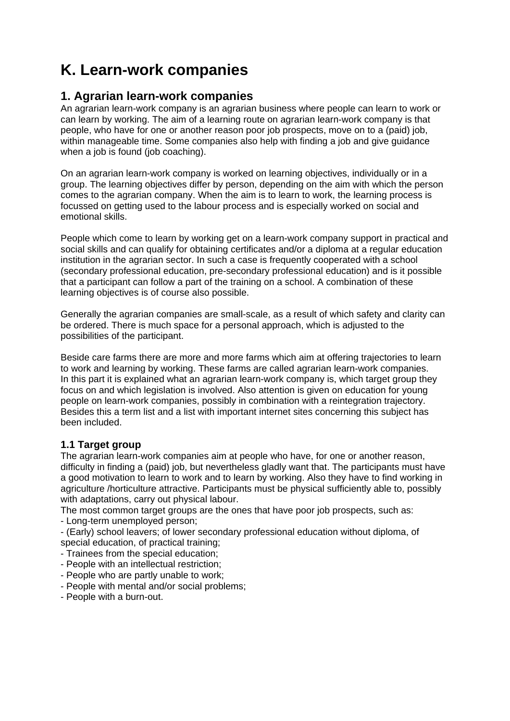# **K. Learn-work companies**

# **1. Agrarian learn-work companies**

An agrarian learn-work company is an agrarian business where people can learn to work or can learn by working. The aim of a learning route on agrarian learn-work company is that people, who have for one or another reason poor job prospects, move on to a (paid) job, within manageable time. Some companies also help with finding a job and give guidance when a job is found (job coaching).

On an agrarian learn-work company is worked on learning objectives, individually or in a group. The learning objectives differ by person, depending on the aim with which the person comes to the agrarian company. When the aim is to learn to work, the learning process is focussed on getting used to the labour process and is especially worked on social and emotional skills.

People which come to learn by working get on a learn-work company support in practical and social skills and can qualify for obtaining certificates and/or a diploma at a regular education institution in the agrarian sector. In such a case is frequently cooperated with a school (secondary professional education, pre-secondary professional education) and is it possible that a participant can follow a part of the training on a school. A combination of these learning objectives is of course also possible.

Generally the agrarian companies are small-scale, as a result of which safety and clarity can be ordered. There is much space for a personal approach, which is adjusted to the possibilities of the participant.

Beside care farms there are more and more farms which aim at offering trajectories to learn to work and learning by working. These farms are called agrarian learn-work companies. In this part it is explained what an agrarian learn-work company is, which target group they focus on and which legislation is involved. Also attention is given on education for young people on learn-work companies, possibly in combination with a reintegration trajectory. Besides this a term list and a list with important internet sites concerning this subject has been included.

# **1.1 Target group**

The agrarian learn-work companies aim at people who have, for one or another reason, difficulty in finding a (paid) job, but nevertheless gladly want that. The participants must have a good motivation to learn to work and to learn by working. Also they have to find working in agriculture /horticulture attractive. Participants must be physical sufficiently able to, possibly with adaptations, carry out physical labour.

The most common target groups are the ones that have poor job prospects, such as:

- Long-term unemployed person;

- (Early) school leavers; of lower secondary professional education without diploma, of special education, of practical training;

- Trainees from the special education;
- People with an intellectual restriction;
- People who are partly unable to work;
- People with mental and/or social problems;
- People with a burn-out.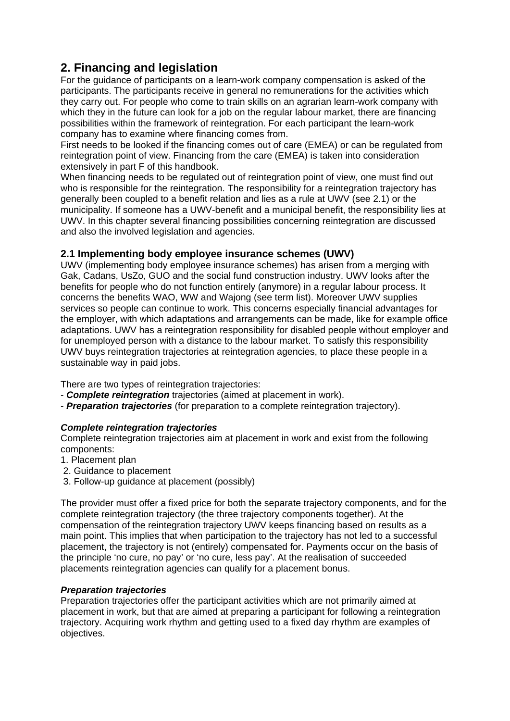# **2. Financing and legislation**

For the guidance of participants on a learn-work company compensation is asked of the participants. The participants receive in general no remunerations for the activities which they carry out. For people who come to train skills on an agrarian learn-work company with which they in the future can look for a job on the regular labour market, there are financing possibilities within the framework of reintegration. For each participant the learn-work company has to examine where financing comes from.

First needs to be looked if the financing comes out of care (EMEA) or can be regulated from reintegration point of view. Financing from the care (EMEA) is taken into consideration extensively in part F of this handbook.

When financing needs to be regulated out of reintegration point of view, one must find out who is responsible for the reintegration. The responsibility for a reintegration trajectory has generally been coupled to a benefit relation and lies as a rule at UWV (see 2.1) or the municipality. If someone has a UWV-benefit and a municipal benefit, the responsibility lies at UWV. In this chapter several financing possibilities concerning reintegration are discussed and also the involved legislation and agencies.

# **2.1 Implementing body employee insurance schemes (UWV)**

UWV (implementing body employee insurance schemes) has arisen from a merging with Gak, Cadans, UsZo, GUO and the social fund construction industry. UWV looks after the benefits for people who do not function entirely (anymore) in a regular labour process. It concerns the benefits WAO, WW and Wajong (see term list). Moreover UWV supplies services so people can continue to work. This concerns especially financial advantages for the employer, with which adaptations and arrangements can be made, like for example office adaptations. UWV has a reintegration responsibility for disabled people without employer and for unemployed person with a distance to the labour market. To satisfy this responsibility UWV buys reintegration trajectories at reintegration agencies, to place these people in a sustainable way in paid jobs.

There are two types of reintegration trajectories:

- *Complete reintegration* trajectories (aimed at placement in work).
- *Preparation trajectories* (for preparation to a complete reintegration trajectory).

# *Complete reintegration trajectories*

Complete reintegration trajectories aim at placement in work and exist from the following components:

- 1. Placement plan
- 2. Guidance to placement
- 3. Follow-up guidance at placement (possibly)

The provider must offer a fixed price for both the separate trajectory components, and for the complete reintegration trajectory (the three trajectory components together). At the compensation of the reintegration trajectory UWV keeps financing based on results as a main point. This implies that when participation to the trajectory has not led to a successful placement, the trajectory is not (entirely) compensated for. Payments occur on the basis of the principle 'no cure, no pay' or 'no cure, less pay'. At the realisation of succeeded placements reintegration agencies can qualify for a placement bonus.

# *Preparation trajectories*

Preparation trajectories offer the participant activities which are not primarily aimed at placement in work, but that are aimed at preparing a participant for following a reintegration trajectory. Acquiring work rhythm and getting used to a fixed day rhythm are examples of objectives.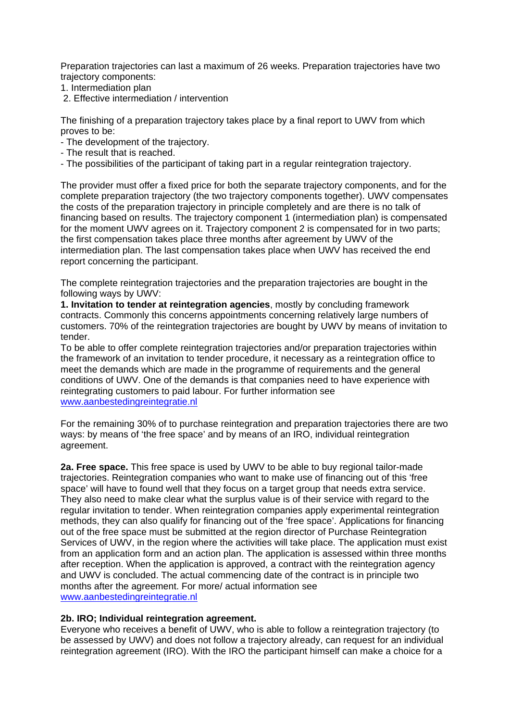Preparation trajectories can last a maximum of 26 weeks. Preparation trajectories have two trajectory components:

- 1. Intermediation plan
- 2. Effective intermediation / intervention

The finishing of a preparation trajectory takes place by a final report to UWV from which proves to be:

- The development of the trajectory.
- The result that is reached.
- The possibilities of the participant of taking part in a regular reintegration trajectory.

The provider must offer a fixed price for both the separate trajectory components, and for the complete preparation trajectory (the two trajectory components together). UWV compensates the costs of the preparation trajectory in principle completely and are there is no talk of financing based on results. The trajectory component 1 (intermediation plan) is compensated for the moment UWV agrees on it. Trajectory component 2 is compensated for in two parts; the first compensation takes place three months after agreement by UWV of the intermediation plan. The last compensation takes place when UWV has received the end report concerning the participant.

The complete reintegration trajectories and the preparation trajectories are bought in the following ways by UWV:

**1. Invitation to tender at reintegration agencies**, mostly by concluding framework contracts. Commonly this concerns appointments concerning relatively large numbers of customers. 70% of the reintegration trajectories are bought by UWV by means of invitation to tender.

To be able to offer complete reintegration trajectories and/or preparation trajectories within the framework of an invitation to tender procedure, it necessary as a reintegration office to meet the demands which are made in the programme of requirements and the general conditions of UWV. One of the demands is that companies need to have experience with reintegrating customers to paid labour. For further information see www.aanbestedingreintegratie.nl

For the remaining 30% of to purchase reintegration and preparation trajectories there are two ways: by means of 'the free space' and by means of an IRO, individual reintegration agreement.

**2a. Free space.** This free space is used by UWV to be able to buy regional tailor-made trajectories. Reintegration companies who want to make use of financing out of this 'free space' will have to found well that they focus on a target group that needs extra service. They also need to make clear what the surplus value is of their service with regard to the regular invitation to tender. When reintegration companies apply experimental reintegration methods, they can also qualify for financing out of the 'free space'. Applications for financing out of the free space must be submitted at the region director of Purchase Reintegration Services of UWV, in the region where the activities will take place. The application must exist from an application form and an action plan. The application is assessed within three months after reception. When the application is approved, a contract with the reintegration agency and UWV is concluded. The actual commencing date of the contract is in principle two months after the agreement. For more/ actual information see www.aanbestedingreintegratie.nl

#### **2b. IRO; Individual reintegration agreement.**

Everyone who receives a benefit of UWV, who is able to follow a reintegration trajectory (to be assessed by UWV) and does not follow a trajectory already, can request for an individual reintegration agreement (IRO). With the IRO the participant himself can make a choice for a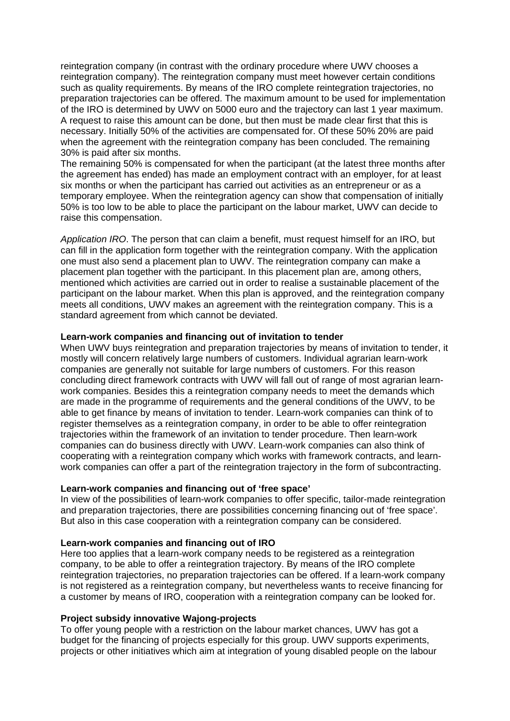reintegration company (in contrast with the ordinary procedure where UWV chooses a reintegration company). The reintegration company must meet however certain conditions such as quality requirements. By means of the IRO complete reintegration trajectories, no preparation trajectories can be offered. The maximum amount to be used for implementation of the IRO is determined by UWV on 5000 euro and the trajectory can last 1 year maximum. A request to raise this amount can be done, but then must be made clear first that this is necessary. Initially 50% of the activities are compensated for. Of these 50% 20% are paid when the agreement with the reintegration company has been concluded. The remaining 30% is paid after six months.

The remaining 50% is compensated for when the participant (at the latest three months after the agreement has ended) has made an employment contract with an employer, for at least six months or when the participant has carried out activities as an entrepreneur or as a temporary employee. When the reintegration agency can show that compensation of initially 50% is too low to be able to place the participant on the labour market, UWV can decide to raise this compensation.

*Application IRO*. The person that can claim a benefit, must request himself for an IRO, but can fill in the application form together with the reintegration company. With the application one must also send a placement plan to UWV. The reintegration company can make a placement plan together with the participant. In this placement plan are, among others, mentioned which activities are carried out in order to realise a sustainable placement of the participant on the labour market. When this plan is approved, and the reintegration company meets all conditions, UWV makes an agreement with the reintegration company. This is a standard agreement from which cannot be deviated.

#### **Learn-work companies and financing out of invitation to tender**

When UWV buys reintegration and preparation trajectories by means of invitation to tender, it mostly will concern relatively large numbers of customers. Individual agrarian learn-work companies are generally not suitable for large numbers of customers. For this reason concluding direct framework contracts with UWV will fall out of range of most agrarian learnwork companies. Besides this a reintegration company needs to meet the demands which are made in the programme of requirements and the general conditions of the UWV, to be able to get finance by means of invitation to tender. Learn-work companies can think of to register themselves as a reintegration company, in order to be able to offer reintegration trajectories within the framework of an invitation to tender procedure. Then learn-work companies can do business directly with UWV. Learn-work companies can also think of cooperating with a reintegration company which works with framework contracts, and learnwork companies can offer a part of the reintegration trajectory in the form of subcontracting.

# **Learn-work companies and financing out of 'free space'**

In view of the possibilities of learn-work companies to offer specific, tailor-made reintegration and preparation trajectories, there are possibilities concerning financing out of 'free space'. But also in this case cooperation with a reintegration company can be considered.

#### **Learn-work companies and financing out of IRO**

Here too applies that a learn-work company needs to be registered as a reintegration company, to be able to offer a reintegration trajectory. By means of the IRO complete reintegration trajectories, no preparation trajectories can be offered. If a learn-work company is not registered as a reintegration company, but nevertheless wants to receive financing for a customer by means of IRO, cooperation with a reintegration company can be looked for.

# **Project subsidy innovative Wajong-projects**

To offer young people with a restriction on the labour market chances, UWV has got a budget for the financing of projects especially for this group. UWV supports experiments, projects or other initiatives which aim at integration of young disabled people on the labour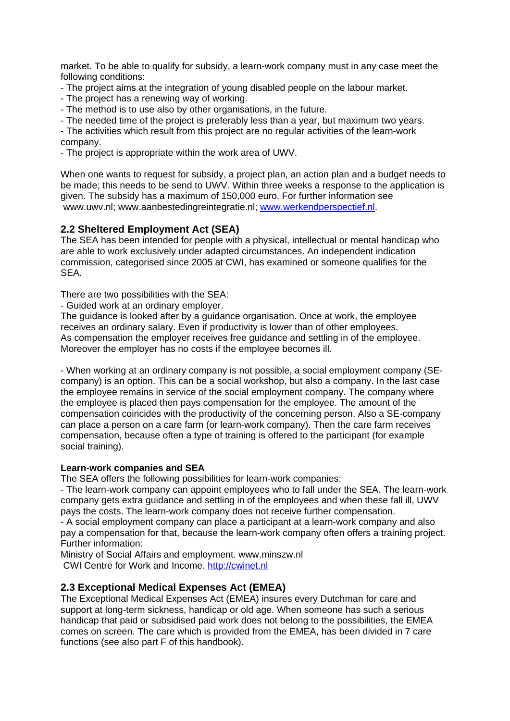market. To be able to qualify for subsidy, a learn-work company must in any case meet the following conditions:

- The project aims at the integration of young disabled people on the labour market.
- The project has a renewing way of working.
- The method is to use also by other organisations, in the future.
- The needed time of the project is preferably less than a year, but maximum two years.
- The activities which result from this project are no regular activities of the learn-work company.
- The project is appropriate within the work area of UWV.

When one wants to request for subsidy, a project plan, an action plan and a budget needs to be made; this needs to be send to UWV. Within three weeks a response to the application is given. The subsidy has a maximum of 150,000 euro. For further information see www.uwv.nl; www.aanbestedingreintegratie.nl; www.werkendperspectief.nl.

# **2.2 Sheltered Employment Act (SEA)**

The SEA has been intended for people with a physical, intellectual or mental handicap who are able to work exclusively under adapted circumstances. An independent indication commission, categorised since 2005 at CWI, has examined or someone qualifies for the SEA.

There are two possibilities with the SEA:

- Guided work at an ordinary employer.

The guidance is looked after by a guidance organisation. Once at work, the employee receives an ordinary salary. Even if productivity is lower than of other employees. As compensation the employer receives free guidance and settling in of the employee. Moreover the employer has no costs if the employee becomes ill.

- When working at an ordinary company is not possible, a social employment company (SEcompany) is an option. This can be a social workshop, but also a company. In the last case the employee remains in service of the social employment company. The company where the employee is placed then pays compensation for the employee. The amount of the compensation coincides with the productivity of the concerning person. Also a SE-company can place a person on a care farm (or learn-work company). Then the care farm receives compensation, because often a type of training is offered to the participant (for example social training).

#### **Learn-work companies and SEA**

The SEA offers the following possibilities for learn-work companies:

- The learn-work company can appoint employees who to fall under the SEA. The learn-work company gets extra guidance and settling in of the employees and when these fall ill, UWV pays the costs. The learn-work company does not receive further compensation.

- A social employment company can place a participant at a learn-work company and also pay a compensation for that, because the learn-work company often offers a training project. Further information:

Ministry of Social Affairs and employment. www.minszw.nl CWI Centre for Work and Income. http://cwinet.nl

# **2.3 Exceptional Medical Expenses Act (EMEA)**

The Exceptional Medical Expenses Act (EMEA) insures every Dutchman for care and support at long-term sickness, handicap or old age. When someone has such a serious handicap that paid or subsidised paid work does not belong to the possibilities, the EMEA comes on screen. The care which is provided from the EMEA, has been divided in 7 care functions (see also part F of this handbook).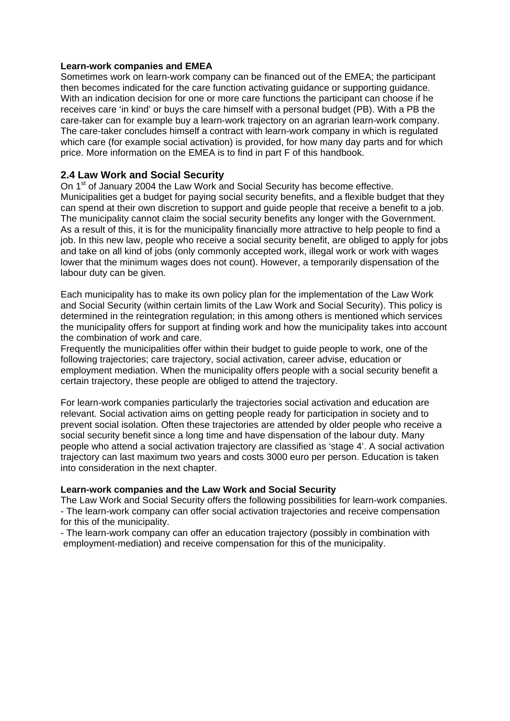#### **Learn-work companies and EMEA**

Sometimes work on learn-work company can be financed out of the EMEA; the participant then becomes indicated for the care function activating guidance or supporting guidance. With an indication decision for one or more care functions the participant can choose if he receives care 'in kind' or buys the care himself with a personal budget (PB). With a PB the care-taker can for example buy a learn-work trajectory on an agrarian learn-work company. The care-taker concludes himself a contract with learn-work company in which is regulated which care (for example social activation) is provided, for how many day parts and for which price. More information on the EMEA is to find in part F of this handbook.

# **2.4 Law Work and Social Security**

On 1<sup>st</sup> of January 2004 the Law Work and Social Security has become effective. Municipalities get a budget for paying social security benefits, and a flexible budget that they can spend at their own discretion to support and guide people that receive a benefit to a job. The municipality cannot claim the social security benefits any longer with the Government. As a result of this, it is for the municipality financially more attractive to help people to find a job. In this new law, people who receive a social security benefit, are obliged to apply for jobs and take on all kind of jobs (only commonly accepted work, illegal work or work with wages lower that the minimum wages does not count). However, a temporarily dispensation of the labour duty can be given.

Each municipality has to make its own policy plan for the implementation of the Law Work and Social Security (within certain limits of the Law Work and Social Security). This policy is determined in the reintegration regulation; in this among others is mentioned which services the municipality offers for support at finding work and how the municipality takes into account the combination of work and care.

Frequently the municipalities offer within their budget to guide people to work, one of the following trajectories; care trajectory, social activation, career advise, education or employment mediation. When the municipality offers people with a social security benefit a certain trajectory, these people are obliged to attend the trajectory.

For learn-work companies particularly the trajectories social activation and education are relevant. Social activation aims on getting people ready for participation in society and to prevent social isolation. Often these trajectories are attended by older people who receive a social security benefit since a long time and have dispensation of the labour duty. Many people who attend a social activation trajectory are classified as 'stage 4'. A social activation trajectory can last maximum two years and costs 3000 euro per person. Education is taken into consideration in the next chapter.

#### **Learn-work companies and the Law Work and Social Security**

The Law Work and Social Security offers the following possibilities for learn-work companies. - The learn-work company can offer social activation trajectories and receive compensation for this of the municipality.

- The learn-work company can offer an education trajectory (possibly in combination with employment-mediation) and receive compensation for this of the municipality.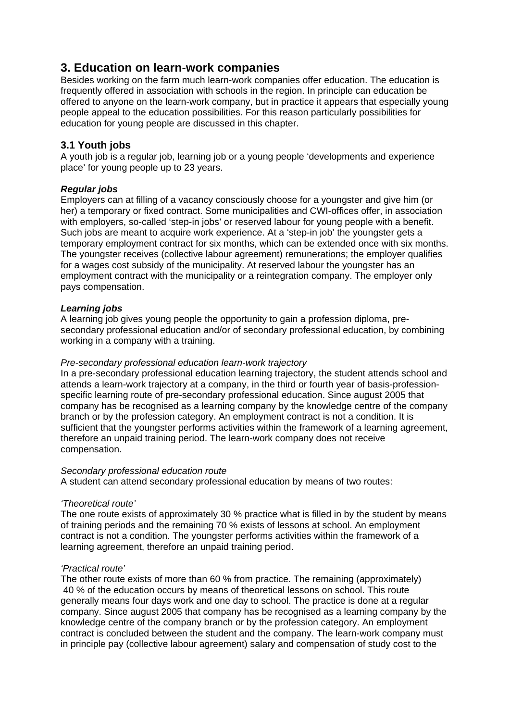# **3. Education on learn-work companies**

Besides working on the farm much learn-work companies offer education. The education is frequently offered in association with schools in the region. In principle can education be offered to anyone on the learn-work company, but in practice it appears that especially young people appeal to the education possibilities. For this reason particularly possibilities for education for young people are discussed in this chapter.

# **3.1 Youth jobs**

A youth job is a regular job, learning job or a young people 'developments and experience place' for young people up to 23 years.

# *Regular jobs*

Employers can at filling of a vacancy consciously choose for a youngster and give him (or her) a temporary or fixed contract. Some municipalities and CWI-offices offer, in association with employers, so-called 'step-in jobs' or reserved labour for young people with a benefit. Such jobs are meant to acquire work experience. At a 'step-in job' the youngster gets a temporary employment contract for six months, which can be extended once with six months. The youngster receives (collective labour agreement) remunerations; the employer qualifies for a wages cost subsidy of the municipality. At reserved labour the youngster has an employment contract with the municipality or a reintegration company. The employer only pays compensation.

# *Learning jobs*

A learning job gives young people the opportunity to gain a profession diploma, presecondary professional education and/or of secondary professional education, by combining working in a company with a training.

# *Pre-secondary professional education learn-work trajectory*

In a pre-secondary professional education learning trajectory, the student attends school and attends a learn-work trajectory at a company, in the third or fourth year of basis-professionspecific learning route of pre-secondary professional education. Since august 2005 that company has be recognised as a learning company by the knowledge centre of the company branch or by the profession category. An employment contract is not a condition. It is sufficient that the youngster performs activities within the framework of a learning agreement, therefore an unpaid training period. The learn-work company does not receive compensation.

# *Secondary professional education route*

A student can attend secondary professional education by means of two routes:

# *'Theoretical route'*

The one route exists of approximately 30 % practice what is filled in by the student by means of training periods and the remaining 70 % exists of lessons at school. An employment contract is not a condition. The youngster performs activities within the framework of a learning agreement, therefore an unpaid training period.

# *'Practical route'*

The other route exists of more than 60 % from practice. The remaining (approximately) 40 % of the education occurs by means of theoretical lessons on school. This route generally means four days work and one day to school. The practice is done at a regular company. Since august 2005 that company has be recognised as a learning company by the knowledge centre of the company branch or by the profession category. An employment contract is concluded between the student and the company. The learn-work company must in principle pay (collective labour agreement) salary and compensation of study cost to the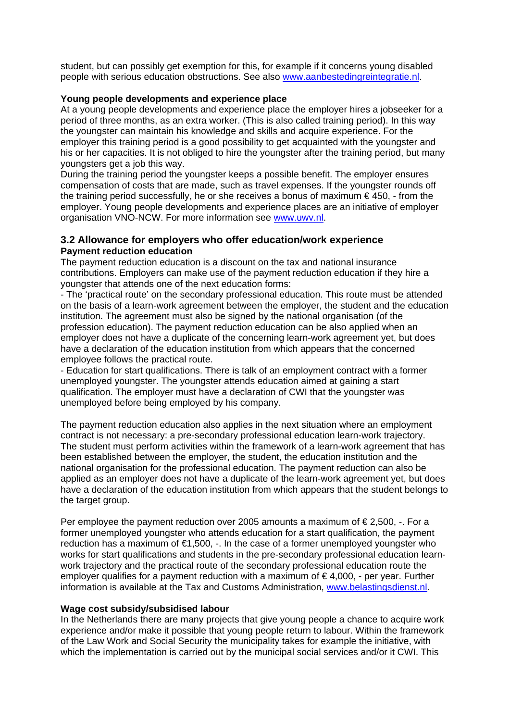student, but can possibly get exemption for this, for example if it concerns young disabled people with serious education obstructions. See also www.aanbestedingreintegratie.nl.

# **Young people developments and experience place**

At a young people developments and experience place the employer hires a jobseeker for a period of three months, as an extra worker. (This is also called training period). In this way the youngster can maintain his knowledge and skills and acquire experience. For the employer this training period is a good possibility to get acquainted with the youngster and his or her capacities. It is not obliged to hire the youngster after the training period, but many youngsters get a job this way.

During the training period the youngster keeps a possible benefit. The employer ensures compensation of costs that are made, such as travel expenses. If the youngster rounds off the training period successfully, he or she receives a bonus of maximum  $\epsilon$ 450, - from the employer. Young people developments and experience places are an initiative of employer organisation VNO-NCW. For more information see www.uwv.nl.

# **3.2 Allowance for employers who offer education/work experience Payment reduction education**

The payment reduction education is a discount on the tax and national insurance contributions. Employers can make use of the payment reduction education if they hire a youngster that attends one of the next education forms:

- The 'practical route' on the secondary professional education. This route must be attended on the basis of a learn-work agreement between the employer, the student and the education institution. The agreement must also be signed by the national organisation (of the profession education). The payment reduction education can be also applied when an employer does not have a duplicate of the concerning learn-work agreement yet, but does have a declaration of the education institution from which appears that the concerned employee follows the practical route.

- Education for start qualifications. There is talk of an employment contract with a former unemployed youngster. The youngster attends education aimed at gaining a start qualification. The employer must have a declaration of CWI that the youngster was unemployed before being employed by his company.

The payment reduction education also applies in the next situation where an employment contract is not necessary: a pre-secondary professional education learn-work trajectory. The student must perform activities within the framework of a learn-work agreement that has been established between the employer, the student, the education institution and the national organisation for the professional education. The payment reduction can also be applied as an employer does not have a duplicate of the learn-work agreement yet, but does have a declaration of the education institution from which appears that the student belongs to the target group.

Per employee the payment reduction over 2005 amounts a maximum of  $\epsilon$  2,500, -. For a former unemployed youngster who attends education for a start qualification, the payment reduction has a maximum of €1,500, -. In the case of a former unemployed youngster who works for start qualifications and students in the pre-secondary professional education learnwork trajectory and the practical route of the secondary professional education route the employer qualifies for a payment reduction with a maximum of  $\epsilon$  4,000, - per year. Further information is available at the Tax and Customs Administration, www.belastingsdienst.nl.

# **Wage cost subsidy/subsidised labour**

In the Netherlands there are many projects that give young people a chance to acquire work experience and/or make it possible that young people return to labour. Within the framework of the Law Work and Social Security the municipality takes for example the initiative, with which the implementation is carried out by the municipal social services and/or it CWI. This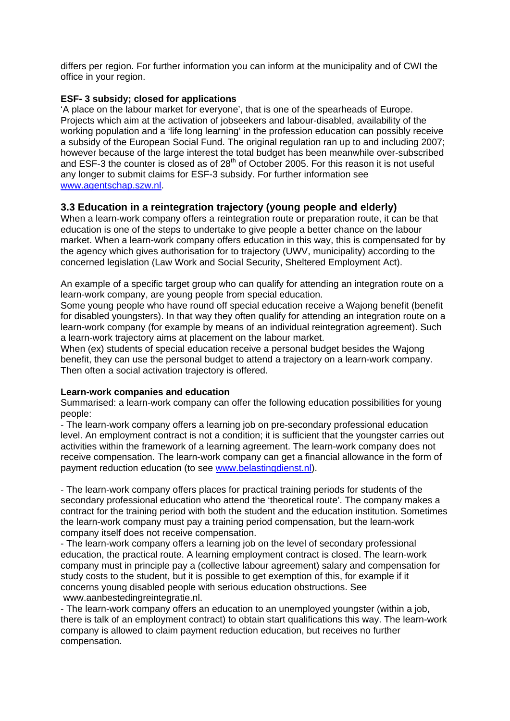differs per region. For further information you can inform at the municipality and of CWI the office in your region.

#### **ESF- 3 subsidy; closed for applications**

'A place on the labour market for everyone', that is one of the spearheads of Europe. Projects which aim at the activation of jobseekers and labour-disabled, availability of the working population and a 'life long learning' in the profession education can possibly receive a subsidy of the European Social Fund. The original regulation ran up to and including 2007; however because of the large interest the total budget has been meanwhile over-subscribed and ESF-3 the counter is closed as of 28<sup>th</sup> of October 2005. For this reason it is not useful any longer to submit claims for ESF-3 subsidy. For further information see www.agentschap.szw.nl.

# **3.3 Education in a reintegration trajectory (young people and elderly)**

When a learn-work company offers a reintegration route or preparation route, it can be that education is one of the steps to undertake to give people a better chance on the labour market. When a learn-work company offers education in this way, this is compensated for by the agency which gives authorisation for to trajectory (UWV, municipality) according to the concerned legislation (Law Work and Social Security, Sheltered Employment Act).

An example of a specific target group who can qualify for attending an integration route on a learn-work company, are young people from special education.

Some young people who have round off special education receive a Wajong benefit (benefit for disabled youngsters). In that way they often qualify for attending an integration route on a learn-work company (for example by means of an individual reintegration agreement). Such a learn-work trajectory aims at placement on the labour market.

When (ex) students of special education receive a personal budget besides the Wajong benefit, they can use the personal budget to attend a trajectory on a learn-work company. Then often a social activation trajectory is offered.

#### **Learn-work companies and education**

Summarised: a learn-work company can offer the following education possibilities for young people:

- The learn-work company offers a learning job on pre-secondary professional education level. An employment contract is not a condition; it is sufficient that the youngster carries out activities within the framework of a learning agreement. The learn-work company does not receive compensation. The learn-work company can get a financial allowance in the form of payment reduction education (to see www.belastingdienst.nl).

- The learn-work company offers places for practical training periods for students of the secondary professional education who attend the 'theoretical route'. The company makes a contract for the training period with both the student and the education institution. Sometimes the learn-work company must pay a training period compensation, but the learn-work company itself does not receive compensation.

- The learn-work company offers a learning job on the level of secondary professional education, the practical route. A learning employment contract is closed. The learn-work company must in principle pay a (collective labour agreement) salary and compensation for study costs to the student, but it is possible to get exemption of this, for example if it concerns young disabled people with serious education obstructions. See www.aanbestedingreintegratie.nl.

- The learn-work company offers an education to an unemployed youngster (within a job, there is talk of an employment contract) to obtain start qualifications this way. The learn-work company is allowed to claim payment reduction education, but receives no further compensation.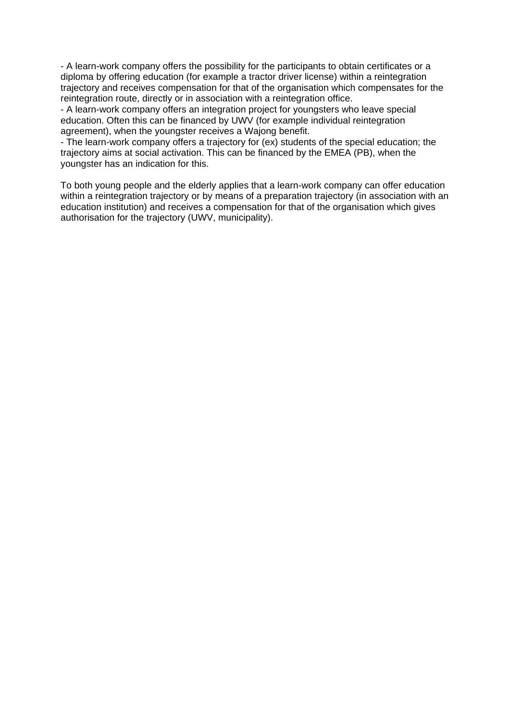- A learn-work company offers the possibility for the participants to obtain certificates or a diploma by offering education (for example a tractor driver license) within a reintegration trajectory and receives compensation for that of the organisation which compensates for the reintegration route, directly or in association with a reintegration office.

- A learn-work company offers an integration project for youngsters who leave special education. Often this can be financed by UWV (for example individual reintegration agreement), when the youngster receives a Wajong benefit.

- The learn-work company offers a trajectory for (ex) students of the special education; the trajectory aims at social activation. This can be financed by the EMEA (PB), when the youngster has an indication for this.

To both young people and the elderly applies that a learn-work company can offer education within a reintegration trajectory or by means of a preparation trajectory (in association with an education institution) and receives a compensation for that of the organisation which gives authorisation for the trajectory (UWV, municipality).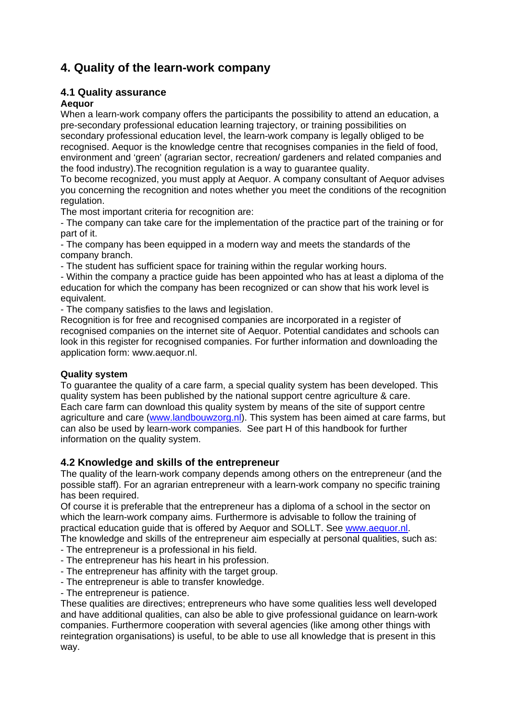# **4. Quality of the learn-work company**

# **4.1 Quality assurance**

# **Aequor**

When a learn-work company offers the participants the possibility to attend an education, a pre-secondary professional education learning trajectory, or training possibilities on secondary professional education level, the learn-work company is legally obliged to be recognised. Aequor is the knowledge centre that recognises companies in the field of food, environment and 'green' (agrarian sector, recreation/ gardeners and related companies and the food industry).The recognition regulation is a way to guarantee quality.

To become recognized, you must apply at Aequor. A company consultant of Aequor advises you concerning the recognition and notes whether you meet the conditions of the recognition regulation.

The most important criteria for recognition are:

- The company can take care for the implementation of the practice part of the training or for part of it.

- The company has been equipped in a modern way and meets the standards of the company branch.

- The student has sufficient space for training within the regular working hours.

- Within the company a practice guide has been appointed who has at least a diploma of the education for which the company has been recognized or can show that his work level is equivalent.

- The company satisfies to the laws and legislation.

Recognition is for free and recognised companies are incorporated in a register of recognised companies on the internet site of Aequor. Potential candidates and schools can look in this register for recognised companies. For further information and downloading the application form: www.aequor.nl.

# **Quality system**

To guarantee the quality of a care farm, a special quality system has been developed. This quality system has been published by the national support centre agriculture & care. Each care farm can download this quality system by means of the site of support centre agriculture and care (www.landbouwzorg.nl). This system has been aimed at care farms, but can also be used by learn-work companies. See part H of this handbook for further information on the quality system.

# **4.2 Knowledge and skills of the entrepreneur**

The quality of the learn-work company depends among others on the entrepreneur (and the possible staff). For an agrarian entrepreneur with a learn-work company no specific training has been required.

Of course it is preferable that the entrepreneur has a diploma of a school in the sector on which the learn-work company aims. Furthermore is advisable to follow the training of practical education guide that is offered by Aequor and SOLLT. See www.aequor.nl.

The knowledge and skills of the entrepreneur aim especially at personal qualities, such as:

- The entrepreneur is a professional in his field.
- The entrepreneur has his heart in his profession.
- The entrepreneur has affinity with the target group.
- The entrepreneur is able to transfer knowledge.
- The entrepreneur is patience.

These qualities are directives; entrepreneurs who have some qualities less well developed and have additional qualities, can also be able to give professional guidance on learn-work companies. Furthermore cooperation with several agencies (like among other things with reintegration organisations) is useful, to be able to use all knowledge that is present in this way.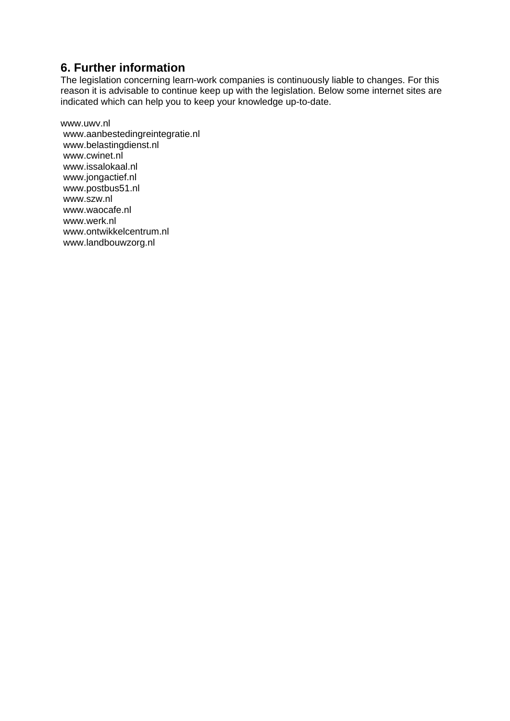# **6. Further information**

The legislation concerning learn-work companies is continuously liable to changes. For this reason it is advisable to continue keep up with the legislation. Below some internet sites are indicated which can help you to keep your knowledge up-to-date.

www.uwv.nl www.aanbestedingreintegratie.nl www.belastingdienst.nl www.cwinet.nl www.issalokaal.nl www.jongactief.nl www.postbus51.nl www.szw.nl www.waocafe.nl www.werk.nl www.ontwikkelcentrum.nl www.landbouwzorg.nl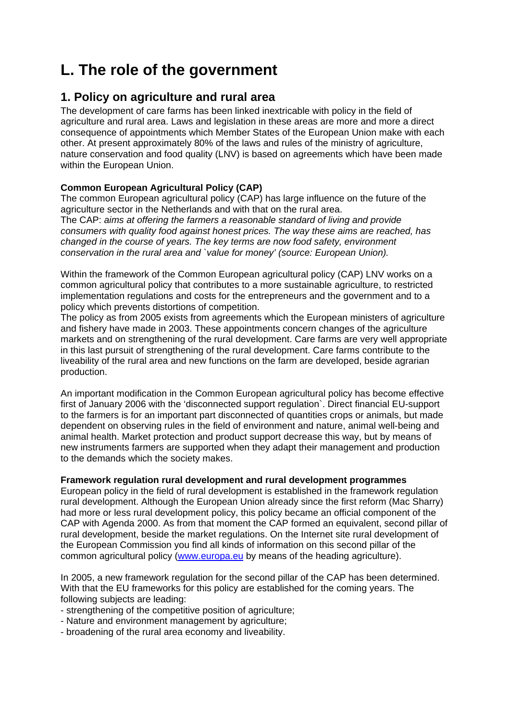# **L. The role of the government**

# **1. Policy on agriculture and rural area**

The development of care farms has been linked inextricable with policy in the field of agriculture and rural area. Laws and legislation in these areas are more and more a direct consequence of appointments which Member States of the European Union make with each other. At present approximately 80% of the laws and rules of the ministry of agriculture, nature conservation and food quality (LNV) is based on agreements which have been made within the European Union.

# **Common European Agricultural Policy (CAP)**

The common European agricultural policy (CAP) has large influence on the future of the agriculture sector in the Netherlands and with that on the rural area. The CAP: *aims at offering the farmers a reasonable standard of living and provide consumers with quality food against honest prices. The way these aims are reached, has changed in the course of years. The key terms are now food safety, environment conservation in the rural area and `value for money' (source: European Union).*

Within the framework of the Common European agricultural policy (CAP) LNV works on a common agricultural policy that contributes to a more sustainable agriculture, to restricted implementation regulations and costs for the entrepreneurs and the government and to a policy which prevents distortions of competition.

The policy as from 2005 exists from agreements which the European ministers of agriculture and fishery have made in 2003. These appointments concern changes of the agriculture markets and on strengthening of the rural development. Care farms are very well appropriate in this last pursuit of strengthening of the rural development. Care farms contribute to the liveability of the rural area and new functions on the farm are developed, beside agrarian production.

An important modification in the Common European agricultural policy has become effective first of January 2006 with the 'disconnected support regulation`. Direct financial EU-support to the farmers is for an important part disconnected of quantities crops or animals, but made dependent on observing rules in the field of environment and nature, animal well-being and animal health. Market protection and product support decrease this way, but by means of new instruments farmers are supported when they adapt their management and production to the demands which the society makes.

# **Framework regulation rural development and rural development programmes**

European policy in the field of rural development is established in the framework regulation rural development. Although the European Union already since the first reform (Mac Sharry) had more or less rural development policy, this policy became an official component of the CAP with Agenda 2000. As from that moment the CAP formed an equivalent, second pillar of rural development, beside the market regulations. On the Internet site rural development of the European Commission you find all kinds of information on this second pillar of the common agricultural policy (www.europa.eu by means of the heading agriculture).

In 2005, a new framework regulation for the second pillar of the CAP has been determined. With that the EU frameworks for this policy are established for the coming years. The following subjects are leading:

- strengthening of the competitive position of agriculture;
- Nature and environment management by agriculture;
- broadening of the rural area economy and liveability.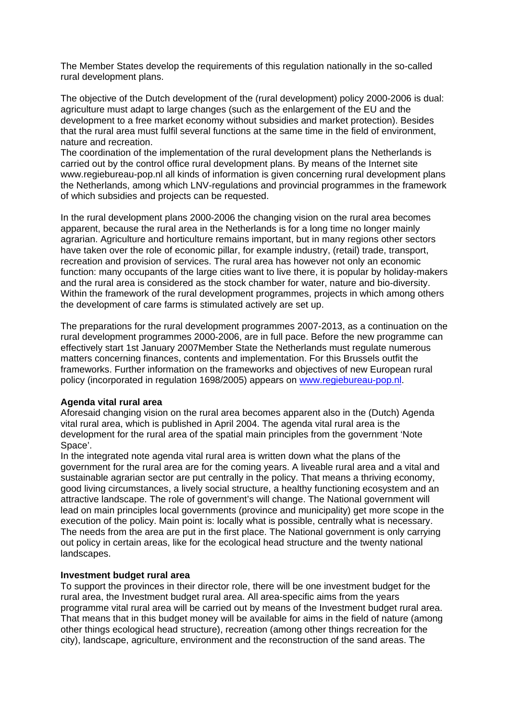The Member States develop the requirements of this regulation nationally in the so-called rural development plans.

The objective of the Dutch development of the (rural development) policy 2000-2006 is dual: agriculture must adapt to large changes (such as the enlargement of the EU and the development to a free market economy without subsidies and market protection). Besides that the rural area must fulfil several functions at the same time in the field of environment, nature and recreation.

The coordination of the implementation of the rural development plans the Netherlands is carried out by the control office rural development plans. By means of the Internet site www.regiebureau-pop.nl all kinds of information is given concerning rural development plans the Netherlands, among which LNV-regulations and provincial programmes in the framework of which subsidies and projects can be requested.

In the rural development plans 2000-2006 the changing vision on the rural area becomes apparent, because the rural area in the Netherlands is for a long time no longer mainly agrarian. Agriculture and horticulture remains important, but in many regions other sectors have taken over the role of economic pillar, for example industry, (retail) trade, transport, recreation and provision of services. The rural area has however not only an economic function: many occupants of the large cities want to live there, it is popular by holiday-makers and the rural area is considered as the stock chamber for water, nature and bio-diversity. Within the framework of the rural development programmes, projects in which among others the development of care farms is stimulated actively are set up.

The preparations for the rural development programmes 2007-2013, as a continuation on the rural development programmes 2000-2006, are in full pace. Before the new programme can effectively start 1st January 2007Member State the Netherlands must regulate numerous matters concerning finances, contents and implementation. For this Brussels outfit the frameworks. Further information on the frameworks and objectives of new European rural policy (incorporated in regulation 1698/2005) appears on www.regiebureau-pop.nl.

#### **Agenda vital rural area**

Aforesaid changing vision on the rural area becomes apparent also in the (Dutch) Agenda vital rural area, which is published in April 2004. The agenda vital rural area is the development for the rural area of the spatial main principles from the government 'Note Space'.

In the integrated note agenda vital rural area is written down what the plans of the government for the rural area are for the coming years. A liveable rural area and a vital and sustainable agrarian sector are put centrally in the policy. That means a thriving economy, good living circumstances, a lively social structure, a healthy functioning ecosystem and an attractive landscape. The role of government's will change. The National government will lead on main principles local governments (province and municipality) get more scope in the execution of the policy. Main point is: locally what is possible, centrally what is necessary. The needs from the area are put in the first place. The National government is only carrying out policy in certain areas, like for the ecological head structure and the twenty national landscapes.

#### **Investment budget rural area**

To support the provinces in their director role, there will be one investment budget for the rural area, the Investment budget rural area. All area-specific aims from the years programme vital rural area will be carried out by means of the Investment budget rural area. That means that in this budget money will be available for aims in the field of nature (among other things ecological head structure), recreation (among other things recreation for the city), landscape, agriculture, environment and the reconstruction of the sand areas. The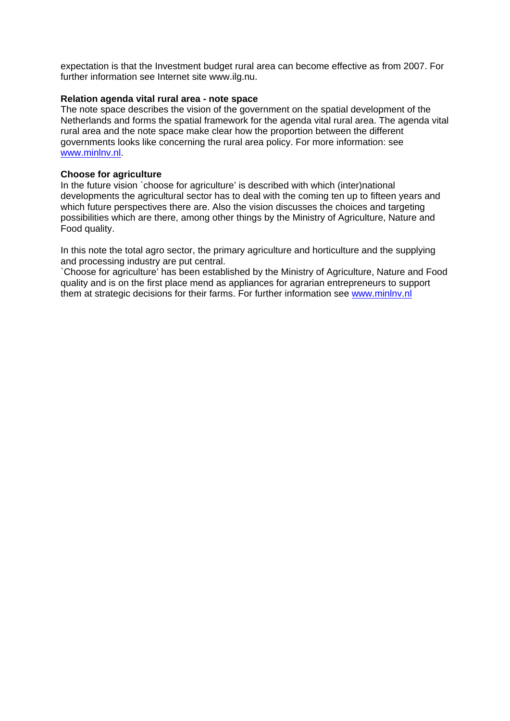expectation is that the Investment budget rural area can become effective as from 2007. For further information see Internet site www.ilg.nu.

#### **Relation agenda vital rural area - note space**

The note space describes the vision of the government on the spatial development of the Netherlands and forms the spatial framework for the agenda vital rural area. The agenda vital rural area and the note space make clear how the proportion between the different governments looks like concerning the rural area policy. For more information: see www.minlnv.nl.

#### **Choose for agriculture**

In the future vision `choose for agriculture' is described with which (inter)national developments the agricultural sector has to deal with the coming ten up to fifteen years and which future perspectives there are. Also the vision discusses the choices and targeting possibilities which are there, among other things by the Ministry of Agriculture, Nature and Food quality.

In this note the total agro sector, the primary agriculture and horticulture and the supplying and processing industry are put central.

`Choose for agriculture' has been established by the Ministry of Agriculture, Nature and Food quality and is on the first place mend as appliances for agrarian entrepreneurs to support them at strategic decisions for their farms. For further information see www.minlnv.nl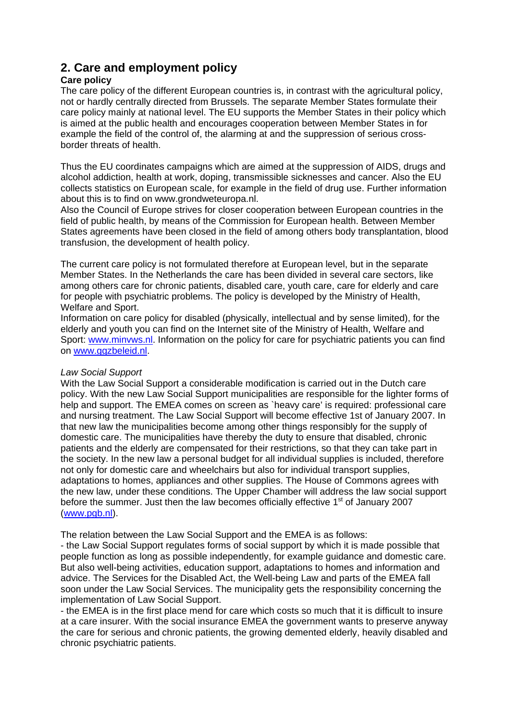# **2. Care and employment policy**

# **Care policy**

The care policy of the different European countries is, in contrast with the agricultural policy, not or hardly centrally directed from Brussels. The separate Member States formulate their care policy mainly at national level. The EU supports the Member States in their policy which is aimed at the public health and encourages cooperation between Member States in for example the field of the control of, the alarming at and the suppression of serious crossborder threats of health.

Thus the EU coordinates campaigns which are aimed at the suppression of AIDS, drugs and alcohol addiction, health at work, doping, transmissible sicknesses and cancer. Also the EU collects statistics on European scale, for example in the field of drug use. Further information about this is to find on www.grondweteuropa.nl.

Also the Council of Europe strives for closer cooperation between European countries in the field of public health, by means of the Commission for European health. Between Member States agreements have been closed in the field of among others body transplantation, blood transfusion, the development of health policy.

The current care policy is not formulated therefore at European level, but in the separate Member States. In the Netherlands the care has been divided in several care sectors, like among others care for chronic patients, disabled care, youth care, care for elderly and care for people with psychiatric problems. The policy is developed by the Ministry of Health, Welfare and Sport.

Information on care policy for disabled (physically, intellectual and by sense limited), for the elderly and youth you can find on the Internet site of the Ministry of Health, Welfare and Sport: www.minvws.nl. Information on the policy for care for psychiatric patients you can find on www.ggzbeleid.nl.

# *Law Social Support*

With the Law Social Support a considerable modification is carried out in the Dutch care policy. With the new Law Social Support municipalities are responsible for the lighter forms of help and support. The EMEA comes on screen as `heavy care' is required: professional care and nursing treatment. The Law Social Support will become effective 1st of January 2007. In that new law the municipalities become among other things responsibly for the supply of domestic care. The municipalities have thereby the duty to ensure that disabled, chronic patients and the elderly are compensated for their restrictions, so that they can take part in the society. In the new law a personal budget for all individual supplies is included, therefore not only for domestic care and wheelchairs but also for individual transport supplies, adaptations to homes, appliances and other supplies. The House of Commons agrees with the new law, under these conditions. The Upper Chamber will address the law social support before the summer. Just then the law becomes officially effective  $1<sup>st</sup>$  of January 2007 (www.pgb.nl).

The relation between the Law Social Support and the EMEA is as follows:

- the Law Social Support regulates forms of social support by which it is made possible that people function as long as possible independently, for example guidance and domestic care. But also well-being activities, education support, adaptations to homes and information and advice. The Services for the Disabled Act, the Well-being Law and parts of the EMEA fall soon under the Law Social Services. The municipality gets the responsibility concerning the implementation of Law Social Support.

- the EMEA is in the first place mend for care which costs so much that it is difficult to insure at a care insurer. With the social insurance EMEA the government wants to preserve anyway the care for serious and chronic patients, the growing demented elderly, heavily disabled and chronic psychiatric patients.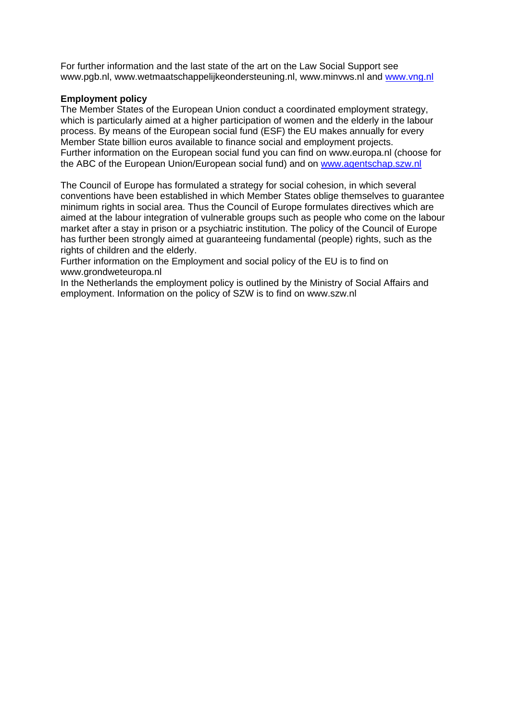For further information and the last state of the art on the Law Social Support see www.pgb.nl, www.wetmaatschappelijkeondersteuning.nl, www.minvws.nl and www.vng.nl

# **Employment policy**

The Member States of the European Union conduct a coordinated employment strategy, which is particularly aimed at a higher participation of women and the elderly in the labour process. By means of the European social fund (ESF) the EU makes annually for every Member State billion euros available to finance social and employment projects. Further information on the European social fund you can find on www.europa.nl (choose for the ABC of the European Union/European social fund) and on www.agentschap.szw.nl

The Council of Europe has formulated a strategy for social cohesion, in which several conventions have been established in which Member States oblige themselves to guarantee minimum rights in social area. Thus the Council of Europe formulates directives which are aimed at the labour integration of vulnerable groups such as people who come on the labour market after a stay in prison or a psychiatric institution. The policy of the Council of Europe has further been strongly aimed at guaranteeing fundamental (people) rights, such as the rights of children and the elderly.

Further information on the Employment and social policy of the EU is to find on www.grondweteuropa.nl

In the Netherlands the employment policy is outlined by the Ministry of Social Affairs and employment. Information on the policy of SZW is to find on www.szw.nl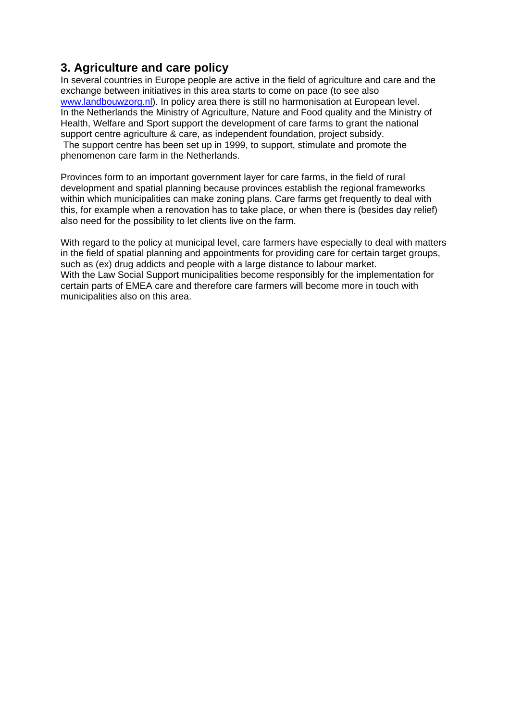# **3. Agriculture and care policy**

In several countries in Europe people are active in the field of agriculture and care and the exchange between initiatives in this area starts to come on pace (to see also www.landbouwzorg.nl). In policy area there is still no harmonisation at European level. In the Netherlands the Ministry of Agriculture, Nature and Food quality and the Ministry of Health, Welfare and Sport support the development of care farms to grant the national support centre agriculture & care, as independent foundation, project subsidy. The support centre has been set up in 1999, to support, stimulate and promote the phenomenon care farm in the Netherlands.

Provinces form to an important government layer for care farms, in the field of rural development and spatial planning because provinces establish the regional frameworks within which municipalities can make zoning plans. Care farms get frequently to deal with this, for example when a renovation has to take place, or when there is (besides day relief) also need for the possibility to let clients live on the farm.

With regard to the policy at municipal level, care farmers have especially to deal with matters in the field of spatial planning and appointments for providing care for certain target groups, such as (ex) drug addicts and people with a large distance to labour market. With the Law Social Support municipalities become responsibly for the implementation for certain parts of EMEA care and therefore care farmers will become more in touch with municipalities also on this area.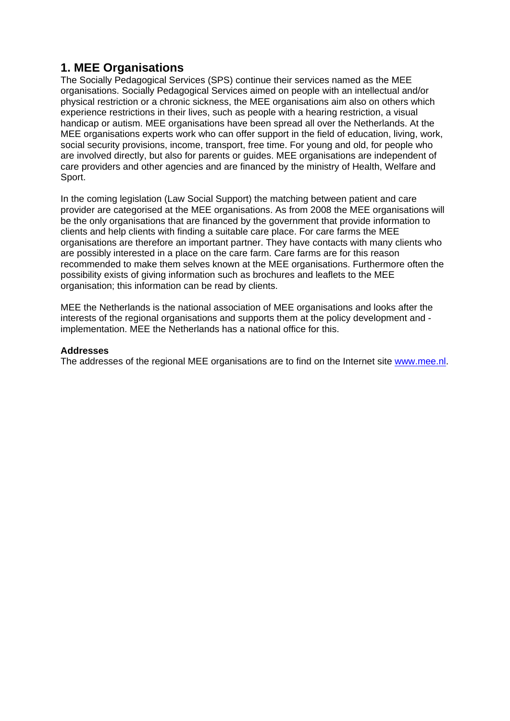# **1. MEE Organisations**

The Socially Pedagogical Services (SPS) continue their services named as the MEE organisations. Socially Pedagogical Services aimed on people with an intellectual and/or physical restriction or a chronic sickness, the MEE organisations aim also on others which experience restrictions in their lives, such as people with a hearing restriction, a visual handicap or autism. MEE organisations have been spread all over the Netherlands. At the MEE organisations experts work who can offer support in the field of education, living, work, social security provisions, income, transport, free time. For young and old, for people who are involved directly, but also for parents or guides. MEE organisations are independent of care providers and other agencies and are financed by the ministry of Health, Welfare and Sport.

In the coming legislation (Law Social Support) the matching between patient and care provider are categorised at the MEE organisations. As from 2008 the MEE organisations will be the only organisations that are financed by the government that provide information to clients and help clients with finding a suitable care place. For care farms the MEE organisations are therefore an important partner. They have contacts with many clients who are possibly interested in a place on the care farm. Care farms are for this reason recommended to make them selves known at the MEE organisations. Furthermore often the possibility exists of giving information such as brochures and leaflets to the MEE organisation; this information can be read by clients.

MEE the Netherlands is the national association of MEE organisations and looks after the interests of the regional organisations and supports them at the policy development and implementation. MEE the Netherlands has a national office for this.

# **Addresses**

The addresses of the regional MEE organisations are to find on the Internet site www.mee.nl.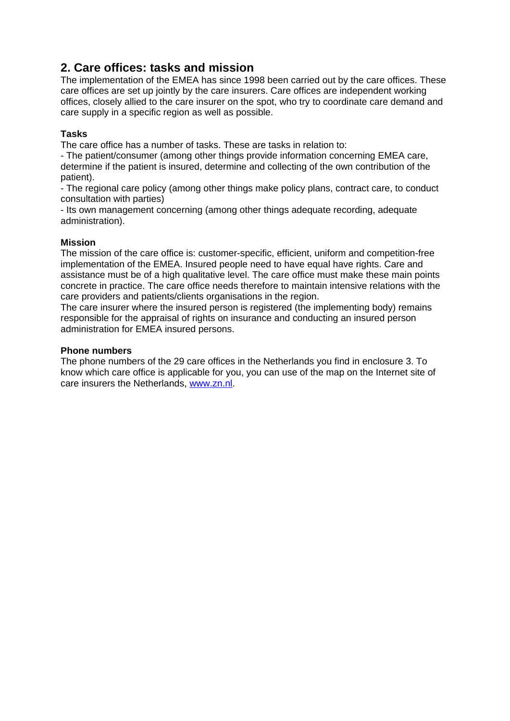# **2. Care offices: tasks and mission**

The implementation of the EMEA has since 1998 been carried out by the care offices. These care offices are set up jointly by the care insurers. Care offices are independent working offices, closely allied to the care insurer on the spot, who try to coordinate care demand and care supply in a specific region as well as possible.

# **Tasks**

The care office has a number of tasks. These are tasks in relation to:

- The patient/consumer (among other things provide information concerning EMEA care, determine if the patient is insured, determine and collecting of the own contribution of the patient).

- The regional care policy (among other things make policy plans, contract care, to conduct consultation with parties)

- Its own management concerning (among other things adequate recording, adequate administration).

# **Mission**

The mission of the care office is: customer-specific, efficient, uniform and competition-free implementation of the EMEA. Insured people need to have equal have rights. Care and assistance must be of a high qualitative level. The care office must make these main points concrete in practice. The care office needs therefore to maintain intensive relations with the care providers and patients/clients organisations in the region.

The care insurer where the insured person is registered (the implementing body) remains responsible for the appraisal of rights on insurance and conducting an insured person administration for EMEA insured persons.

# **Phone numbers**

The phone numbers of the 29 care offices in the Netherlands you find in enclosure 3. To know which care office is applicable for you, you can use of the map on the Internet site of care insurers the Netherlands, www.zn.nl.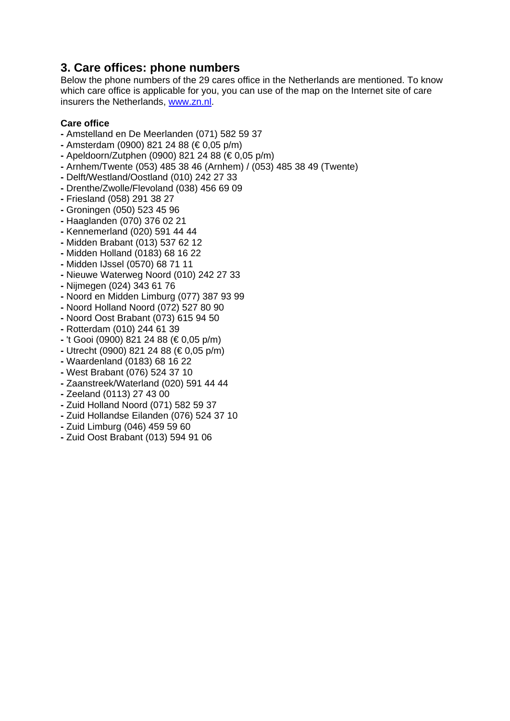# **3. Care offices: phone numbers**

Below the phone numbers of the 29 cares office in the Netherlands are mentioned. To know which care office is applicable for you, you can use of the map on the Internet site of care insurers the Netherlands, www.zn.nl.

# **Care office**

- Amstelland en De Meerlanden (071) 582 59 37
- Amsterdam (0900) 821 24 88 (€ 0,05 p/m)
- Apeldoorn/Zutphen (0900) 821 24 88 (€ 0,05 p/m)
- Arnhem/Twente (053) 485 38 46 (Arnhem) / (053) 485 38 49 (Twente)
- Delft/Westland/Oostland (010) 242 27 33
- Drenthe/Zwolle/Flevoland (038) 456 69 09
- Friesland (058) 291 38 27
- Groningen (050) 523 45 96
- Haaglanden (070) 376 02 21
- Kennemerland (020) 591 44 44
- Midden Brabant (013) 537 62 12
- Midden Holland (0183) 68 16 22
- Midden IJssel (0570) 68 71 11
- Nieuwe Waterweg Noord (010) 242 27 33
- Nijmegen (024) 343 61 76
- Noord en Midden Limburg (077) 387 93 99
- Noord Holland Noord (072) 527 80 90
- Noord Oost Brabant (073) 615 94 50
- Rotterdam (010) 244 61 39
- 't Gooi (0900) 821 24 88 (€ 0,05 p/m)
- Utrecht (0900) 821 24 88 (€ 0,05 p/m)
- Waardenland (0183) 68 16 22
- West Brabant (076) 524 37 10
- Zaanstreek/Waterland (020) 591 44 44
- Zeeland (0113) 27 43 00
- Zuid Holland Noord (071) 582 59 37
- Zuid Hollandse Eilanden (076) 524 37 10
- Zuid Limburg (046) 459 59 60
- Zuid Oost Brabant (013) 594 91 06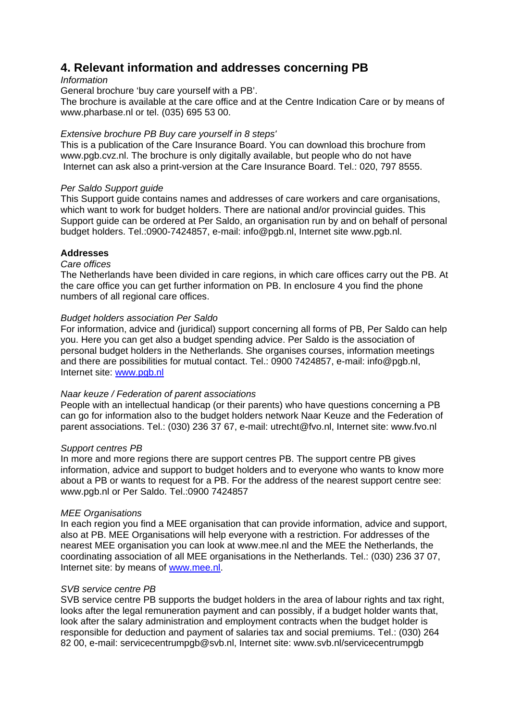# **4. Relevant information and addresses concerning PB**

# *Information*

General brochure 'buy care yourself with a PB'.

The brochure is available at the care office and at the Centre Indication Care or by means of www.pharbase.nl or tel. (035) 695 53 00.

# *Extensive brochure PB Buy care yourself in 8 steps'*

This is a publication of the Care Insurance Board. You can download this brochure from www.pgb.cvz.nl. The brochure is only digitally available, but people who do not have Internet can ask also a print-version at the Care Insurance Board. Tel.: 020, 797 8555.

# *Per Saldo Support guide*

This Support guide contains names and addresses of care workers and care organisations, which want to work for budget holders. There are national and/or provincial guides. This Support guide can be ordered at Per Saldo, an organisation run by and on behalf of personal budget holders. Tel.:0900-7424857, e-mail: info@pgb.nl, Internet site www.pgb.nl.

# **Addresses**

# *Care offices*

The Netherlands have been divided in care regions, in which care offices carry out the PB. At the care office you can get further information on PB. In enclosure 4 you find the phone numbers of all regional care offices.

# *Budget holders association Per Saldo*

For information, advice and (juridical) support concerning all forms of PB, Per Saldo can help you. Here you can get also a budget spending advice. Per Saldo is the association of personal budget holders in the Netherlands. She organises courses, information meetings and there are possibilities for mutual contact. Tel.: 0900 7424857, e-mail: info@pgb.nl, Internet site: www.pgb.nl

# *Naar keuze / Federation of parent associations*

People with an intellectual handicap (or their parents) who have questions concerning a PB can go for information also to the budget holders network Naar Keuze and the Federation of parent associations. Tel.: (030) 236 37 67, e-mail: utrecht@fvo.nl, Internet site: www.fvo.nl

#### *Support centres PB*

In more and more regions there are support centres PB. The support centre PB gives information, advice and support to budget holders and to everyone who wants to know more about a PB or wants to request for a PB. For the address of the nearest support centre see: www.pgb.nl or Per Saldo. Tel.:0900 7424857

# *MEE Organisations*

In each region you find a MEE organisation that can provide information, advice and support, also at PB. MEE Organisations will help everyone with a restriction. For addresses of the nearest MEE organisation you can look at www.mee.nl and the MEE the Netherlands, the coordinating association of all MEE organisations in the Netherlands. Tel.: (030) 236 37 07, Internet site: by means of www.mee.nl.

# *SVB service centre PB*

SVB service centre PB supports the budget holders in the area of labour rights and tax right, looks after the legal remuneration payment and can possibly, if a budget holder wants that, look after the salary administration and employment contracts when the budget holder is responsible for deduction and payment of salaries tax and social premiums. Tel.: (030) 264 82 00, e-mail: servicecentrumpgb@svb.nl, Internet site: www.svb.nl/servicecentrumpgb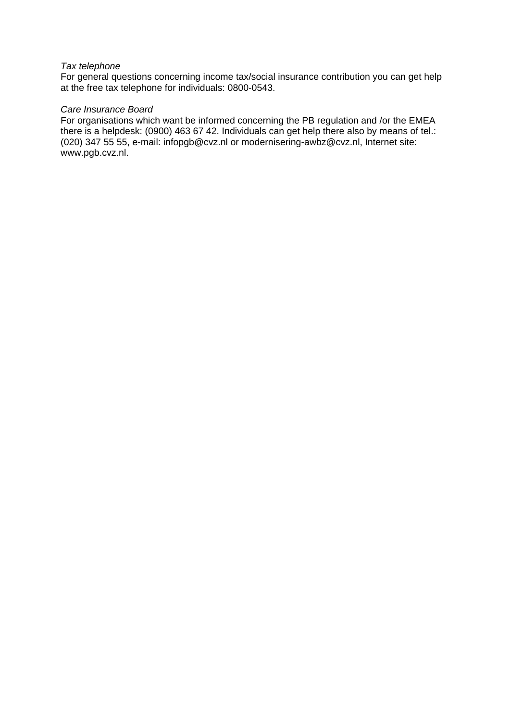#### *Tax telephone*

For general questions concerning income tax/social insurance contribution you can get help at the free tax telephone for individuals: 0800-0543.

#### *Care Insurance Board*

For organisations which want be informed concerning the PB regulation and /or the EMEA there is a helpdesk: (0900) 463 67 42. Individuals can get help there also by means of tel.: (020) 347 55 55, e-mail: infopgb@cvz.nl or modernisering-awbz@cvz.nl, Internet site: www.pgb.cvz.nl.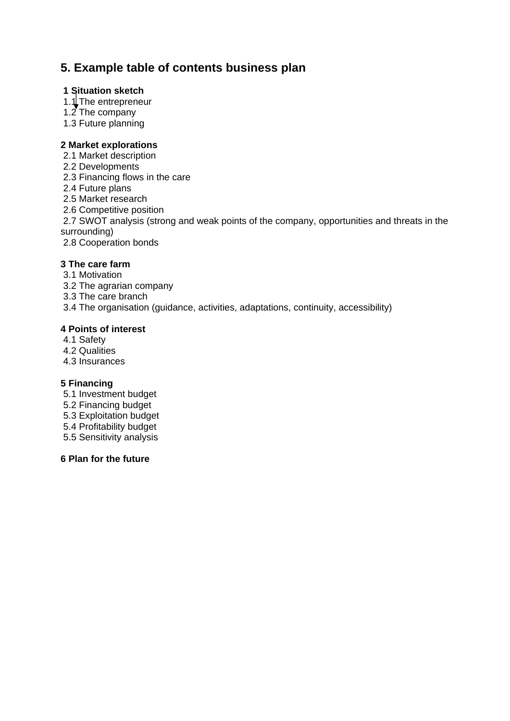# **5. Example table of contents business plan**

# **1 Situation sketch**

- 1.1 The entrepreneur
- 1.2 The company
- 1.3 Future planning

# **2 Market explorations**

- 2.1 Market description
- 2.2 Developments
- 2.3 Financing flows in the care
- 2.4 Future plans
- 2.5 Market research
- 2.6 Competitive position
- 2.7 SWOT analysis (strong and weak points of the company, opportunities and threats in the surrounding)
- 2.8 Cooperation bonds

# **3 The care farm**

- 3.1 Motivation
- 3.2 The agrarian company
- 3.3 The care branch
- 3.4 The organisation (guidance, activities, adaptations, continuity, accessibility)

# **4 Points of interest**

- 4.1 Safety
- 4.2 Qualities
- 4.3 Insurances

# **5 Financing**

- 5.1 Investment budget
- 5.2 Financing budget
- 5.3 Exploitation budget
- 5.4 Profitability budget
- 5.5 Sensitivity analysis

# **6 Plan for the future**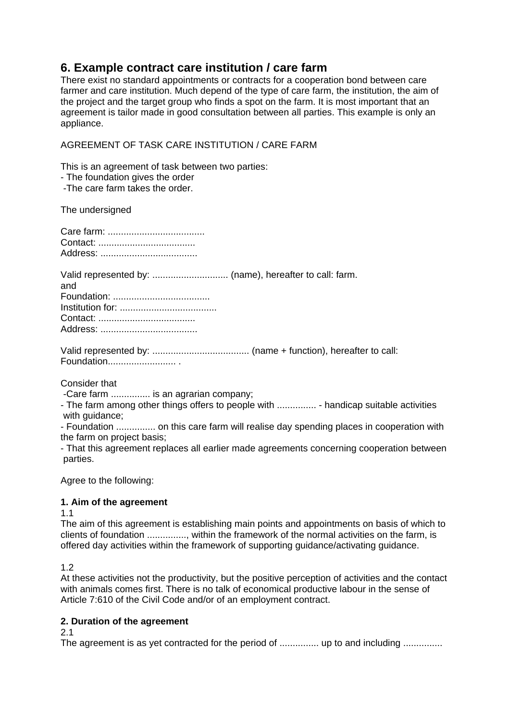# **6. Example contract care institution / care farm**

There exist no standard appointments or contracts for a cooperation bond between care farmer and care institution. Much depend of the type of care farm, the institution, the aim of the project and the target group who finds a spot on the farm. It is most important that an agreement is tailor made in good consultation between all parties. This example is only an appliance.

# AGREEMENT OF TASK CARE INSTITUTION / CARE FARM

This is an agreement of task between two parties:

- The foundation gives the order

-The care farm takes the order.

The undersigned

| and |
|-----|
|     |
|     |
|     |
|     |

Consider that

-Care farm ............... is an agrarian company;

- The farm among other things offers to people with ................ - handicap suitable activities with quidance:

- Foundation ............... on this care farm will realise day spending places in cooperation with the farm on project basis;

- That this agreement replaces all earlier made agreements concerning cooperation between parties.

Agree to the following:

# **1. Aim of the agreement**

1.1

The aim of this agreement is establishing main points and appointments on basis of which to clients of foundation ..............., within the framework of the normal activities on the farm, is offered day activities within the framework of supporting guidance/activating guidance.

1.2

At these activities not the productivity, but the positive perception of activities and the contact with animals comes first. There is no talk of economical productive labour in the sense of Article 7:610 of the Civil Code and/or of an employment contract.

# **2. Duration of the agreement**

#### 2.1

The agreement is as yet contracted for the period of ............... up to and including ...............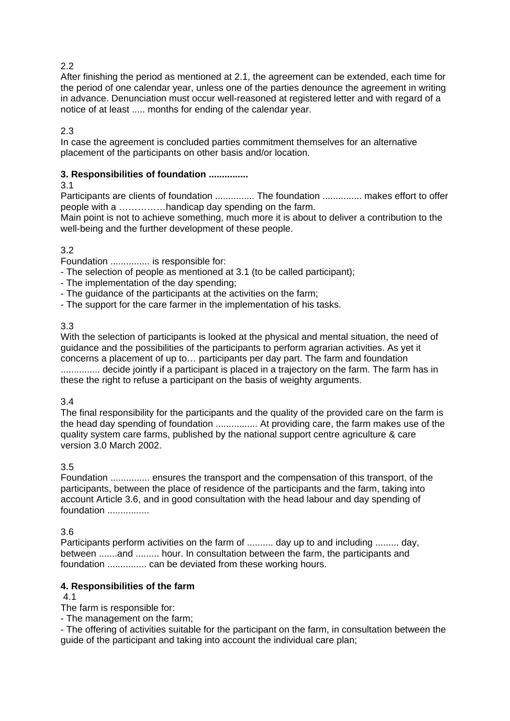# $2.2<sub>2</sub>$

After finishing the period as mentioned at 2.1, the agreement can be extended, each time for the period of one calendar year, unless one of the parties denounce the agreement in writing in advance. Denunciation must occur well-reasoned at registered letter and with regard of a notice of at least ..... months for ending of the calendar year.

2.3

In case the agreement is concluded parties commitment themselves for an alternative placement of the participants on other basis and/or location.

# **3. Responsibilities of foundation ...............**

3.1

Participants are clients of foundation ................ The foundation ................ makes effort to offer people with a ……………handicap day spending on the farm.

Main point is not to achieve something, much more it is about to deliver a contribution to the well-being and the further development of these people.

# 3.2

Foundation ............... is responsible for:

- The selection of people as mentioned at 3.1 (to be called participant);
- The implementation of the day spending;
- The guidance of the participants at the activities on the farm;
- The support for the care farmer in the implementation of his tasks.

# 3.3

With the selection of participants is looked at the physical and mental situation, the need of guidance and the possibilities of the participants to perform agrarian activities. As yet it concerns a placement of up to… participants per day part. The farm and foundation ................ decide jointly if a participant is placed in a trajectory on the farm. The farm has in these the right to refuse a participant on the basis of weighty arguments.

#### 3.4

The final responsibility for the participants and the quality of the provided care on the farm is the head day spending of foundation ................ At providing care, the farm makes use of the quality system care farms, published by the national support centre agriculture & care version 3.0 March 2002.

# 3.5

Foundation ............... ensures the transport and the compensation of this transport, of the participants, between the place of residence of the participants and the farm, taking into account Article 3.6, and in good consultation with the head labour and day spending of foundation ................

3.6

Participants perform activities on the farm of .......... day up to and including ......... day, between .......and ......... hour. In consultation between the farm, the participants and foundation ............... can be deviated from these working hours.

# **4. Responsibilities of the farm**

#### 4.1

The farm is responsible for:

- The management on the farm;

- The offering of activities suitable for the participant on the farm, in consultation between the guide of the participant and taking into account the individual care plan;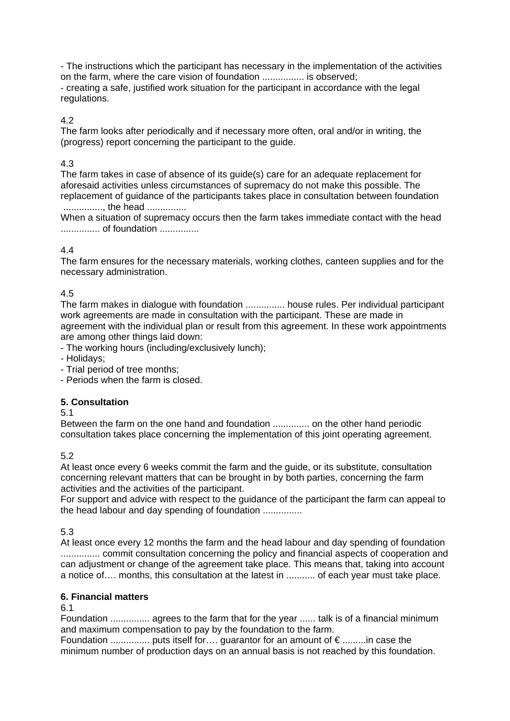- The instructions which the participant has necessary in the implementation of the activities on the farm, where the care vision of foundation ................ is observed; - creating a safe, justified work situation for the participant in accordance with the legal regulations.

4.2

The farm looks after periodically and if necessary more often, oral and/or in writing, the (progress) report concerning the participant to the guide.

# 4.3

The farm takes in case of absence of its guide(s) care for an adequate replacement for aforesaid activities unless circumstances of supremacy do not make this possible. The replacement of guidance of the participants takes place in consultation between foundation ..............., the head ...............

When a situation of supremacy occurs then the farm takes immediate contact with the head ............... of foundation ...............

# 4.4

The farm ensures for the necessary materials, working clothes, canteen supplies and for the necessary administration.

# 4.5

The farm makes in dialogue with foundation ............... house rules. Per individual participant work agreements are made in consultation with the participant. These are made in agreement with the individual plan or result from this agreement. In these work appointments are among other things laid down:

- The working hours (including/exclusively lunch);

- Holidays;
- Trial period of tree months;
- Periods when the farm is closed.

# **5. Consultation**

5.1

Between the farm on the one hand and foundation .............. on the other hand periodic consultation takes place concerning the implementation of this joint operating agreement.

# 5.2

At least once every 6 weeks commit the farm and the guide, or its substitute, consultation concerning relevant matters that can be brought in by both parties, concerning the farm activities and the activities of the participant.

For support and advice with respect to the guidance of the participant the farm can appeal to the head labour and day spending of foundation ...............

# 5.3

At least once every 12 months the farm and the head labour and day spending of foundation ............... commit consultation concerning the policy and financial aspects of cooperation and can adjustment or change of the agreement take place. This means that, taking into account a notice of…. months, this consultation at the latest in ........... of each year must take place.

#### **6. Financial matters**

6.1

Foundation ............... agrees to the farm that for the year ...... talk is of a financial minimum and maximum compensation to pay by the foundation to the farm.

Foundation ............... puts itself for…. guarantor for an amount of € .........in case the minimum number of production days on an annual basis is not reached by this foundation.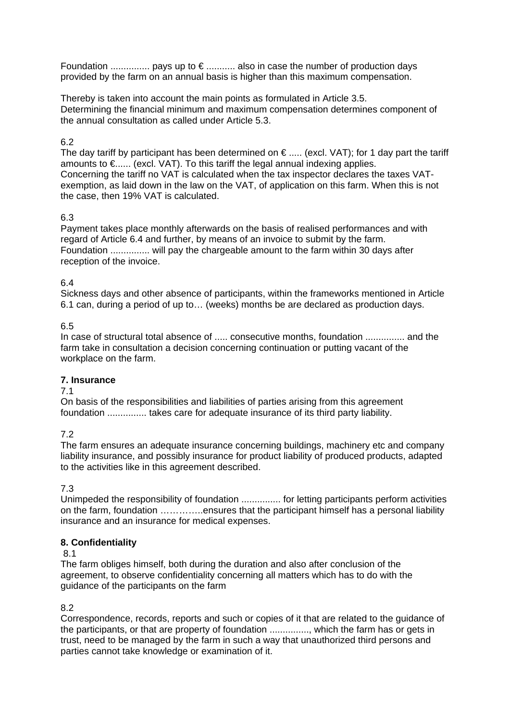Foundation  $\ldots$  $\ldots$  $\ldots$  $\ldots$  pays up to  $\epsilon$   $\ldots$  $\ldots$  $\ldots$  also in case the number of production days provided by the farm on an annual basis is higher than this maximum compensation.

Thereby is taken into account the main points as formulated in Article 3.5. Determining the financial minimum and maximum compensation determines component of the annual consultation as called under Article 5.3.

# 6.2

The day tariff by participant has been determined on  $\epsilon$  ..... (excl. VAT); for 1 day part the tariff amounts to €...... (excl. VAT). To this tariff the legal annual indexing applies. Concerning the tariff no VAT is calculated when the tax inspector declares the taxes VATexemption, as laid down in the law on the VAT, of application on this farm. When this is not the case, then 19% VAT is calculated.

# 6.3

Payment takes place monthly afterwards on the basis of realised performances and with regard of Article 6.4 and further, by means of an invoice to submit by the farm. Foundation ............... will pay the chargeable amount to the farm within 30 days after reception of the invoice.

# 6.4

Sickness days and other absence of participants, within the frameworks mentioned in Article 6.1 can, during a period of up to… (weeks) months be are declared as production days.

# 6.5

In case of structural total absence of ..... consecutive months, foundation ............... and the farm take in consultation a decision concerning continuation or putting vacant of the workplace on the farm.

# **7. Insurance**

# 7.1

On basis of the responsibilities and liabilities of parties arising from this agreement foundation ............... takes care for adequate insurance of its third party liability.

7.2

The farm ensures an adequate insurance concerning buildings, machinery etc and company liability insurance, and possibly insurance for product liability of produced products, adapted to the activities like in this agreement described.

7.3

Unimpeded the responsibility of foundation ............... for letting participants perform activities on the farm, foundation …………..ensures that the participant himself has a personal liability insurance and an insurance for medical expenses.

# **8. Confidentiality**

# 8.1

The farm obliges himself, both during the duration and also after conclusion of the agreement, to observe confidentiality concerning all matters which has to do with the guidance of the participants on the farm

# 8.2

Correspondence, records, reports and such or copies of it that are related to the guidance of the participants, or that are property of foundation ..............., which the farm has or gets in trust, need to be managed by the farm in such a way that unauthorized third persons and parties cannot take knowledge or examination of it.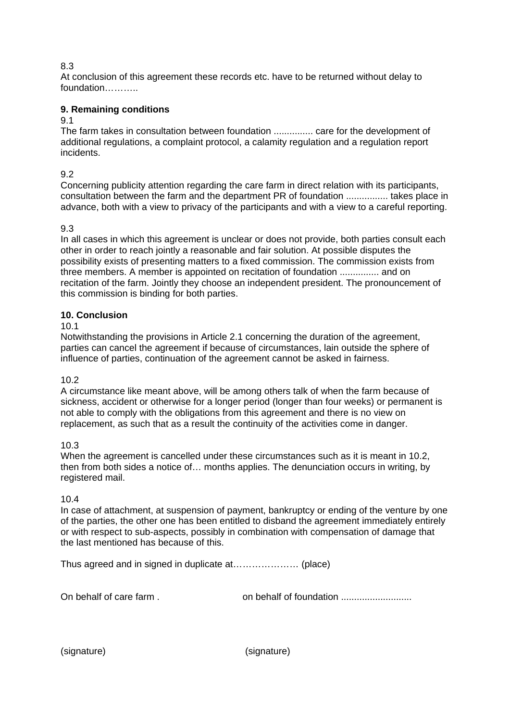# 8.3

At conclusion of this agreement these records etc. have to be returned without delay to foundation………..

# **9. Remaining conditions**

### 9.1

The farm takes in consultation between foundation ............... care for the development of additional regulations, a complaint protocol, a calamity regulation and a regulation report incidents.

9.2

Concerning publicity attention regarding the care farm in direct relation with its participants, consultation between the farm and the department PR of foundation ................ takes place in advance, both with a view to privacy of the participants and with a view to a careful reporting.

# 9.3

In all cases in which this agreement is unclear or does not provide, both parties consult each other in order to reach jointly a reasonable and fair solution. At possible disputes the possibility exists of presenting matters to a fixed commission. The commission exists from three members. A member is appointed on recitation of foundation ............... and on recitation of the farm. Jointly they choose an independent president. The pronouncement of this commission is binding for both parties.

# **10. Conclusion**

10.1

Notwithstanding the provisions in Article 2.1 concerning the duration of the agreement, parties can cancel the agreement if because of circumstances, lain outside the sphere of influence of parties, continuation of the agreement cannot be asked in fairness.

# 10.2

A circumstance like meant above, will be among others talk of when the farm because of sickness, accident or otherwise for a longer period (longer than four weeks) or permanent is not able to comply with the obligations from this agreement and there is no view on replacement, as such that as a result the continuity of the activities come in danger.

# 10.3

When the agreement is cancelled under these circumstances such as it is meant in 10.2. then from both sides a notice of… months applies. The denunciation occurs in writing, by registered mail.

# 10.4

In case of attachment, at suspension of payment, bankruptcy or ending of the venture by one of the parties, the other one has been entitled to disband the agreement immediately entirely or with respect to sub-aspects, possibly in combination with compensation of damage that the last mentioned has because of this.

Thus agreed and in signed in duplicate at………………… (place)

On behalf of care farm . on behalf of foundation ...........................

(signature) (signature)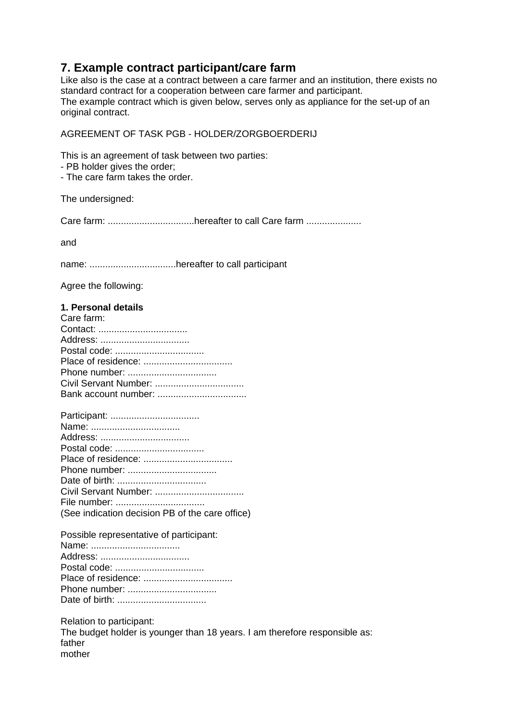# **7. Example contract participant/care farm**

Like also is the case at a contract between a care farmer and an institution, there exists no standard contract for a cooperation between care farmer and participant. The example contract which is given below, serves only as appliance for the set-up of an original contract.

# AGREEMENT OF TASK PGB - HOLDER/ZORGBOERDERIJ

This is an agreement of task between two parties:

- PB holder gives the order;

- The care farm takes the order.

The undersigned:

Care farm: .................................hereafter to call Care farm .....................

and

name: .................................hereafter to call participant

Agree the following:

# **1. Personal details**

| Care farm: |
|------------|
|            |
|            |
|            |
|            |
|            |
|            |
|            |

Possible representative of participant: Name: .................................. Address: .................................. Postal code: .................................. Place of residence: .................................. Phone number: .................................. Date of birth: ..................................

Relation to participant: The budget holder is younger than 18 years. I am therefore responsible as: father mother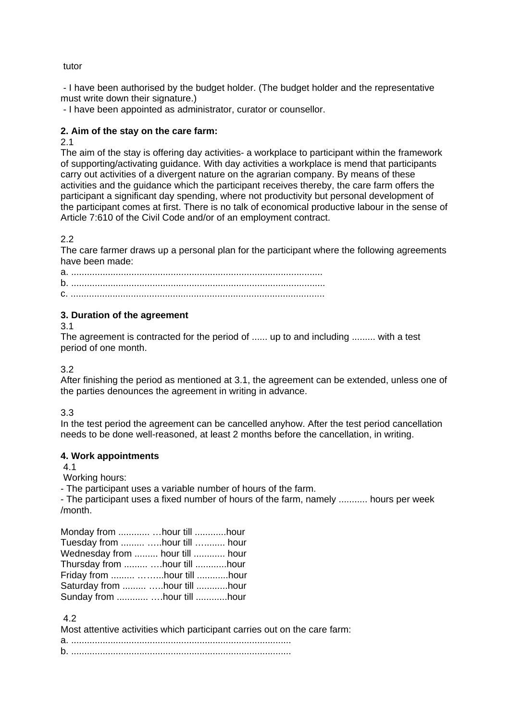#### tutor

 - I have been authorised by the budget holder. (The budget holder and the representative must write down their signature.)

- I have been appointed as administrator, curator or counsellor.

### **2. Aim of the stay on the care farm:**

#### 2.1

The aim of the stay is offering day activities- a workplace to participant within the framework of supporting/activating guidance. With day activities a workplace is mend that participants carry out activities of a divergent nature on the agrarian company. By means of these activities and the guidance which the participant receives thereby, the care farm offers the participant a significant day spending, where not productivity but personal development of the participant comes at first. There is no talk of economical productive labour in the sense of Article 7:610 of the Civil Code and/or of an employment contract.

2.2

The care farmer draws up a personal plan for the participant where the following agreements have been made:

a. ................................................................................................ b. ................................................................................................. c. .................................................................................................

#### **3. Duration of the agreement**

3.1

The agreement is contracted for the period of ...... up to and including ......... with a test period of one month.

#### 3.2

After finishing the period as mentioned at 3.1, the agreement can be extended, unless one of the parties denounces the agreement in writing in advance.

# 3.3

In the test period the agreement can be cancelled anyhow. After the test period cancellation needs to be done well-reasoned, at least 2 months before the cancellation, in writing.

#### **4. Work appointments**

4.1

Working hours:

- The participant uses a variable number of hours of the farm.

- The participant uses a fixed number of hours of the farm, namely ........... hours per week /month.

| Monday from   hour till hour    |  |
|---------------------------------|--|
| Tuesday from  hour till  hour   |  |
| Wednesday from  hour till  hour |  |
| Thursday from   hour till  hour |  |
| Friday from  hour till hour     |  |
| Saturday from  hour till hour   |  |
| Sunday from   hour till hour    |  |

4.2

| Most attentive activities which participant carries out on the care farm: |  |
|---------------------------------------------------------------------------|--|
|                                                                           |  |
|                                                                           |  |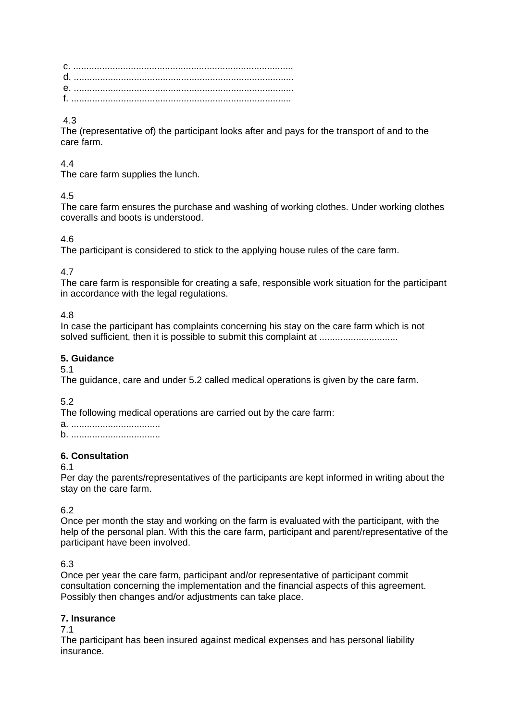c. .................................................................................... d. .................................................................................... e. .................................................................................... f. ....................................................................................

# 4.3

The (representative of) the participant looks after and pays for the transport of and to the care farm.

# 4.4

The care farm supplies the lunch.

# 4.5

The care farm ensures the purchase and washing of working clothes. Under working clothes coveralls and boots is understood.

# 4.6

The participant is considered to stick to the applying house rules of the care farm.

# 4.7

The care farm is responsible for creating a safe, responsible work situation for the participant in accordance with the legal regulations.

# 4.8

In case the participant has complaints concerning his stay on the care farm which is not solved sufficient, then it is possible to submit this complaint at ................................

# **5. Guidance**

# 5.1

The guidance, care and under 5.2 called medical operations is given by the care farm.

5.2

The following medical operations are carried out by the care farm:

a. .................................. b. ..................................

# **6. Consultation**

# 6.1

Per day the parents/representatives of the participants are kept informed in writing about the stay on the care farm.

# 6.2

Once per month the stay and working on the farm is evaluated with the participant, with the help of the personal plan. With this the care farm, participant and parent/representative of the participant have been involved.

# 6.3

Once per year the care farm, participant and/or representative of participant commit consultation concerning the implementation and the financial aspects of this agreement. Possibly then changes and/or adjustments can take place.

# **7. Insurance**

# 7.1

The participant has been insured against medical expenses and has personal liability insurance.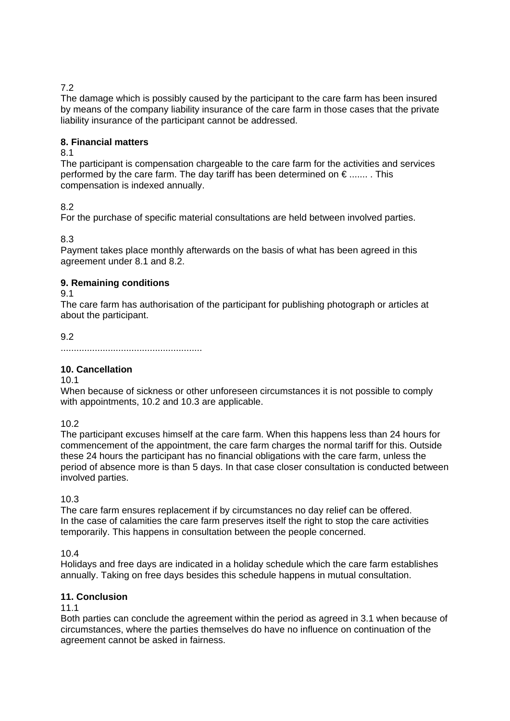# 7.2

The damage which is possibly caused by the participant to the care farm has been insured by means of the company liability insurance of the care farm in those cases that the private liability insurance of the participant cannot be addressed.

# **8. Financial matters**

# 8.1

The participant is compensation chargeable to the care farm for the activities and services performed by the care farm. The day tariff has been determined on  $\epsilon$  ........ This compensation is indexed annually.

# 8.2

For the purchase of specific material consultations are held between involved parties.

8.3

Payment takes place monthly afterwards on the basis of what has been agreed in this agreement under 8.1 and 8.2.

# **9. Remaining conditions**

#### 9.1

The care farm has authorisation of the participant for publishing photograph or articles at about the participant.

9.2

......................................................

# **10. Cancellation**

10.1

When because of sickness or other unforeseen circumstances it is not possible to comply with appointments, 10.2 and 10.3 are applicable.

10.2

The participant excuses himself at the care farm. When this happens less than 24 hours for commencement of the appointment, the care farm charges the normal tariff for this. Outside these 24 hours the participant has no financial obligations with the care farm, unless the period of absence more is than 5 days. In that case closer consultation is conducted between involved parties.

10.3

The care farm ensures replacement if by circumstances no day relief can be offered. In the case of calamities the care farm preserves itself the right to stop the care activities temporarily. This happens in consultation between the people concerned.

10.4

Holidays and free days are indicated in a holiday schedule which the care farm establishes annually. Taking on free days besides this schedule happens in mutual consultation.

# **11. Conclusion**

11.1

Both parties can conclude the agreement within the period as agreed in 3.1 when because of circumstances, where the parties themselves do have no influence on continuation of the agreement cannot be asked in fairness.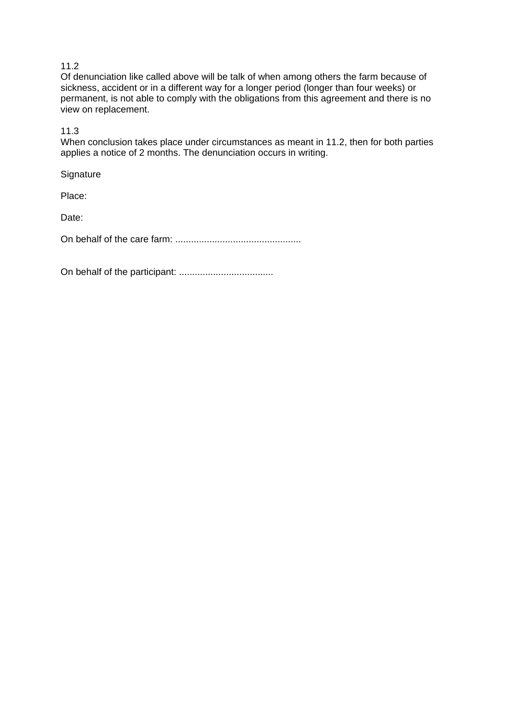# 11.2

Of denunciation like called above will be talk of when among others the farm because of sickness, accident or in a different way for a longer period (longer than four weeks) or permanent, is not able to comply with the obligations from this agreement and there is no view on replacement.

11.3

When conclusion takes place under circumstances as meant in 11.2, then for both parties applies a notice of 2 months. The denunciation occurs in writing.

**Signature** 

Place:

Date:

On behalf of the care farm: ................................................

On behalf of the participant: ....................................